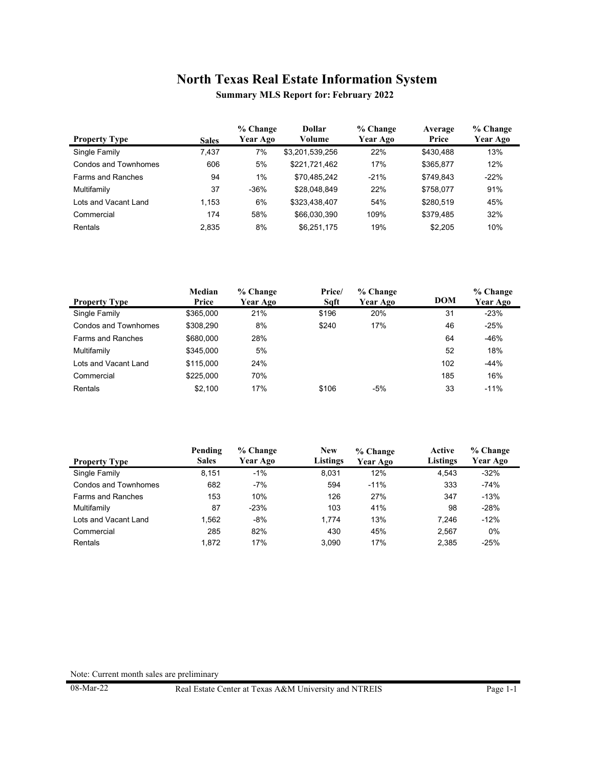**Summary MLS Report for: February 2022**

|                          |              | % Change | Dollar          | % Change | Average   | % Change |
|--------------------------|--------------|----------|-----------------|----------|-----------|----------|
| <b>Property Type</b>     | <b>Sales</b> | Year Ago | Volume          | Year Ago | Price     | Year Ago |
| Single Family            | 7.437        | 7%       | \$3,201,539,256 | 22%      | \$430.488 | 13%      |
| Condos and Townhomes     | 606          | 5%       | \$221,721,462   | 17%      | \$365,877 | 12%      |
| <b>Farms and Ranches</b> | 94           | 1%       | \$70,485,242    | $-21%$   | \$749.843 | $-22%$   |
| Multifamily              | 37           | $-36%$   | \$28,048,849    | 22%      | \$758,077 | 91%      |
| Lots and Vacant Land     | 1.153        | 6%       | \$323,438,407   | 54%      | \$280.519 | 45%      |
| Commercial               | 174          | 58%      | \$66,030,390    | 109%     | \$379.485 | 32%      |
| <b>Rentals</b>           | 2.835        | 8%       | \$6.251.175     | 19%      | \$2.205   | 10%      |

|                          | Median    | % Change | Price/ | % Change |            | % Change |
|--------------------------|-----------|----------|--------|----------|------------|----------|
| <b>Property Type</b>     | Price     | Year Ago | Sqft   | Year Ago | <b>DOM</b> | Year Ago |
| Single Family            | \$365,000 | 21%      | \$196  | 20%      | 31         | $-23%$   |
| Condos and Townhomes     | \$308.290 | 8%       | \$240  | 17%      | 46         | $-25%$   |
| <b>Farms and Ranches</b> | \$680,000 | 28%      |        |          | 64         | $-46%$   |
| Multifamily              | \$345,000 | 5%       |        |          | 52         | 18%      |
| Lots and Vacant Land     | \$115,000 | 24%      |        |          | 102        | $-44%$   |
| Commercial               | \$225,000 | 70%      |        |          | 185        | 16%      |
| Rentals                  | \$2.100   | 17%      | \$106  | $-5%$    | 33         | $-11%$   |

|                      | Pending      | % Change | <b>New</b>      | % Change | Active          | % Change |
|----------------------|--------------|----------|-----------------|----------|-----------------|----------|
| <b>Property Type</b> | <b>Sales</b> | Year Ago | <b>Listings</b> | Year Ago | <b>Listings</b> | Year Ago |
| Single Family        | 8.151        | $-1%$    | 8.031           | 12%      | 4.543           | $-32%$   |
| Condos and Townhomes | 682          | $-7%$    | 594             | $-11%$   | 333             | $-74%$   |
| Farms and Ranches    | 153          | 10%      | 126             | 27%      | 347             | $-13%$   |
| Multifamily          | 87           | $-23%$   | 103             | 41%      | 98              | $-28%$   |
| Lots and Vacant Land | 1.562        | $-8%$    | 1.774           | 13%      | 7.246           | $-12%$   |
| Commercial           | 285          | 82%      | 430             | 45%      | 2,567           | 0%       |
| Rentals              | 1.872        | 17%      | 3.090           | 17%      | 2.385           | $-25%$   |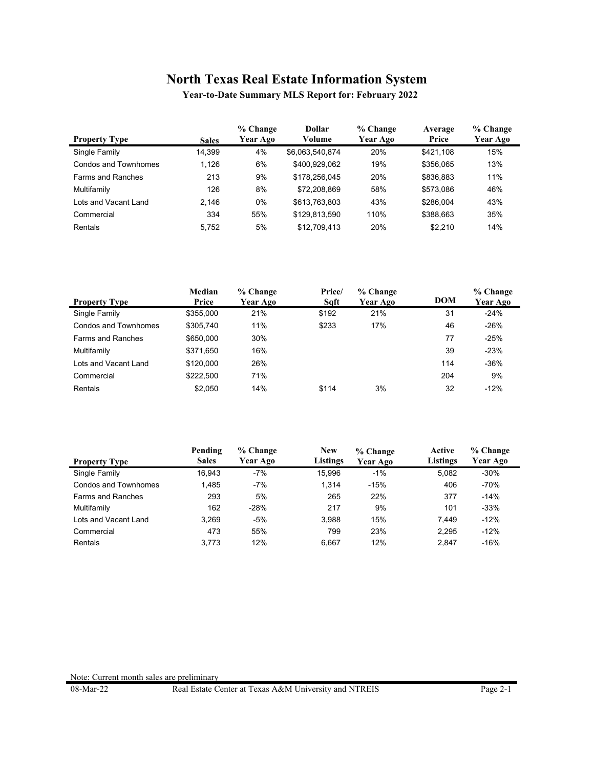**Year-to-Date Summary MLS Report for: February 2022**

| <b>Property Type</b>     | <b>Sales</b> | % Change<br>Year Ago | Dollar<br>Volume | % Change<br>Year Ago | Average<br>Price | % Change<br><b>Year Ago</b> |
|--------------------------|--------------|----------------------|------------------|----------------------|------------------|-----------------------------|
| Single Family            | 14.399       | 4%                   | \$6,063,540,874  | 20%                  | \$421.108        | 15%                         |
| Condos and Townhomes     | 1.126        | 6%                   | \$400,929,062    | 19%                  | \$356,065        | 13%                         |
| <b>Farms and Ranches</b> | 213          | 9%                   | \$178.256.045    | 20%                  | \$836.883        | 11%                         |
| Multifamily              | 126          | 8%                   | \$72,208,869     | 58%                  | \$573.086        | 46%                         |
| Lots and Vacant Land     | 2.146        | 0%                   | \$613,763,803    | 43%                  | \$286.004        | 43%                         |
| Commercial               | 334          | 55%                  | \$129.813.590    | 110%                 | \$388.663        | 35%                         |
| Rentals                  | 5.752        | 5%                   | \$12.709.413     | 20%                  | \$2.210          | 14%                         |

|                          | Median    | % Change | Price/ | $%$ Change |            | % Change |
|--------------------------|-----------|----------|--------|------------|------------|----------|
| <b>Property Type</b>     | Price     | Year Ago | Saft   | Year Ago   | <b>DOM</b> | Year Ago |
| Single Family            | \$355,000 | 21%      | \$192  | 21%        | 31         | $-24%$   |
| Condos and Townhomes     | \$305.740 | 11%      | \$233  | 17%        | 46         | $-26%$   |
| <b>Farms and Ranches</b> | \$650,000 | 30%      |        |            | 77         | $-25%$   |
| Multifamily              | \$371,650 | 16%      |        |            | 39         | $-23%$   |
| Lots and Vacant Land     | \$120,000 | 26%      |        |            | 114        | $-36%$   |
| Commercial               | \$222.500 | 71%      |        |            | 204        | 9%       |
| Rentals                  | \$2.050   | 14%      | \$114  | 3%         | 32         | $-12%$   |

|                          | Pending      | % Change | <b>New</b> | % Change | Active          | % Change |
|--------------------------|--------------|----------|------------|----------|-----------------|----------|
| <b>Property Type</b>     | <b>Sales</b> | Year Ago | Listings   | Year Ago | <b>Listings</b> | Year Ago |
| Single Family            | 16.943       | $-7%$    | 15.996     | $-1%$    | 5.082           | $-30%$   |
| Condos and Townhomes     | 1.485        | $-7%$    | 1.314      | $-15%$   | 406             | $-70%$   |
| <b>Farms and Ranches</b> | 293          | 5%       | 265        | 22%      | 377             | $-14%$   |
| Multifamily              | 162          | $-28%$   | 217        | 9%       | 101             | $-33%$   |
| Lots and Vacant Land     | 3.269        | $-5%$    | 3.988      | 15%      | 7.449           | $-12%$   |
| Commercial               | 473          | 55%      | 799        | 23%      | 2.295           | $-12%$   |
| Rentals                  | 3.773        | 12%      | 6.667      | 12%      | 2.847           | $-16%$   |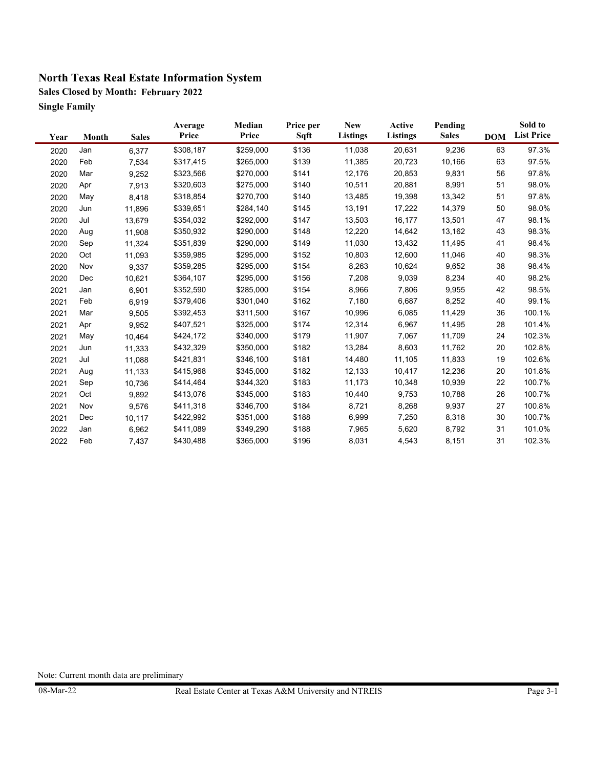**Sales Closed by Month: February 2022 Single Family**

| Year | Month | <b>Sales</b> | Average<br>Price | Median<br>Price | Price per<br>Sqft | <b>New</b><br><b>Listings</b> | Active<br><b>Listings</b> | Pending<br><b>Sales</b> | <b>DOM</b> | Sold to<br><b>List Price</b> |
|------|-------|--------------|------------------|-----------------|-------------------|-------------------------------|---------------------------|-------------------------|------------|------------------------------|
| 2020 | Jan   | 6,377        | \$308,187        | \$259,000       | \$136             | 11,038                        | 20,631                    | 9,236                   | 63         | 97.3%                        |
| 2020 | Feb   | 7,534        | \$317,415        | \$265,000       | \$139             | 11,385                        | 20,723                    | 10,166                  | 63         | 97.5%                        |
| 2020 | Mar   | 9,252        | \$323,566        | \$270,000       | \$141             | 12,176                        | 20,853                    | 9,831                   | 56         | 97.8%                        |
| 2020 | Apr   | 7,913        | \$320,603        | \$275,000       | \$140             | 10,511                        | 20,881                    | 8,991                   | 51         | 98.0%                        |
| 2020 | May   | 8,418        | \$318,854        | \$270,700       | \$140             | 13,485                        | 19,398                    | 13,342                  | 51         | 97.8%                        |
| 2020 | Jun   | 11,896       | \$339,651        | \$284,140       | \$145             | 13,191                        | 17,222                    | 14,379                  | 50         | 98.0%                        |
| 2020 | Jul   | 13,679       | \$354,032        | \$292,000       | \$147             | 13,503                        | 16,177                    | 13,501                  | 47         | 98.1%                        |
| 2020 | Aug   | 11,908       | \$350,932        | \$290,000       | \$148             | 12,220                        | 14,642                    | 13,162                  | 43         | 98.3%                        |
| 2020 | Sep   | 11,324       | \$351,839        | \$290,000       | \$149             | 11,030                        | 13,432                    | 11,495                  | 41         | 98.4%                        |
| 2020 | Oct   | 11,093       | \$359,985        | \$295,000       | \$152             | 10,803                        | 12,600                    | 11,046                  | 40         | 98.3%                        |
| 2020 | Nov   | 9,337        | \$359,285        | \$295,000       | \$154             | 8,263                         | 10,624                    | 9,652                   | 38         | 98.4%                        |
| 2020 | Dec   | 10,621       | \$364,107        | \$295,000       | \$156             | 7,208                         | 9,039                     | 8,234                   | 40         | 98.2%                        |
| 2021 | Jan   | 6,901        | \$352,590        | \$285,000       | \$154             | 8,966                         | 7,806                     | 9,955                   | 42         | 98.5%                        |
| 2021 | Feb   | 6,919        | \$379,406        | \$301,040       | \$162             | 7,180                         | 6,687                     | 8,252                   | 40         | 99.1%                        |
| 2021 | Mar   | 9,505        | \$392,453        | \$311,500       | \$167             | 10,996                        | 6,085                     | 11,429                  | 36         | 100.1%                       |
| 2021 | Apr   | 9,952        | \$407,521        | \$325,000       | \$174             | 12,314                        | 6,967                     | 11,495                  | 28         | 101.4%                       |
| 2021 | May   | 10,464       | \$424,172        | \$340,000       | \$179             | 11,907                        | 7,067                     | 11,709                  | 24         | 102.3%                       |
| 2021 | Jun   | 11,333       | \$432,329        | \$350,000       | \$182             | 13,284                        | 8,603                     | 11,762                  | 20         | 102.8%                       |
| 2021 | Jul   | 11,088       | \$421,831        | \$346,100       | \$181             | 14,480                        | 11,105                    | 11,833                  | 19         | 102.6%                       |
| 2021 | Aug   | 11,133       | \$415,968        | \$345,000       | \$182             | 12,133                        | 10,417                    | 12,236                  | 20         | 101.8%                       |
| 2021 | Sep   | 10,736       | \$414,464        | \$344,320       | \$183             | 11,173                        | 10,348                    | 10,939                  | 22         | 100.7%                       |
| 2021 | Oct   | 9,892        | \$413,076        | \$345,000       | \$183             | 10,440                        | 9,753                     | 10,788                  | 26         | 100.7%                       |
| 2021 | Nov   | 9,576        | \$411,318        | \$346,700       | \$184             | 8,721                         | 8,268                     | 9,937                   | 27         | 100.8%                       |
| 2021 | Dec   | 10,117       | \$422,992        | \$351,000       | \$188             | 6,999                         | 7,250                     | 8,318                   | 30         | 100.7%                       |
| 2022 | Jan   | 6,962        | \$411,089        | \$349,290       | \$188             | 7,965                         | 5,620                     | 8,792                   | 31         | 101.0%                       |
| 2022 | Feb   | 7,437        | \$430,488        | \$365,000       | \$196             | 8,031                         | 4,543                     | 8,151                   | 31         | 102.3%                       |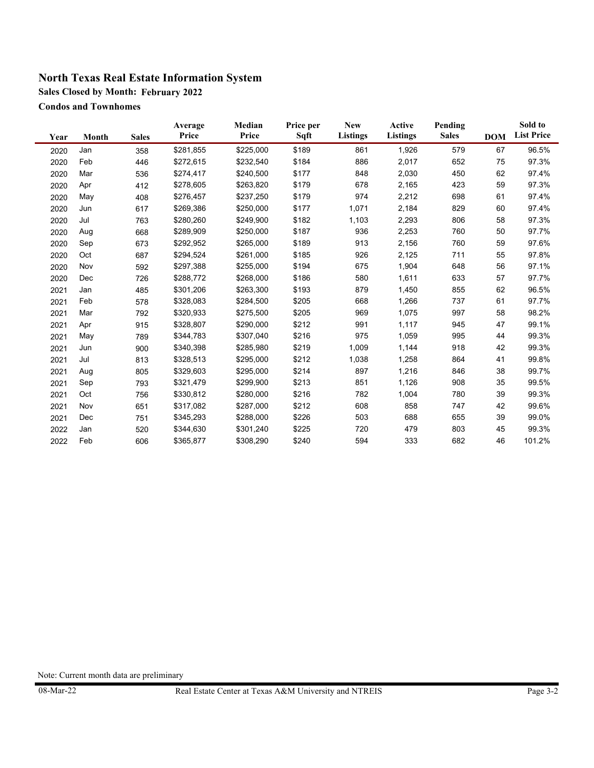**Sales Closed by Month: February 2022**

**Condos and Townhomes**

| Year | Month | <b>Sales</b> | Average<br>Price | Median<br>Price | Price per<br>Sqft | <b>New</b><br><b>Listings</b> | <b>Active</b><br>Listings | Pending<br><b>Sales</b> | <b>DOM</b> | Sold to<br><b>List Price</b> |
|------|-------|--------------|------------------|-----------------|-------------------|-------------------------------|---------------------------|-------------------------|------------|------------------------------|
| 2020 | Jan   | 358          | \$281,855        | \$225,000       | \$189             | 861                           | 1,926                     | 579                     | 67         | 96.5%                        |
| 2020 | Feb   | 446          | \$272,615        | \$232,540       | \$184             | 886                           | 2,017                     | 652                     | 75         | 97.3%                        |
| 2020 | Mar   | 536          | \$274,417        | \$240,500       | \$177             | 848                           | 2,030                     | 450                     | 62         | 97.4%                        |
| 2020 | Apr   | 412          | \$278,605        | \$263,820       | \$179             | 678                           | 2,165                     | 423                     | 59         | 97.3%                        |
| 2020 | May   | 408          | \$276,457        | \$237,250       | \$179             | 974                           | 2,212                     | 698                     | 61         | 97.4%                        |
| 2020 | Jun   | 617          | \$269,386        | \$250,000       | \$177             | 1,071                         | 2,184                     | 829                     | 60         | 97.4%                        |
| 2020 | Jul   | 763          | \$280,260        | \$249,900       | \$182             | 1,103                         | 2,293                     | 806                     | 58         | 97.3%                        |
| 2020 | Aug   | 668          | \$289,909        | \$250,000       | \$187             | 936                           | 2,253                     | 760                     | 50         | 97.7%                        |
| 2020 | Sep   | 673          | \$292,952        | \$265,000       | \$189             | 913                           | 2,156                     | 760                     | 59         | 97.6%                        |
| 2020 | Oct   | 687          | \$294,524        | \$261,000       | \$185             | 926                           | 2,125                     | 711                     | 55         | 97.8%                        |
| 2020 | Nov   | 592          | \$297,388        | \$255,000       | \$194             | 675                           | 1,904                     | 648                     | 56         | 97.1%                        |
| 2020 | Dec   | 726          | \$288,772        | \$268,000       | \$186             | 580                           | 1,611                     | 633                     | 57         | 97.7%                        |
| 2021 | Jan   | 485          | \$301,206        | \$263,300       | \$193             | 879                           | 1,450                     | 855                     | 62         | 96.5%                        |
| 2021 | Feb   | 578          | \$328,083        | \$284,500       | \$205             | 668                           | 1,266                     | 737                     | 61         | 97.7%                        |
| 2021 | Mar   | 792          | \$320,933        | \$275,500       | \$205             | 969                           | 1,075                     | 997                     | 58         | 98.2%                        |
| 2021 | Apr   | 915          | \$328,807        | \$290,000       | \$212             | 991                           | 1,117                     | 945                     | 47         | 99.1%                        |
| 2021 | May   | 789          | \$344,783        | \$307,040       | \$216             | 975                           | 1,059                     | 995                     | 44         | 99.3%                        |
| 2021 | Jun   | 900          | \$340,398        | \$285,980       | \$219             | 1,009                         | 1,144                     | 918                     | 42         | 99.3%                        |
| 2021 | Jul   | 813          | \$328,513        | \$295,000       | \$212             | 1,038                         | 1,258                     | 864                     | 41         | 99.8%                        |
| 2021 | Aug   | 805          | \$329,603        | \$295,000       | \$214             | 897                           | 1,216                     | 846                     | 38         | 99.7%                        |
| 2021 | Sep   | 793          | \$321,479        | \$299,900       | \$213             | 851                           | 1,126                     | 908                     | 35         | 99.5%                        |
| 2021 | Oct   | 756          | \$330,812        | \$280,000       | \$216             | 782                           | 1,004                     | 780                     | 39         | 99.3%                        |
| 2021 | Nov   | 651          | \$317,082        | \$287,000       | \$212             | 608                           | 858                       | 747                     | 42         | 99.6%                        |
| 2021 | Dec   | 751          | \$345,293        | \$288,000       | \$226             | 503                           | 688                       | 655                     | 39         | 99.0%                        |
| 2022 | Jan   | 520          | \$344,630        | \$301,240       | \$225             | 720                           | 479                       | 803                     | 45         | 99.3%                        |
| 2022 | Feb   | 606          | \$365,877        | \$308,290       | \$240             | 594                           | 333                       | 682                     | 46         | 101.2%                       |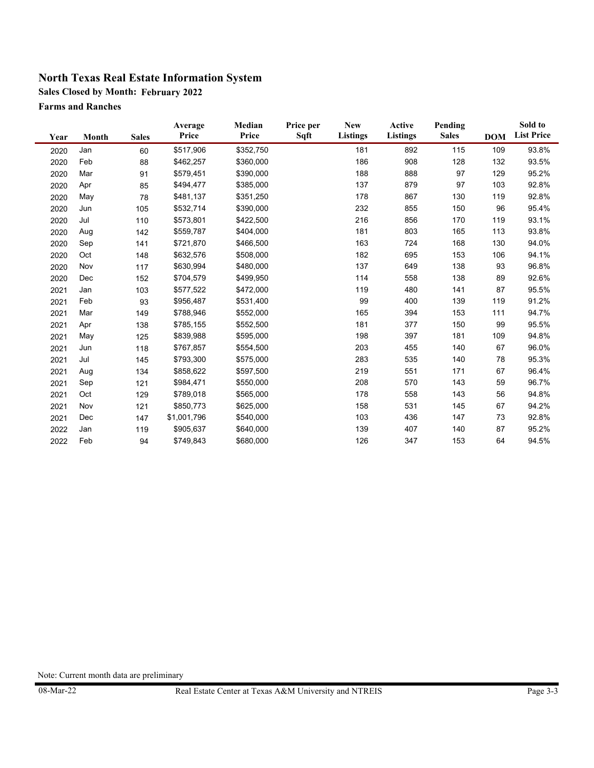**Sales Closed by Month: February 2022**

**Farms and Ranches**

| Year | Month | <b>Sales</b> | Average<br>Price | Median<br>Price | Price per<br>Sqft | <b>New</b><br><b>Listings</b> | Active<br><b>Listings</b> | Pending<br><b>Sales</b> | <b>DOM</b> | Sold to<br><b>List Price</b> |
|------|-------|--------------|------------------|-----------------|-------------------|-------------------------------|---------------------------|-------------------------|------------|------------------------------|
| 2020 | Jan   | 60           | \$517,906        | \$352,750       |                   | 181                           | 892                       | 115                     | 109        | 93.8%                        |
| 2020 | Feb   | 88           | \$462,257        | \$360,000       |                   | 186                           | 908                       | 128                     | 132        | 93.5%                        |
| 2020 | Mar   | 91           | \$579,451        | \$390,000       |                   | 188                           | 888                       | 97                      | 129        | 95.2%                        |
| 2020 | Apr   | 85           | \$494,477        | \$385,000       |                   | 137                           | 879                       | 97                      | 103        | 92.8%                        |
| 2020 | May   | 78           | \$481,137        | \$351,250       |                   | 178                           | 867                       | 130                     | 119        | 92.8%                        |
| 2020 | Jun   | 105          | \$532,714        | \$390,000       |                   | 232                           | 855                       | 150                     | 96         | 95.4%                        |
| 2020 | Jul   | 110          | \$573,801        | \$422,500       |                   | 216                           | 856                       | 170                     | 119        | 93.1%                        |
| 2020 | Aug   | 142          | \$559,787        | \$404,000       |                   | 181                           | 803                       | 165                     | 113        | 93.8%                        |
| 2020 | Sep   | 141          | \$721,870        | \$466,500       |                   | 163                           | 724                       | 168                     | 130        | 94.0%                        |
| 2020 | Oct   | 148          | \$632,576        | \$508,000       |                   | 182                           | 695                       | 153                     | 106        | 94.1%                        |
| 2020 | Nov   | 117          | \$630,994        | \$480,000       |                   | 137                           | 649                       | 138                     | 93         | 96.8%                        |
| 2020 | Dec   | 152          | \$704,579        | \$499,950       |                   | 114                           | 558                       | 138                     | 89         | 92.6%                        |
| 2021 | Jan   | 103          | \$577,522        | \$472,000       |                   | 119                           | 480                       | 141                     | 87         | 95.5%                        |
| 2021 | Feb   | 93           | \$956,487        | \$531,400       |                   | 99                            | 400                       | 139                     | 119        | 91.2%                        |
| 2021 | Mar   | 149          | \$788,946        | \$552,000       |                   | 165                           | 394                       | 153                     | 111        | 94.7%                        |
| 2021 | Apr   | 138          | \$785,155        | \$552,500       |                   | 181                           | 377                       | 150                     | 99         | 95.5%                        |
| 2021 | May   | 125          | \$839,988        | \$595,000       |                   | 198                           | 397                       | 181                     | 109        | 94.8%                        |
| 2021 | Jun   | 118          | \$767,857        | \$554,500       |                   | 203                           | 455                       | 140                     | 67         | 96.0%                        |
| 2021 | Jul   | 145          | \$793,300        | \$575,000       |                   | 283                           | 535                       | 140                     | 78         | 95.3%                        |
| 2021 | Aug   | 134          | \$858,622        | \$597,500       |                   | 219                           | 551                       | 171                     | 67         | 96.4%                        |
| 2021 | Sep   | 121          | \$984,471        | \$550,000       |                   | 208                           | 570                       | 143                     | 59         | 96.7%                        |
| 2021 | Oct   | 129          | \$789,018        | \$565,000       |                   | 178                           | 558                       | 143                     | 56         | 94.8%                        |
| 2021 | Nov   | 121          | \$850,773        | \$625,000       |                   | 158                           | 531                       | 145                     | 67         | 94.2%                        |
| 2021 | Dec   | 147          | \$1,001,796      | \$540,000       |                   | 103                           | 436                       | 147                     | 73         | 92.8%                        |
| 2022 | Jan   | 119          | \$905,637        | \$640,000       |                   | 139                           | 407                       | 140                     | 87         | 95.2%                        |
| 2022 | Feb   | 94           | \$749,843        | \$680,000       |                   | 126                           | 347                       | 153                     | 64         | 94.5%                        |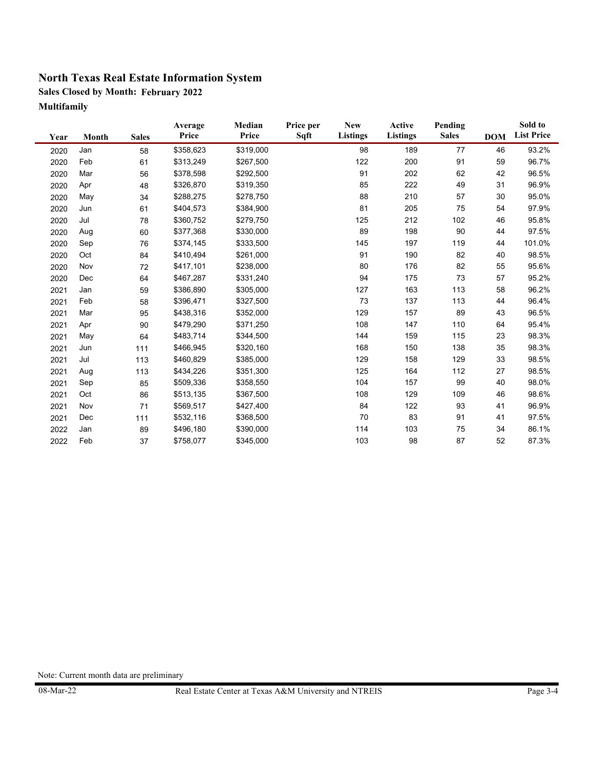**Sales Closed by Month: February 2022 Multifamily**

| Year | Month | <b>Sales</b> | Average<br>Price | Median<br>Price | Price per<br>Sqft | <b>New</b><br>Listings | Active<br><b>Listings</b> | Pending<br><b>Sales</b> | <b>DOM</b> | Sold to<br><b>List Price</b> |
|------|-------|--------------|------------------|-----------------|-------------------|------------------------|---------------------------|-------------------------|------------|------------------------------|
| 2020 | Jan   | 58           | \$358,623        | \$319,000       |                   | 98                     | 189                       | 77                      | 46         | 93.2%                        |
| 2020 | Feb   | 61           | \$313,249        | \$267,500       |                   | 122                    | 200                       | 91                      | 59         | 96.7%                        |
| 2020 | Mar   | 56           | \$378,598        | \$292,500       |                   | 91                     | 202                       | 62                      | 42         | 96.5%                        |
| 2020 | Apr   | 48           | \$326,870        | \$319,350       |                   | 85                     | 222                       | 49                      | 31         | 96.9%                        |
| 2020 | May   | 34           | \$288,275        | \$278,750       |                   | 88                     | 210                       | 57                      | 30         | 95.0%                        |
| 2020 | Jun   | 61           | \$404,573        | \$384,900       |                   | 81                     | 205                       | 75                      | 54         | 97.9%                        |
| 2020 | Jul   | 78           | \$360,752        | \$279,750       |                   | 125                    | 212                       | 102                     | 46         | 95.8%                        |
| 2020 | Aug   | 60           | \$377,368        | \$330,000       |                   | 89                     | 198                       | 90                      | 44         | 97.5%                        |
| 2020 | Sep   | 76           | \$374,145        | \$333,500       |                   | 145                    | 197                       | 119                     | 44         | 101.0%                       |
| 2020 | Oct   | 84           | \$410,494        | \$261,000       |                   | 91                     | 190                       | 82                      | 40         | 98.5%                        |
| 2020 | Nov   | 72           | \$417,101        | \$238,000       |                   | 80                     | 176                       | 82                      | 55         | 95.6%                        |
| 2020 | Dec   | 64           | \$467,287        | \$331,240       |                   | 94                     | 175                       | 73                      | 57         | 95.2%                        |
| 2021 | Jan   | 59           | \$386,890        | \$305,000       |                   | 127                    | 163                       | 113                     | 58         | 96.2%                        |
| 2021 | Feb   | 58           | \$396,471        | \$327,500       |                   | 73                     | 137                       | 113                     | 44         | 96.4%                        |
| 2021 | Mar   | 95           | \$438,316        | \$352,000       |                   | 129                    | 157                       | 89                      | 43         | 96.5%                        |
| 2021 | Apr   | 90           | \$479,290        | \$371,250       |                   | 108                    | 147                       | 110                     | 64         | 95.4%                        |
| 2021 | May   | 64           | \$483,714        | \$344,500       |                   | 144                    | 159                       | 115                     | 23         | 98.3%                        |
| 2021 | Jun   | 111          | \$466,945        | \$320,160       |                   | 168                    | 150                       | 138                     | 35         | 98.3%                        |
| 2021 | Jul   | 113          | \$460,829        | \$385,000       |                   | 129                    | 158                       | 129                     | 33         | 98.5%                        |
| 2021 | Aug   | 113          | \$434,226        | \$351,300       |                   | 125                    | 164                       | 112                     | 27         | 98.5%                        |
| 2021 | Sep   | 85           | \$509,336        | \$358,550       |                   | 104                    | 157                       | 99                      | 40         | 98.0%                        |
| 2021 | Oct   | 86           | \$513,135        | \$367,500       |                   | 108                    | 129                       | 109                     | 46         | 98.6%                        |
| 2021 | Nov   | 71           | \$569,517        | \$427,400       |                   | 84                     | 122                       | 93                      | 41         | 96.9%                        |
| 2021 | Dec   | 111          | \$532,116        | \$368,500       |                   | 70                     | 83                        | 91                      | 41         | 97.5%                        |
| 2022 | Jan   | 89           | \$496,180        | \$390,000       |                   | 114                    | 103                       | 75                      | 34         | 86.1%                        |
| 2022 | Feb   | 37           | \$758,077        | \$345,000       |                   | 103                    | 98                        | 87                      | 52         | 87.3%                        |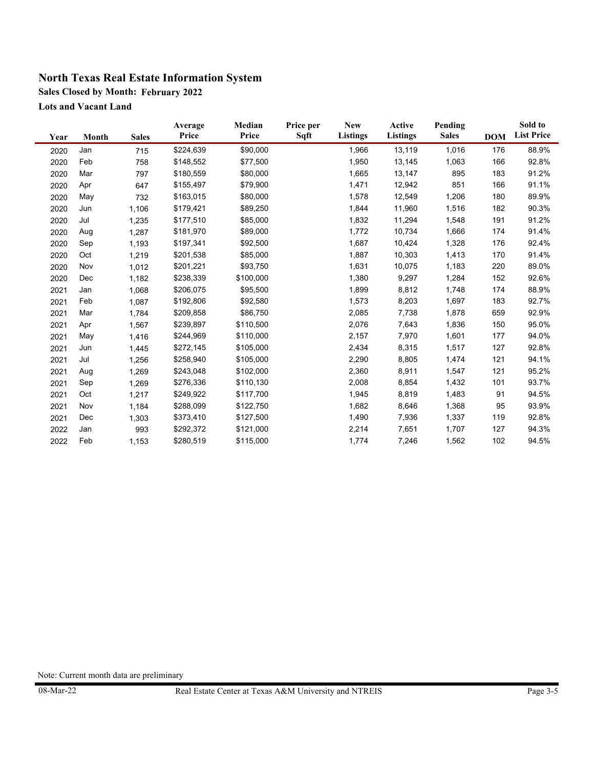**Sales Closed by Month: February 2022**

**Lots and Vacant Land**

| Year | Month | <b>Sales</b> | Average<br>Price | Median<br>Price | Price per<br>Sqft | <b>New</b><br><b>Listings</b> | Active<br><b>Listings</b> | Pending<br><b>Sales</b> | <b>DOM</b> | Sold to<br><b>List Price</b> |
|------|-------|--------------|------------------|-----------------|-------------------|-------------------------------|---------------------------|-------------------------|------------|------------------------------|
| 2020 | Jan   | 715          | \$224,639        | \$90,000        |                   | 1,966                         | 13,119                    | 1,016                   | 176        | 88.9%                        |
| 2020 | Feb   | 758          | \$148,552        | \$77,500        |                   | 1,950                         | 13,145                    | 1,063                   | 166        | 92.8%                        |
| 2020 | Mar   | 797          | \$180,559        | \$80,000        |                   | 1,665                         | 13,147                    | 895                     | 183        | 91.2%                        |
| 2020 | Apr   | 647          | \$155,497        | \$79,900        |                   | 1,471                         | 12,942                    | 851                     | 166        | 91.1%                        |
| 2020 | May   | 732          | \$163,015        | \$80,000        |                   | 1,578                         | 12,549                    | 1,206                   | 180        | 89.9%                        |
| 2020 | Jun   | 1,106        | \$179,421        | \$89,250        |                   | 1,844                         | 11,960                    | 1,516                   | 182        | 90.3%                        |
| 2020 | Jul   | 1,235        | \$177,510        | \$85,000        |                   | 1,832                         | 11,294                    | 1,548                   | 191        | 91.2%                        |
| 2020 | Aug   | 1,287        | \$181,970        | \$89,000        |                   | 1,772                         | 10,734                    | 1,666                   | 174        | 91.4%                        |
| 2020 | Sep   | 1,193        | \$197,341        | \$92,500        |                   | 1,687                         | 10,424                    | 1,328                   | 176        | 92.4%                        |
| 2020 | Oct   | 1,219        | \$201,538        | \$85,000        |                   | 1,887                         | 10,303                    | 1,413                   | 170        | 91.4%                        |
|      | Nov   |              | \$201,221        | \$93,750        |                   | 1,631                         | 10,075                    | 1,183                   | 220        | 89.0%                        |
| 2020 |       | 1,012        |                  |                 |                   |                               |                           |                         | 152        | 92.6%                        |
| 2020 | Dec   | 1,182        | \$238,339        | \$100,000       |                   | 1,380                         | 9,297                     | 1,284                   |            |                              |
| 2021 | Jan   | 1,068        | \$206,075        | \$95,500        |                   | 1,899                         | 8,812                     | 1,748                   | 174        | 88.9%                        |
| 2021 | Feb   | 1,087        | \$192,806        | \$92,580        |                   | 1,573                         | 8,203                     | 1,697                   | 183        | 92.7%                        |
| 2021 | Mar   | 1,784        | \$209,858        | \$86,750        |                   | 2,085                         | 7,738                     | 1,878                   | 659        | 92.9%                        |
| 2021 | Apr   | 1,567        | \$239,897        | \$110,500       |                   | 2,076                         | 7,643                     | 1,836                   | 150        | 95.0%                        |
| 2021 | May   | 1,416        | \$244,969        | \$110,000       |                   | 2,157                         | 7,970                     | 1,601                   | 177        | 94.0%                        |
| 2021 | Jun   | 1,445        | \$272,145        | \$105,000       |                   | 2,434                         | 8,315                     | 1,517                   | 127        | 92.8%                        |
| 2021 | Jul   | 1,256        | \$258,940        | \$105,000       |                   | 2,290                         | 8,805                     | 1,474                   | 121        | 94.1%                        |
| 2021 | Aug   | 1,269        | \$243,048        | \$102,000       |                   | 2,360                         | 8,911                     | 1,547                   | 121        | 95.2%                        |
| 2021 | Sep   | 1,269        | \$276,336        | \$110,130       |                   | 2,008                         | 8,854                     | 1,432                   | 101        | 93.7%                        |
| 2021 | Oct   | 1,217        | \$249,922        | \$117,700       |                   | 1,945                         | 8,819                     | 1,483                   | 91         | 94.5%                        |
| 2021 | Nov   | 1,184        | \$288,099        | \$122,750       |                   | 1,682                         | 8,646                     | 1,368                   | 95         | 93.9%                        |
| 2021 | Dec   | 1,303        | \$373,410        | \$127,500       |                   | 1,490                         | 7,936                     | 1,337                   | 119        | 92.8%                        |
| 2022 | Jan   | 993          | \$292,372        | \$121,000       |                   | 2,214                         | 7,651                     | 1,707                   | 127        | 94.3%                        |
| 2022 | Feb   | 1,153        | \$280,519        | \$115,000       |                   | 1,774                         | 7,246                     | 1,562                   | 102        | 94.5%                        |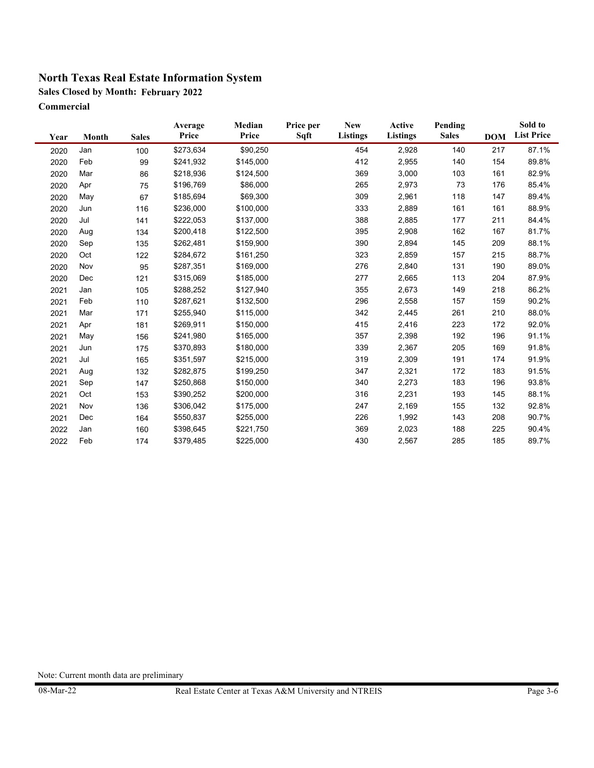**Sales Closed by Month: February 2022**

**Commercial**

| Year | Month | <b>Sales</b> | Average<br>Price | Median<br>Price | Price per<br>Sqft | <b>New</b><br>Listings | Active<br><b>Listings</b> | Pending<br><b>Sales</b> | <b>DOM</b> | Sold to<br><b>List Price</b> |
|------|-------|--------------|------------------|-----------------|-------------------|------------------------|---------------------------|-------------------------|------------|------------------------------|
| 2020 | Jan   | 100          | \$273,634        | \$90,250        |                   | 454                    | 2,928                     | 140                     | 217        | 87.1%                        |
| 2020 | Feb   | 99           | \$241,932        | \$145,000       |                   | 412                    | 2,955                     | 140                     | 154        | 89.8%                        |
| 2020 | Mar   | 86           | \$218,936        | \$124,500       |                   | 369                    | 3,000                     | 103                     | 161        | 82.9%                        |
| 2020 | Apr   | 75           | \$196,769        | \$86,000        |                   | 265                    | 2,973                     | 73                      | 176        | 85.4%                        |
| 2020 | May   | 67           | \$185,694        | \$69,300        |                   | 309                    | 2,961                     | 118                     | 147        | 89.4%                        |
| 2020 | Jun   | 116          | \$236,000        | \$100,000       |                   | 333                    | 2,889                     | 161                     | 161        | 88.9%                        |
| 2020 | Jul   | 141          | \$222,053        | \$137,000       |                   | 388                    | 2,885                     | 177                     | 211        | 84.4%                        |
| 2020 | Aug   | 134          | \$200,418        | \$122,500       |                   | 395                    | 2,908                     | 162                     | 167        | 81.7%                        |
| 2020 | Sep   | 135          | \$262,481        | \$159,900       |                   | 390                    | 2,894                     | 145                     | 209        | 88.1%                        |
| 2020 | Oct   | 122          | \$284,672        | \$161,250       |                   | 323                    | 2,859                     | 157                     | 215        | 88.7%                        |
| 2020 | Nov   | 95           | \$287,351        | \$169,000       |                   | 276                    | 2,840                     | 131                     | 190        | 89.0%                        |
| 2020 | Dec   | 121          | \$315,069        | \$185,000       |                   | 277                    | 2,665                     | 113                     | 204        | 87.9%                        |
| 2021 | Jan   | 105          | \$288,252        | \$127,940       |                   | 355                    | 2,673                     | 149                     | 218        | 86.2%                        |
| 2021 | Feb   | 110          | \$287,621        | \$132,500       |                   | 296                    | 2,558                     | 157                     | 159        | 90.2%                        |
| 2021 | Mar   | 171          | \$255,940        | \$115,000       |                   | 342                    | 2,445                     | 261                     | 210        | 88.0%                        |
| 2021 | Apr   | 181          | \$269,911        | \$150,000       |                   | 415                    | 2,416                     | 223                     | 172        | 92.0%                        |
| 2021 | May   | 156          | \$241,980        | \$165,000       |                   | 357                    | 2,398                     | 192                     | 196        | 91.1%                        |
| 2021 | Jun   | 175          | \$370,893        | \$180,000       |                   | 339                    | 2,367                     | 205                     | 169        | 91.8%                        |
| 2021 | Jul   | 165          | \$351,597        | \$215,000       |                   | 319                    | 2,309                     | 191                     | 174        | 91.9%                        |
| 2021 | Aug   | 132          | \$282,875        | \$199,250       |                   | 347                    | 2,321                     | 172                     | 183        | 91.5%                        |
| 2021 | Sep   | 147          | \$250,868        | \$150,000       |                   | 340                    | 2,273                     | 183                     | 196        | 93.8%                        |
| 2021 | Oct   | 153          | \$390,252        | \$200,000       |                   | 316                    | 2,231                     | 193                     | 145        | 88.1%                        |
| 2021 | Nov   | 136          | \$306,042        | \$175,000       |                   | 247                    | 2,169                     | 155                     | 132        | 92.8%                        |
| 2021 | Dec   | 164          | \$550,837        | \$255,000       |                   | 226                    | 1,992                     | 143                     | 208        | 90.7%                        |
| 2022 | Jan   | 160          | \$398,645        | \$221,750       |                   | 369                    | 2,023                     | 188                     | 225        | 90.4%                        |
| 2022 | Feb   | 174          | \$379,485        | \$225,000       |                   | 430                    | 2,567                     | 285                     | 185        | 89.7%                        |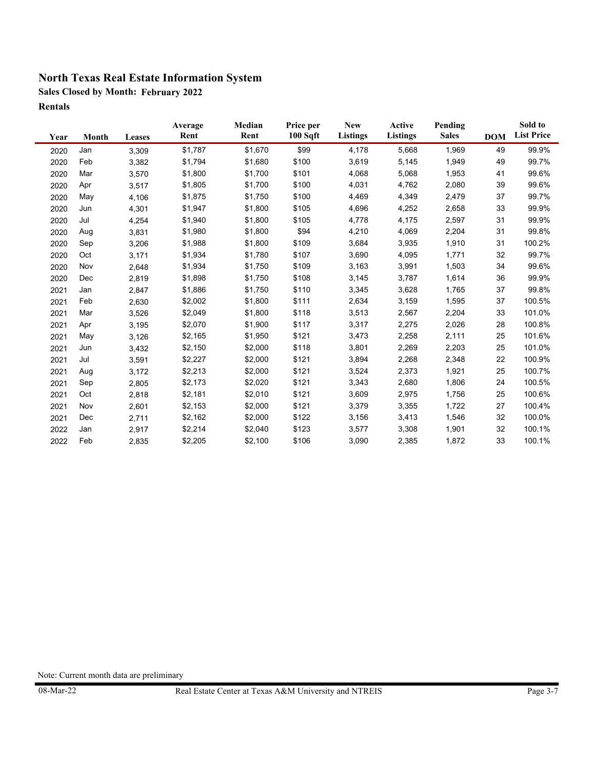**Sales Closed by Month: February 2022 Rentals**

| Year | Month | Leases | Average<br>Rent | Median<br>Rent | Price per<br>100 S <sub>q</sub> ft | <b>New</b><br><b>Listings</b> | Active<br><b>Listings</b> | Pending<br><b>Sales</b> | <b>DOM</b> | Sold to<br><b>List Price</b> |
|------|-------|--------|-----------------|----------------|------------------------------------|-------------------------------|---------------------------|-------------------------|------------|------------------------------|
| 2020 | Jan   | 3,309  | \$1,787         | \$1,670        | \$99                               | 4,178                         | 5,668                     | 1,969                   | 49         | 99.9%                        |
| 2020 | Feb   | 3,382  | \$1,794         | \$1,680        | \$100                              | 3,619                         | 5,145                     | 1,949                   | 49         | 99.7%                        |
| 2020 | Mar   | 3,570  | \$1,800         | \$1,700        | \$101                              | 4,068                         | 5,068                     | 1,953                   | 41         | 99.6%                        |
| 2020 | Apr   | 3,517  | \$1,805         | \$1,700        | \$100                              | 4,031                         | 4,762                     | 2,080                   | 39         | 99.6%                        |
| 2020 | May   | 4,106  | \$1,875         | \$1,750        | \$100                              | 4,469                         | 4,349                     | 2,479                   | 37         | 99.7%                        |
| 2020 | Jun   | 4,301  | \$1,947         | \$1,800        | \$105                              | 4,696                         | 4,252                     | 2,658                   | 33         | 99.9%                        |
| 2020 | Jul   | 4,254  | \$1,940         | \$1,800        | \$105                              | 4,778                         | 4,175                     | 2,597                   | 31         | 99.9%                        |
| 2020 | Aug   | 3,831  | \$1,980         | \$1,800        | \$94                               | 4,210                         | 4,069                     | 2,204                   | 31         | 99.8%                        |
| 2020 | Sep   | 3,206  | \$1,988         | \$1,800        | \$109                              | 3,684                         | 3,935                     | 1,910                   | 31         | 100.2%                       |
| 2020 | Oct   | 3,171  | \$1,934         | \$1,780        | \$107                              | 3,690                         | 4,095                     | 1,771                   | 32         | 99.7%                        |
| 2020 | Nov   | 2,648  | \$1,934         | \$1,750        | \$109                              | 3,163                         | 3,991                     | 1,503                   | 34         | 99.6%                        |
| 2020 | Dec   | 2,819  | \$1,898         | \$1,750        | \$108                              | 3,145                         | 3,787                     | 1,614                   | 36         | 99.9%                        |
| 2021 | Jan   | 2,847  | \$1,886         | \$1,750        | \$110                              | 3,345                         | 3,628                     | 1,765                   | 37         | 99.8%                        |
| 2021 | Feb   | 2,630  | \$2,002         | \$1,800        | \$111                              | 2,634                         | 3,159                     | 1,595                   | 37         | 100.5%                       |
| 2021 | Mar   | 3,526  | \$2,049         | \$1,800        | \$118                              | 3,513                         | 2,567                     | 2,204                   | 33         | 101.0%                       |
| 2021 | Apr   | 3,195  | \$2,070         | \$1,900        | \$117                              | 3,317                         | 2,275                     | 2,026                   | 28         | 100.8%                       |
| 2021 | May   | 3,126  | \$2,165         | \$1,950        | \$121                              | 3,473                         | 2,258                     | 2,111                   | 25         | 101.6%                       |
| 2021 | Jun   | 3,432  | \$2,150         | \$2,000        | \$118                              | 3,801                         | 2,269                     | 2,203                   | 25         | 101.0%                       |
| 2021 | Jul   | 3,591  | \$2,227         | \$2,000        | \$121                              | 3,894                         | 2,268                     | 2,348                   | 22         | 100.9%                       |
| 2021 | Aug   | 3,172  | \$2,213         | \$2,000        | \$121                              | 3,524                         | 2,373                     | 1,921                   | 25         | 100.7%                       |
| 2021 | Sep   | 2,805  | \$2,173         | \$2,020        | \$121                              | 3,343                         | 2,680                     | 1,806                   | 24         | 100.5%                       |
| 2021 | Oct   | 2,818  | \$2,181         | \$2,010        | \$121                              | 3,609                         | 2,975                     | 1,756                   | 25         | 100.6%                       |
| 2021 | Nov   | 2,601  | \$2,153         | \$2,000        | \$121                              | 3,379                         | 3,355                     | 1,722                   | 27         | 100.4%                       |
| 2021 | Dec   | 2,711  | \$2,162         | \$2,000        | \$122                              | 3,156                         | 3,413                     | 1,546                   | 32         | 100.0%                       |
| 2022 | Jan   | 2,917  | \$2,214         | \$2,040        | \$123                              | 3,577                         | 3,308                     | 1,901                   | 32         | 100.1%                       |
| 2022 | Feb   | 2,835  | \$2,205         | \$2,100        | \$106                              | 3,090                         | 2,385                     | 1,872                   | 33         | 100.1%                       |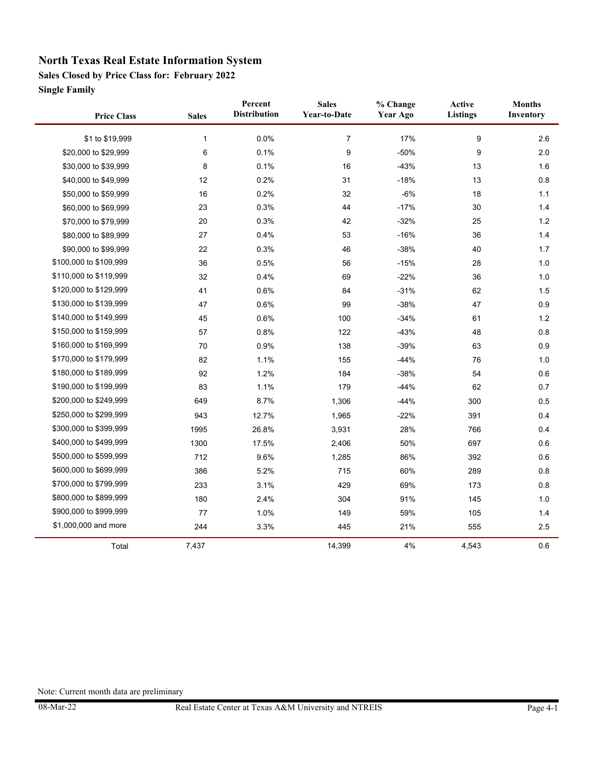**Sales Closed by Price Class for: February 2022**

**Single Family**

÷

| <b>Price Class</b>     | <b>Sales</b> | Percent<br><b>Distribution</b> | <b>Sales</b><br><b>Year-to-Date</b> | % Change<br><b>Year Ago</b> | Active<br>Listings | <b>Months</b><br>Inventory |
|------------------------|--------------|--------------------------------|-------------------------------------|-----------------------------|--------------------|----------------------------|
| \$1 to \$19,999        | 1            | 0.0%                           | $\overline{7}$                      | 17%                         | 9                  | 2.6                        |
| \$20,000 to \$29,999   | 6            | 0.1%                           | 9                                   | $-50%$                      | 9                  | 2.0                        |
| \$30,000 to \$39,999   | 8            | 0.1%                           | 16                                  | $-43%$                      | 13                 | 1.6                        |
| \$40,000 to \$49,999   | 12           | 0.2%                           | 31                                  | $-18%$                      | 13                 | 0.8                        |
| \$50,000 to \$59,999   | 16           | 0.2%                           | 32                                  | $-6%$                       | 18                 | 1.1                        |
| \$60,000 to \$69,999   | 23           | 0.3%                           | 44                                  | $-17%$                      | 30                 | 1.4                        |
| \$70,000 to \$79,999   | 20           | 0.3%                           | 42                                  | $-32%$                      | 25                 | 1.2                        |
| \$80,000 to \$89,999   | 27           | 0.4%                           | 53                                  | $-16%$                      | 36                 | 1.4                        |
| \$90,000 to \$99,999   | 22           | 0.3%                           | 46                                  | $-38%$                      | 40                 | 1.7                        |
| \$100,000 to \$109,999 | 36           | 0.5%                           | 56                                  | $-15%$                      | 28                 | 1.0                        |
| \$110,000 to \$119,999 | 32           | 0.4%                           | 69                                  | $-22%$                      | 36                 | 1.0                        |
| \$120,000 to \$129,999 | 41           | 0.6%                           | 84                                  | $-31%$                      | 62                 | 1.5                        |
| \$130,000 to \$139,999 | 47           | 0.6%                           | 99                                  | $-38%$                      | 47                 | 0.9                        |
| \$140,000 to \$149,999 | 45           | 0.6%                           | 100                                 | $-34%$                      | 61                 | $1.2$                      |
| \$150,000 to \$159,999 | 57           | 0.8%                           | 122                                 | $-43%$                      | 48                 | 0.8                        |
| \$160,000 to \$169,999 | 70           | 0.9%                           | 138                                 | $-39%$                      | 63                 | 0.9                        |
| \$170,000 to \$179,999 | 82           | 1.1%                           | 155                                 | $-44%$                      | 76                 | 1.0                        |
| \$180,000 to \$189,999 | 92           | 1.2%                           | 184                                 | $-38%$                      | 54                 | 0.6                        |
| \$190,000 to \$199,999 | 83           | 1.1%                           | 179                                 | $-44%$                      | 62                 | 0.7                        |
| \$200,000 to \$249,999 | 649          | 8.7%                           | 1,306                               | $-44%$                      | 300                | 0.5                        |
| \$250,000 to \$299,999 | 943          | 12.7%                          | 1,965                               | $-22%$                      | 391                | 0.4                        |
| \$300,000 to \$399,999 | 1995         | 26.8%                          | 3,931                               | 28%                         | 766                | 0.4                        |
| \$400,000 to \$499,999 | 1300         | 17.5%                          | 2,406                               | 50%                         | 697                | 0.6                        |
| \$500,000 to \$599,999 | 712          | 9.6%                           | 1,285                               | 86%                         | 392                | 0.6                        |
| \$600,000 to \$699,999 | 386          | 5.2%                           | 715                                 | 60%                         | 289                | 0.8                        |
| \$700,000 to \$799,999 | 233          | 3.1%                           | 429                                 | 69%                         | 173                | 0.8                        |
| \$800,000 to \$899,999 | 180          | 2.4%                           | 304                                 | 91%                         | 145                | 1.0                        |
| \$900,000 to \$999,999 | 77           | 1.0%                           | 149                                 | 59%                         | 105                | 1.4                        |
| \$1,000,000 and more   | 244          | 3.3%                           | 445                                 | 21%                         | 555                | 2.5                        |
| Total                  | 7,437        |                                | 14,399                              | 4%                          | 4,543              | 0.6                        |

L.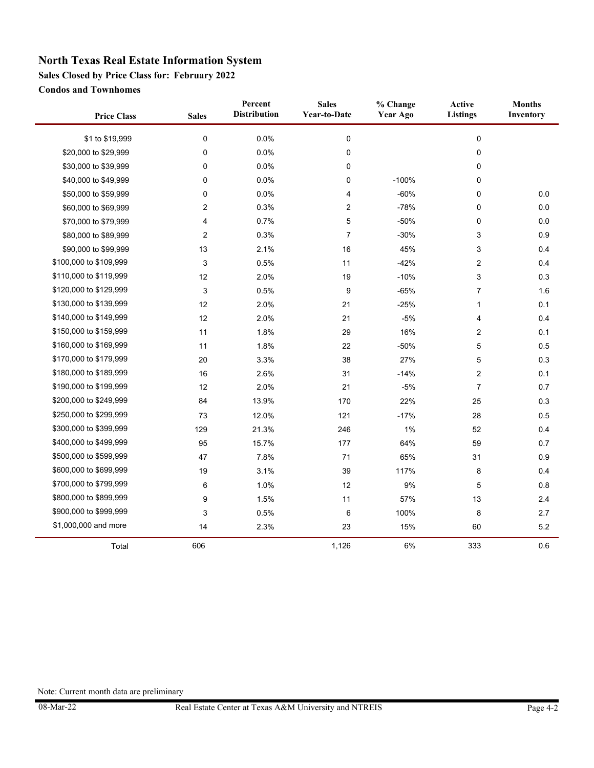**Sales Closed by Price Class for: February 2022**

**Condos and Townhomes**

÷

| <b>Price Class</b>     | <b>Sales</b> | Percent<br><b>Distribution</b> | <b>Sales</b><br><b>Year-to-Date</b> | % Change<br>Year Ago | Active<br><b>Listings</b> | <b>Months</b><br>Inventory |
|------------------------|--------------|--------------------------------|-------------------------------------|----------------------|---------------------------|----------------------------|
| \$1 to \$19,999        | $\mathbf 0$  | 0.0%                           | 0                                   |                      | $\pmb{0}$                 |                            |
| \$20,000 to \$29,999   | $\mathbf 0$  | 0.0%                           | 0                                   |                      | 0                         |                            |
| \$30,000 to \$39,999   | 0            | 0.0%                           | 0                                   |                      | 0                         |                            |
| \$40,000 to \$49,999   | $\mathbf 0$  | 0.0%                           | 0                                   | $-100%$              | 0                         |                            |
| \$50,000 to \$59,999   | 0            | 0.0%                           | 4                                   | $-60%$               | 0                         | $0.0\,$                    |
| \$60,000 to \$69,999   | 2            | 0.3%                           | 2                                   | $-78%$               | 0                         | 0.0                        |
| \$70,000 to \$79,999   | 4            | 0.7%                           | 5                                   | $-50%$               | 0                         | 0.0                        |
| \$80,000 to \$89,999   | 2            | 0.3%                           | 7                                   | $-30%$               | 3                         | 0.9                        |
| \$90,000 to \$99,999   | 13           | 2.1%                           | 16                                  | 45%                  | 3                         | 0.4                        |
| \$100,000 to \$109,999 | 3            | 0.5%                           | 11                                  | $-42%$               | $\overline{2}$            | 0.4                        |
| \$110,000 to \$119,999 | 12           | 2.0%                           | 19                                  | $-10%$               | 3                         | 0.3                        |
| \$120,000 to \$129,999 | 3            | 0.5%                           | 9                                   | $-65%$               | $\overline{7}$            | 1.6                        |
| \$130,000 to \$139,999 | 12           | 2.0%                           | 21                                  | $-25%$               | $\mathbf{1}$              | 0.1                        |
| \$140,000 to \$149,999 | 12           | 2.0%                           | 21                                  | $-5%$                | 4                         | 0.4                        |
| \$150,000 to \$159,999 | 11           | 1.8%                           | 29                                  | 16%                  | $\overline{2}$            | 0.1                        |
| \$160,000 to \$169,999 | 11           | 1.8%                           | 22                                  | $-50%$               | 5                         | 0.5                        |
| \$170,000 to \$179,999 | 20           | 3.3%                           | 38                                  | 27%                  | 5                         | 0.3                        |
| \$180,000 to \$189,999 | 16           | 2.6%                           | 31                                  | $-14%$               | $\overline{2}$            | 0.1                        |
| \$190,000 to \$199,999 | 12           | 2.0%                           | 21                                  | $-5%$                | 7                         | 0.7                        |
| \$200,000 to \$249,999 | 84           | 13.9%                          | 170                                 | 22%                  | 25                        | 0.3                        |
| \$250,000 to \$299,999 | 73           | 12.0%                          | 121                                 | $-17%$               | 28                        | 0.5                        |
| \$300,000 to \$399,999 | 129          | 21.3%                          | 246                                 | 1%                   | 52                        | 0.4                        |
| \$400,000 to \$499,999 | 95           | 15.7%                          | 177                                 | 64%                  | 59                        | 0.7                        |
| \$500,000 to \$599,999 | 47           | 7.8%                           | 71                                  | 65%                  | 31                        | 0.9                        |
| \$600,000 to \$699,999 | 19           | 3.1%                           | 39                                  | 117%                 | 8                         | 0.4                        |
| \$700,000 to \$799,999 | 6            | 1.0%                           | 12                                  | 9%                   | 5                         | 0.8                        |
| \$800,000 to \$899,999 | 9            | 1.5%                           | 11                                  | 57%                  | 13                        | 2.4                        |
| \$900,000 to \$999,999 | 3            | 0.5%                           | 6                                   | 100%                 | 8                         | 2.7                        |
| \$1,000,000 and more   | 14           | 2.3%                           | 23                                  | 15%                  | 60                        | 5.2                        |
| Total                  | 606          |                                | 1,126                               | 6%                   | 333                       | 0.6                        |

L.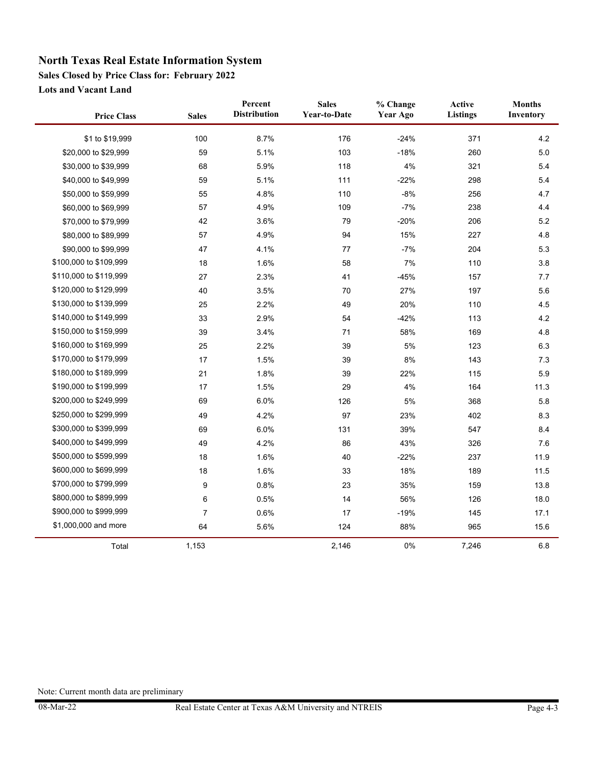**Sales Closed by Price Class for: February 2022**

**Lots and Vacant Land**

 $\blacksquare$ 

| <b>Price Class</b>     | <b>Sales</b>   | Percent<br><b>Distribution</b> | <b>Sales</b><br><b>Year-to-Date</b> | % Change<br>Year Ago | Active<br><b>Listings</b> | <b>Months</b><br>Inventory |
|------------------------|----------------|--------------------------------|-------------------------------------|----------------------|---------------------------|----------------------------|
| \$1 to \$19,999        | 100            | 8.7%                           | 176                                 | $-24%$               | 371                       | 4.2                        |
| \$20,000 to \$29,999   | 59             | 5.1%                           | 103                                 | $-18%$               | 260                       | 5.0                        |
| \$30,000 to \$39,999   | 68             | 5.9%                           | 118                                 | 4%                   | 321                       | 5.4                        |
| \$40,000 to \$49,999   | 59             | 5.1%                           | 111                                 | $-22%$               | 298                       | 5.4                        |
| \$50,000 to \$59,999   | 55             | 4.8%                           | 110                                 | $-8%$                | 256                       | 4.7                        |
| \$60,000 to \$69,999   | 57             | 4.9%                           | 109                                 | $-7%$                | 238                       | 4.4                        |
| \$70,000 to \$79,999   | 42             | 3.6%                           | 79                                  | $-20%$               | 206                       | 5.2                        |
| \$80,000 to \$89,999   | 57             | 4.9%                           | 94                                  | 15%                  | 227                       | 4.8                        |
| \$90,000 to \$99,999   | 47             | 4.1%                           | 77                                  | $-7%$                | 204                       | 5.3                        |
| \$100,000 to \$109,999 | 18             | 1.6%                           | 58                                  | 7%                   | 110                       | 3.8                        |
| \$110,000 to \$119,999 | 27             | 2.3%                           | 41                                  | $-45%$               | 157                       | 7.7                        |
| \$120,000 to \$129,999 | 40             | 3.5%                           | 70                                  | 27%                  | 197                       | 5.6                        |
| \$130,000 to \$139,999 | 25             | 2.2%                           | 49                                  | 20%                  | 110                       | 4.5                        |
| \$140,000 to \$149,999 | 33             | 2.9%                           | 54                                  | $-42%$               | 113                       | 4.2                        |
| \$150,000 to \$159,999 | 39             | 3.4%                           | 71                                  | 58%                  | 169                       | 4.8                        |
| \$160,000 to \$169,999 | 25             | 2.2%                           | 39                                  | $5\%$                | 123                       | 6.3                        |
| \$170,000 to \$179,999 | 17             | 1.5%                           | 39                                  | $8\%$                | 143                       | 7.3                        |
| \$180,000 to \$189,999 | 21             | 1.8%                           | 39                                  | 22%                  | 115                       | 5.9                        |
| \$190,000 to \$199,999 | 17             | 1.5%                           | 29                                  | $4\%$                | 164                       | 11.3                       |
| \$200,000 to \$249,999 | 69             | 6.0%                           | 126                                 | $5\%$                | 368                       | 5.8                        |
| \$250,000 to \$299,999 | 49             | 4.2%                           | 97                                  | 23%                  | 402                       | 8.3                        |
| \$300,000 to \$399,999 | 69             | 6.0%                           | 131                                 | 39%                  | 547                       | 8.4                        |
| \$400,000 to \$499,999 | 49             | 4.2%                           | 86                                  | 43%                  | 326                       | 7.6                        |
| \$500,000 to \$599,999 | 18             | 1.6%                           | 40                                  | $-22%$               | 237                       | 11.9                       |
| \$600,000 to \$699,999 | 18             | 1.6%                           | 33                                  | 18%                  | 189                       | 11.5                       |
| \$700,000 to \$799,999 | 9              | 0.8%                           | 23                                  | 35%                  | 159                       | 13.8                       |
| \$800,000 to \$899,999 | 6              | 0.5%                           | 14                                  | 56%                  | 126                       | 18.0                       |
| \$900,000 to \$999,999 | $\overline{7}$ | 0.6%                           | 17                                  | $-19%$               | 145                       | 17.1                       |
| \$1,000,000 and more   | 64             | 5.6%                           | 124                                 | 88%                  | 965                       | 15.6                       |
| Total                  | 1,153          |                                | 2,146                               | 0%                   | 7,246                     | 6.8                        |

L.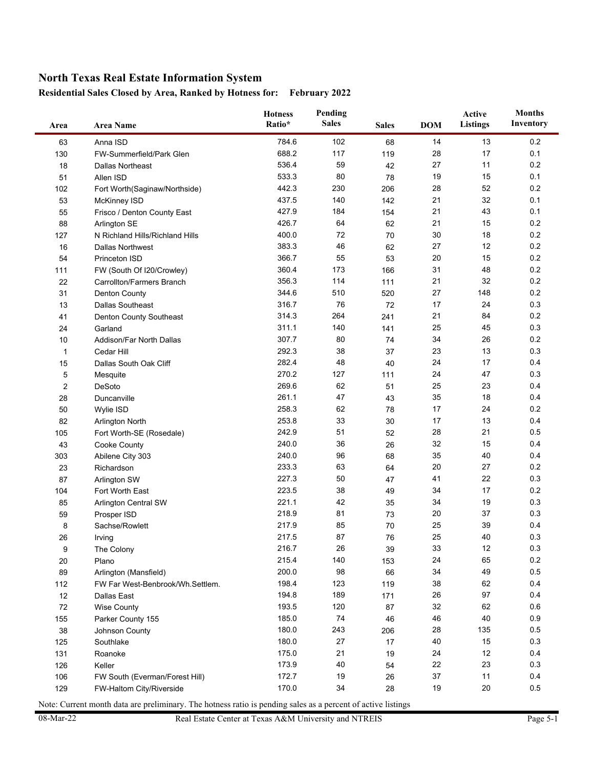#### **Residential Sales Closed by Area, Ranked by Hotness for: February 2022**

| Area             | <b>Area Name</b>                 | <b>Hotness</b><br>Ratio* | Pending<br><b>Sales</b><br><b>Sales</b> |     | <b>DOM</b> | Active<br>Listings | <b>Months</b><br>Inventory |
|------------------|----------------------------------|--------------------------|-----------------------------------------|-----|------------|--------------------|----------------------------|
| 63               | Anna ISD                         | 784.6                    | 102                                     | 68  | 14         | 13                 | 0.2                        |
| 130              | FW-Summerfield/Park Glen         | 688.2                    | 117                                     | 119 | 28         | 17                 | 0.1                        |
| 18               | <b>Dallas Northeast</b>          | 536.4                    | 59                                      | 42  | 27         | 11                 | 0.2                        |
| 51               | Allen ISD                        | 533.3                    | 80                                      | 78  | 19         | 15                 | 0.1                        |
| 102              | Fort Worth(Saginaw/Northside)    | 442.3                    | 230                                     | 206 | 28         | 52                 | 0.2                        |
| 53               | McKinney ISD                     | 437.5                    | 140                                     | 142 | 21         | 32                 | 0.1                        |
| 55               | Frisco / Denton County East      | 427.9                    | 184                                     | 154 | 21         | 43                 | 0.1                        |
| 88               | Arlington SE                     | 426.7                    | 64                                      | 62  | 21         | 15                 | 0.2                        |
| 127              | N Richland Hills/Richland Hills  | 400.0                    | 72                                      | 70  | 30         | 18                 | 0.2                        |
| 16               | <b>Dallas Northwest</b>          | 383.3                    | 46                                      | 62  | 27         | 12                 | 0.2                        |
| 54               | <b>Princeton ISD</b>             | 366.7                    | 55                                      | 53  | 20         | 15                 | 0.2                        |
| 111              | FW (South Of I20/Crowley)        | 360.4                    | 173                                     | 166 | 31         | 48                 | 0.2                        |
| 22               | Carrollton/Farmers Branch        | 356.3                    | 114                                     | 111 | 21         | 32                 | 0.2                        |
| 31               | <b>Denton County</b>             | 344.6                    | 510                                     | 520 | 27         | 148                | 0.2                        |
| 13               | <b>Dallas Southeast</b>          | 316.7                    | 76                                      | 72  | 17         | 24                 | 0.3                        |
| 41               | Denton County Southeast          | 314.3                    | 264                                     | 241 | 21         | 84                 | 0.2                        |
| 24               | Garland                          | 311.1                    | 140                                     | 141 | 25         | 45                 | 0.3                        |
| 10               | Addison/Far North Dallas         | 307.7                    | 80                                      | 74  | 34         | 26                 | 0.2                        |
| 1                | Cedar Hill                       | 292.3                    | 38                                      | 37  | 23         | 13                 | 0.3                        |
| 15               | Dallas South Oak Cliff           | 282.4                    | 48                                      | 40  | 24         | 17                 | 0.4                        |
| 5                | Mesquite                         | 270.2                    | 127                                     | 111 | 24         | 47                 | 0.3                        |
| $\boldsymbol{2}$ | DeSoto                           | 269.6                    | 62                                      | 51  | 25         | 23                 | 0.4                        |
| 28               | Duncanville                      | 261.1                    | 47                                      | 43  | 35         | 18                 | 0.4                        |
| 50               | Wylie ISD                        | 258.3                    | 62                                      | 78  | 17         | 24                 | 0.2                        |
| 82               | <b>Arlington North</b>           | 253.8                    | 33                                      | 30  | 17         | 13                 | 0.4                        |
| 105              | Fort Worth-SE (Rosedale)         | 242.9                    | 51                                      | 52  | 28         | 21                 | 0.5                        |
| 43               | Cooke County                     | 240.0                    | 36                                      | 26  | 32         | 15                 | 0.4                        |
| 303              | Abilene City 303                 | 240.0                    | 96                                      | 68  | 35         | 40                 | 0.4                        |
| 23               | Richardson                       | 233.3                    | 63                                      | 64  | 20         | 27                 | 0.2                        |
| 87               | <b>Arlington SW</b>              | 227.3                    | 50                                      | 47  | 41         | 22                 | 0.3                        |
| 104              | Fort Worth East                  | 223.5                    | 38                                      | 49  | 34         | 17                 | 0.2                        |
| 85               | Arlington Central SW             | 221.1                    | 42                                      | 35  | 34         | 19                 | 0.3                        |
| 59               | Prosper ISD                      | 218.9                    | 81                                      | 73  | 20         | 37                 | 0.3                        |
| 8                | Sachse/Rowlett                   | 217.9                    | 85                                      | 70  | 25         | 39                 | 0.4                        |
| 26               | Irving                           | 217.5                    | 87                                      | 76  | 25         | 40                 | 0.3                        |
| 9                | The Colony                       | 216.7                    | $26\,$                                  | 39  | 33         | 12                 | $0.3\,$                    |
| 20               | Plano                            | 215.4                    | 140                                     | 153 | 24         | 65                 | $0.2\,$                    |
| 89               | Arlington (Mansfield)            | 200.0                    | 98                                      | 66  | 34         | 49                 | 0.5                        |
| 112              | FW Far West-Benbrook/Wh.Settlem. | 198.4                    | 123                                     | 119 | 38         | 62                 | 0.4                        |
| 12               | Dallas East                      | 194.8                    | 189                                     | 171 | 26         | 97                 | 0.4                        |
| 72               | <b>Wise County</b>               | 193.5                    | 120                                     | 87  | 32         | 62                 | 0.6                        |
| 155              | Parker County 155                | 185.0                    | 74                                      | 46  | 46         | 40                 | 0.9                        |
| 38               | Johnson County                   | 180.0                    | 243                                     | 206 | 28         | 135                | 0.5                        |
| 125              | Southlake                        | 180.0                    | 27                                      | 17  | 40         | 15                 | 0.3                        |
| 131              | Roanoke                          | 175.0                    | 21                                      | 19  | 24         | 12                 | 0.4                        |
| 126              | Keller                           | 173.9                    | 40                                      | 54  | 22         | 23                 | 0.3                        |
| 106              | FW South (Everman/Forest Hill)   | 172.7                    | 19                                      | 26  | 37         | 11                 | 0.4                        |
| 129              | FW-Haltom City/Riverside         | 170.0                    | 34                                      | 28  | 19         | 20                 | $0.5\,$                    |

Note: Current month data are preliminary. The hotness ratio is pending sales as a percent of active listings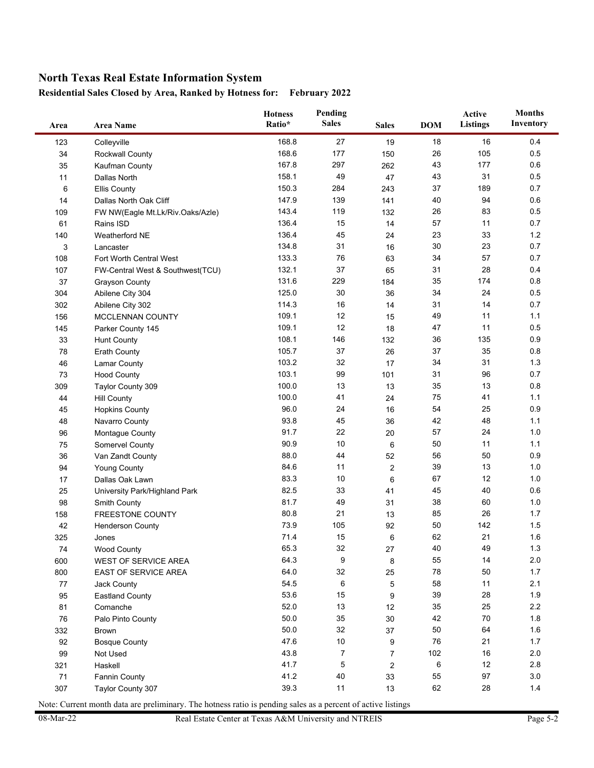**Residential Sales Closed by Area, Ranked by Hotness for: February 2022**

| Area | <b>Area Name</b>                 | Pending<br><b>Hotness</b><br><b>Sales</b><br>Ratio* |                | <b>Sales</b>   | <b>DOM</b> | Active<br>Listings | <b>Months</b><br>Inventory |
|------|----------------------------------|-----------------------------------------------------|----------------|----------------|------------|--------------------|----------------------------|
| 123  | Colleyville                      | 168.8                                               | 27             | 19             | 18         | 16                 | 0.4                        |
| 34   | <b>Rockwall County</b>           | 168.6                                               | 177            | 150            | 26         | 105                | 0.5                        |
| 35   | Kaufman County                   | 167.8                                               | 297            | 262            | 43         | 177                | 0.6                        |
| 11   | Dallas North                     | 158.1                                               | 49             | 47             | 43         | 31                 | 0.5                        |
| 6    | <b>Ellis County</b>              | 150.3                                               | 284            | 243            | 37         | 189                | 0.7                        |
| 14   | Dallas North Oak Cliff           | 147.9                                               | 139            | 141            | 40         | 94                 | 0.6                        |
| 109  | FW NW(Eagle Mt.Lk/Riv.Oaks/Azle) | 143.4                                               | 119            | 132            | 26         | 83                 | 0.5                        |
| 61   | Rains ISD                        | 136.4                                               | 15             | 14             | 57         | 11                 | 0.7                        |
| 140  | Weatherford NE                   | 136.4                                               | 45             | 24             | 23         | 33                 | $1.2$                      |
| 3    | Lancaster                        | 134.8                                               | 31             | 16             | 30         | 23                 | 0.7                        |
| 108  | Fort Worth Central West          | 133.3                                               | 76             | 63             | 34         | 57                 | 0.7                        |
| 107  | FW-Central West & Southwest(TCU) | 132.1                                               | 37             | 65             | 31         | 28                 | 0.4                        |
| 37   | <b>Grayson County</b>            | 131.6                                               | 229            | 184            | 35         | 174                | 0.8                        |
| 304  | Abilene City 304                 | 125.0                                               | 30             | 36             | 34         | 24                 | 0.5                        |
| 302  | Abilene City 302                 | 114.3                                               | 16             | 14             | 31         | 14                 | 0.7                        |
| 156  | MCCLENNAN COUNTY                 | 109.1                                               | 12             | 15             | 49         | 11                 | 1.1                        |
| 145  | Parker County 145                | 109.1                                               | 12             | 18             | 47         | 11                 | 0.5                        |
| 33   | <b>Hunt County</b>               | 108.1                                               | 146            | 132            | 36         | 135                | 0.9                        |
| 78   | <b>Erath County</b>              | 105.7                                               | 37             | 26             | 37         | 35                 | 0.8                        |
| 46   | <b>Lamar County</b>              | 103.2                                               | 32             | 17             | 34         | 31                 | 1.3                        |
| 73   | <b>Hood County</b>               | 103.1                                               | 99             | 101            | 31         | 96                 | 0.7                        |
| 309  | Taylor County 309                | 100.0                                               | 13             | 13             | 35         | 13                 | 0.8                        |
| 44   | <b>Hill County</b>               | 100.0                                               | 41             | 24             | 75         | 41                 | 1.1                        |
| 45   | <b>Hopkins County</b>            | 96.0                                                | 24             | 16             | 54         | 25                 | 0.9                        |
| 48   | Navarro County                   | 93.8                                                | 45             | 36             | 42         | 48                 | 1.1                        |
| 96   | Montague County                  | 91.7                                                | 22             | 20             | 57         | 24                 | 1.0                        |
| 75   | Somervel County                  | 90.9                                                | 10             | 6              | 50         | 11                 | 1.1                        |
| 36   | Van Zandt County                 | 88.0                                                | 44             | 52             | 56         | 50                 | 0.9                        |
| 94   | <b>Young County</b>              | 84.6                                                | 11             | 2              | 39         | 13                 | 1.0                        |
| 17   | Dallas Oak Lawn                  | 83.3                                                | 10             | $6\phantom{1}$ | 67         | 12                 | 1.0                        |
| 25   | University Park/Highland Park    | 82.5                                                | 33             | 41             | 45         | 40                 | 0.6                        |
| 98   | Smith County                     | 81.7                                                | 49             | 31             | 38         | 60                 | 1.0                        |
| 158  | FREESTONE COUNTY                 | 80.8                                                | 21             | 13             | 85         | 26                 | 1.7                        |
| 42   | <b>Henderson County</b>          | 73.9                                                | 105            | 92             | 50         | 142                | 1.5                        |
| 325  | Jones                            | 71.4                                                | 15             | 6              | 62         | 21                 | 1.6                        |
| 74   | <b>Wood County</b>               | 65.3                                                | 32             | 27             | 40         | 49                 | 1.3                        |
| 600  | WEST OF SERVICE AREA             | 64.3                                                | 9              | 8              | 55         | 14                 | 2.0                        |
| 800  | EAST OF SERVICE AREA             | 64.0                                                | 32             | 25             | 78         | 50                 | 1.7                        |
| 77   | Jack County                      | 54.5                                                | 6              | 5              | 58         | 11                 | 2.1                        |
| 95   | <b>Eastland County</b>           | 53.6                                                | 15             | 9              | 39         | 28                 | 1.9                        |
| 81   | Comanche                         | 52.0                                                | 13             | 12             | 35         | 25                 | 2.2                        |
| 76   | Palo Pinto County                | 50.0                                                | 35             | 30             | 42         | 70                 | 1.8                        |
| 332  | <b>Brown</b>                     | 50.0                                                | 32             | 37             | 50         | 64                 | 1.6                        |
| 92   | <b>Bosque County</b>             | 47.6                                                | 10             | 9              | 76         | 21                 | 1.7                        |
| 99   | Not Used                         | 43.8                                                | $\overline{7}$ | $\overline{7}$ | 102        | 16                 | 2.0                        |
| 321  | Haskell                          | 41.7                                                | $\mathbf 5$    | $\overline{2}$ | 6          | 12                 | 2.8                        |
| 71   | Fannin County                    | 41.2                                                | 40             | 33             | 55         | 97                 | 3.0                        |
| 307  | Taylor County 307                | 39.3                                                | 11             | 13             | 62         | 28                 | 1.4                        |

Note: Current month data are preliminary. The hotness ratio is pending sales as a percent of active listings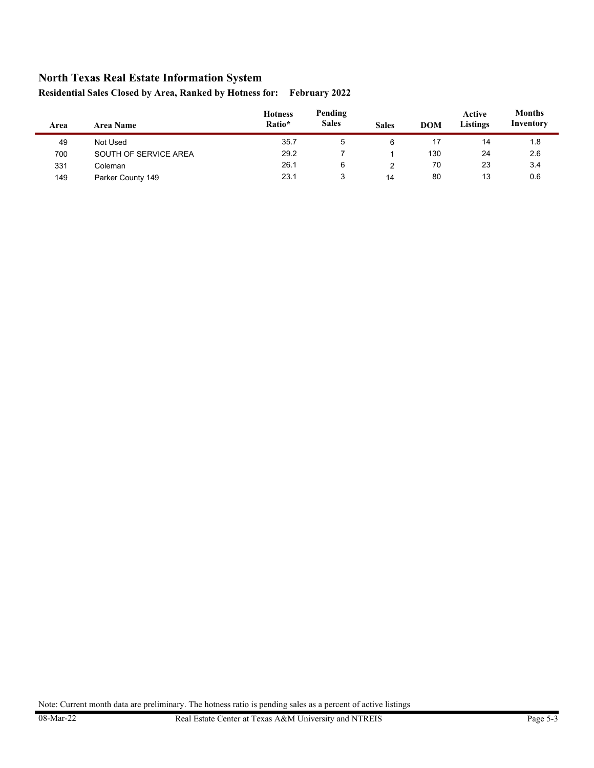| Area | <b>Area Name</b>      | <b>Hotness</b><br>Ratio* | Pending<br><b>Sales</b> | <b>Sales</b> | <b>DOM</b> | Active<br><b>Listings</b> | <b>Months</b><br>Inventory |
|------|-----------------------|--------------------------|-------------------------|--------------|------------|---------------------------|----------------------------|
| 49   | Not Used              | 35.7                     | 5                       | 6            | 17         | 14                        | 1.8                        |
| 700  | SOUTH OF SERVICE AREA | 29.2                     |                         |              | 130        | 24                        | 2.6                        |
| 331  | Coleman               | 26.1                     | 6                       |              | 70         | 23                        | 3.4                        |
| 149  | Parker County 149     | 23.1                     | 3                       | 14           | 80         | 13                        | 0.6                        |

**Residential Sales Closed by Area, Ranked by Hotness for: February 2022**

Note: Current month data are preliminary. The hotness ratio is pending sales as a percent of active listings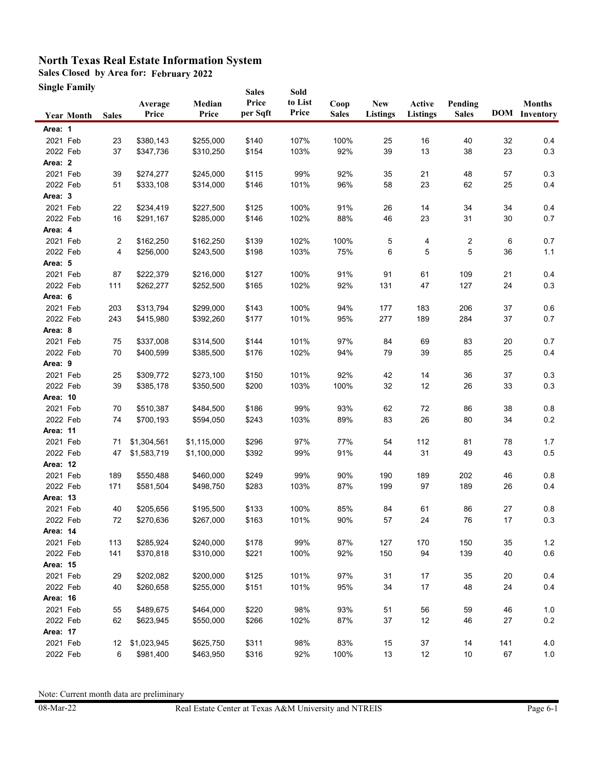**Sales Closed by Area for: February 2022**

**Single Family**

|                 | Single Family     |              |                  |                 | <b>Sales</b>      | Sold             |                      |                               |                           |                         |     |                                       |
|-----------------|-------------------|--------------|------------------|-----------------|-------------------|------------------|----------------------|-------------------------------|---------------------------|-------------------------|-----|---------------------------------------|
|                 | <b>Year Month</b> | <b>Sales</b> | Average<br>Price | Median<br>Price | Price<br>per Sqft | to List<br>Price | Coop<br><b>Sales</b> | <b>New</b><br><b>Listings</b> | Active<br><b>Listings</b> | Pending<br><b>Sales</b> |     | <b>Months</b><br><b>DOM</b> Inventory |
| Area: 1         |                   |              |                  |                 |                   |                  |                      |                               |                           |                         |     |                                       |
| 2021 Feb        |                   | 23           | \$380,143        | \$255,000       | \$140             | 107%             | 100%                 | 25                            | 16                        | 40                      | 32  | 0.4                                   |
| 2022 Feb        |                   | 37           | \$347,736        | \$310,250       | \$154             | 103%             | 92%                  | 39                            | 13                        | 38                      | 23  | 0.3                                   |
| Area: 2         |                   |              |                  |                 |                   |                  |                      |                               |                           |                         |     |                                       |
| 2021 Feb        |                   | 39           | \$274,277        | \$245,000       | \$115             | 99%              | 92%                  | 35                            | 21                        | 48                      | 57  | 0.3                                   |
| 2022 Feb        |                   | 51           | \$333,108        | \$314,000       | \$146             | 101%             | 96%                  | 58                            | 23                        | 62                      | 25  | 0.4                                   |
| Area: 3         |                   |              |                  |                 |                   |                  |                      |                               |                           |                         |     |                                       |
| 2021 Feb        |                   | 22           | \$234,419        | \$227,500       | \$125             | 100%             | 91%                  | 26                            | 14                        | 34                      | 34  | 0.4                                   |
| 2022 Feb        |                   | 16           | \$291,167        | \$285,000       | \$146             | 102%             | 88%                  | 46                            | 23                        | 31                      | 30  | 0.7                                   |
| Area: 4         |                   |              |                  |                 |                   |                  |                      |                               |                           |                         |     |                                       |
| 2021 Feb        |                   | 2            | \$162,250        | \$162,250       | \$139             | 102%             | 100%                 | 5                             | 4                         | 2                       | 6   | 0.7                                   |
| 2022 Feb        |                   | 4            | \$256,000        | \$243,500       | \$198             | 103%             | 75%                  | 6                             | 5                         | 5                       | 36  | 1.1                                   |
| Area: 5         |                   |              |                  |                 |                   |                  |                      |                               |                           |                         |     |                                       |
| 2021 Feb        |                   | 87           | \$222,379        | \$216,000       | \$127             | 100%             | 91%                  | 91                            | 61                        | 109                     | 21  | 0.4                                   |
| 2022 Feb        |                   | 111          | \$262,277        | \$252,500       | \$165             | 102%             | 92%                  | 131                           | 47                        | 127                     | 24  | 0.3                                   |
| Area: 6         |                   |              |                  |                 |                   |                  |                      |                               |                           |                         |     |                                       |
| 2021 Feb        |                   | 203          | \$313,794        | \$299,000       | \$143             | 100%             | 94%                  | 177                           | 183                       | 206                     | 37  | 0.6                                   |
| 2022 Feb        |                   | 243          | \$415,980        | \$392,260       | \$177             | 101%             | 95%                  | 277                           | 189                       | 284                     | 37  | 0.7                                   |
| Area: 8         |                   |              |                  |                 |                   |                  |                      |                               |                           |                         |     |                                       |
| 2021 Feb        |                   | 75           | \$337,008        | \$314,500       | \$144             | 101%             | 97%                  | 84                            | 69                        | 83                      | 20  | 0.7                                   |
| 2022 Feb        |                   | 70           | \$400,599        | \$385,500       | \$176             | 102%             | 94%                  | 79                            | 39                        | 85                      | 25  | 0.4                                   |
| Area: 9         |                   |              |                  |                 |                   |                  |                      |                               |                           |                         |     |                                       |
| 2021 Feb        |                   | 25           | \$309,772        | \$273,100       | \$150             | 101%             | 92%                  | 42                            | 14                        | 36                      | 37  | 0.3                                   |
| 2022 Feb        |                   | 39           | \$385,178        | \$350,500       | \$200             | 103%             | 100%                 | 32                            | 12                        | 26                      | 33  | 0.3                                   |
| Area: 10        |                   |              |                  |                 |                   |                  |                      |                               |                           |                         |     |                                       |
| 2021 Feb        |                   | 70           | \$510,387        | \$484,500       | \$186             | 99%              | 93%                  | 62                            | 72                        | 86                      | 38  | 0.8                                   |
| 2022 Feb        |                   | 74           | \$700,193        | \$594,050       | \$243             | 103%             | 89%                  | 83                            | 26                        | 80                      | 34  | 0.2                                   |
| Area: 11        |                   |              |                  |                 |                   |                  |                      |                               |                           |                         |     |                                       |
| 2021 Feb        |                   | 71           | \$1,304,561      | \$1,115,000     | \$296             | 97%              | 77%                  | 54                            | 112                       | 81                      | 78  | 1.7                                   |
| 2022 Feb        |                   | 47           | \$1,583,719      | \$1,100,000     | \$392             | 99%              | 91%                  | 44                            | 31                        | 49                      | 43  | 0.5                                   |
| Area: 12        |                   |              |                  |                 |                   |                  |                      |                               |                           |                         |     |                                       |
| 2021 Feb        |                   | 189          | \$550,488        | \$460,000       | \$249             | 99%              | 90%                  | 190                           | 189                       | 202                     | 46  | 0.8                                   |
| 2022 Feb        |                   | 171          | \$581,504        | \$498,750       | \$283             | 103%             | 87%                  | 199                           | 97                        | 189                     | 26  | 0.4                                   |
| Area: 13        |                   |              |                  |                 |                   |                  |                      |                               |                           |                         |     |                                       |
| 2021 Feb        |                   | 40           | \$205,656        | \$195,500       | \$133             | 100%             | 85%                  | 84                            | 61                        | 86                      | 27  | 0.8                                   |
| 2022 Feb        |                   | 72           | \$270,636        | \$267,000       | \$163             | 101%             | 90%                  | 57                            | 24                        | 76                      | 17  | 0.3                                   |
| Area: 14        |                   |              |                  |                 |                   |                  |                      |                               |                           |                         |     |                                       |
| 2021 Feb        |                   | 113          | \$285,924        | \$240,000       | \$178             | 99%              | 87%                  | 127                           | 170                       | 150                     | 35  | $1.2$                                 |
| 2022 Feb        |                   | 141          | \$370,818        | \$310,000       | \$221             | 100%             | 92%                  | 150                           | 94                        | 139                     | 40  | $0.6\,$                               |
| <b>Area: 15</b> |                   |              |                  |                 |                   |                  |                      |                               |                           |                         |     |                                       |
| 2021 Feb        |                   | 29           | \$202,082        | \$200,000       | \$125             | 101%             | 97%                  | 31                            | 17                        | $35\,$                  | 20  | 0.4                                   |
| 2022 Feb        |                   | 40           | \$260,658        | \$255,000       | \$151             | 101%             | 95%                  | 34                            | 17                        | 48                      | 24  | 0.4                                   |
| Area: 16        |                   |              |                  |                 |                   |                  |                      |                               |                           |                         |     |                                       |
| 2021 Feb        |                   | 55           | \$489,675        | \$464,000       | \$220             | 98%              | 93%                  | 51                            | 56                        | 59                      | 46  | 1.0                                   |
| 2022 Feb        |                   | 62           | \$623,945        | \$550,000       | \$266             | 102%             | 87%                  | 37                            | 12                        | 46                      | 27  | $0.2\,$                               |
| Area: 17        |                   |              |                  |                 |                   |                  |                      |                               |                           |                         |     |                                       |
| 2021 Feb        |                   | 12           | \$1,023,945      | \$625,750       | \$311             | 98%              | 83%                  | 15                            | $37\,$                    | 14                      | 141 | 4.0                                   |
| 2022 Feb        |                   | 6            | \$981,400        | \$463,950       | \$316             | 92%              | 100%                 | 13                            | 12                        | $10\,$                  | 67  | $1.0\,$                               |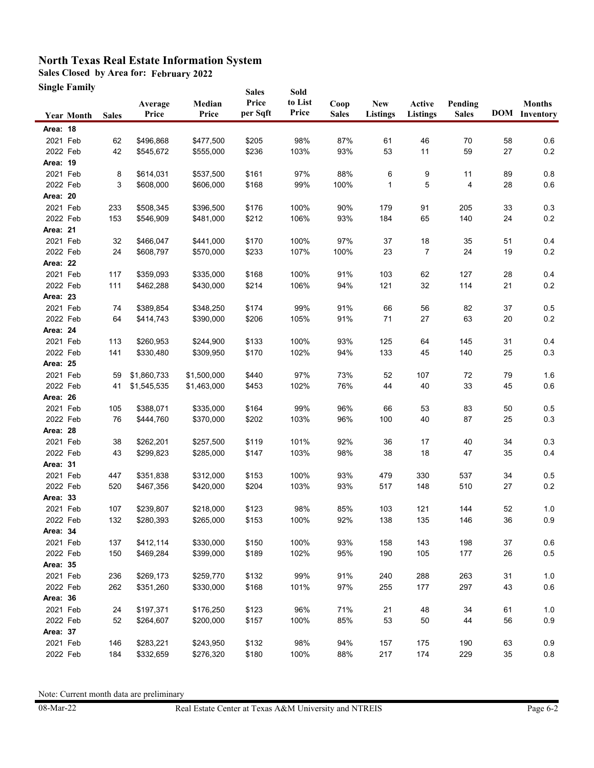**Sales Closed by Area for: February 2022**

**Single Family**

|          | Single Family     |              |                  |                 | <b>Sales</b>      | Sold             |                      |                               |                    |                         |    |                                       |
|----------|-------------------|--------------|------------------|-----------------|-------------------|------------------|----------------------|-------------------------------|--------------------|-------------------------|----|---------------------------------------|
|          | <b>Year Month</b> | <b>Sales</b> | Average<br>Price | Median<br>Price | Price<br>per Sqft | to List<br>Price | Coop<br><b>Sales</b> | <b>New</b><br><b>Listings</b> | Active<br>Listings | Pending<br><b>Sales</b> |    | <b>Months</b><br><b>DOM</b> Inventory |
| Area: 18 |                   |              |                  |                 |                   |                  |                      |                               |                    |                         |    |                                       |
| 2021 Feb |                   | 62           | \$496,868        | \$477,500       | \$205             | 98%              | 87%                  | 61                            | 46                 | 70                      | 58 | 0.6                                   |
| 2022 Feb |                   | 42           | \$545,672        | \$555,000       | \$236             | 103%             | 93%                  | 53                            | 11                 | 59                      | 27 | $0.2\,$                               |
| Area: 19 |                   |              |                  |                 |                   |                  |                      |                               |                    |                         |    |                                       |
| 2021 Feb |                   | 8            | \$614,031        | \$537,500       | \$161             | 97%              | 88%                  | 6                             | 9                  | 11                      | 89 | 0.8                                   |
| 2022 Feb |                   | 3            | \$608,000        | \$606,000       | \$168             | 99%              | 100%                 | $\mathbf{1}$                  | 5                  | 4                       | 28 | $0.6\,$                               |
| Area: 20 |                   |              |                  |                 |                   |                  |                      |                               |                    |                         |    |                                       |
| 2021 Feb |                   | 233          | \$508,345        | \$396,500       | \$176             | 100%             | 90%                  | 179                           | 91                 | 205                     | 33 | 0.3                                   |
| 2022 Feb |                   | 153          | \$546,909        | \$481,000       | \$212             | 106%             | 93%                  | 184                           | 65                 | 140                     | 24 | 0.2                                   |
| Area: 21 |                   |              |                  |                 |                   |                  |                      |                               |                    |                         |    |                                       |
| 2021 Feb |                   | 32           | \$466,047        | \$441,000       | \$170             | 100%             | 97%                  | 37                            | 18                 | 35                      | 51 | 0.4                                   |
| 2022 Feb |                   | 24           | \$608,797        | \$570,000       | \$233             | 107%             | 100%                 | 23                            | 7                  | 24                      | 19 | $0.2\,$                               |
| Area: 22 |                   |              |                  |                 |                   |                  |                      |                               |                    |                         |    |                                       |
| 2021 Feb |                   | 117          | \$359,093        | \$335,000       | \$168             | 100%             | 91%                  | 103                           | 62                 | 127                     | 28 | 0.4                                   |
| 2022 Feb |                   | 111          | \$462,288        | \$430,000       | \$214             | 106%             | 94%                  | 121                           | 32                 | 114                     | 21 | 0.2                                   |
| Area: 23 |                   |              |                  |                 |                   |                  |                      |                               |                    |                         |    |                                       |
| 2021 Feb |                   | 74           | \$389,854        | \$348,250       | \$174             | 99%              | 91%                  | 66                            | 56                 | 82                      | 37 | 0.5                                   |
| 2022 Feb |                   | 64           | \$414,743        | \$390,000       | \$206             | 105%             | 91%                  | 71                            | 27                 | 63                      | 20 | 0.2                                   |
| Area: 24 |                   |              |                  |                 |                   |                  |                      |                               |                    |                         |    |                                       |
| 2021 Feb |                   | 113          | \$260,953        | \$244,900       | \$133             | 100%             | 93%                  | 125                           | 64                 | 145                     | 31 | 0.4                                   |
| 2022 Feb |                   | 141          | \$330,480        | \$309,950       | \$170             | 102%             | 94%                  | 133                           | 45                 | 140                     | 25 | 0.3                                   |
| Area: 25 |                   |              |                  |                 |                   |                  |                      |                               |                    |                         |    |                                       |
| 2021 Feb |                   | 59           | \$1,860,733      | \$1,500,000     | \$440             | 97%              | 73%                  | 52                            | 107                | 72                      | 79 | 1.6                                   |
| 2022 Feb |                   | 41           | \$1,545,535      | \$1,463,000     | \$453             | 102%             | 76%                  | 44                            | 40                 | 33                      | 45 | $0.6\,$                               |
| Area: 26 |                   |              |                  |                 |                   |                  |                      |                               |                    |                         |    |                                       |
| 2021 Feb |                   | 105          | \$388,071        | \$335,000       | \$164             | 99%              | 96%                  | 66                            | 53                 | 83                      | 50 | 0.5                                   |
| 2022 Feb |                   | 76           | \$444,760        | \$370,000       | \$202             | 103%             | 96%                  | 100                           | 40                 | 87                      | 25 | $0.3\,$                               |
| Area: 28 |                   |              |                  |                 |                   |                  |                      |                               |                    |                         |    |                                       |
| 2021 Feb |                   | 38           | \$262,201        | \$257,500       | \$119             | 101%             | 92%                  | 36                            | 17                 | 40                      | 34 | 0.3                                   |
| 2022 Feb |                   | 43           | \$299,823        | \$285,000       | \$147             | 103%             | 98%                  | 38                            | 18                 | 47                      | 35 | 0.4                                   |
| Area: 31 |                   |              |                  |                 |                   |                  |                      |                               |                    |                         |    |                                       |
| 2021 Feb |                   | 447          | \$351,838        | \$312,000       | \$153             | 100%             | 93%                  | 479                           | 330                | 537                     | 34 | 0.5                                   |
| 2022 Feb |                   | 520          | \$467,356        | \$420,000       | \$204             | 103%             | 93%                  | 517                           | 148                | 510                     | 27 | 0.2                                   |
| Area: 33 |                   |              |                  |                 |                   |                  |                      |                               |                    |                         |    |                                       |
| 2021 Feb |                   | 107          | \$239,807        | \$218,000       | \$123             | 98%              | 85%                  | 103                           | 121                | 144                     | 52 | 1.0                                   |
| 2022 Feb |                   | 132          | \$280,393        | \$265,000       | \$153             | 100%             | 92%                  | 138                           | 135                | 146                     | 36 | 0.9                                   |
| Area: 34 |                   |              |                  |                 |                   |                  |                      |                               |                    |                         |    |                                       |
| 2021 Feb |                   | 137          | \$412,114        | \$330,000       | \$150             | 100%             | 93%                  | 158                           | 143                | 198                     | 37 | 0.6                                   |
| 2022 Feb |                   | 150          | \$469,284        | \$399,000       | \$189             | 102%             | 95%                  | 190                           | 105                | 177                     | 26 | 0.5                                   |
| Area: 35 |                   |              |                  |                 |                   |                  |                      |                               |                    |                         |    |                                       |
| 2021 Feb |                   | 236          | \$269,173        | \$259,770       | \$132             | 99%              | 91%                  | 240                           | 288                | 263                     | 31 | 1.0                                   |
| 2022 Feb |                   | 262          | \$351,260        | \$330,000       | \$168             | 101%             | 97%                  | 255                           | 177                | 297                     | 43 | 0.6                                   |
| Area: 36 |                   |              |                  |                 |                   |                  |                      |                               |                    |                         |    |                                       |
| 2021 Feb |                   | 24           | \$197,371        | \$176,250       | \$123             | 96%              | 71%                  | 21                            | 48                 | 34                      | 61 | $1.0$                                 |
| 2022 Feb |                   | 52           | \$264,607        | \$200,000       | \$157             | 100%             | 85%                  | 53                            | 50                 | 44                      | 56 | 0.9                                   |
| Area: 37 |                   |              |                  |                 |                   |                  |                      |                               |                    |                         |    |                                       |
| 2021 Feb |                   | 146          | \$283,221        | \$243,950       | \$132             | 98%              | 94%                  | 157                           | 175                | 190                     | 63 | 0.9                                   |
| 2022 Feb |                   | 184          | \$332,659        | \$276,320       | \$180             | 100%             | 88%                  | 217                           | 174                | 229                     | 35 | $0.8\,$                               |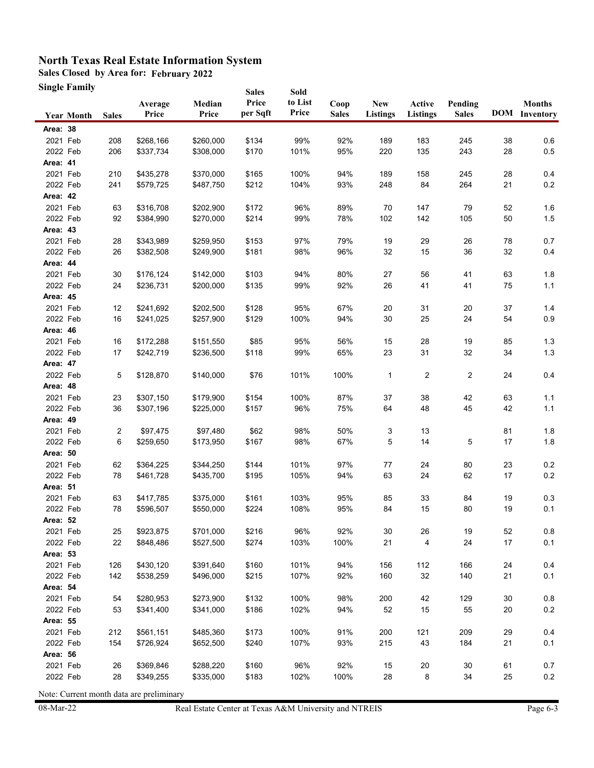**Sales Closed by Area for: February 2022**

**Single Family**

|                      | Single Family     |              |                        |                        | <b>Sales</b>      | Sold             |                      |                        |                           |                         |          |                                       |
|----------------------|-------------------|--------------|------------------------|------------------------|-------------------|------------------|----------------------|------------------------|---------------------------|-------------------------|----------|---------------------------------------|
|                      | <b>Year Month</b> | <b>Sales</b> | Average<br>Price       | Median<br>Price        | Price<br>per Sqft | to List<br>Price | Coop<br><b>Sales</b> | <b>New</b><br>Listings | Active<br><b>Listings</b> | Pending<br><b>Sales</b> |          | <b>Months</b><br><b>DOM</b> Inventory |
| Area: 38             |                   |              |                        |                        |                   |                  |                      |                        |                           |                         |          |                                       |
| 2021 Feb             |                   | 208          | \$268,166              | \$260,000              | \$134             | 99%              | 92%                  | 189                    | 183                       | 245                     | 38       | 0.6                                   |
| 2022 Feb             |                   | 206          | \$337,734              | \$308,000              | \$170             | 101%             | 95%                  | 220                    | 135                       | 243                     | 28       | 0.5                                   |
| Area: 41             |                   |              |                        |                        |                   |                  |                      |                        |                           |                         |          |                                       |
| 2021 Feb             |                   | 210          | \$435,278              | \$370,000              | \$165             | 100%             | 94%                  | 189                    | 158                       | 245                     | 28       | 0.4                                   |
| 2022 Feb             |                   | 241          | \$579,725              | \$487,750              | \$212             | 104%             | 93%                  | 248                    | 84                        | 264                     | 21       | 0.2                                   |
| Area: 42             |                   |              |                        |                        |                   |                  |                      |                        |                           |                         |          |                                       |
| 2021 Feb             |                   | 63           | \$316,708              | \$202,900              | \$172             | 96%              | 89%                  | 70                     | 147                       | 79                      | 52       | 1.6                                   |
| 2022 Feb             |                   | 92           | \$384,990              | \$270,000              | \$214             | 99%              | 78%                  | 102                    | 142                       | 105                     | 50       | 1.5                                   |
| Area: 43             |                   |              |                        |                        |                   |                  |                      |                        |                           |                         |          |                                       |
| 2021 Feb             |                   | 28           | \$343,989              | \$259,950              | \$153             | 97%              | 79%                  | 19                     | 29                        | 26                      | 78       | 0.7                                   |
| 2022 Feb             |                   | 26           | \$382,508              | \$249,900              | \$181             | 98%              | 96%                  | 32                     | 15                        | 36                      | 32       | 0.4                                   |
| Area: 44             |                   |              |                        |                        |                   |                  |                      |                        |                           |                         |          |                                       |
| 2021 Feb             |                   | 30           | \$176,124              | \$142,000              | \$103             | 94%              | 80%                  | 27                     | 56                        | 41                      | 63       | 1.8                                   |
| 2022 Feb             |                   | 24           | \$236,731              | \$200,000              | \$135             | 99%              | 92%                  | 26                     | 41                        | 41                      | 75       | 1.1                                   |
| Area: 45             |                   |              |                        |                        |                   |                  |                      |                        |                           |                         |          |                                       |
| 2021 Feb             |                   | 12           | \$241,692              | \$202,500              | \$128             | 95%              | 67%                  | 20                     | 31                        | 20                      | 37       | 1.4                                   |
| 2022 Feb             |                   | 16           | \$241,025              | \$257,900              | \$129             | 100%             | 94%                  | 30                     | 25                        | 24                      | 54       | 0.9                                   |
| Area: 46             |                   |              |                        |                        |                   |                  |                      |                        |                           |                         |          |                                       |
| 2021 Feb             |                   | 16           | \$172,288              | \$151,550              | \$85              | 95%              | 56%                  | 15                     | 28                        | 19                      | 85       | 1.3                                   |
| 2022 Feb             |                   | 17           | \$242,719              | \$236,500              | \$118             | 99%              | 65%                  | 23                     | 31                        | 32                      | 34       | 1.3                                   |
| Area: 47             |                   |              |                        |                        |                   |                  |                      |                        |                           |                         |          |                                       |
| 2022 Feb             |                   | 5            | \$128,870              | \$140,000              | \$76              | 101%             | 100%                 | 1                      | 2                         | $\overline{2}$          | 24       | 0.4                                   |
| Area: 48             |                   |              |                        |                        |                   |                  |                      |                        |                           |                         |          |                                       |
| 2021 Feb             |                   | 23           | \$307,150              | \$179,900              | \$154             | 100%             | 87%                  | 37                     | 38                        | 42                      | 63       | 1.1                                   |
| 2022 Feb             |                   | 36           | \$307,196              | \$225,000              | \$157             | 96%              | 75%                  | 64                     | 48                        | 45                      | 42       | 1.1                                   |
| Area: 49             |                   |              |                        |                        |                   |                  |                      |                        |                           |                         |          |                                       |
| 2021 Feb             |                   | 2            | \$97,475               | \$97,480               | \$62              | 98%              | 50%                  | 3                      | 13                        |                         | 81       | 1.8                                   |
| 2022 Feb             |                   | 6            | \$259,650              | \$173,950              | \$167             | 98%              | 67%                  | 5                      | 14                        | 5                       | 17       | 1.8                                   |
| Area: 50<br>2021 Feb |                   |              |                        |                        |                   |                  |                      |                        |                           |                         |          |                                       |
| 2022 Feb             |                   | 62<br>78     | \$364,225<br>\$461,728 | \$344,250<br>\$435,700 | \$144<br>\$195    | 101%<br>105%     | 97%<br>94%           | 77<br>63               | 24<br>24                  | 80<br>62                | 23<br>17 | 0.2<br>$0.2\,$                        |
| Area: 51             |                   |              |                        |                        |                   |                  |                      |                        |                           |                         |          |                                       |
| 2021 Feb             |                   | 63           | \$417,785              | \$375,000              | \$161             | 103%             | 95%                  | 85                     | 33                        | 84                      | 19       | 0.3                                   |
| 2022 Feb             |                   | 78           | \$596,507              | \$550,000              | \$224             | 108%             | 95%                  | 84                     | 15                        | 80                      | 19       | 0.1                                   |
| <b>Area: 52</b>      |                   |              |                        |                        |                   |                  |                      |                        |                           |                         |          |                                       |
| 2021 Feb             |                   | 25           | \$923,875              | \$701,000              | \$216             | 96%              | 92%                  | 30                     | 26                        | 19                      | 52       | 0.8                                   |
| 2022 Feb             |                   | 22           | \$848,486              | \$527,500              | \$274             | 103%             | 100%                 | 21                     | 4                         | 24                      | 17       | 0.1                                   |
| Area: 53             |                   |              |                        |                        |                   |                  |                      |                        |                           |                         |          |                                       |
| 2021 Feb             |                   | 126          | \$430,120              | \$391,640              | \$160             | 101%             | 94%                  | 156                    | 112                       | 166                     | 24       | 0.4                                   |
| 2022 Feb             |                   | 142          | \$538,259              | \$496,000              | \$215             | 107%             | 92%                  | 160                    | 32                        | 140                     | 21       | 0.1                                   |
| Area: 54             |                   |              |                        |                        |                   |                  |                      |                        |                           |                         |          |                                       |
| 2021 Feb             |                   | 54           | \$280,953              | \$273,900              | \$132             | 100%             | 98%                  | 200                    | 42                        | 129                     | 30       | 0.8                                   |
| 2022 Feb             |                   | 53           | \$341,400              | \$341,000              | \$186             | 102%             | 94%                  | 52                     | 15                        | 55                      | 20       | $0.2\,$                               |
| Area: 55             |                   |              |                        |                        |                   |                  |                      |                        |                           |                         |          |                                       |
| 2021 Feb             |                   | 212          | \$561,151              | \$485,360              | \$173             | 100%             | 91%                  | 200                    | 121                       | 209                     | 29       | 0.4                                   |
| 2022 Feb             |                   | 154          | \$726,924              | \$652,500              | \$240             | 107%             | 93%                  | 215                    | 43                        | 184                     | 21       | 0.1                                   |
| Area: 56             |                   |              |                        |                        |                   |                  |                      |                        |                           |                         |          |                                       |
| 2021 Feb             |                   | 26           | \$369,846              | \$288,220              | \$160             | 96%              | 92%                  | 15                     | 20                        | $30\,$                  | 61       | 0.7                                   |
| 2022 Feb             |                   | 28           | \$349,255              | \$335,000              | \$183             | 102%             | 100%                 | 28                     | 8                         | 34                      | 25       | 0.2                                   |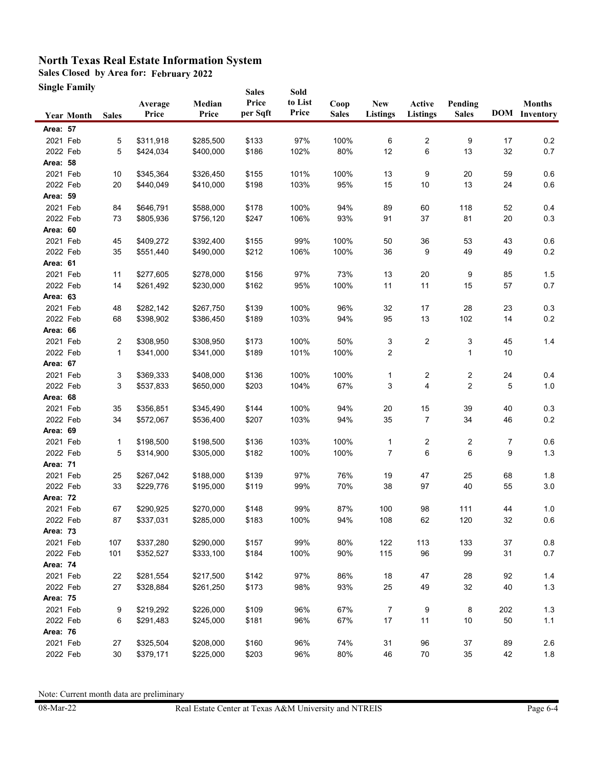**Sales Closed by Area for: February 2022**

**Single Family**

|                 | Single Family     |              |                  |                 | <b>Sales</b>      | Sold             |                      |                               |                           |                         |     |                                       |
|-----------------|-------------------|--------------|------------------|-----------------|-------------------|------------------|----------------------|-------------------------------|---------------------------|-------------------------|-----|---------------------------------------|
|                 | <b>Year Month</b> | <b>Sales</b> | Average<br>Price | Median<br>Price | Price<br>per Sqft | to List<br>Price | Coop<br><b>Sales</b> | <b>New</b><br><b>Listings</b> | Active<br><b>Listings</b> | Pending<br><b>Sales</b> |     | <b>Months</b><br><b>DOM</b> Inventory |
| Area: 57        |                   |              |                  |                 |                   |                  |                      |                               |                           |                         |     |                                       |
| 2021 Feb        |                   | 5            | \$311,918        | \$285,500       | \$133             | 97%              | 100%                 | 6                             | 2                         | 9                       | 17  | 0.2                                   |
| 2022 Feb        |                   | 5            | \$424,034        | \$400,000       | \$186             | 102%             | 80%                  | 12                            | 6                         | 13                      | 32  | 0.7                                   |
| Area: 58        |                   |              |                  |                 |                   |                  |                      |                               |                           |                         |     |                                       |
| 2021 Feb        |                   | 10           | \$345,364        | \$326,450       | \$155             | 101%             | 100%                 | 13                            | 9                         | 20                      | 59  | 0.6                                   |
| 2022 Feb        |                   | 20           | \$440,049        | \$410,000       | \$198             | 103%             | 95%                  | 15                            | 10                        | 13                      | 24  | $0.6\,$                               |
| Area: 59        |                   |              |                  |                 |                   |                  |                      |                               |                           |                         |     |                                       |
| 2021 Feb        |                   | 84           | \$646,791        | \$588,000       | \$178             | 100%             | 94%                  | 89                            | 60                        | 118                     | 52  | 0.4                                   |
| 2022 Feb        |                   | 73           | \$805,936        | \$756,120       | \$247             | 106%             | 93%                  | 91                            | 37                        | 81                      | 20  | 0.3                                   |
| Area: 60        |                   |              |                  |                 |                   |                  |                      |                               |                           |                         |     |                                       |
| 2021 Feb        |                   | 45           | \$409,272        | \$392,400       | \$155             | 99%              | 100%                 | 50                            | 36                        | 53                      | 43  | 0.6                                   |
| 2022 Feb        |                   | 35           | \$551,440        | \$490,000       | \$212             | 106%             | 100%                 | 36                            | 9                         | 49                      | 49  | 0.2                                   |
| Area: 61        |                   |              |                  |                 |                   |                  |                      |                               |                           |                         |     |                                       |
| 2021 Feb        |                   | 11           | \$277,605        | \$278,000       | \$156             | 97%              | 73%                  | 13                            | $20\,$                    | 9                       | 85  | $1.5$                                 |
| 2022 Feb        |                   | 14           | \$261,492        | \$230,000       | \$162             | 95%              | 100%                 | 11                            | 11                        | 15                      | 57  | 0.7                                   |
| Area: 63        |                   |              |                  |                 |                   |                  |                      |                               |                           |                         |     |                                       |
| 2021 Feb        |                   | 48           | \$282,142        | \$267,750       | \$139             | 100%             | 96%                  | 32                            | 17                        | 28                      | 23  | 0.3                                   |
| 2022 Feb        |                   | 68           | \$398,902        | \$386,450       | \$189             | 103%             | 94%                  | 95                            | 13                        | 102                     | 14  | 0.2                                   |
| Area: 66        |                   |              |                  |                 |                   |                  |                      |                               |                           |                         |     |                                       |
| 2021 Feb        |                   | 2            | \$308,950        | \$308,950       | \$173             | 100%             | 50%                  | 3                             | 2                         | 3                       | 45  | 1.4                                   |
| 2022 Feb        |                   | 1            | \$341,000        | \$341,000       | \$189             | 101%             | 100%                 | 2                             |                           | 1                       | 10  |                                       |
| Area: 67        |                   |              |                  |                 |                   |                  |                      |                               |                           |                         |     |                                       |
| 2021 Feb        |                   | 3            | \$369,333        | \$408,000       | \$136             | 100%             | 100%                 | 1                             | 2                         | 2                       | 24  | 0.4                                   |
| 2022 Feb        |                   | 3            | \$537,833        | \$650,000       | \$203             | 104%             | 67%                  | 3                             | 4                         | 2                       | 5   | $1.0\,$                               |
| Area: 68        |                   |              |                  |                 |                   |                  |                      |                               |                           |                         |     |                                       |
| 2021 Feb        |                   | 35           | \$356,851        | \$345,490       | \$144             | 100%             | 94%                  | 20                            | 15                        | 39                      | 40  | 0.3                                   |
| 2022 Feb        |                   | 34           | \$572,067        | \$536,400       | \$207             | 103%             | 94%                  | 35                            | 7                         | 34                      | 46  | $0.2\,$                               |
| Area: 69        |                   |              |                  |                 |                   |                  |                      |                               |                           |                         |     |                                       |
| 2021 Feb        |                   | 1            | \$198,500        | \$198,500       | \$136             | 103%             | 100%                 | 1                             | 2                         | 2                       | 7   | 0.6                                   |
| 2022 Feb        |                   | 5            | \$314,900        | \$305,000       | \$182             | 100%             | 100%                 | 7                             | 6                         | 6                       | 9   | $1.3$                                 |
| Area: 71        |                   |              |                  |                 |                   |                  |                      |                               |                           |                         |     |                                       |
| 2021 Feb        |                   | 25           | \$267,042        | \$188,000       | \$139             | 97%              | 76%                  | 19                            | 47                        | 25                      | 68  | 1.8                                   |
| 2022 Feb        |                   | 33           | \$229,776        | \$195,000       | \$119             | 99%              | 70%                  | 38                            | 97                        | 40                      | 55  | $3.0\,$                               |
| <b>Area: 72</b> |                   |              |                  |                 |                   |                  |                      |                               |                           |                         |     |                                       |
| 2021 Feb        |                   | 67           | \$290,925        | \$270,000       | \$148             | 99%              | 87%                  | 100                           | 98                        | 111                     | 44  | 1.0                                   |
| 2022 Feb        |                   | 87           | \$337,031        | \$285,000       | \$183             | 100%             | 94%                  | 108                           | 62                        | 120                     | 32  | $0.6\,$                               |
| Area: 73        |                   |              |                  |                 |                   |                  |                      |                               |                           |                         |     |                                       |
| 2021 Feb        |                   | 107          | \$337,280        | \$290,000       | \$157             | 99%              | 80%                  | 122                           | 113                       | 133                     | 37  | $0.8\,$                               |
| 2022 Feb        |                   | 101          | \$352,527        | \$333,100       | \$184             | 100%             | 90%                  | 115                           | 96                        | 99                      | 31  | 0.7                                   |
| Area: 74        |                   |              |                  |                 |                   |                  |                      |                               |                           |                         |     |                                       |
| 2021 Feb        |                   | 22           | \$281,554        | \$217,500       | \$142             | 97%              | 86%                  | 18                            | 47                        | 28                      | 92  | $1.4$                                 |
| 2022 Feb        |                   | 27           | \$328,884        | \$261,250       | \$173             | 98%              | 93%                  | 25                            | 49                        | 32                      | 40  | $1.3$                                 |
| Area: 75        |                   |              |                  |                 |                   |                  |                      |                               |                           |                         |     |                                       |
| 2021 Feb        |                   | 9            | \$219,292        | \$226,000       | \$109             | 96%              | 67%                  | $\overline{7}$                | 9                         | 8                       | 202 | $1.3$                                 |
| 2022 Feb        |                   | 6            | \$291,483        | \$245,000       | \$181             | 96%              | 67%                  | 17                            | 11                        | 10                      | 50  | $1.1$                                 |
| <b>Area: 76</b> |                   |              |                  |                 |                   |                  |                      |                               |                           |                         |     |                                       |
| 2021 Feb        |                   | 27           | \$325,504        | \$208,000       | \$160             | 96%              | 74%                  | 31                            | 96                        | $37\,$                  | 89  | 2.6                                   |
| 2022 Feb        |                   | 30           | \$379,171        | \$225,000       | \$203             | 96%              | 80%                  | 46                            | $70\,$                    | 35                      | 42  | 1.8                                   |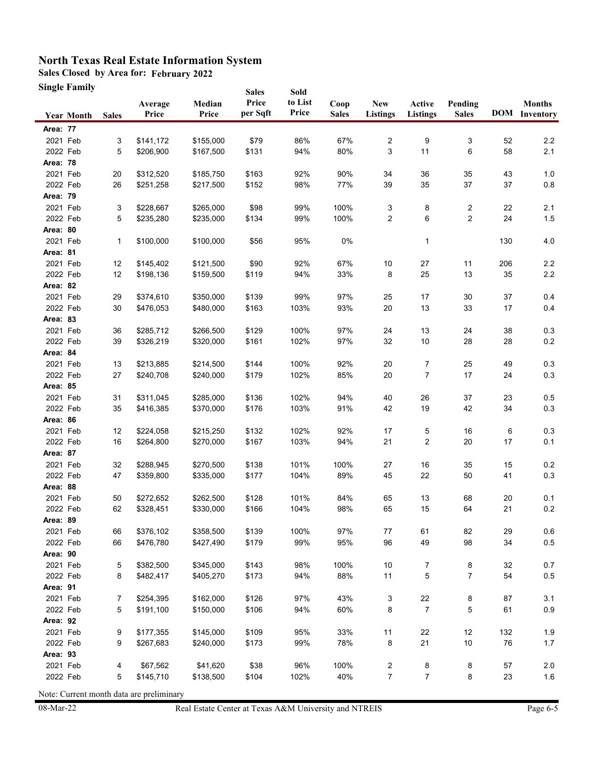**Sales Closed by Area for: February 2022**

**Single Family**

|                      | Single Family     |              |                        |                        | <b>Sales</b>   | Sold       |              |                         |                      |                         |          |                      |
|----------------------|-------------------|--------------|------------------------|------------------------|----------------|------------|--------------|-------------------------|----------------------|-------------------------|----------|----------------------|
|                      |                   |              | Average                | Median                 | Price          | to List    | Coop         | <b>New</b>              | Active               | Pending                 |          | <b>Months</b>        |
|                      | <b>Year Month</b> | <b>Sales</b> | Price                  | Price                  | per Sqft       | Price      | <b>Sales</b> | <b>Listings</b>         | <b>Listings</b>      | <b>Sales</b>            |          | <b>DOM</b> Inventory |
| <b>Area: 77</b>      |                   |              |                        |                        |                |            |              |                         |                      |                         |          |                      |
| 2021 Feb             |                   | 3            | \$141,172              | \$155,000              | \$79           | 86%        | 67%          | 2                       | 9                    | 3                       | 52       | 2.2                  |
| 2022 Feb             |                   | 5            | \$206,900              | \$167,500              | \$131          | 94%        | 80%          | 3                       | 11                   | 6                       | 58       | 2.1                  |
| <b>Area: 78</b>      |                   |              |                        |                        |                |            |              |                         |                      |                         |          |                      |
| 2021 Feb             |                   | 20           | \$312,520              | \$185,750              | \$163          | 92%        | 90%          | 34                      | 36                   | 35                      | 43       | 1.0                  |
| 2022 Feb             |                   | 26           | \$251,258              | \$217,500              | \$152          | 98%        | 77%          | 39                      | 35                   | 37                      | 37       | $0.8\,$              |
| Area: 79             |                   |              |                        |                        |                |            |              |                         |                      |                         |          |                      |
| 2021 Feb             |                   | 3            | \$228,667              | \$265,000              | \$98           | 99%        | 100%         | 3                       | 8                    | 2                       | 22       | 2.1                  |
| 2022 Feb             |                   | 5            | \$235,280              | \$235,000              | \$134          | 99%        | 100%         | 2                       | 6                    | $\overline{\mathbf{c}}$ | 24       | 1.5                  |
| Area: 80             |                   |              |                        |                        |                |            |              |                         |                      |                         |          |                      |
| 2021 Feb             |                   | 1            | \$100,000              | \$100,000              | \$56           | 95%        | 0%           |                         | $\mathbf{1}$         |                         | 130      | 4.0                  |
| Area: 81             |                   |              |                        |                        |                |            |              |                         |                      |                         |          |                      |
| 2021 Feb             |                   | 12           | \$145,402              | \$121,500              | \$90           | 92%        | 67%          | 10                      | 27                   | 11                      | 206      | $2.2\,$              |
| 2022 Feb             |                   | 12           | \$198,136              | \$159,500              | \$119          | 94%        | 33%          | 8                       | 25                   | 13                      | 35       | 2.2                  |
| Area: 82             |                   |              |                        |                        |                |            |              |                         |                      |                         |          |                      |
| 2021 Feb             |                   | 29           | \$374,610              | \$350,000              | \$139          | 99%        | 97%          | 25                      | 17                   | 30                      | 37       | 0.4                  |
| 2022 Feb             |                   | 30           | \$476,053              | \$480.000              | \$163          | 103%       | 93%          | 20                      | 13                   | 33                      | 17       | 0.4                  |
| Area: 83             |                   |              |                        |                        |                |            |              |                         |                      |                         |          |                      |
| 2021 Feb             |                   | 36           | \$285,712              | \$266,500              | \$129          | 100%       | 97%          | 24                      | 13                   | 24                      | 38       | 0.3                  |
| 2022 Feb             |                   | 39           | \$326,219              | \$320,000              | \$161          | 102%       | 97%          | 32                      | 10                   | 28                      | 28       | 0.2                  |
| Area: 84             |                   |              |                        |                        |                |            |              |                         |                      |                         |          |                      |
| 2021 Feb             |                   | 13           | \$213,885              | \$214,500              | \$144          | 100%       | 92%          | 20                      | 7                    | 25                      | 49       | 0.3                  |
| 2022 Feb             |                   | 27           | \$240,708              | \$240,000              | \$179          | 102%       | 85%          | 20                      | 7                    | 17                      | 24       | 0.3                  |
| Area: 85             |                   |              |                        |                        |                |            |              |                         |                      |                         |          |                      |
| 2021 Feb             |                   | 31           | \$311,045              | \$285,000              | \$136          | 102%       | 94%          | 40                      | 26                   | 37                      | 23       | 0.5                  |
| 2022 Feb             |                   | 35           | \$416,385              | \$370,000              | \$176          | 103%       | 91%          | 42                      | 19                   | 42                      | 34       | 0.3                  |
| Area: 86             |                   |              |                        |                        |                |            |              |                         |                      |                         |          |                      |
| 2021 Feb             |                   | 12           | \$224,058              | \$215,250              | \$132          | 102%       | 92%          | 17                      | 5                    | 16                      | 6        | 0.3                  |
| 2022 Feb             |                   | 16           | \$264,800              | \$270,000              | \$167          | 103%       | 94%          | 21                      | 2                    | $20\,$                  | 17       | 0.1                  |
| Area: 87             |                   |              |                        |                        |                |            |              |                         |                      |                         |          |                      |
| 2021 Feb             |                   | 32           | \$288,945              | \$270,500              | \$138          | 101%       | 100%         | 27                      | 16                   | 35                      | 15       | 0.2                  |
| 2022 Feb             |                   | 47           | \$359,800              | \$335,000              | \$177          | 104%       | 89%          | 45                      | 22                   | 50                      | 41       | 0.3                  |
| Area: 88             |                   |              |                        |                        |                |            |              |                         |                      |                         |          |                      |
| 2021 Feb             |                   | 50           | \$272,652              | \$262,500              | \$128          | 101%       | 84%          | 65                      | 13                   | 68                      | 20       | 0.1                  |
| 2022 Feb             |                   | 62           | \$328,451              | \$330,000              | \$166          | 104%       | 98%          | 65                      | 15                   | 64                      | 21       | 0.2                  |
| Area: 89             |                   |              |                        |                        |                |            |              |                         |                      |                         |          |                      |
| 2021 Feb             |                   | 66           | \$376,102<br>\$476,780 | \$358,500              | \$139          | 100%       | 97%          | 77                      | 61                   | 82                      | 29<br>34 | 0.6                  |
| 2022 Feb             |                   | 66           |                        | \$427,490              | \$179          | 99%        | 95%          | 96                      | 49                   | 98                      |          | 0.5                  |
| Area: 90             |                   |              |                        |                        |                |            |              |                         |                      |                         |          |                      |
| 2021 Feb<br>2022 Feb |                   | 5<br>8       | \$382,500<br>\$482,417 | \$345,000<br>\$405,270 | \$143<br>\$173 | 98%<br>94% | 100%<br>88%  | 10<br>11                | 7<br>5               | 8<br>$\overline{7}$     | 32<br>54 | 0.7<br>$0.5\,$       |
| Area: 91             |                   |              |                        |                        |                |            |              |                         |                      |                         |          |                      |
|                      |                   |              |                        |                        |                |            |              |                         |                      |                         |          |                      |
| 2021 Feb<br>2022 Feb |                   | 7<br>5       | \$254,395<br>\$191,100 | \$162,000<br>\$150,000 | \$126<br>\$106 | 97%<br>94% | 43%<br>60%   | 3<br>8                  | 22<br>$\overline{7}$ | 8<br>5                  | 87<br>61 | 3.1<br>0.9           |
| Area: 92             |                   |              |                        |                        |                |            |              |                         |                      |                         |          |                      |
| 2021 Feb             |                   | 9            | \$177,355              | \$145,000              | \$109          | 95%        | 33%          | 11                      | 22                   | 12                      | 132      | 1.9                  |
| 2022 Feb             |                   | 9            | \$267,683              | \$240,000              | \$173          | 99%        | 78%          | 8                       | 21                   | $10$                    | 76       | 1.7                  |
| Area: 93             |                   |              |                        |                        |                |            |              |                         |                      |                         |          |                      |
| 2021 Feb             |                   | 4            | \$67,562               | \$41,620               | \$38           | 96%        | 100%         | $\overline{\mathbf{c}}$ | 8                    | 8                       | 57       | 2.0                  |
| 2022 Feb             |                   | 5            | \$145,710              | \$138,500              | \$104          | 102%       | 40%          | $\overline{7}$          | $\overline{7}$       | 8                       | 23       | 1.6                  |
|                      |                   |              |                        |                        |                |            |              |                         |                      |                         |          |                      |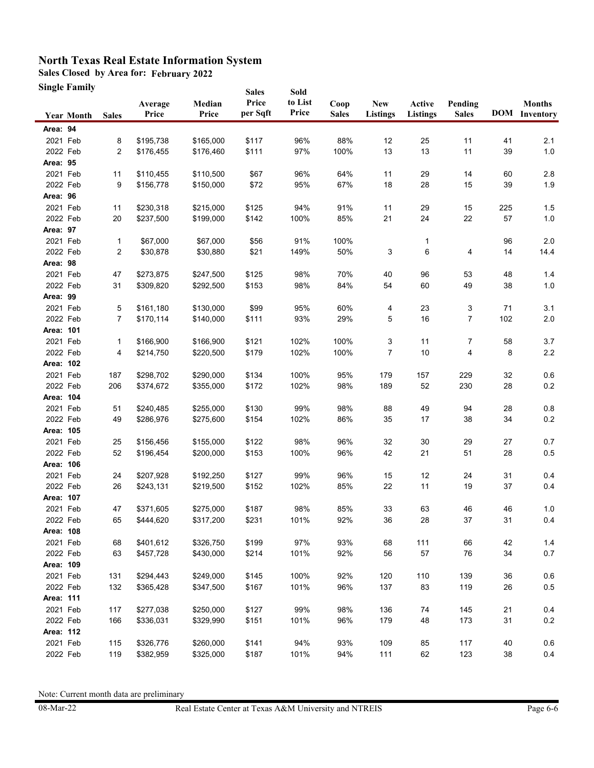**Sales Closed by Area for: February 2022**

**Single Family**

|           | Single Family     |              |                  |                 | <b>Sales</b>      | Sold             |                      |                               |                           |                         |     |                                       |
|-----------|-------------------|--------------|------------------|-----------------|-------------------|------------------|----------------------|-------------------------------|---------------------------|-------------------------|-----|---------------------------------------|
|           | <b>Year Month</b> | <b>Sales</b> | Average<br>Price | Median<br>Price | Price<br>per Sqft | to List<br>Price | Coop<br><b>Sales</b> | <b>New</b><br><b>Listings</b> | Active<br><b>Listings</b> | Pending<br><b>Sales</b> |     | <b>Months</b><br><b>DOM</b> Inventory |
| Area: 94  |                   |              |                  |                 |                   |                  |                      |                               |                           |                         |     |                                       |
| 2021 Feb  |                   | 8            | \$195,738        | \$165,000       | \$117             | 96%              | 88%                  | 12                            | 25                        | 11                      | 41  | 2.1                                   |
| 2022 Feb  |                   | 2            | \$176,455        | \$176,460       | \$111             | 97%              | 100%                 | 13                            | 13                        | 11                      | 39  | 1.0                                   |
| Area: 95  |                   |              |                  |                 |                   |                  |                      |                               |                           |                         |     |                                       |
| 2021 Feb  |                   | 11           | \$110,455        | \$110,500       | \$67              | 96%              | 64%                  | 11                            | 29                        | 14                      | 60  | 2.8                                   |
| 2022 Feb  |                   | 9            | \$156,778        | \$150,000       | \$72              | 95%              | 67%                  | 18                            | 28                        | 15                      | 39  | 1.9                                   |
| Area: 96  |                   |              |                  |                 |                   |                  |                      |                               |                           |                         |     |                                       |
| 2021 Feb  |                   | 11           | \$230,318        | \$215,000       | \$125             | 94%              | 91%                  | 11                            | 29                        | 15                      | 225 | 1.5                                   |
| 2022 Feb  |                   | 20           | \$237,500        | \$199,000       | \$142             | 100%             | 85%                  | 21                            | 24                        | 22                      | 57  | 1.0                                   |
| Area: 97  |                   |              |                  |                 |                   |                  |                      |                               |                           |                         |     |                                       |
| 2021 Feb  |                   | 1            | \$67,000         | \$67,000        | \$56              | 91%              | 100%                 |                               | 1                         |                         | 96  | $2.0\,$                               |
| 2022 Feb  |                   | 2            | \$30,878         | \$30,880        | \$21              | 149%             | 50%                  | 3                             | 6                         | 4                       | 14  | 14.4                                  |
| Area: 98  |                   |              |                  |                 |                   |                  |                      |                               |                           |                         |     |                                       |
| 2021 Feb  |                   | 47           | \$273,875        | \$247,500       | \$125             | 98%              | 70%                  | 40                            | 96                        | 53                      | 48  | 1.4                                   |
| 2022 Feb  |                   | 31           | \$309,820        | \$292,500       | \$153             | 98%              | 84%                  | 54                            | 60                        | 49                      | 38  | 1.0                                   |
| Area: 99  |                   |              |                  |                 |                   |                  |                      |                               |                           |                         |     |                                       |
| 2021 Feb  |                   | 5            | \$161,180        | \$130,000       | \$99              | 95%              | 60%                  | 4                             | 23                        | 3                       | 71  | 3.1                                   |
| 2022 Feb  |                   | 7            | \$170,114        | \$140,000       | \$111             | 93%              | 29%                  | 5                             | 16                        | $\overline{7}$          | 102 | 2.0                                   |
| Area: 101 |                   |              |                  |                 |                   |                  |                      |                               |                           |                         |     |                                       |
| 2021 Feb  |                   | 1            | \$166,900        | \$166,900       | \$121             | 102%             | 100%                 | 3                             | 11                        | 7                       | 58  | 3.7                                   |
| 2022 Feb  |                   | 4            | \$214,750        | \$220,500       | \$179             | 102%             | 100%                 | 7                             | 10                        | 4                       | 8   | 2.2                                   |
| Area: 102 |                   |              |                  |                 |                   |                  |                      |                               |                           |                         |     |                                       |
| 2021 Feb  |                   | 187          | \$298,702        | \$290,000       | \$134             | 100%             | 95%                  | 179                           | 157                       | 229                     | 32  | 0.6                                   |
| 2022 Feb  |                   | 206          | \$374,672        | \$355,000       | \$172             | 102%             | 98%                  | 189                           | 52                        | 230                     | 28  | 0.2                                   |
| Area: 104 |                   |              |                  |                 |                   |                  |                      |                               |                           |                         |     |                                       |
| 2021 Feb  |                   | 51           | \$240,485        | \$255,000       | \$130             | 99%              | 98%                  | 88                            | 49                        | 94                      | 28  | 0.8                                   |
| 2022 Feb  |                   | 49           | \$286,976        | \$275,600       | \$154             | 102%             | 86%                  | 35                            | 17                        | 38                      | 34  | $0.2\,$                               |
| Area: 105 |                   |              |                  |                 |                   |                  |                      |                               |                           |                         |     |                                       |
| 2021 Feb  |                   | 25           | \$156,456        | \$155,000       | \$122             | 98%              | 96%                  | 32                            | 30                        | 29                      | 27  | 0.7                                   |
| 2022 Feb  |                   | 52           | \$196,454        | \$200,000       | \$153             | 100%             | 96%                  | 42                            | 21                        | 51                      | 28  | $0.5\,$                               |
| Area: 106 |                   |              |                  |                 |                   |                  |                      |                               |                           |                         |     |                                       |
| 2021 Feb  |                   | 24           | \$207,928        | \$192,250       | \$127             | 99%              | 96%                  | 15                            | 12                        | 24                      | 31  | 0.4                                   |
| 2022 Feb  |                   | 26           | \$243,131        | \$219,500       | \$152             | 102%             | 85%                  | 22                            | 11                        | 19                      | 37  | 0.4                                   |
| Area: 107 |                   |              |                  |                 |                   |                  |                      |                               |                           |                         |     |                                       |
| 2021 Feb  |                   | 47           | \$371,605        | \$275,000       | \$187             | 98%              | 85%                  | 33                            | 63                        | 46                      | 46  | 1.0                                   |
| 2022 Feb  |                   | 65           | \$444,620        | \$317,200       | \$231             | 101%             | 92%                  | 36                            | 28                        | 37                      | 31  | 0.4                                   |
| Area: 108 |                   |              |                  |                 |                   |                  |                      |                               |                           |                         |     |                                       |
| 2021 Feb  |                   | 68           | \$401,612        | \$326,750       | \$199             | 97%              | 93%                  | 68                            | 111                       | 66                      | 42  | $1.4$                                 |
| 2022 Feb  |                   | 63           | \$457,728        | \$430,000       | \$214             | 101%             | 92%                  | 56                            | 57                        | 76                      | 34  | 0.7                                   |
| Area: 109 |                   |              |                  |                 |                   |                  |                      |                               |                           |                         |     |                                       |
| 2021 Feb  |                   | 131          | \$294,443        | \$249,000       | \$145             | 100%             | 92%                  | 120                           | 110                       | 139                     | 36  | 0.6                                   |
| 2022 Feb  |                   | 132          | \$365,428        | \$347,500       | \$167             | 101%             | 96%                  | 137                           | 83                        | 119                     | 26  | 0.5                                   |
| Area: 111 |                   |              |                  |                 |                   |                  |                      |                               |                           |                         |     |                                       |
| 2021 Feb  |                   | 117          | \$277,038        | \$250,000       | \$127             | 99%              | 98%                  | 136                           | 74                        | 145                     | 21  | 0.4                                   |
| 2022 Feb  |                   | 166          | \$336,031        | \$329,990       | \$151             | 101%             | 96%                  | 179                           | 48                        | 173                     | 31  | $0.2\,$                               |
| Area: 112 |                   |              |                  |                 |                   |                  |                      |                               |                           |                         |     |                                       |
| 2021 Feb  |                   | 115          | \$326,776        | \$260,000       | \$141             | 94%              | 93%                  | 109                           | 85                        | 117                     | 40  | 0.6                                   |
| 2022 Feb  |                   | 119          | \$382,959        | \$325,000       | \$187             | 101%             | 94%                  | 111                           | 62                        | 123                     | 38  | 0.4                                   |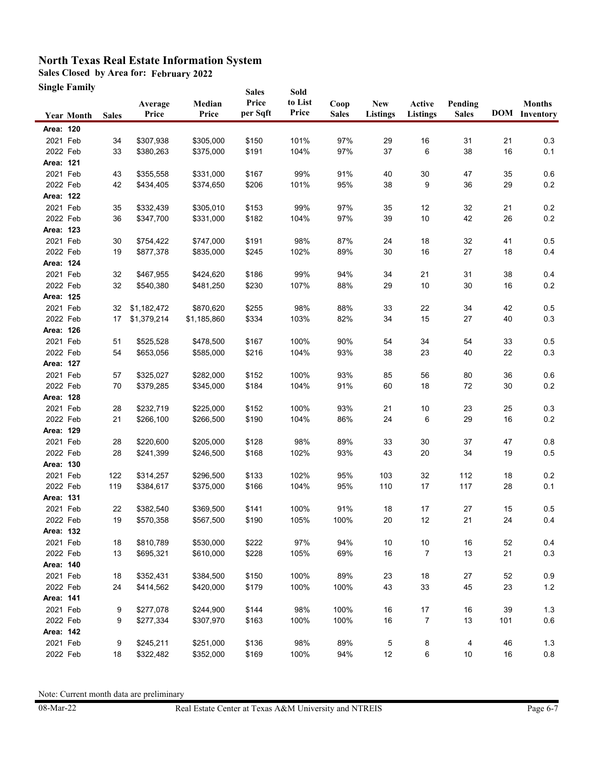**Sales Closed by Area for: February 2022**

**Single Family**

|           | Single Family     |              |                  |                 | <b>Sales</b>      | Sold             |                      |                        |                           |                         |     |                                       |
|-----------|-------------------|--------------|------------------|-----------------|-------------------|------------------|----------------------|------------------------|---------------------------|-------------------------|-----|---------------------------------------|
|           | <b>Year Month</b> | <b>Sales</b> | Average<br>Price | Median<br>Price | Price<br>per Sqft | to List<br>Price | Coop<br><b>Sales</b> | <b>New</b><br>Listings | Active<br><b>Listings</b> | Pending<br><b>Sales</b> |     | <b>Months</b><br><b>DOM</b> Inventory |
| Area: 120 |                   |              |                  |                 |                   |                  |                      |                        |                           |                         |     |                                       |
| 2021 Feb  |                   | 34           | \$307,938        | \$305,000       | \$150             | 101%             | 97%                  | 29                     | 16                        | 31                      | 21  | 0.3                                   |
| 2022 Feb  |                   | 33           | \$380,263        | \$375,000       | \$191             | 104%             | 97%                  | 37                     | 6                         | 38                      | 16  | 0.1                                   |
| Area: 121 |                   |              |                  |                 |                   |                  |                      |                        |                           |                         |     |                                       |
| 2021 Feb  |                   | 43           | \$355,558        | \$331,000       | \$167             | 99%              | 91%                  | 40                     | 30                        | 47                      | 35  | 0.6                                   |
| 2022 Feb  |                   | 42           | \$434,405        | \$374,650       | \$206             | 101%             | 95%                  | 38                     | 9                         | 36                      | 29  | $0.2\,$                               |
| Area: 122 |                   |              |                  |                 |                   |                  |                      |                        |                           |                         |     |                                       |
| 2021 Feb  |                   | 35           | \$332,439        | \$305,010       | \$153             | 99%              | 97%                  | 35                     | 12                        | 32                      | 21  | 0.2                                   |
| 2022 Feb  |                   | 36           | \$347,700        | \$331,000       | \$182             | 104%             | 97%                  | 39                     | $10$                      | 42                      | 26  | $0.2\,$                               |
| Area: 123 |                   |              |                  |                 |                   |                  |                      |                        |                           |                         |     |                                       |
| 2021 Feb  |                   | 30           | \$754,422        | \$747,000       | \$191             | 98%              | 87%                  | 24                     | 18                        | 32                      | 41  | 0.5                                   |
| 2022 Feb  |                   | 19           | \$877,378        | \$835,000       | \$245             | 102%             | 89%                  | 30                     | 16                        | 27                      | 18  | 0.4                                   |
| Area: 124 |                   |              |                  |                 |                   |                  |                      |                        |                           |                         |     |                                       |
| 2021 Feb  |                   | 32           | \$467,955        | \$424,620       | \$186             | 99%              | 94%                  | 34                     | 21                        | 31                      | 38  | 0.4                                   |
| 2022 Feb  |                   | 32           | \$540,380        | \$481,250       | \$230             | 107%             | 88%                  | 29                     | 10                        | 30                      | 16  | 0.2                                   |
| Area: 125 |                   |              |                  |                 |                   |                  |                      |                        |                           |                         |     |                                       |
| 2021 Feb  |                   | 32           | \$1,182,472      | \$870,620       | \$255             | 98%              | 88%                  | 33                     | 22                        | 34                      | 42  | 0.5                                   |
| 2022 Feb  |                   | 17           | \$1,379,214      | \$1,185,860     | \$334             | 103%             | 82%                  | 34                     | 15                        | 27                      | 40  | 0.3                                   |
| Area: 126 |                   |              |                  |                 |                   |                  |                      |                        |                           |                         |     |                                       |
| 2021 Feb  |                   | 51           | \$525,528        | \$478,500       | \$167             | 100%             | 90%                  | 54                     | 34                        | 54                      | 33  | 0.5                                   |
| 2022 Feb  |                   | 54           | \$653,056        | \$585,000       | \$216             | 104%             | 93%                  | 38                     | 23                        | 40                      | 22  | 0.3                                   |
| Area: 127 |                   |              |                  |                 |                   |                  |                      |                        |                           |                         |     |                                       |
| 2021 Feb  |                   | 57           | \$325,027        | \$282,000       | \$152             | 100%             | 93%                  | 85                     | 56                        | 80                      | 36  | 0.6                                   |
| 2022 Feb  |                   | 70           | \$379,285        | \$345,000       | \$184             | 104%             | 91%                  | 60                     | 18                        | 72                      | 30  | $0.2\,$                               |
| Area: 128 |                   |              |                  |                 |                   |                  |                      |                        |                           |                         |     |                                       |
| 2021 Feb  |                   | 28           | \$232,719        | \$225,000       | \$152             | 100%             | 93%                  | 21                     | 10                        | 23                      | 25  | 0.3                                   |
| 2022 Feb  |                   | 21           | \$266,100        | \$266,500       | \$190             | 104%             | 86%                  | 24                     | 6                         | 29                      | 16  | $0.2\,$                               |
| Area: 129 |                   |              |                  |                 |                   |                  |                      |                        |                           |                         |     |                                       |
| 2021 Feb  |                   | 28           | \$220,600        | \$205,000       | \$128             | 98%              | 89%                  | 33                     | $30\,$                    | 37                      | 47  | 0.8                                   |
| 2022 Feb  |                   | 28           | \$241,399        | \$246,500       | \$168             | 102%             | 93%                  | 43                     | 20                        | 34                      | 19  | 0.5                                   |
| Area: 130 |                   |              |                  |                 |                   |                  |                      |                        |                           |                         |     |                                       |
| 2021 Feb  |                   | 122          | \$314,257        | \$296,500       | \$133             | 102%             | 95%                  | 103                    | 32                        | 112                     | 18  | $0.2\,$                               |
| 2022 Feb  |                   | 119          | \$384,617        | \$375,000       | \$166             | 104%             | 95%                  | 110                    | 17                        | 117                     | 28  | 0.1                                   |
| Area: 131 |                   |              |                  |                 |                   |                  |                      |                        |                           |                         |     |                                       |
| 2021 Feb  |                   | 22           | \$382,540        | \$369,500       | \$141             | 100%             | 91%                  | 18                     | 17                        | 27                      | 15  | 0.5                                   |
| 2022 Feb  |                   | 19           | \$570,358        | \$567,500       | \$190             | 105%             | 100%                 | 20                     | 12                        | 21                      | 24  | 0.4                                   |
| Area: 132 |                   |              |                  |                 |                   |                  |                      |                        |                           |                         |     |                                       |
| 2021 Feb  |                   | 18           | \$810,789        | \$530,000       | \$222             | 97%              | 94%                  | 10                     | $10\,$                    | $16\,$                  | 52  | 0.4                                   |
| 2022 Feb  |                   | 13           | \$695,321        | \$610,000       | \$228             | 105%             | 69%                  | 16                     | $\overline{7}$            | 13                      | 21  | $0.3\,$                               |
| Area: 140 |                   |              |                  |                 |                   |                  |                      |                        |                           |                         |     |                                       |
| 2021 Feb  |                   | 18           | \$352,431        | \$384,500       | \$150             | 100%             | 89%                  | 23                     | $18$                      | 27                      | 52  | 0.9                                   |
| 2022 Feb  |                   | 24           | \$414,562        | \$420,000       | \$179             | 100%             | 100%                 | 43                     | 33                        | 45                      | 23  | $1.2$                                 |
| Area: 141 |                   |              |                  |                 |                   |                  |                      |                        |                           |                         |     |                                       |
| 2021 Feb  |                   | 9            | \$277,078        | \$244,900       | \$144             | 98%              | 100%                 | 16                     | $17\,$                    | 16                      | 39  | $1.3$                                 |
| 2022 Feb  |                   | 9            | \$277,334        | \$307,970       | \$163             | 100%             | 100%                 | 16                     | 7                         | 13                      | 101 | 0.6                                   |
| Area: 142 |                   |              |                  |                 |                   |                  |                      |                        |                           |                         |     |                                       |
| 2021 Feb  |                   | 9            | \$245,211        | \$251,000       | \$136             | 98%              | 89%                  | 5                      | 8                         | 4                       | 46  | $1.3$                                 |
| 2022 Feb  |                   | 18           | \$322,482        | \$352,000       | \$169             | 100%             | 94%                  | 12                     | 6                         | $10$                    | 16  | 0.8                                   |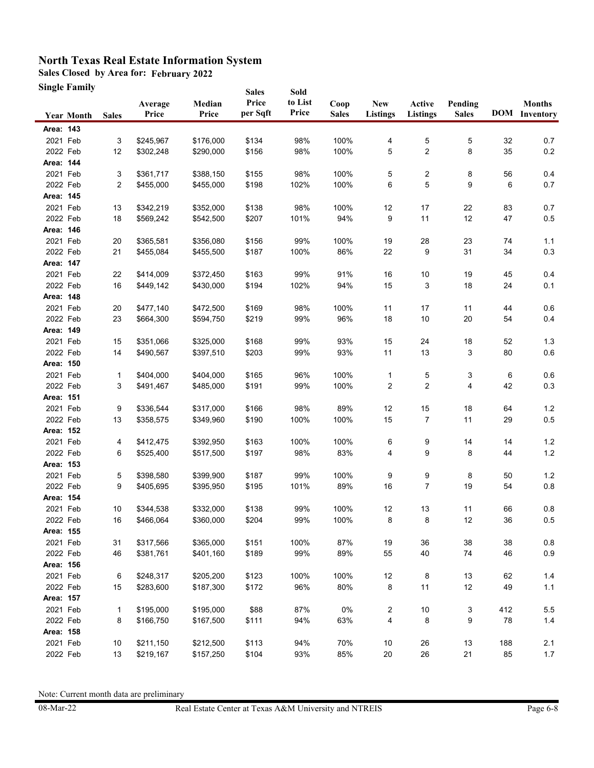**Sales Closed by Area for: February 2022**

**Single Family**

| Single Family     |              |                  |                 | <b>Sales</b>      | Sold             |                      |                        |                           |                         |     |                                       |
|-------------------|--------------|------------------|-----------------|-------------------|------------------|----------------------|------------------------|---------------------------|-------------------------|-----|---------------------------------------|
| <b>Year Month</b> | <b>Sales</b> | Average<br>Price | Median<br>Price | Price<br>per Sqft | to List<br>Price | Coop<br><b>Sales</b> | <b>New</b><br>Listings | Active<br><b>Listings</b> | Pending<br><b>Sales</b> |     | <b>Months</b><br><b>DOM</b> Inventory |
| Area: 143         |              |                  |                 |                   |                  |                      |                        |                           |                         |     |                                       |
| 2021 Feb          | 3            | \$245,967        | \$176,000       | \$134             | 98%              | 100%                 | 4                      | 5                         | 5                       | 32  | 0.7                                   |
| 2022 Feb          | 12           | \$302,248        | \$290,000       | \$156             | 98%              | 100%                 | 5                      | 2                         | 8                       | 35  | $0.2\,$                               |
| Area: 144         |              |                  |                 |                   |                  |                      |                        |                           |                         |     |                                       |
| 2021 Feb          | 3            | \$361,717        | \$388,150       | \$155             | 98%              | 100%                 | 5                      | 2                         | 8                       | 56  | 0.4                                   |
| 2022 Feb          | 2            | \$455,000        | \$455,000       | \$198             | 102%             | 100%                 | 6                      | 5                         | 9                       | 6   | 0.7                                   |
| Area: 145         |              |                  |                 |                   |                  |                      |                        |                           |                         |     |                                       |
| 2021 Feb          | 13           | \$342,219        | \$352,000       | \$138             | 98%              | 100%                 | 12                     | 17                        | 22                      | 83  | 0.7                                   |
| 2022 Feb          | 18           | \$569,242        | \$542,500       | \$207             | 101%             | 94%                  | 9                      | 11                        | 12                      | 47  | 0.5                                   |
| Area: 146         |              |                  |                 |                   |                  |                      |                        |                           |                         |     |                                       |
| 2021 Feb          | 20           | \$365,581        | \$356,080       | \$156             | 99%              | 100%                 | 19                     | 28                        | 23                      | 74  | 1.1                                   |
| 2022 Feb          | 21           | \$455,084        | \$455,500       | \$187             | 100%             | 86%                  | 22                     | 9                         | 31                      | 34  | 0.3                                   |
| Area: 147         |              |                  |                 |                   |                  |                      |                        |                           |                         |     |                                       |
| 2021 Feb          | 22           | \$414,009        | \$372,450       | \$163             | 99%              | 91%                  | 16                     | $10\,$                    | 19                      | 45  | 0.4                                   |
| 2022 Feb          | 16           | \$449,142        | \$430,000       | \$194             | 102%             | 94%                  | 15                     | 3                         | 18                      | 24  | 0.1                                   |
| Area: 148         |              |                  |                 |                   |                  |                      |                        |                           |                         |     |                                       |
| 2021 Feb          | 20           | \$477,140        | \$472,500       | \$169             | 98%              | 100%                 | 11                     | 17                        | 11                      | 44  | 0.6                                   |
| 2022 Feb          | 23           | \$664,300        | \$594,750       | \$219             | 99%              | 96%                  | 18                     | 10                        | 20                      | 54  | 0.4                                   |
| Area: 149         |              |                  |                 |                   |                  |                      |                        |                           |                         |     |                                       |
| 2021 Feb          | 15           | \$351,066        | \$325,000       | \$168             | 99%              | 93%                  | 15                     | 24                        | 18                      | 52  | 1.3                                   |
| 2022 Feb          | 14           | \$490,567        | \$397,510       | \$203             | 99%              | 93%                  | 11                     | 13                        | 3                       | 80  | 0.6                                   |
| Area: 150         |              |                  |                 |                   |                  |                      |                        |                           |                         |     |                                       |
| 2021 Feb          | 1            | \$404,000        | \$404,000       | \$165             | 96%              | 100%                 | 1                      | 5                         | 3                       | 6   | 0.6                                   |
| 2022 Feb          | 3            | \$491,467        | \$485,000       | \$191             | 99%              | 100%                 | 2                      | 2                         | 4                       | 42  | 0.3                                   |
| Area: 151         |              |                  |                 |                   |                  |                      |                        |                           |                         |     |                                       |
| 2021 Feb          | 9            | \$336,544        | \$317,000       | \$166             | 98%              | 89%                  | 12                     | 15                        | 18                      | 64  | $1.2$                                 |
| 2022 Feb          | 13           | \$358,575        | \$349,960       | \$190             | 100%             | 100%                 | 15                     | 7                         | 11                      | 29  | $0.5\,$                               |
| Area: 152         |              |                  |                 |                   |                  |                      |                        |                           |                         |     |                                       |
| 2021 Feb          | 4            | \$412,475        | \$392,950       | \$163             | 100%             | 100%                 | 6                      | 9                         | 14                      | 14  | 1.2                                   |
| 2022 Feb          | 6            | \$525,400        | \$517,500       | \$197             | 98%              | 83%                  | 4                      | 9                         | 8                       | 44  | $1.2$                                 |
| Area: 153         |              |                  |                 |                   |                  |                      |                        |                           |                         |     |                                       |
| 2021 Feb          | 5            | \$398,580        | \$399,900       | \$187             | 99%              | 100%                 | 9                      | 9                         | 8                       | 50  | 1.2                                   |
| 2022 Feb          | 9            | \$405,695        | \$395,950       | \$195             | 101%             | 89%                  | 16                     | 7                         | 19                      | 54  | $0.8\,$                               |
| Area: 154         |              |                  |                 |                   |                  |                      |                        |                           |                         |     |                                       |
| 2021 Feb          | 10           | \$344,538        | \$332,000       | \$138             | 99%              | 100%                 | 12                     | 13                        | 11                      | 66  | 0.8                                   |
| 2022 Feb          | 16           | \$466,064        | \$360,000       | \$204             | 99%              | 100%                 | 8                      | 8                         | 12                      | 36  | $0.5\,$                               |
| Area: 155         |              |                  |                 |                   |                  |                      |                        |                           |                         |     |                                       |
| 2021 Feb          | 31           | \$317,566        | \$365,000       | \$151             | 100%             | 87%                  | 19                     | 36                        | 38                      | 38  | $0.8\,$                               |
| 2022 Feb          | 46           | \$381,761        | \$401,160       | \$189             | 99%              | 89%                  | 55                     | 40                        | 74                      | 46  | $0.9\,$                               |
| Area: 156         |              |                  |                 |                   |                  |                      |                        |                           |                         |     |                                       |
| 2021 Feb          | 6            | \$248,317        | \$205,200       | \$123             | 100%             | 100%                 | 12                     | 8                         | 13                      | 62  | $1.4$                                 |
| 2022 Feb          | 15           | \$283,600        | \$187,300       | \$172             | 96%              | 80%                  | 8                      | 11                        | 12                      | 49  | 1.1                                   |
| Area: 157         |              |                  |                 |                   |                  |                      |                        |                           |                         |     |                                       |
| 2021 Feb          | 1            | \$195,000        | \$195,000       | \$88              | 87%              | 0%                   | 2                      | $10\,$                    | 3                       | 412 | 5.5                                   |
| 2022 Feb          | 8            | \$166,750        | \$167,500       | \$111             | 94%              | 63%                  | 4                      | 8                         | 9                       | 78  | $1.4$                                 |
| Area: 158         |              |                  |                 |                   |                  |                      |                        |                           |                         |     |                                       |
| 2021 Feb          | 10           | \$211,150        | \$212,500       | \$113             | 94%              | 70%                  | $10$                   | 26                        | 13                      | 188 | 2.1                                   |
| 2022 Feb          | 13           | \$219,167        | \$157,250       | \$104             | 93%              | 85%                  | 20                     | 26                        | 21                      | 85  | 1.7                                   |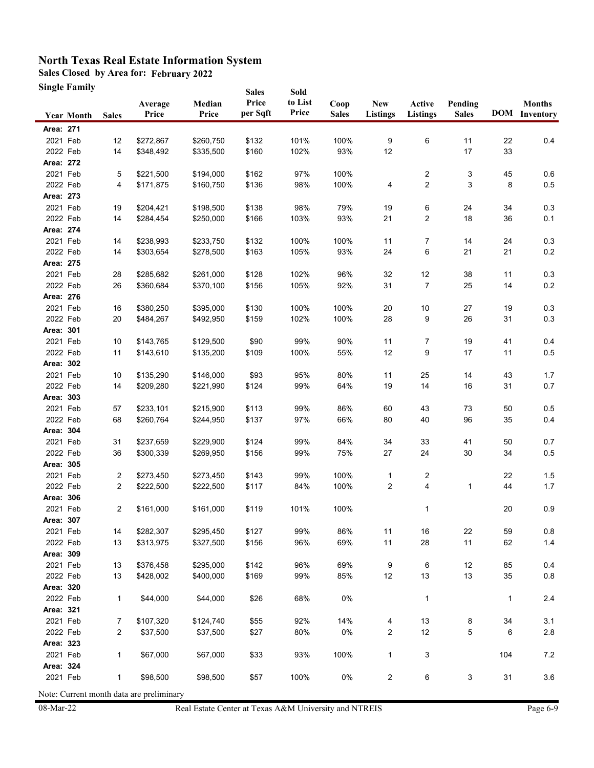**Sales Closed by Area for: February 2022**

**Single Family**

| <b>Sales</b><br>Sold<br>Price<br>to List<br>Median<br>Coop<br><b>New</b><br>Active<br>Pending<br>Average<br>Price<br>per Sqft<br>Price<br>Price<br><b>Sales</b><br><b>Listings</b><br><b>Listings</b><br><b>Sales</b><br><b>Sales</b><br><b>Year Month</b><br>Area: 271<br>2021 Feb<br>101%<br>100%<br>9<br>6<br>12<br>\$272,867<br>\$260,750<br>\$132<br>11 | <b>Months</b><br><b>DOM</b> Inventory<br>22<br>0.4<br>33 |
|--------------------------------------------------------------------------------------------------------------------------------------------------------------------------------------------------------------------------------------------------------------------------------------------------------------------------------------------------------------|----------------------------------------------------------|
|                                                                                                                                                                                                                                                                                                                                                              |                                                          |
|                                                                                                                                                                                                                                                                                                                                                              |                                                          |
|                                                                                                                                                                                                                                                                                                                                                              |                                                          |
| 102%<br>93%<br>2022 Feb<br>14<br>\$335,500<br>\$160<br>12<br>17<br>\$348,492                                                                                                                                                                                                                                                                                 |                                                          |
| Area: 272                                                                                                                                                                                                                                                                                                                                                    |                                                          |
| 2021 Feb<br>\$162<br>97%<br>100%<br>$\overline{\mathbf{c}}$<br>3<br>5<br>\$221,500<br>\$194,000                                                                                                                                                                                                                                                              | 45<br>0.6                                                |
| $\overline{\mathbf{c}}$<br>2022 Feb<br>\$136<br>98%<br>100%<br>3<br>4<br>\$171,875<br>\$160,750<br>4                                                                                                                                                                                                                                                         | $0.5\,$<br>8                                             |
| Area: 273                                                                                                                                                                                                                                                                                                                                                    |                                                          |
| 2021 Feb<br>\$138<br>98%<br>79%<br>6<br>24<br>19<br>\$204,421<br>\$198,500<br>19                                                                                                                                                                                                                                                                             | 34<br>$0.3\,$                                            |
| 2<br>2022 Feb<br>\$166<br>103%<br>93%<br>21<br>18<br>14<br>\$284,454<br>\$250,000                                                                                                                                                                                                                                                                            | 36<br>0.1                                                |
| Area: 274                                                                                                                                                                                                                                                                                                                                                    |                                                          |
| 2021 Feb<br>\$132<br>100%<br>100%<br>11<br>7<br>14<br>\$238,993<br>\$233,750<br>14                                                                                                                                                                                                                                                                           | 24<br>0.3                                                |
| 2022 Feb<br>\$163<br>105%<br>93%<br>6<br>14<br>\$303,654<br>\$278,500<br>24<br>21                                                                                                                                                                                                                                                                            | $0.2\,$<br>21                                            |
| Area: 275                                                                                                                                                                                                                                                                                                                                                    |                                                          |
| 2021 Feb<br>28<br>\$261,000<br>\$128<br>102%<br>96%<br>32<br>12<br>38<br>\$285,682                                                                                                                                                                                                                                                                           | 0.3<br>11                                                |
| 7<br>2022 Feb<br>26<br>\$156<br>105%<br>92%<br>31<br>25<br>\$360,684<br>\$370,100                                                                                                                                                                                                                                                                            | $0.2\,$<br>14                                            |
| Area: 276                                                                                                                                                                                                                                                                                                                                                    |                                                          |
| 2021 Feb<br>\$395,000<br>\$130<br>100%<br>100%<br>20<br>$10$<br>27<br>16<br>\$380,250                                                                                                                                                                                                                                                                        | 19<br>0.3                                                |
| 2022 Feb<br>102%<br>100%<br>28<br>9<br>26<br>20<br>\$484,267<br>\$492,950<br>\$159                                                                                                                                                                                                                                                                           | 31<br>0.3                                                |
| Area: 301                                                                                                                                                                                                                                                                                                                                                    |                                                          |
| 2021 Feb<br>\$143,765<br>\$129,500<br>\$90<br>99%<br>90%<br>19<br>10<br>11<br>7                                                                                                                                                                                                                                                                              | 41<br>0.4                                                |
| \$109<br>55%<br>12<br>9<br>$17$<br>2022 Feb<br>11<br>\$143,610<br>\$135,200<br>100%                                                                                                                                                                                                                                                                          | 11<br>0.5                                                |
| Area: 302                                                                                                                                                                                                                                                                                                                                                    |                                                          |
| 2021 Feb<br>\$146,000<br>\$93<br>95%<br>80%<br>25<br>10<br>\$135,290<br>11<br>14                                                                                                                                                                                                                                                                             | 43<br>1.7                                                |
| 14<br>2022 Feb<br>14<br>\$209,280<br>\$221,990<br>\$124<br>99%<br>64%<br>19<br>16                                                                                                                                                                                                                                                                            | 0.7<br>31                                                |
| Area: 303                                                                                                                                                                                                                                                                                                                                                    |                                                          |
| 2021 Feb<br>\$233,101<br>\$215,900<br>99%<br>86%<br>60<br>43<br>73<br>57<br>\$113                                                                                                                                                                                                                                                                            | 50<br>0.5                                                |
| 2022 Feb<br>80<br>40<br>96<br>68<br>\$260,764<br>\$244,950<br>\$137<br>97%<br>66%                                                                                                                                                                                                                                                                            | 0.4<br>35                                                |
| Area: 304                                                                                                                                                                                                                                                                                                                                                    |                                                          |
| 2021 Feb<br>\$124<br>99%<br>84%<br>34<br>33<br>41<br>31<br>\$237,659<br>\$229,900                                                                                                                                                                                                                                                                            | 50<br>0.7                                                |
| 2022 Feb<br>75%<br>$30\,$<br>36<br>\$300,339<br>\$269,950<br>\$156<br>99%<br>27<br>24                                                                                                                                                                                                                                                                        | $0.5\,$<br>34                                            |
| Area: 305                                                                                                                                                                                                                                                                                                                                                    |                                                          |
| 2021 Feb<br>\$143<br>99%<br>100%<br>2<br>\$273,450<br>\$273,450<br>$\mathbf{1}$<br>2                                                                                                                                                                                                                                                                         | 22<br>$1.5$                                              |
| 4<br>2022 Feb<br>$\overline{c}$<br>84%<br>100%<br>$\overline{c}$<br>\$222,500<br>\$222,500<br>\$117<br>1                                                                                                                                                                                                                                                     | 44<br>1.7                                                |
| Area: 306                                                                                                                                                                                                                                                                                                                                                    |                                                          |
| 2021 Feb<br>101%<br>100%<br>$\overline{2}$<br>\$161,000<br>\$161,000<br>\$119<br>$\mathbf{1}$                                                                                                                                                                                                                                                                | 20<br>$0.9\,$                                            |
| Area: 307                                                                                                                                                                                                                                                                                                                                                    |                                                          |
| 99%<br>86%<br>22<br>2021 Feb<br>14<br>\$282,307<br>\$295,450<br>\$127<br>11<br>16                                                                                                                                                                                                                                                                            | 59<br>0.8                                                |
| 2022 Feb<br>13<br>\$156<br>96%<br>69%<br>11<br>28<br>11<br>\$313,975<br>\$327,500                                                                                                                                                                                                                                                                            | 62<br>1.4                                                |
| Area: 309                                                                                                                                                                                                                                                                                                                                                    |                                                          |
| 2021 Feb<br>\$295,000<br>\$142<br>96%<br>69%<br>9<br>6<br>12<br>13<br>\$376,458                                                                                                                                                                                                                                                                              | 85<br>0.4                                                |
| 2022 Feb<br>13<br>\$169<br>99%<br>85%<br>12<br>13<br>13<br>\$428,002<br>\$400,000                                                                                                                                                                                                                                                                            | 35<br>$0.8\,$                                            |
| Area: 320                                                                                                                                                                                                                                                                                                                                                    |                                                          |
| 2022 Feb<br>\$44,000<br>\$26<br>68%<br>0%<br>1<br>\$44,000<br>$\mathbf{1}$                                                                                                                                                                                                                                                                                   | 1<br>2.4                                                 |
| Area: 321<br>2021 Feb                                                                                                                                                                                                                                                                                                                                        |                                                          |
| 13<br>\$124,740<br>\$55<br>92%<br>14%<br>8<br>7<br>\$107,320<br>4<br>$\overline{2}$<br>12                                                                                                                                                                                                                                                                    | 34<br>3.1                                                |
| 5<br>2022 Feb<br>$\overline{2}$<br>\$27<br>0%<br>\$37,500<br>\$37,500<br>80%<br>Area: 323                                                                                                                                                                                                                                                                    | $2.8\,$<br>6                                             |
| 2021 Feb<br>$\mathbf{1}$<br>\$33<br>93%<br>100%<br>$\mathbf{1}$<br>3<br>\$67,000<br>\$67,000                                                                                                                                                                                                                                                                 | 104                                                      |
| Area: 324                                                                                                                                                                                                                                                                                                                                                    | 7.2                                                      |
| $\overline{c}$<br>2021 Feb<br>$\mathbf{1}$<br>\$57<br>100%<br>0%<br>\$98,500<br>\$98,500                                                                                                                                                                                                                                                                     | 31<br>3.6                                                |
| 6<br>3<br>Note: Current month data are preliminary                                                                                                                                                                                                                                                                                                           |                                                          |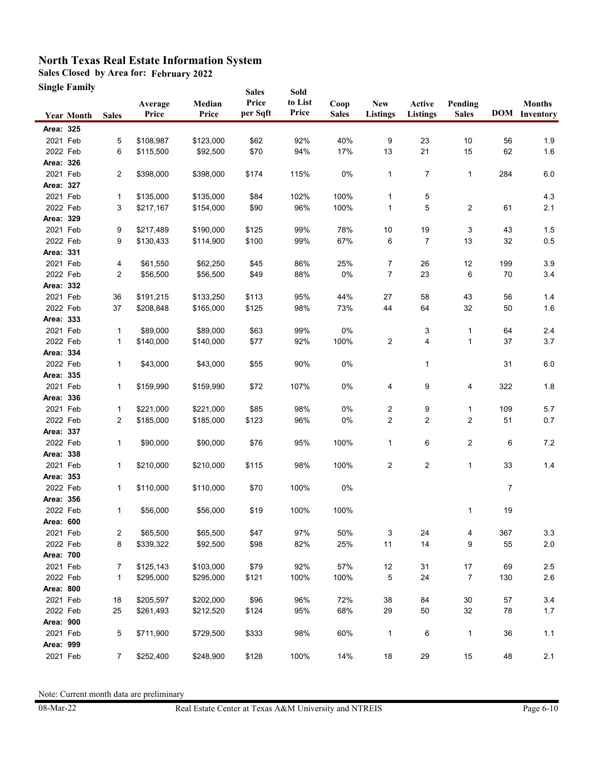**Sales Closed by Area for: February 2022**

**Single Family**

|           | Single Family     |                |                  |                 | <b>Sales</b>      | Sold             |                      |                               |                           |                         |        |                                       |
|-----------|-------------------|----------------|------------------|-----------------|-------------------|------------------|----------------------|-------------------------------|---------------------------|-------------------------|--------|---------------------------------------|
|           | <b>Year Month</b> | <b>Sales</b>   | Average<br>Price | Median<br>Price | Price<br>per Sqft | to List<br>Price | Coop<br><b>Sales</b> | <b>New</b><br><b>Listings</b> | Active<br><b>Listings</b> | Pending<br><b>Sales</b> |        | <b>Months</b><br><b>DOM</b> Inventory |
| Area: 325 |                   |                |                  |                 |                   |                  |                      |                               |                           |                         |        |                                       |
| 2021 Feb  |                   | 5              | \$108,987        | \$123,000       | \$62              | 92%              | 40%                  | 9                             | 23                        | 10                      | 56     | 1.9                                   |
| 2022 Feb  |                   | 6              | \$115,500        | \$92,500        | \$70              | 94%              | 17%                  | 13                            | 21                        | 15                      | 62     | 1.6                                   |
| Area: 326 |                   |                |                  |                 |                   |                  |                      |                               |                           |                         |        |                                       |
| 2021 Feb  |                   | $\overline{2}$ | \$398,000        | \$398,000       | \$174             | 115%             | $0\%$                | $\mathbf{1}$                  | 7                         | 1                       | 284    | $6.0\,$                               |
| Area: 327 |                   |                |                  |                 |                   |                  |                      |                               |                           |                         |        |                                       |
| 2021 Feb  |                   | $\mathbf{1}$   | \$135,000        | \$135,000       | \$84              | 102%             | 100%                 | 1                             | 5                         |                         |        | 4.3                                   |
| 2022 Feb  |                   | 3              | \$217,167        | \$154,000       | \$90              | 96%              | 100%                 | $\mathbf{1}$                  | 5                         | 2                       | 61     | 2.1                                   |
| Area: 329 |                   |                |                  |                 |                   |                  |                      |                               |                           |                         |        |                                       |
| 2021 Feb  |                   | 9              | \$217,489        | \$190,000       | \$125             | 99%              | 78%                  | 10                            | 19                        | 3                       | 43     | 1.5                                   |
| 2022 Feb  |                   | 9              | \$130,433        | \$114,900       | \$100             | 99%              | 67%                  | 6                             | 7                         | 13                      | 32     | 0.5                                   |
| Area: 331 |                   |                |                  |                 |                   |                  |                      |                               |                           |                         |        |                                       |
| 2021 Feb  |                   | 4              | \$61,550         | \$62,250        | \$45              | 86%              | 25%                  | 7                             | 26                        | 12                      | 199    | 3.9                                   |
| 2022 Feb  |                   | $\overline{c}$ | \$56,500         | \$56,500        | \$49              | 88%              | $0\%$                | 7                             | 23                        | 6                       | 70     | 3.4                                   |
| Area: 332 |                   |                |                  |                 |                   |                  |                      |                               |                           |                         |        |                                       |
| 2021 Feb  |                   | 36             | \$191,215        | \$133,250       | \$113             | 95%              | 44%                  | 27                            | 58                        | 43                      | 56     | 1.4                                   |
| 2022 Feb  |                   | 37             | \$208,848        | \$165,000       | \$125             | 98%              | 73%                  | 44                            | 64                        | 32                      | 50     | 1.6                                   |
| Area: 333 |                   |                |                  |                 |                   |                  |                      |                               |                           |                         |        |                                       |
| 2021 Feb  |                   | $\mathbf{1}$   | \$89,000         | \$89,000        | \$63              | 99%              | $0\%$                |                               | 3                         | 1                       | 64     | 2.4                                   |
| 2022 Feb  |                   | 1              | \$140,000        | \$140,000       | \$77              | 92%              | 100%                 | $\overline{c}$                | 4                         | 1                       | 37     | $3.7\,$                               |
| Area: 334 |                   |                |                  |                 |                   |                  |                      |                               |                           |                         |        |                                       |
| 2022 Feb  |                   | $\mathbf{1}$   | \$43,000         | \$43,000        | \$55              | 90%              | 0%                   |                               | 1                         |                         | 31     | $6.0\,$                               |
| Area: 335 |                   |                |                  |                 |                   |                  |                      |                               |                           |                         |        |                                       |
| 2021 Feb  |                   | 1              | \$159,990        | \$159,990       | \$72              | 107%             | 0%                   | 4                             | 9                         | 4                       | 322    | $1.8$                                 |
| Area: 336 |                   |                |                  |                 |                   |                  |                      |                               |                           |                         |        |                                       |
| 2021 Feb  |                   | 1              | \$221,000        | \$221,000       | \$85              | 98%              | 0%                   | 2                             | 9                         | 1                       | 109    | 5.7                                   |
| 2022 Feb  |                   | $\overline{2}$ | \$185,000        | \$185,000       | \$123             | 96%              | $0\%$                | $\boldsymbol{2}$              | $\overline{c}$            | 2                       | 51     | 0.7                                   |
| Area: 337 |                   |                |                  |                 |                   |                  |                      |                               |                           |                         |        |                                       |
| 2022 Feb  |                   | 1              | \$90,000         | \$90,000        | \$76              | 95%              | 100%                 | 1                             | 6                         | 2                       | 6      | $7.2\,$                               |
| Area: 338 |                   |                |                  |                 |                   |                  |                      |                               |                           |                         |        |                                       |
| 2021 Feb  |                   | 1              | \$210,000        | \$210,000       | \$115             | 98%              | 100%                 | 2                             | $\overline{\mathbf{c}}$   | 1                       | 33     | $1.4$                                 |
| Area: 353 |                   |                |                  |                 |                   |                  |                      |                               |                           |                         |        |                                       |
| 2022 Feb  |                   | 1              | \$110,000        | \$110,000       | \$70              | 100%             | 0%                   |                               |                           |                         | 7      |                                       |
| Area: 356 |                   |                |                  |                 |                   |                  |                      |                               |                           |                         |        |                                       |
| 2022 Feb  |                   | 1              | \$56,000         | \$56,000        | \$19              | 100%             | 100%                 |                               |                           | 1                       | 19     |                                       |
| Area: 600 |                   |                |                  |                 |                   |                  |                      |                               |                           |                         |        |                                       |
| 2021 Feb  |                   | 2              | \$65,500         | \$65,500        | \$47              | 97%              | 50%                  | 3                             | 24                        | 4                       | 367    | 3.3                                   |
| 2022 Feb  |                   | 8              | \$339,322        | \$92,500        | \$98              | 82%              | 25%                  | 11                            | 14                        | 9                       | 55     | 2.0                                   |
| Area: 700 |                   |                |                  |                 |                   |                  |                      |                               |                           |                         |        |                                       |
| 2021 Feb  |                   | $\overline{7}$ | \$125,143        | \$103,000       | \$79              | 92%              | 57%                  | 12                            | 31                        | $17\,$                  | 69     | 2.5                                   |
| 2022 Feb  |                   | $\mathbf{1}$   | \$295,000        | \$295,000       | \$121             | 100%             | 100%                 | 5                             | 24                        | 7                       | 130    | 2.6                                   |
| Area: 800 |                   |                |                  |                 |                   |                  |                      |                               |                           |                         |        |                                       |
| 2021 Feb  |                   | 18             | \$205,597        | \$202,000       | \$96              | 96%              | 72%                  | 38                            | 84                        | $30\,$                  | 57     | 3.4                                   |
| 2022 Feb  |                   | 25             | \$261,493        | \$212,520       | \$124             | 95%              | 68%                  | 29                            | $50\,$                    | 32                      | $78\,$ | $1.7$                                 |
| Area: 900 |                   |                |                  |                 |                   |                  |                      |                               |                           |                         |        |                                       |
| 2021 Feb  |                   | 5              | \$711,900        | \$729,500       | \$333             | 98%              | 60%                  | $\mathbf{1}$                  | 6                         | $\mathbf{1}$            | 36     | $1.1$                                 |
| Area: 999 |                   |                |                  |                 |                   |                  |                      |                               |                           |                         |        |                                       |
| 2021 Feb  |                   | $\overline{7}$ | \$252,400        | \$248,900       | \$128             | 100%             | 14%                  | $18$                          | 29                        | $15\,$                  | 48     | 2.1                                   |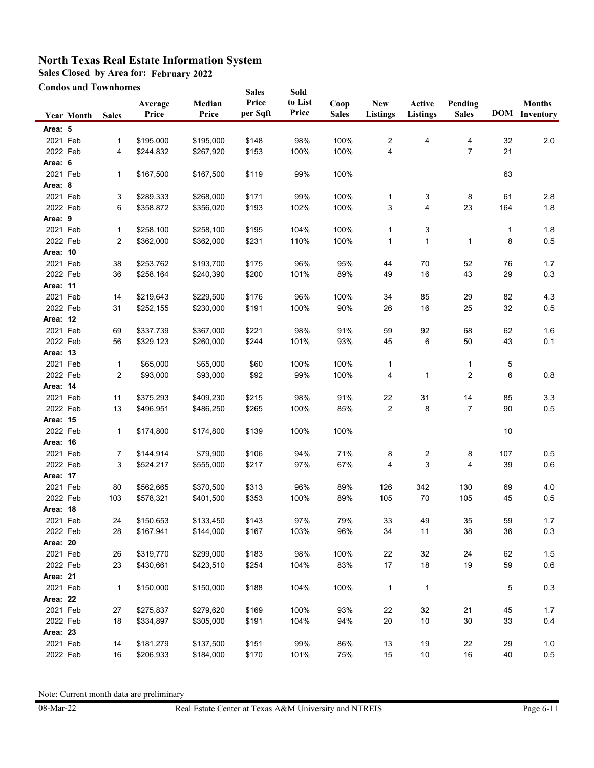**Sales Closed by Area for: February 2022**

**Condos and Townhomes**

|          | <b>Condos and Townhomes</b> |              |                  |                 | <b>Sales</b>      | Sold             |                      |                               |                           |                         |     |                                       |
|----------|-----------------------------|--------------|------------------|-----------------|-------------------|------------------|----------------------|-------------------------------|---------------------------|-------------------------|-----|---------------------------------------|
|          | <b>Year Month</b>           | <b>Sales</b> | Average<br>Price | Median<br>Price | Price<br>per Sqft | to List<br>Price | Coop<br><b>Sales</b> | <b>New</b><br><b>Listings</b> | Active<br><b>Listings</b> | Pending<br><b>Sales</b> |     | <b>Months</b><br><b>DOM</b> Inventory |
| Area: 5  |                             |              |                  |                 |                   |                  |                      |                               |                           |                         |     |                                       |
| 2021 Feb |                             | 1            | \$195,000        | \$195,000       | \$148             | 98%              | 100%                 | 2                             | 4                         | 4                       | 32  | 2.0                                   |
| 2022 Feb |                             | 4            | \$244,832        | \$267,920       | \$153             | 100%             | 100%                 | 4                             |                           | $\overline{7}$          | 21  |                                       |
| Area: 6  |                             |              |                  |                 |                   |                  |                      |                               |                           |                         |     |                                       |
| 2021 Feb |                             | 1            | \$167,500        | \$167,500       | \$119             | 99%              | 100%                 |                               |                           |                         | 63  |                                       |
| Area: 8  |                             |              |                  |                 |                   |                  |                      |                               |                           |                         |     |                                       |
| 2021 Feb |                             | 3            | \$289,333        | \$268,000       | \$171             | 99%              | 100%                 | 1                             | 3                         | 8                       | 61  | 2.8                                   |
| 2022 Feb |                             | 6            | \$358,872        | \$356,020       | \$193             | 102%             | 100%                 | 3                             | 4                         | 23                      | 164 | 1.8                                   |
| Area: 9  |                             |              |                  |                 |                   |                  |                      |                               |                           |                         |     |                                       |
| 2021 Feb |                             | 1            | \$258,100        | \$258,100       | \$195             | 104%             | 100%                 | 1                             | 3                         |                         | 1   | 1.8                                   |
| 2022 Feb |                             | 2            | \$362,000        | \$362,000       | \$231             | 110%             | 100%                 | 1                             | 1                         | 1                       | 8   | 0.5                                   |
| Area: 10 |                             |              |                  |                 |                   |                  |                      |                               |                           |                         |     |                                       |
| 2021 Feb |                             | 38           | \$253,762        | \$193,700       | \$175             | 96%              | 95%                  | 44                            | 70                        | 52                      | 76  | 1.7                                   |
| 2022 Feb |                             | 36           | \$258,164        | \$240,390       | \$200             | 101%             | 89%                  | 49                            | 16                        | 43                      | 29  | 0.3                                   |
| Area: 11 |                             |              |                  |                 |                   |                  |                      |                               |                           |                         |     |                                       |
| 2021 Feb |                             | 14           | \$219,643        | \$229,500       | \$176             | 96%              | 100%                 | 34                            | 85                        | 29                      | 82  | 4.3                                   |
| 2022 Feb |                             | 31           | \$252,155        | \$230,000       | \$191             | 100%             | 90%                  | 26                            | 16                        | 25                      | 32  | 0.5                                   |
| Area: 12 |                             |              |                  |                 |                   |                  |                      |                               |                           |                         |     |                                       |
| 2021 Feb |                             | 69           | \$337,739        | \$367,000       | \$221             | 98%              | 91%                  | 59                            | 92                        | 68                      | 62  | 1.6                                   |
| 2022 Feb |                             | 56           | \$329,123        | \$260,000       | \$244             | 101%             | 93%                  | 45                            | 6                         | 50                      | 43  | 0.1                                   |
| Area: 13 |                             |              |                  |                 |                   |                  |                      |                               |                           |                         |     |                                       |
| 2021 Feb |                             | 1            | \$65,000         | \$65,000        | \$60              | 100%             | 100%                 | 1                             |                           | 1                       | 5   |                                       |
| 2022 Feb |                             | 2            | \$93,000         | \$93,000        | \$92              | 99%              | 100%                 | 4                             | $\mathbf{1}$              | 2                       | 6   | 0.8                                   |
| Area: 14 |                             |              |                  |                 |                   |                  |                      |                               |                           |                         |     |                                       |
| 2021 Feb |                             | 11           | \$375,293        | \$409,230       | \$215             | 98%              | 91%                  | 22                            | 31                        | 14                      | 85  | 3.3                                   |
| 2022 Feb |                             | 13           | \$496,951        | \$486,250       | \$265             | 100%             | 85%                  | $\overline{c}$                | 8                         | $\overline{7}$          | 90  | 0.5                                   |
| Area: 15 |                             |              |                  |                 |                   |                  |                      |                               |                           |                         |     |                                       |
| 2022 Feb |                             | 1            | \$174,800        | \$174,800       | \$139             | 100%             | 100%                 |                               |                           |                         | 10  |                                       |
| Area: 16 |                             |              |                  |                 |                   |                  |                      |                               |                           |                         |     |                                       |
| 2021 Feb |                             | 7            | \$144,914        | \$79,900        | \$106             | 94%              | 71%                  | 8                             | 2                         | 8                       | 107 | 0.5                                   |
| 2022 Feb |                             | 3            | \$524,217        | \$555,000       | \$217             | 97%              | 67%                  | 4                             | 3                         | 4                       | 39  | 0.6                                   |
| Area: 17 |                             |              |                  |                 |                   |                  |                      |                               |                           |                         |     |                                       |
| 2021 Feb |                             | 80           | \$562,665        | \$370,500       | \$313             | 96%              | 89%                  | 126                           | 342                       | 130                     | 69  | 4.0                                   |
| 2022 Feb |                             | 103          | \$578,321        | \$401,500       | \$353             | 100%             | 89%                  | 105                           | 70                        | 105                     | 45  | 0.5                                   |
| Area: 18 |                             |              |                  |                 |                   |                  |                      |                               |                           |                         |     |                                       |
| 2021 Feb |                             | 24           | \$150,653        | \$133,450       | \$143             | 97%              | 79%                  | 33                            | 49                        | $35\,$                  | 59  | $1.7$                                 |
| 2022 Feb |                             | 28           | \$167,941        | \$144,000       | \$167             | 103%             | 96%                  | 34                            | 11                        | 38                      | 36  | 0.3                                   |
| Area: 20 |                             |              |                  |                 |                   |                  |                      |                               |                           |                         |     |                                       |
| 2021 Feb |                             | 26           | \$319,770        | \$299,000       | \$183             | 98%              | 100%                 | 22                            | 32                        | 24                      | 62  | $1.5$                                 |
| 2022 Feb |                             | 23           | \$430,661        | \$423,510       | \$254             | 104%             | 83%                  | 17                            | 18                        | 19                      | 59  | 0.6                                   |
| Area: 21 |                             |              |                  |                 |                   |                  |                      |                               |                           |                         |     |                                       |
| 2021 Feb |                             | 1            | \$150,000        | \$150,000       | \$188             | 104%             | 100%                 | $\mathbf{1}$                  | $\mathbf{1}$              |                         | 5   | 0.3                                   |
| Area: 22 |                             |              |                  |                 |                   |                  |                      |                               |                           |                         |     |                                       |
| 2021 Feb |                             | 27           | \$275,837        | \$279,620       | \$169             | 100%             | 93%                  | 22                            | 32                        | 21                      | 45  | 1.7                                   |
| 2022 Feb |                             | 18           | \$334,897        | \$305,000       | \$191             | 104%             | 94%                  | 20                            | 10                        | $30\,$                  | 33  | 0.4                                   |
| Area: 23 |                             |              |                  |                 |                   |                  |                      |                               |                           |                         |     |                                       |
| 2021 Feb |                             | 14           | \$181,279        | \$137,500       | \$151             | 99%              | 86%                  | 13                            | 19                        | 22                      | 29  | 1.0                                   |
| 2022 Feb |                             | 16           | \$206,933        | \$184,000       | \$170             | 101%             | 75%                  | 15                            | $10\,$                    | $16\,$                  | 40  | 0.5                                   |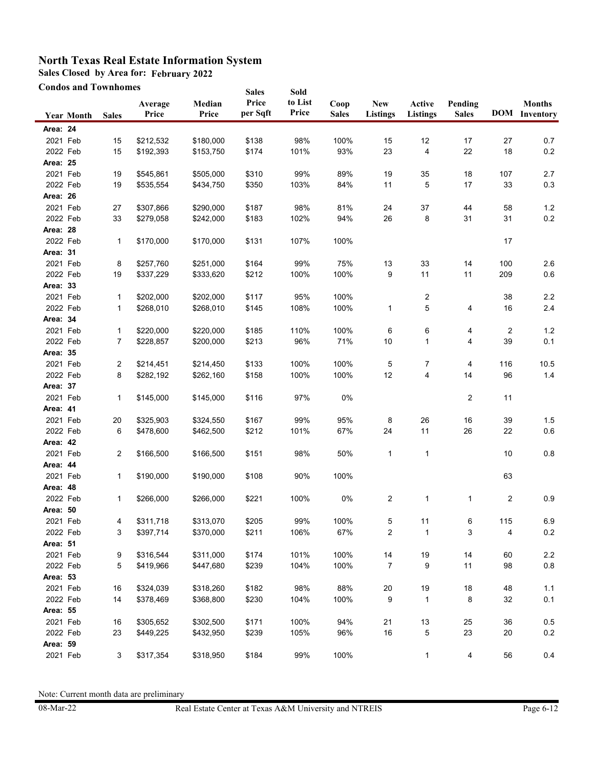**Sales Closed by Area for: February 2022**

**Condos and Townhomes**

|                 | <b>Condos and Townhomes</b> |              |                  |                 | <b>Sales</b>      | Sold             |                      |                               |                           |                         |     |                                       |
|-----------------|-----------------------------|--------------|------------------|-----------------|-------------------|------------------|----------------------|-------------------------------|---------------------------|-------------------------|-----|---------------------------------------|
|                 | <b>Year Month</b>           | <b>Sales</b> | Average<br>Price | Median<br>Price | Price<br>per Sqft | to List<br>Price | Coop<br><b>Sales</b> | <b>New</b><br><b>Listings</b> | Active<br><b>Listings</b> | Pending<br><b>Sales</b> |     | <b>Months</b><br><b>DOM</b> Inventory |
| Area: 24        |                             |              |                  |                 |                   |                  |                      |                               |                           |                         |     |                                       |
| 2021 Feb        |                             | 15           | \$212,532        | \$180,000       | \$138             | 98%              | 100%                 | 15                            | 12                        | 17                      | 27  | 0.7                                   |
| 2022 Feb        |                             | 15           | \$192,393        | \$153,750       | \$174             | 101%             | 93%                  | 23                            | 4                         | 22                      | 18  | $0.2\,$                               |
| Area: 25        |                             |              |                  |                 |                   |                  |                      |                               |                           |                         |     |                                       |
| 2021 Feb        |                             | 19           | \$545,861        | \$505,000       | \$310             | 99%              | 89%                  | 19                            | 35                        | 18                      | 107 | 2.7                                   |
| 2022 Feb        |                             | 19           | \$535,554        | \$434,750       | \$350             | 103%             | 84%                  | 11                            | 5                         | 17                      | 33  | 0.3                                   |
| Area: 26        |                             |              |                  |                 |                   |                  |                      |                               |                           |                         |     |                                       |
| 2021 Feb        |                             | 27           | \$307,866        | \$290,000       | \$187             | 98%              | 81%                  | 24                            | 37                        | 44                      | 58  | 1.2                                   |
| 2022 Feb        |                             | 33           | \$279,058        | \$242,000       | \$183             | 102%             | 94%                  | 26                            | 8                         | 31                      | 31  | 0.2                                   |
| Area: 28        |                             |              |                  |                 |                   |                  |                      |                               |                           |                         |     |                                       |
| 2022 Feb        |                             | 1            | \$170,000        | \$170,000       | \$131             | 107%             | 100%                 |                               |                           |                         | 17  |                                       |
| Area: 31        |                             |              |                  |                 |                   |                  |                      |                               |                           |                         |     |                                       |
| 2021 Feb        |                             | 8            | \$257,760        | \$251,000       | \$164             | 99%              | 75%                  | 13                            | 33                        | 14                      | 100 | 2.6                                   |
| 2022 Feb        |                             | 19           | \$337,229        | \$333,620       | \$212             | 100%             | 100%                 | 9                             | 11                        | 11                      | 209 | 0.6                                   |
| Area: 33        |                             |              |                  |                 |                   |                  |                      |                               |                           |                         |     |                                       |
| 2021 Feb        |                             | 1            | \$202,000        | \$202,000       | \$117             | 95%              | 100%                 |                               | 2                         |                         | 38  | 2.2                                   |
| 2022 Feb        |                             | 1            | \$268,010        | \$268,010       | \$145             | 108%             | 100%                 | 1                             | 5                         | 4                       | 16  | 2.4                                   |
| Area: 34        |                             |              |                  |                 |                   |                  |                      |                               |                           |                         |     |                                       |
| 2021 Feb        |                             | 1            | \$220,000        | \$220,000       | \$185             | 110%             | 100%                 | 6                             | 6                         | 4                       | 2   | 1.2                                   |
| 2022 Feb        |                             | 7            | \$228,857        | \$200,000       | \$213             | 96%              | 71%                  | 10                            | 1                         | 4                       | 39  | 0.1                                   |
| <b>Area: 35</b> |                             |              |                  |                 |                   |                  |                      |                               |                           |                         |     |                                       |
| 2021 Feb        |                             | 2            | \$214,451        | \$214,450       | \$133             | 100%             | 100%                 | 5                             | 7                         | 4                       | 116 | 10.5                                  |
| 2022 Feb        |                             | 8            | \$282,192        | \$262,160       | \$158             | 100%             | 100%                 | 12                            | 4                         | 14                      | 96  | $1.4$                                 |
| Area: 37        |                             |              |                  |                 |                   |                  |                      |                               |                           |                         |     |                                       |
| 2021 Feb        |                             | 1            | \$145,000        | \$145,000       | \$116             | 97%              | 0%                   |                               |                           | $\overline{2}$          | 11  |                                       |
| Area: 41        |                             |              |                  |                 |                   |                  |                      |                               |                           |                         |     |                                       |
| 2021 Feb        |                             | 20           | \$325,903        | \$324,550       | \$167             | 99%              | 95%                  | 8                             | 26                        | 16                      | 39  | 1.5                                   |
| 2022 Feb        |                             | 6            | \$478,600        | \$462,500       | \$212             | 101%             | 67%                  | 24                            | 11                        | 26                      | 22  | 0.6                                   |
| Area: 42        |                             |              |                  |                 |                   |                  |                      |                               |                           |                         |     |                                       |
| 2021 Feb        |                             | 2            | \$166,500        | \$166,500       | \$151             | 98%              | 50%                  | $\mathbf{1}$                  | $\mathbf{1}$              |                         | 10  | 0.8                                   |
| Area: 44        |                             |              |                  |                 |                   |                  |                      |                               |                           |                         |     |                                       |
| 2021 Feb        |                             | 1            | \$190,000        | \$190,000       | \$108             | 90%              | 100%                 |                               |                           |                         | 63  |                                       |
| Area: 48        |                             |              |                  |                 |                   |                  |                      |                               |                           |                         |     |                                       |
| 2022 Feb        |                             | 1            | \$266,000        | \$266,000       | \$221             | 100%             | 0%                   | 2                             | $\mathbf{1}$              | 1                       | 2   | 0.9                                   |
| Area: 50        |                             |              |                  |                 |                   |                  |                      |                               |                           |                         |     |                                       |
| 2021 Feb        |                             | 4            | \$311,718        | \$313,070       | \$205             | 99%              | 100%                 | 5                             | 11                        | 6                       | 115 | 6.9                                   |
| 2022 Feb        |                             | 3            | \$397,714        | \$370,000       | \$211             | 106%             | 67%                  | $\overline{c}$                | $\mathbf{1}$              | 3                       | 4   | $0.2\,$                               |
| Area: 51        |                             |              |                  |                 |                   |                  |                      |                               |                           |                         |     |                                       |
| 2021 Feb        |                             | 9            | \$316,544        | \$311,000       | \$174             | 101%             | 100%                 | 14                            | 19                        | 14                      | 60  | 2.2                                   |
| 2022 Feb        |                             | 5            | \$419,966        | \$447,680       | \$239             | 104%             | 100%                 | $\overline{7}$                | 9                         | 11                      | 98  | $0.8\,$                               |
| Area: 53        |                             |              |                  |                 |                   |                  |                      |                               |                           |                         |     |                                       |
| 2021 Feb        |                             | 16           | \$324,039        | \$318,260       | \$182             | 98%              | 88%                  | 20                            | 19                        | 18                      | 48  | 1.1                                   |
| 2022 Feb        |                             | 14           | \$378,469        | \$368,800       | \$230             | 104%             | 100%                 | 9                             | 1                         | 8                       | 32  | 0.1                                   |
| Area: 55        |                             |              |                  |                 |                   |                  |                      |                               |                           |                         |     |                                       |
| 2021 Feb        |                             | 16           | \$305,652        | \$302,500       | \$171             | 100%             | 94%                  | 21                            | 13                        | 25                      | 36  | 0.5                                   |
| 2022 Feb        |                             | 23           | \$449,225        | \$432,950       | \$239             | 105%             | 96%                  | 16                            | 5                         | 23                      | 20  | 0.2                                   |
| Area: 59        |                             |              |                  |                 |                   |                  |                      |                               |                           |                         |     |                                       |
| 2021 Feb        |                             | 3            | \$317,354        | \$318,950       | \$184             | 99%              | 100%                 |                               | $\mathbf{1}$              | 4                       | 56  | 0.4                                   |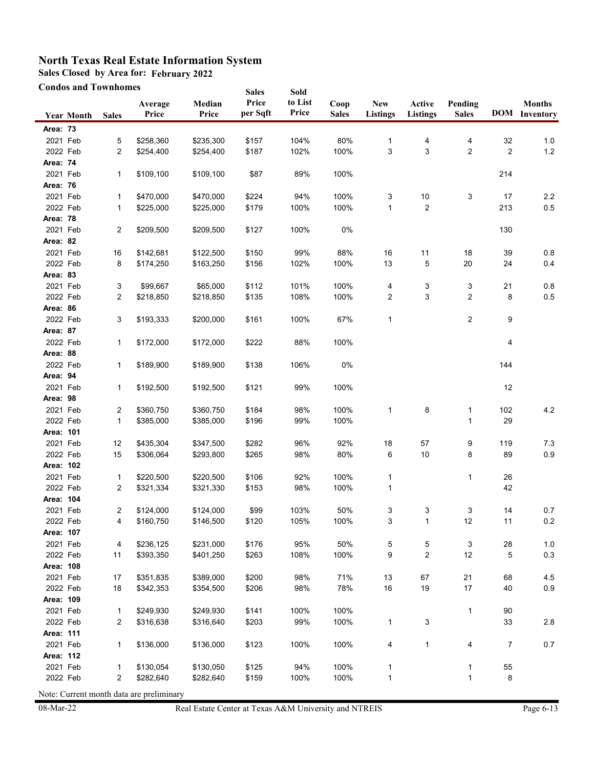**Sales Closed by Area for: February 2022**

**Condos and Townhomes**

| Price<br>to List<br>Median<br>Coop<br><b>New</b><br>Active<br>Pending<br><b>Months</b><br>Average<br>Price<br>per Sqft<br><b>DOM</b> Inventory<br>Price<br>Price<br><b>Sales</b><br>Listings<br><b>Listings</b><br><b>Sales</b><br><b>Sales</b><br><b>Year Month</b><br>Area: 73<br>2021 Feb<br>104%<br>80%<br>5<br>\$258,360<br>\$235,300<br>\$157<br>4<br>4<br>32<br>1.0<br>1<br>2022 Feb<br>$\overline{c}$<br>\$187<br>102%<br>100%<br>3<br>3<br>$\overline{2}$<br>2<br>$1.2$<br>\$254,400<br>\$254,400<br>Area: 74<br>2021 Feb<br>89%<br>1<br>\$109,100<br>\$109,100<br>\$87<br>100%<br>214<br>Area: 76<br>2021 Feb<br>$10\,$<br>3<br>$2.2\,$<br>\$470,000<br>\$470,000<br>\$224<br>94%<br>100%<br>3<br>17<br>1<br>2022 Feb<br>\$179<br>100%<br>100%<br>2<br>213<br>0.5<br>\$225,000<br>\$225,000<br>$\mathbf{1}$<br>1<br><b>Area: 78</b><br>2021 Feb<br>$\overline{c}$<br>\$209,500<br>\$209,500<br>\$127<br>100%<br>0%<br>130<br>Area: 82<br>2021 Feb<br>99%<br>11<br>0.8<br>\$142,681<br>\$122,500<br>\$150<br>88%<br>16<br>18<br>39<br>16<br>102%<br>0.4<br>2022 Feb<br>8<br>\$163,250<br>\$156<br>100%<br>13<br>5<br>20<br>24<br>\$174,250<br>Area: 83<br>2021 Feb<br>101%<br>100%<br>0.8<br>3<br>\$99,667<br>\$65,000<br>\$112<br>4<br>3<br>3<br>21<br>$\overline{c}$<br>108%<br>100%<br>3<br>2<br>8<br>0.5<br>2022 Feb<br>\$218,850<br>\$218,850<br>\$135<br>2<br>Area: 86<br>2022 Feb<br>100%<br>67%<br>3<br>\$193,333<br>\$200,000<br>\$161<br>1<br>2<br>9<br>Area: 87<br>2022 Feb<br>\$172,000<br>\$172,000<br>\$222<br>88%<br>100%<br>$\mathbf{1}$<br>4<br>Area: 88<br>2022 Feb<br>144<br>1<br>\$189,900<br>\$189,900<br>\$138<br>106%<br>0%<br>Area: 94<br>2021 Feb<br>12<br>\$192,500<br>\$121<br>99%<br>100%<br>1<br>\$192,500<br>Area: 98<br>2021 Feb<br>100%<br>8<br>4.2<br>2<br>\$360,750<br>\$360,750<br>\$184<br>98%<br>1<br>102<br>1<br>2022 Feb<br>$\mathbf{1}$<br>\$385,000<br>\$196<br>99%<br>100%<br>29<br>\$385,000<br>1<br>Area: 101<br>2021 Feb<br>92%<br>9<br>7.3<br>12<br>\$435,304<br>\$347,500<br>\$282<br>96%<br>18<br>57<br>119<br>10<br>0.9<br>2022 Feb<br>15<br>\$293,800<br>\$265<br>98%<br>80%<br>6<br>8<br>89<br>\$306,064<br>Area: 102<br>2021 Feb<br>92%<br>1<br>\$220,500<br>\$220,500<br>\$106<br>100%<br>1<br>26<br>1<br>2022 Feb<br>100%<br>42<br>\$321,334<br>\$321,330<br>\$153<br>98%<br>1<br>2<br>Area: 104<br>2021 Feb<br>103%<br>50%<br>\$99<br>3<br>3<br>0.7<br>2<br>\$124,000<br>\$124,000<br>3<br>14<br>2022 Feb<br>105%<br>100%<br>0.2<br>\$160,750<br>\$146,500<br>\$120<br>11<br>3<br>12<br>4<br>1<br>Area: 107<br>2021 Feb<br>4<br>\$236,125<br>\$231,000<br>\$176<br>95%<br>50%<br>5<br>5<br>3<br>28<br>$1.0\,$<br>2022 Feb<br>100%<br>9<br>2<br>12<br>0.3<br>11<br>\$393,350<br>\$401,250<br>\$263<br>108%<br>5<br>Area: 108<br>2021 Feb<br>\$389,000<br>\$200<br>98%<br>71%<br>13<br>67<br>21<br>68<br>4.5<br>17<br>\$351,835<br>78%<br>16<br>19<br>$17$<br>40<br>0.9<br>2022 Feb<br>18<br>\$342,353<br>\$354,500<br>\$206<br>98%<br>Area: 109<br>2021 Feb<br>$\mathbf{1}$<br>\$249,930<br>\$141<br>100%<br>100%<br>90<br>\$249,930<br>$\mathbf{1}$<br>2022 Feb<br>99%<br>100%<br>2<br>\$316,638<br>\$316,640<br>\$203<br>$\mathbf{1}$<br>3<br>33<br>$2.8\,$<br>Area: 111<br>2021 Feb<br>\$123<br>100%<br>100%<br>4<br>$\overline{7}$<br>0.7<br>1<br>\$136,000<br>\$136,000<br>4<br>$\mathbf{1}$<br>Area: 112<br>2021 Feb<br>\$125<br>100%<br>55<br>1<br>\$130,054<br>\$130,050<br>94%<br>1<br>1<br>2022 Feb<br>2<br>\$159<br>100%<br>100%<br>$\mathbf{1}$<br>8<br>\$282,640<br>\$282,640<br>$\mathbf{1}$ | <b>Condos and Townhomes</b> |  |  |  | <b>Sales</b> | Sold |  |  |  |
|---------------------------------------------------------------------------------------------------------------------------------------------------------------------------------------------------------------------------------------------------------------------------------------------------------------------------------------------------------------------------------------------------------------------------------------------------------------------------------------------------------------------------------------------------------------------------------------------------------------------------------------------------------------------------------------------------------------------------------------------------------------------------------------------------------------------------------------------------------------------------------------------------------------------------------------------------------------------------------------------------------------------------------------------------------------------------------------------------------------------------------------------------------------------------------------------------------------------------------------------------------------------------------------------------------------------------------------------------------------------------------------------------------------------------------------------------------------------------------------------------------------------------------------------------------------------------------------------------------------------------------------------------------------------------------------------------------------------------------------------------------------------------------------------------------------------------------------------------------------------------------------------------------------------------------------------------------------------------------------------------------------------------------------------------------------------------------------------------------------------------------------------------------------------------------------------------------------------------------------------------------------------------------------------------------------------------------------------------------------------------------------------------------------------------------------------------------------------------------------------------------------------------------------------------------------------------------------------------------------------------------------------------------------------------------------------------------------------------------------------------------------------------------------------------------------------------------------------------------------------------------------------------------------------------------------------------------------------------------------------------------------------------------------------------------------------------------------------------------------------------------------------------------------------------------------------------------------------------------------------------------------------------------------------------------------------------------------------------------------------------------------------------------------------------------------------------------------------------------------------------------------------------------------------------------------------------|-----------------------------|--|--|--|--------------|------|--|--|--|
|                                                                                                                                                                                                                                                                                                                                                                                                                                                                                                                                                                                                                                                                                                                                                                                                                                                                                                                                                                                                                                                                                                                                                                                                                                                                                                                                                                                                                                                                                                                                                                                                                                                                                                                                                                                                                                                                                                                                                                                                                                                                                                                                                                                                                                                                                                                                                                                                                                                                                                                                                                                                                                                                                                                                                                                                                                                                                                                                                                                                                                                                                                                                                                                                                                                                                                                                                                                                                                                                                                                                                                           |                             |  |  |  |              |      |  |  |  |
|                                                                                                                                                                                                                                                                                                                                                                                                                                                                                                                                                                                                                                                                                                                                                                                                                                                                                                                                                                                                                                                                                                                                                                                                                                                                                                                                                                                                                                                                                                                                                                                                                                                                                                                                                                                                                                                                                                                                                                                                                                                                                                                                                                                                                                                                                                                                                                                                                                                                                                                                                                                                                                                                                                                                                                                                                                                                                                                                                                                                                                                                                                                                                                                                                                                                                                                                                                                                                                                                                                                                                                           |                             |  |  |  |              |      |  |  |  |
|                                                                                                                                                                                                                                                                                                                                                                                                                                                                                                                                                                                                                                                                                                                                                                                                                                                                                                                                                                                                                                                                                                                                                                                                                                                                                                                                                                                                                                                                                                                                                                                                                                                                                                                                                                                                                                                                                                                                                                                                                                                                                                                                                                                                                                                                                                                                                                                                                                                                                                                                                                                                                                                                                                                                                                                                                                                                                                                                                                                                                                                                                                                                                                                                                                                                                                                                                                                                                                                                                                                                                                           |                             |  |  |  |              |      |  |  |  |
|                                                                                                                                                                                                                                                                                                                                                                                                                                                                                                                                                                                                                                                                                                                                                                                                                                                                                                                                                                                                                                                                                                                                                                                                                                                                                                                                                                                                                                                                                                                                                                                                                                                                                                                                                                                                                                                                                                                                                                                                                                                                                                                                                                                                                                                                                                                                                                                                                                                                                                                                                                                                                                                                                                                                                                                                                                                                                                                                                                                                                                                                                                                                                                                                                                                                                                                                                                                                                                                                                                                                                                           |                             |  |  |  |              |      |  |  |  |
|                                                                                                                                                                                                                                                                                                                                                                                                                                                                                                                                                                                                                                                                                                                                                                                                                                                                                                                                                                                                                                                                                                                                                                                                                                                                                                                                                                                                                                                                                                                                                                                                                                                                                                                                                                                                                                                                                                                                                                                                                                                                                                                                                                                                                                                                                                                                                                                                                                                                                                                                                                                                                                                                                                                                                                                                                                                                                                                                                                                                                                                                                                                                                                                                                                                                                                                                                                                                                                                                                                                                                                           |                             |  |  |  |              |      |  |  |  |
|                                                                                                                                                                                                                                                                                                                                                                                                                                                                                                                                                                                                                                                                                                                                                                                                                                                                                                                                                                                                                                                                                                                                                                                                                                                                                                                                                                                                                                                                                                                                                                                                                                                                                                                                                                                                                                                                                                                                                                                                                                                                                                                                                                                                                                                                                                                                                                                                                                                                                                                                                                                                                                                                                                                                                                                                                                                                                                                                                                                                                                                                                                                                                                                                                                                                                                                                                                                                                                                                                                                                                                           |                             |  |  |  |              |      |  |  |  |
|                                                                                                                                                                                                                                                                                                                                                                                                                                                                                                                                                                                                                                                                                                                                                                                                                                                                                                                                                                                                                                                                                                                                                                                                                                                                                                                                                                                                                                                                                                                                                                                                                                                                                                                                                                                                                                                                                                                                                                                                                                                                                                                                                                                                                                                                                                                                                                                                                                                                                                                                                                                                                                                                                                                                                                                                                                                                                                                                                                                                                                                                                                                                                                                                                                                                                                                                                                                                                                                                                                                                                                           |                             |  |  |  |              |      |  |  |  |
|                                                                                                                                                                                                                                                                                                                                                                                                                                                                                                                                                                                                                                                                                                                                                                                                                                                                                                                                                                                                                                                                                                                                                                                                                                                                                                                                                                                                                                                                                                                                                                                                                                                                                                                                                                                                                                                                                                                                                                                                                                                                                                                                                                                                                                                                                                                                                                                                                                                                                                                                                                                                                                                                                                                                                                                                                                                                                                                                                                                                                                                                                                                                                                                                                                                                                                                                                                                                                                                                                                                                                                           |                             |  |  |  |              |      |  |  |  |
|                                                                                                                                                                                                                                                                                                                                                                                                                                                                                                                                                                                                                                                                                                                                                                                                                                                                                                                                                                                                                                                                                                                                                                                                                                                                                                                                                                                                                                                                                                                                                                                                                                                                                                                                                                                                                                                                                                                                                                                                                                                                                                                                                                                                                                                                                                                                                                                                                                                                                                                                                                                                                                                                                                                                                                                                                                                                                                                                                                                                                                                                                                                                                                                                                                                                                                                                                                                                                                                                                                                                                                           |                             |  |  |  |              |      |  |  |  |
|                                                                                                                                                                                                                                                                                                                                                                                                                                                                                                                                                                                                                                                                                                                                                                                                                                                                                                                                                                                                                                                                                                                                                                                                                                                                                                                                                                                                                                                                                                                                                                                                                                                                                                                                                                                                                                                                                                                                                                                                                                                                                                                                                                                                                                                                                                                                                                                                                                                                                                                                                                                                                                                                                                                                                                                                                                                                                                                                                                                                                                                                                                                                                                                                                                                                                                                                                                                                                                                                                                                                                                           |                             |  |  |  |              |      |  |  |  |
|                                                                                                                                                                                                                                                                                                                                                                                                                                                                                                                                                                                                                                                                                                                                                                                                                                                                                                                                                                                                                                                                                                                                                                                                                                                                                                                                                                                                                                                                                                                                                                                                                                                                                                                                                                                                                                                                                                                                                                                                                                                                                                                                                                                                                                                                                                                                                                                                                                                                                                                                                                                                                                                                                                                                                                                                                                                                                                                                                                                                                                                                                                                                                                                                                                                                                                                                                                                                                                                                                                                                                                           |                             |  |  |  |              |      |  |  |  |
|                                                                                                                                                                                                                                                                                                                                                                                                                                                                                                                                                                                                                                                                                                                                                                                                                                                                                                                                                                                                                                                                                                                                                                                                                                                                                                                                                                                                                                                                                                                                                                                                                                                                                                                                                                                                                                                                                                                                                                                                                                                                                                                                                                                                                                                                                                                                                                                                                                                                                                                                                                                                                                                                                                                                                                                                                                                                                                                                                                                                                                                                                                                                                                                                                                                                                                                                                                                                                                                                                                                                                                           |                             |  |  |  |              |      |  |  |  |
|                                                                                                                                                                                                                                                                                                                                                                                                                                                                                                                                                                                                                                                                                                                                                                                                                                                                                                                                                                                                                                                                                                                                                                                                                                                                                                                                                                                                                                                                                                                                                                                                                                                                                                                                                                                                                                                                                                                                                                                                                                                                                                                                                                                                                                                                                                                                                                                                                                                                                                                                                                                                                                                                                                                                                                                                                                                                                                                                                                                                                                                                                                                                                                                                                                                                                                                                                                                                                                                                                                                                                                           |                             |  |  |  |              |      |  |  |  |
|                                                                                                                                                                                                                                                                                                                                                                                                                                                                                                                                                                                                                                                                                                                                                                                                                                                                                                                                                                                                                                                                                                                                                                                                                                                                                                                                                                                                                                                                                                                                                                                                                                                                                                                                                                                                                                                                                                                                                                                                                                                                                                                                                                                                                                                                                                                                                                                                                                                                                                                                                                                                                                                                                                                                                                                                                                                                                                                                                                                                                                                                                                                                                                                                                                                                                                                                                                                                                                                                                                                                                                           |                             |  |  |  |              |      |  |  |  |
|                                                                                                                                                                                                                                                                                                                                                                                                                                                                                                                                                                                                                                                                                                                                                                                                                                                                                                                                                                                                                                                                                                                                                                                                                                                                                                                                                                                                                                                                                                                                                                                                                                                                                                                                                                                                                                                                                                                                                                                                                                                                                                                                                                                                                                                                                                                                                                                                                                                                                                                                                                                                                                                                                                                                                                                                                                                                                                                                                                                                                                                                                                                                                                                                                                                                                                                                                                                                                                                                                                                                                                           |                             |  |  |  |              |      |  |  |  |
|                                                                                                                                                                                                                                                                                                                                                                                                                                                                                                                                                                                                                                                                                                                                                                                                                                                                                                                                                                                                                                                                                                                                                                                                                                                                                                                                                                                                                                                                                                                                                                                                                                                                                                                                                                                                                                                                                                                                                                                                                                                                                                                                                                                                                                                                                                                                                                                                                                                                                                                                                                                                                                                                                                                                                                                                                                                                                                                                                                                                                                                                                                                                                                                                                                                                                                                                                                                                                                                                                                                                                                           |                             |  |  |  |              |      |  |  |  |
|                                                                                                                                                                                                                                                                                                                                                                                                                                                                                                                                                                                                                                                                                                                                                                                                                                                                                                                                                                                                                                                                                                                                                                                                                                                                                                                                                                                                                                                                                                                                                                                                                                                                                                                                                                                                                                                                                                                                                                                                                                                                                                                                                                                                                                                                                                                                                                                                                                                                                                                                                                                                                                                                                                                                                                                                                                                                                                                                                                                                                                                                                                                                                                                                                                                                                                                                                                                                                                                                                                                                                                           |                             |  |  |  |              |      |  |  |  |
|                                                                                                                                                                                                                                                                                                                                                                                                                                                                                                                                                                                                                                                                                                                                                                                                                                                                                                                                                                                                                                                                                                                                                                                                                                                                                                                                                                                                                                                                                                                                                                                                                                                                                                                                                                                                                                                                                                                                                                                                                                                                                                                                                                                                                                                                                                                                                                                                                                                                                                                                                                                                                                                                                                                                                                                                                                                                                                                                                                                                                                                                                                                                                                                                                                                                                                                                                                                                                                                                                                                                                                           |                             |  |  |  |              |      |  |  |  |
|                                                                                                                                                                                                                                                                                                                                                                                                                                                                                                                                                                                                                                                                                                                                                                                                                                                                                                                                                                                                                                                                                                                                                                                                                                                                                                                                                                                                                                                                                                                                                                                                                                                                                                                                                                                                                                                                                                                                                                                                                                                                                                                                                                                                                                                                                                                                                                                                                                                                                                                                                                                                                                                                                                                                                                                                                                                                                                                                                                                                                                                                                                                                                                                                                                                                                                                                                                                                                                                                                                                                                                           |                             |  |  |  |              |      |  |  |  |
|                                                                                                                                                                                                                                                                                                                                                                                                                                                                                                                                                                                                                                                                                                                                                                                                                                                                                                                                                                                                                                                                                                                                                                                                                                                                                                                                                                                                                                                                                                                                                                                                                                                                                                                                                                                                                                                                                                                                                                                                                                                                                                                                                                                                                                                                                                                                                                                                                                                                                                                                                                                                                                                                                                                                                                                                                                                                                                                                                                                                                                                                                                                                                                                                                                                                                                                                                                                                                                                                                                                                                                           |                             |  |  |  |              |      |  |  |  |
|                                                                                                                                                                                                                                                                                                                                                                                                                                                                                                                                                                                                                                                                                                                                                                                                                                                                                                                                                                                                                                                                                                                                                                                                                                                                                                                                                                                                                                                                                                                                                                                                                                                                                                                                                                                                                                                                                                                                                                                                                                                                                                                                                                                                                                                                                                                                                                                                                                                                                                                                                                                                                                                                                                                                                                                                                                                                                                                                                                                                                                                                                                                                                                                                                                                                                                                                                                                                                                                                                                                                                                           |                             |  |  |  |              |      |  |  |  |
|                                                                                                                                                                                                                                                                                                                                                                                                                                                                                                                                                                                                                                                                                                                                                                                                                                                                                                                                                                                                                                                                                                                                                                                                                                                                                                                                                                                                                                                                                                                                                                                                                                                                                                                                                                                                                                                                                                                                                                                                                                                                                                                                                                                                                                                                                                                                                                                                                                                                                                                                                                                                                                                                                                                                                                                                                                                                                                                                                                                                                                                                                                                                                                                                                                                                                                                                                                                                                                                                                                                                                                           |                             |  |  |  |              |      |  |  |  |
|                                                                                                                                                                                                                                                                                                                                                                                                                                                                                                                                                                                                                                                                                                                                                                                                                                                                                                                                                                                                                                                                                                                                                                                                                                                                                                                                                                                                                                                                                                                                                                                                                                                                                                                                                                                                                                                                                                                                                                                                                                                                                                                                                                                                                                                                                                                                                                                                                                                                                                                                                                                                                                                                                                                                                                                                                                                                                                                                                                                                                                                                                                                                                                                                                                                                                                                                                                                                                                                                                                                                                                           |                             |  |  |  |              |      |  |  |  |
|                                                                                                                                                                                                                                                                                                                                                                                                                                                                                                                                                                                                                                                                                                                                                                                                                                                                                                                                                                                                                                                                                                                                                                                                                                                                                                                                                                                                                                                                                                                                                                                                                                                                                                                                                                                                                                                                                                                                                                                                                                                                                                                                                                                                                                                                                                                                                                                                                                                                                                                                                                                                                                                                                                                                                                                                                                                                                                                                                                                                                                                                                                                                                                                                                                                                                                                                                                                                                                                                                                                                                                           |                             |  |  |  |              |      |  |  |  |
|                                                                                                                                                                                                                                                                                                                                                                                                                                                                                                                                                                                                                                                                                                                                                                                                                                                                                                                                                                                                                                                                                                                                                                                                                                                                                                                                                                                                                                                                                                                                                                                                                                                                                                                                                                                                                                                                                                                                                                                                                                                                                                                                                                                                                                                                                                                                                                                                                                                                                                                                                                                                                                                                                                                                                                                                                                                                                                                                                                                                                                                                                                                                                                                                                                                                                                                                                                                                                                                                                                                                                                           |                             |  |  |  |              |      |  |  |  |
|                                                                                                                                                                                                                                                                                                                                                                                                                                                                                                                                                                                                                                                                                                                                                                                                                                                                                                                                                                                                                                                                                                                                                                                                                                                                                                                                                                                                                                                                                                                                                                                                                                                                                                                                                                                                                                                                                                                                                                                                                                                                                                                                                                                                                                                                                                                                                                                                                                                                                                                                                                                                                                                                                                                                                                                                                                                                                                                                                                                                                                                                                                                                                                                                                                                                                                                                                                                                                                                                                                                                                                           |                             |  |  |  |              |      |  |  |  |
|                                                                                                                                                                                                                                                                                                                                                                                                                                                                                                                                                                                                                                                                                                                                                                                                                                                                                                                                                                                                                                                                                                                                                                                                                                                                                                                                                                                                                                                                                                                                                                                                                                                                                                                                                                                                                                                                                                                                                                                                                                                                                                                                                                                                                                                                                                                                                                                                                                                                                                                                                                                                                                                                                                                                                                                                                                                                                                                                                                                                                                                                                                                                                                                                                                                                                                                                                                                                                                                                                                                                                                           |                             |  |  |  |              |      |  |  |  |
|                                                                                                                                                                                                                                                                                                                                                                                                                                                                                                                                                                                                                                                                                                                                                                                                                                                                                                                                                                                                                                                                                                                                                                                                                                                                                                                                                                                                                                                                                                                                                                                                                                                                                                                                                                                                                                                                                                                                                                                                                                                                                                                                                                                                                                                                                                                                                                                                                                                                                                                                                                                                                                                                                                                                                                                                                                                                                                                                                                                                                                                                                                                                                                                                                                                                                                                                                                                                                                                                                                                                                                           |                             |  |  |  |              |      |  |  |  |
|                                                                                                                                                                                                                                                                                                                                                                                                                                                                                                                                                                                                                                                                                                                                                                                                                                                                                                                                                                                                                                                                                                                                                                                                                                                                                                                                                                                                                                                                                                                                                                                                                                                                                                                                                                                                                                                                                                                                                                                                                                                                                                                                                                                                                                                                                                                                                                                                                                                                                                                                                                                                                                                                                                                                                                                                                                                                                                                                                                                                                                                                                                                                                                                                                                                                                                                                                                                                                                                                                                                                                                           |                             |  |  |  |              |      |  |  |  |
|                                                                                                                                                                                                                                                                                                                                                                                                                                                                                                                                                                                                                                                                                                                                                                                                                                                                                                                                                                                                                                                                                                                                                                                                                                                                                                                                                                                                                                                                                                                                                                                                                                                                                                                                                                                                                                                                                                                                                                                                                                                                                                                                                                                                                                                                                                                                                                                                                                                                                                                                                                                                                                                                                                                                                                                                                                                                                                                                                                                                                                                                                                                                                                                                                                                                                                                                                                                                                                                                                                                                                                           |                             |  |  |  |              |      |  |  |  |
|                                                                                                                                                                                                                                                                                                                                                                                                                                                                                                                                                                                                                                                                                                                                                                                                                                                                                                                                                                                                                                                                                                                                                                                                                                                                                                                                                                                                                                                                                                                                                                                                                                                                                                                                                                                                                                                                                                                                                                                                                                                                                                                                                                                                                                                                                                                                                                                                                                                                                                                                                                                                                                                                                                                                                                                                                                                                                                                                                                                                                                                                                                                                                                                                                                                                                                                                                                                                                                                                                                                                                                           |                             |  |  |  |              |      |  |  |  |
|                                                                                                                                                                                                                                                                                                                                                                                                                                                                                                                                                                                                                                                                                                                                                                                                                                                                                                                                                                                                                                                                                                                                                                                                                                                                                                                                                                                                                                                                                                                                                                                                                                                                                                                                                                                                                                                                                                                                                                                                                                                                                                                                                                                                                                                                                                                                                                                                                                                                                                                                                                                                                                                                                                                                                                                                                                                                                                                                                                                                                                                                                                                                                                                                                                                                                                                                                                                                                                                                                                                                                                           |                             |  |  |  |              |      |  |  |  |
|                                                                                                                                                                                                                                                                                                                                                                                                                                                                                                                                                                                                                                                                                                                                                                                                                                                                                                                                                                                                                                                                                                                                                                                                                                                                                                                                                                                                                                                                                                                                                                                                                                                                                                                                                                                                                                                                                                                                                                                                                                                                                                                                                                                                                                                                                                                                                                                                                                                                                                                                                                                                                                                                                                                                                                                                                                                                                                                                                                                                                                                                                                                                                                                                                                                                                                                                                                                                                                                                                                                                                                           |                             |  |  |  |              |      |  |  |  |
|                                                                                                                                                                                                                                                                                                                                                                                                                                                                                                                                                                                                                                                                                                                                                                                                                                                                                                                                                                                                                                                                                                                                                                                                                                                                                                                                                                                                                                                                                                                                                                                                                                                                                                                                                                                                                                                                                                                                                                                                                                                                                                                                                                                                                                                                                                                                                                                                                                                                                                                                                                                                                                                                                                                                                                                                                                                                                                                                                                                                                                                                                                                                                                                                                                                                                                                                                                                                                                                                                                                                                                           |                             |  |  |  |              |      |  |  |  |
|                                                                                                                                                                                                                                                                                                                                                                                                                                                                                                                                                                                                                                                                                                                                                                                                                                                                                                                                                                                                                                                                                                                                                                                                                                                                                                                                                                                                                                                                                                                                                                                                                                                                                                                                                                                                                                                                                                                                                                                                                                                                                                                                                                                                                                                                                                                                                                                                                                                                                                                                                                                                                                                                                                                                                                                                                                                                                                                                                                                                                                                                                                                                                                                                                                                                                                                                                                                                                                                                                                                                                                           |                             |  |  |  |              |      |  |  |  |
|                                                                                                                                                                                                                                                                                                                                                                                                                                                                                                                                                                                                                                                                                                                                                                                                                                                                                                                                                                                                                                                                                                                                                                                                                                                                                                                                                                                                                                                                                                                                                                                                                                                                                                                                                                                                                                                                                                                                                                                                                                                                                                                                                                                                                                                                                                                                                                                                                                                                                                                                                                                                                                                                                                                                                                                                                                                                                                                                                                                                                                                                                                                                                                                                                                                                                                                                                                                                                                                                                                                                                                           |                             |  |  |  |              |      |  |  |  |
|                                                                                                                                                                                                                                                                                                                                                                                                                                                                                                                                                                                                                                                                                                                                                                                                                                                                                                                                                                                                                                                                                                                                                                                                                                                                                                                                                                                                                                                                                                                                                                                                                                                                                                                                                                                                                                                                                                                                                                                                                                                                                                                                                                                                                                                                                                                                                                                                                                                                                                                                                                                                                                                                                                                                                                                                                                                                                                                                                                                                                                                                                                                                                                                                                                                                                                                                                                                                                                                                                                                                                                           |                             |  |  |  |              |      |  |  |  |
|                                                                                                                                                                                                                                                                                                                                                                                                                                                                                                                                                                                                                                                                                                                                                                                                                                                                                                                                                                                                                                                                                                                                                                                                                                                                                                                                                                                                                                                                                                                                                                                                                                                                                                                                                                                                                                                                                                                                                                                                                                                                                                                                                                                                                                                                                                                                                                                                                                                                                                                                                                                                                                                                                                                                                                                                                                                                                                                                                                                                                                                                                                                                                                                                                                                                                                                                                                                                                                                                                                                                                                           |                             |  |  |  |              |      |  |  |  |
|                                                                                                                                                                                                                                                                                                                                                                                                                                                                                                                                                                                                                                                                                                                                                                                                                                                                                                                                                                                                                                                                                                                                                                                                                                                                                                                                                                                                                                                                                                                                                                                                                                                                                                                                                                                                                                                                                                                                                                                                                                                                                                                                                                                                                                                                                                                                                                                                                                                                                                                                                                                                                                                                                                                                                                                                                                                                                                                                                                                                                                                                                                                                                                                                                                                                                                                                                                                                                                                                                                                                                                           |                             |  |  |  |              |      |  |  |  |
|                                                                                                                                                                                                                                                                                                                                                                                                                                                                                                                                                                                                                                                                                                                                                                                                                                                                                                                                                                                                                                                                                                                                                                                                                                                                                                                                                                                                                                                                                                                                                                                                                                                                                                                                                                                                                                                                                                                                                                                                                                                                                                                                                                                                                                                                                                                                                                                                                                                                                                                                                                                                                                                                                                                                                                                                                                                                                                                                                                                                                                                                                                                                                                                                                                                                                                                                                                                                                                                                                                                                                                           |                             |  |  |  |              |      |  |  |  |
|                                                                                                                                                                                                                                                                                                                                                                                                                                                                                                                                                                                                                                                                                                                                                                                                                                                                                                                                                                                                                                                                                                                                                                                                                                                                                                                                                                                                                                                                                                                                                                                                                                                                                                                                                                                                                                                                                                                                                                                                                                                                                                                                                                                                                                                                                                                                                                                                                                                                                                                                                                                                                                                                                                                                                                                                                                                                                                                                                                                                                                                                                                                                                                                                                                                                                                                                                                                                                                                                                                                                                                           |                             |  |  |  |              |      |  |  |  |
|                                                                                                                                                                                                                                                                                                                                                                                                                                                                                                                                                                                                                                                                                                                                                                                                                                                                                                                                                                                                                                                                                                                                                                                                                                                                                                                                                                                                                                                                                                                                                                                                                                                                                                                                                                                                                                                                                                                                                                                                                                                                                                                                                                                                                                                                                                                                                                                                                                                                                                                                                                                                                                                                                                                                                                                                                                                                                                                                                                                                                                                                                                                                                                                                                                                                                                                                                                                                                                                                                                                                                                           |                             |  |  |  |              |      |  |  |  |
|                                                                                                                                                                                                                                                                                                                                                                                                                                                                                                                                                                                                                                                                                                                                                                                                                                                                                                                                                                                                                                                                                                                                                                                                                                                                                                                                                                                                                                                                                                                                                                                                                                                                                                                                                                                                                                                                                                                                                                                                                                                                                                                                                                                                                                                                                                                                                                                                                                                                                                                                                                                                                                                                                                                                                                                                                                                                                                                                                                                                                                                                                                                                                                                                                                                                                                                                                                                                                                                                                                                                                                           |                             |  |  |  |              |      |  |  |  |
|                                                                                                                                                                                                                                                                                                                                                                                                                                                                                                                                                                                                                                                                                                                                                                                                                                                                                                                                                                                                                                                                                                                                                                                                                                                                                                                                                                                                                                                                                                                                                                                                                                                                                                                                                                                                                                                                                                                                                                                                                                                                                                                                                                                                                                                                                                                                                                                                                                                                                                                                                                                                                                                                                                                                                                                                                                                                                                                                                                                                                                                                                                                                                                                                                                                                                                                                                                                                                                                                                                                                                                           |                             |  |  |  |              |      |  |  |  |
|                                                                                                                                                                                                                                                                                                                                                                                                                                                                                                                                                                                                                                                                                                                                                                                                                                                                                                                                                                                                                                                                                                                                                                                                                                                                                                                                                                                                                                                                                                                                                                                                                                                                                                                                                                                                                                                                                                                                                                                                                                                                                                                                                                                                                                                                                                                                                                                                                                                                                                                                                                                                                                                                                                                                                                                                                                                                                                                                                                                                                                                                                                                                                                                                                                                                                                                                                                                                                                                                                                                                                                           |                             |  |  |  |              |      |  |  |  |
|                                                                                                                                                                                                                                                                                                                                                                                                                                                                                                                                                                                                                                                                                                                                                                                                                                                                                                                                                                                                                                                                                                                                                                                                                                                                                                                                                                                                                                                                                                                                                                                                                                                                                                                                                                                                                                                                                                                                                                                                                                                                                                                                                                                                                                                                                                                                                                                                                                                                                                                                                                                                                                                                                                                                                                                                                                                                                                                                                                                                                                                                                                                                                                                                                                                                                                                                                                                                                                                                                                                                                                           |                             |  |  |  |              |      |  |  |  |
|                                                                                                                                                                                                                                                                                                                                                                                                                                                                                                                                                                                                                                                                                                                                                                                                                                                                                                                                                                                                                                                                                                                                                                                                                                                                                                                                                                                                                                                                                                                                                                                                                                                                                                                                                                                                                                                                                                                                                                                                                                                                                                                                                                                                                                                                                                                                                                                                                                                                                                                                                                                                                                                                                                                                                                                                                                                                                                                                                                                                                                                                                                                                                                                                                                                                                                                                                                                                                                                                                                                                                                           |                             |  |  |  |              |      |  |  |  |
|                                                                                                                                                                                                                                                                                                                                                                                                                                                                                                                                                                                                                                                                                                                                                                                                                                                                                                                                                                                                                                                                                                                                                                                                                                                                                                                                                                                                                                                                                                                                                                                                                                                                                                                                                                                                                                                                                                                                                                                                                                                                                                                                                                                                                                                                                                                                                                                                                                                                                                                                                                                                                                                                                                                                                                                                                                                                                                                                                                                                                                                                                                                                                                                                                                                                                                                                                                                                                                                                                                                                                                           |                             |  |  |  |              |      |  |  |  |
|                                                                                                                                                                                                                                                                                                                                                                                                                                                                                                                                                                                                                                                                                                                                                                                                                                                                                                                                                                                                                                                                                                                                                                                                                                                                                                                                                                                                                                                                                                                                                                                                                                                                                                                                                                                                                                                                                                                                                                                                                                                                                                                                                                                                                                                                                                                                                                                                                                                                                                                                                                                                                                                                                                                                                                                                                                                                                                                                                                                                                                                                                                                                                                                                                                                                                                                                                                                                                                                                                                                                                                           |                             |  |  |  |              |      |  |  |  |
|                                                                                                                                                                                                                                                                                                                                                                                                                                                                                                                                                                                                                                                                                                                                                                                                                                                                                                                                                                                                                                                                                                                                                                                                                                                                                                                                                                                                                                                                                                                                                                                                                                                                                                                                                                                                                                                                                                                                                                                                                                                                                                                                                                                                                                                                                                                                                                                                                                                                                                                                                                                                                                                                                                                                                                                                                                                                                                                                                                                                                                                                                                                                                                                                                                                                                                                                                                                                                                                                                                                                                                           |                             |  |  |  |              |      |  |  |  |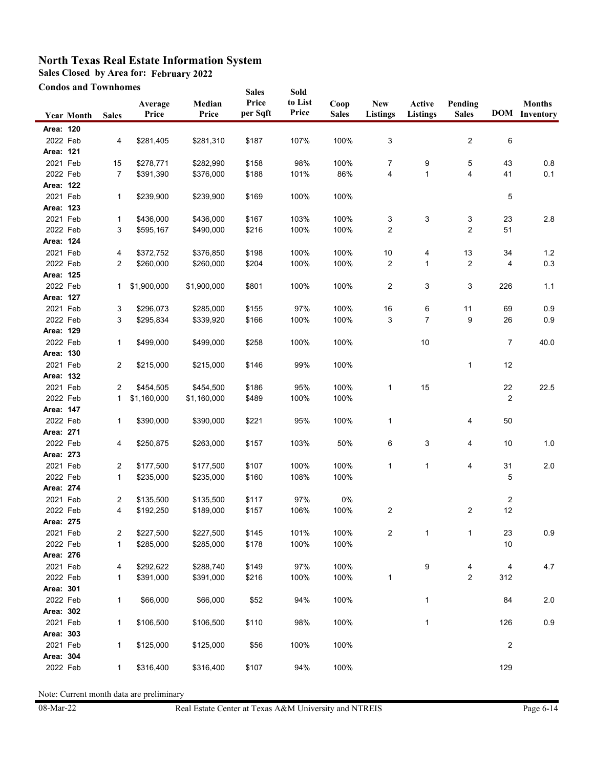**Sales Closed by Area for: February 2022**

**Condos and Townhomes**

| <b>Condos and Townhomes</b> |                   |                   |                          | <b>Sales</b>             | Sold              |                  |              |                 |              |                |     |                      |
|-----------------------------|-------------------|-------------------|--------------------------|--------------------------|-------------------|------------------|--------------|-----------------|--------------|----------------|-----|----------------------|
|                             |                   |                   | Average                  | Median                   | Price<br>per Sqft | to List<br>Price | Coop         | <b>New</b>      | Active       | Pending        |     | <b>Months</b>        |
|                             | <b>Year Month</b> | <b>Sales</b>      | Price                    | Price                    |                   |                  | <b>Sales</b> | <b>Listings</b> | Listings     | <b>Sales</b>   |     | <b>DOM</b> Inventory |
| Area: 120                   |                   |                   |                          |                          |                   |                  |              |                 |              |                |     |                      |
| 2022 Feb                    |                   | 4                 | \$281,405                | \$281,310                | \$187             | 107%             | 100%         | 3               |              | 2              | 6   |                      |
| Area: 121                   |                   |                   |                          |                          |                   |                  |              |                 |              |                |     |                      |
| 2021 Feb                    |                   | 15                | \$278,771                | \$282,990                | \$158             | 98%              | 100%         | 7               | 9            | 5              | 43  | 0.8                  |
| 2022 Feb                    |                   | 7                 | \$391,390                | \$376,000                | \$188             | 101%             | 86%          | 4               | $\mathbf{1}$ | 4              | 41  | 0.1                  |
| Area: 122                   |                   |                   |                          |                          |                   |                  |              |                 |              |                |     |                      |
| 2021 Feb                    |                   | 1                 | \$239,900                | \$239,900                | \$169             | 100%             | 100%         |                 |              |                | 5   |                      |
| Area: 123                   |                   |                   |                          |                          |                   |                  |              |                 |              |                |     |                      |
| 2021 Feb                    |                   | 1                 | \$436,000                | \$436,000                | \$167             | 103%             | 100%         | 3               | 3            | 3              | 23  | $2.8\,$              |
| 2022 Feb                    |                   | 3                 | \$595,167                | \$490,000                | \$216             | 100%             | 100%         | $\overline{c}$  |              | $\overline{2}$ | 51  |                      |
| Area: 124                   |                   |                   |                          |                          |                   |                  |              |                 |              |                |     |                      |
| 2021 Feb                    |                   | 4                 | \$372,752                | \$376,850                | \$198             | 100%             | 100%         | 10              | 4            | 13             | 34  | 1.2                  |
| 2022 Feb                    |                   | $\overline{c}$    | \$260,000                | \$260,000                | \$204             | 100%             | 100%         | 2               | 1            | 2              | 4   | $0.3\,$              |
| Area: 125                   |                   |                   |                          |                          |                   |                  |              |                 |              |                |     |                      |
| 2022 Feb                    |                   | 1                 | \$1,900,000              | \$1,900,000              | \$801             | 100%             | 100%         | 2               | 3            | 3              | 226 | 1.1                  |
| Area: 127                   |                   |                   |                          |                          |                   |                  |              |                 |              |                |     |                      |
| 2021 Feb                    |                   | 3                 | \$296,073                | \$285,000                | \$155             | 97%              | 100%         | 16              | 6            | 11             | 69  | 0.9                  |
| 2022 Feb                    |                   | 3                 | \$295,834                | \$339,920                | \$166             | 100%             | 100%         | 3               | 7            | 9              | 26  | 0.9                  |
| Area: 129                   |                   |                   |                          |                          |                   |                  |              |                 |              |                |     |                      |
| 2022 Feb                    |                   | $\mathbf{1}$      | \$499,000                | \$499,000                | \$258             | 100%             | 100%         |                 | 10           |                | 7   | 40.0                 |
| Area: 130                   |                   |                   |                          |                          |                   |                  |              |                 |              |                |     |                      |
| 2021 Feb                    |                   | 2                 | \$215,000                | \$215,000                | \$146             | 99%              | 100%         |                 |              | $\mathbf{1}$   | 12  |                      |
| Area: 132                   |                   |                   |                          |                          |                   |                  |              |                 |              |                |     |                      |
| 2021 Feb<br>2022 Feb        |                   | 2<br>$\mathbf{1}$ | \$454,505<br>\$1,160,000 | \$454,500<br>\$1,160,000 | \$186<br>\$489    | 95%<br>100%      | 100%<br>100% | 1               | 15           |                | 22  | 22.5                 |
| Area: 147                   |                   |                   |                          |                          |                   |                  |              |                 |              |                | 2   |                      |
| 2022 Feb                    |                   |                   | \$390,000                | \$390,000                |                   | 95%              | 100%         | 1               |              |                | 50  |                      |
| Area: 271                   |                   | 1                 |                          |                          | \$221             |                  |              |                 |              | 4              |     |                      |
| 2022 Feb                    |                   | 4                 | \$250,875                | \$263,000                | \$157             | 103%             | 50%          | 6               | 3            | 4              | 10  | $1.0$                |
| Area: 273                   |                   |                   |                          |                          |                   |                  |              |                 |              |                |     |                      |
| 2021 Feb                    |                   | 2                 | \$177,500                | \$177,500                | \$107             | 100%             | 100%         | 1               | $\mathbf{1}$ | 4              | 31  | 2.0                  |
| 2022 Feb                    |                   | 1                 | \$235,000                | \$235,000                | \$160             | 108%             | 100%         |                 |              |                | 5   |                      |
| Area: 274                   |                   |                   |                          |                          |                   |                  |              |                 |              |                |     |                      |
| 2021 Feb                    |                   | 2                 | \$135,500                | \$135,500                | \$117             | 97%              | 0%           |                 |              |                | 2   |                      |
| 2022 Feb                    |                   | 4                 | \$192,250                | \$189,000                | \$157             | 106%             | 100%         | 2               |              | 2              | 12  |                      |
| Area: 275                   |                   |                   |                          |                          |                   |                  |              |                 |              |                |     |                      |
| 2021 Feb                    |                   | 2                 | \$227,500                | \$227,500                | \$145             | 101%             | 100%         | $\overline{c}$  | $\mathbf{1}$ | $\mathbf{1}$   | 23  | 0.9                  |
| 2022 Feb                    |                   | $\mathbf{1}$      | \$285,000                | \$285,000                | \$178             | 100%             | 100%         |                 |              |                | 10  |                      |
| Area: 276                   |                   |                   |                          |                          |                   |                  |              |                 |              |                |     |                      |
| 2021 Feb                    |                   | 4                 | \$292,622                | \$288,740                | \$149             | 97%              | 100%         |                 | 9            | 4              | 4   | 4.7                  |
| 2022 Feb                    |                   | 1                 | \$391,000                | \$391,000                | \$216             | 100%             | 100%         | 1               |              | 2              | 312 |                      |
| Area: 301                   |                   |                   |                          |                          |                   |                  |              |                 |              |                |     |                      |
| 2022 Feb                    |                   | 1                 | \$66,000                 | \$66,000                 | \$52              | 94%              | 100%         |                 | 1            |                | 84  | $2.0\,$              |
| Area: 302                   |                   |                   |                          |                          |                   |                  |              |                 |              |                |     |                      |
| 2021 Feb                    |                   | 1                 | \$106,500                | \$106,500                | \$110             | 98%              | 100%         |                 | $\mathbf{1}$ |                | 126 | $0.9\,$              |
| Area: 303                   |                   |                   |                          |                          |                   |                  |              |                 |              |                |     |                      |
| 2021 Feb                    |                   | 1                 | \$125,000                | \$125,000                | \$56              | 100%             | 100%         |                 |              |                | 2   |                      |
| Area: 304                   |                   |                   |                          |                          |                   |                  |              |                 |              |                |     |                      |
| 2022 Feb                    |                   | 1                 | \$316,400                | \$316,400                | \$107             | 94%              | 100%         |                 |              |                | 129 |                      |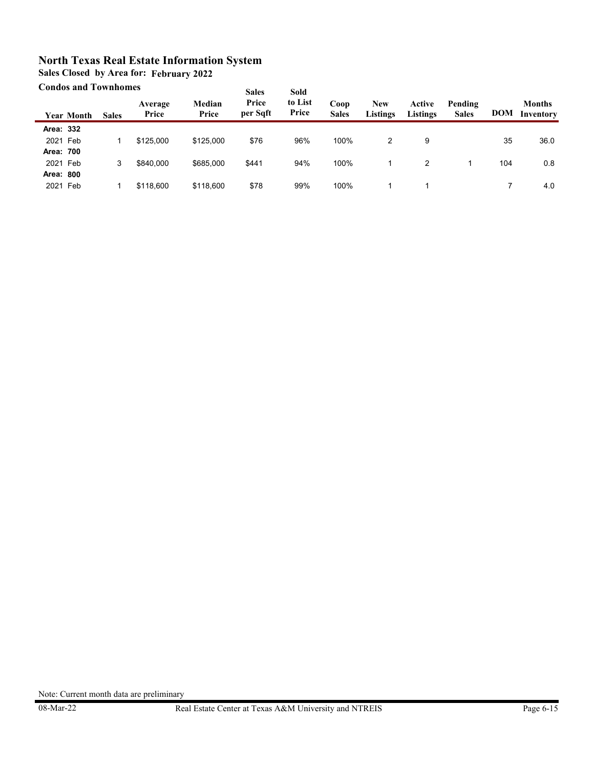**Sales Closed by Area for: February 2022**

#### **Condos and Townhomes**

|           | Сончоз анч томпионку |              |                  |                 | <b>Sales</b>      | Sold             |                      |                        |                           |                         |            |                            |
|-----------|----------------------|--------------|------------------|-----------------|-------------------|------------------|----------------------|------------------------|---------------------------|-------------------------|------------|----------------------------|
|           | Year Month           | <b>Sales</b> | Average<br>Price | Median<br>Price | Price<br>per Sqft | to List<br>Price | Coop<br><b>Sales</b> | <b>New</b><br>Listings | Active<br><b>Listings</b> | Pending<br><b>Sales</b> | <b>DOM</b> | <b>Months</b><br>Inventory |
| Area: 332 |                      |              |                  |                 |                   |                  |                      |                        |                           |                         |            |                            |
| 2021 Feb  |                      |              | \$125,000        | \$125,000       | \$76              | 96%              | 100%                 | 2                      | 9                         |                         | 35         | 36.0                       |
| Area: 700 |                      |              |                  |                 |                   |                  |                      |                        |                           |                         |            |                            |
| 2021 Feb  |                      | 3            | \$840,000        | \$685,000       | \$441             | 94%              | 100%                 |                        |                           |                         | 104        | 0.8                        |
| Area: 800 |                      |              |                  |                 |                   |                  |                      |                        |                           |                         |            |                            |
| 2021 Feb  |                      |              | \$118,600        | \$118,600       | \$78              | 99%              | 100%                 |                        |                           |                         |            | 4.0                        |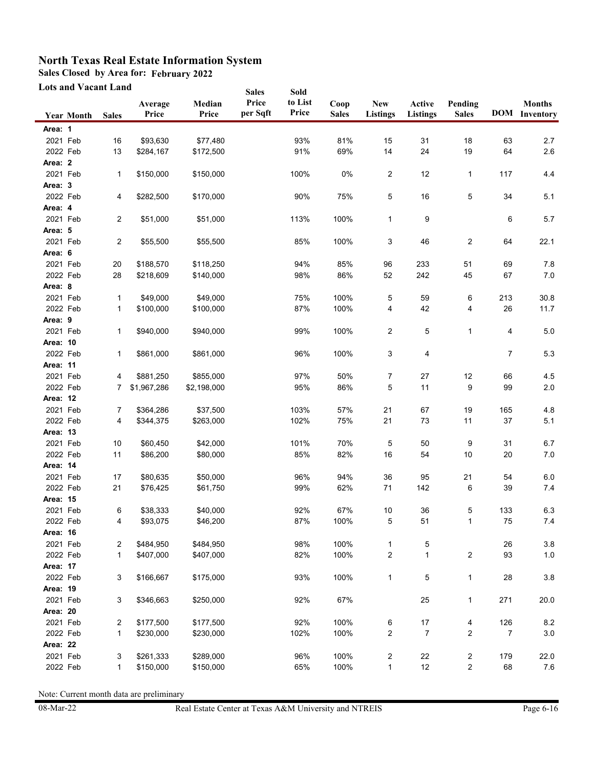**Sales Closed by Area for: February 2022**

**Lots and Vacant Land**

| Lots and Vacant Land |                   |              |                  |                      | <b>Sales</b>      | Sold             |                      |                        |                           |                         |                |                                       |
|----------------------|-------------------|--------------|------------------|----------------------|-------------------|------------------|----------------------|------------------------|---------------------------|-------------------------|----------------|---------------------------------------|
|                      | <b>Year Month</b> | <b>Sales</b> | Average<br>Price | Median<br>Price      | Price<br>per Sqft | to List<br>Price | Coop<br><b>Sales</b> | <b>New</b><br>Listings | Active<br><b>Listings</b> | Pending<br><b>Sales</b> |                | <b>Months</b><br><b>DOM</b> Inventory |
| Area: 1              |                   |              |                  |                      |                   |                  |                      |                        |                           |                         |                |                                       |
| 2021 Feb             |                   | 16           | \$93,630         | \$77,480             |                   | 93%              | 81%                  | 15                     | 31                        | 18                      | 63             | 2.7                                   |
| 2022 Feb             |                   | 13           | \$284,167        | \$172,500            |                   | 91%              | 69%                  | 14                     | 24                        | 19                      | 64             | 2.6                                   |
| Area: 2              |                   |              |                  |                      |                   |                  |                      |                        |                           |                         |                |                                       |
| 2021 Feb             |                   | 1            | \$150,000        | \$150,000            |                   | 100%             | 0%                   | 2                      | 12                        | $\mathbf{1}$            | 117            | 4.4                                   |
| Area: 3              |                   |              |                  |                      |                   |                  |                      |                        |                           |                         |                |                                       |
| 2022 Feb             |                   | 4            | \$282,500        | \$170,000            |                   | 90%              | 75%                  | 5                      | 16                        | 5                       | 34             | 5.1                                   |
| Area: 4              |                   |              |                  |                      |                   |                  |                      |                        |                           |                         |                |                                       |
| 2021 Feb             |                   | 2            | \$51,000         | \$51,000             |                   | 113%             | 100%                 | 1                      | 9                         |                         | 6              | 5.7                                   |
| Area: 5              |                   |              |                  |                      |                   |                  |                      |                        |                           |                         |                |                                       |
| 2021 Feb             |                   | 2            | \$55,500         | \$55,500             |                   | 85%              | 100%                 | 3                      | 46                        | $\overline{2}$          | 64             | 22.1                                  |
| Area: 6              |                   |              |                  |                      |                   |                  |                      |                        |                           |                         |                |                                       |
| 2021 Feb             |                   | 20           | \$188,570        | \$118,250            |                   | 94%              | 85%                  | 96                     | 233                       | 51                      | 69             | 7.8                                   |
| 2022 Feb             |                   | 28           | \$218,609        | \$140,000            |                   | 98%              | 86%                  | 52                     | 242                       | 45                      | 67             | $7.0\,$                               |
| Area: 8              |                   |              |                  |                      |                   |                  |                      |                        |                           |                         |                |                                       |
| 2021 Feb             |                   | 1            | \$49,000         | \$49,000             |                   | 75%              | 100%                 | 5                      | 59                        | 6                       | 213            | 30.8                                  |
| 2022 Feb             |                   | 1            | \$100,000        | \$100,000            |                   | 87%              | 100%                 | 4                      | 42                        | 4                       | 26             | 11.7                                  |
| Area: 9              |                   |              |                  |                      |                   |                  |                      |                        |                           |                         |                |                                       |
| 2021 Feb             |                   | 1            | \$940,000        | \$940,000            |                   | 99%              | 100%                 | 2                      | 5                         | 1                       | 4              | $5.0\,$                               |
| Area: 10             |                   |              |                  |                      |                   |                  |                      |                        |                           |                         |                |                                       |
| 2022 Feb             |                   | $\mathbf{1}$ | \$861,000        | \$861,000            |                   | 96%              | 100%                 | 3                      | 4                         |                         | 7              | 5.3                                   |
| Area: 11             |                   |              |                  |                      |                   |                  |                      |                        |                           |                         |                |                                       |
| 2021 Feb             |                   | 4            | \$881,250        | \$855,000            |                   | 97%              | 50%                  | 7                      | 27                        | 12                      | 66             | 4.5                                   |
| 2022 Feb             |                   | 7            | \$1,967,286      | \$2,198,000          |                   | 95%              | 86%                  | 5                      | 11                        | 9                       | 99             | 2.0                                   |
| Area: 12             |                   |              |                  |                      |                   |                  |                      |                        |                           |                         |                |                                       |
| 2021 Feb             |                   | 7            | \$364,286        | \$37,500             |                   | 103%             | 57%                  | 21                     | 67                        | 19                      | 165            | 4.8                                   |
| 2022 Feb             |                   | 4            | \$344,375        | \$263,000            |                   | 102%             | 75%                  | 21                     | 73                        | 11                      | 37             | 5.1                                   |
| Area: 13             |                   |              |                  |                      |                   |                  |                      |                        |                           |                         |                |                                       |
| 2021 Feb             |                   | 10           | \$60,450         | \$42,000             |                   | 101%             | 70%                  | 5                      | 50                        | 9                       | 31             | 6.7                                   |
| 2022 Feb             |                   | 11           | \$86,200         | \$80,000             |                   | 85%              | 82%                  | 16                     | 54                        | 10                      | 20             | $7.0$                                 |
| Area: 14             |                   |              |                  |                      |                   |                  |                      |                        |                           |                         |                |                                       |
| 2021 Feb             |                   | 17           | \$80,635         | \$50,000             |                   | 96%              | 94%                  | 36                     | 95                        | 21                      | 54             | $6.0\,$                               |
| 2022 Feb             |                   | 21           | \$76,425         | \$61,750             |                   | 99%              | 62%                  | 71                     | 142                       | 6                       | 39             | 7.4                                   |
| <b>Area: 15</b>      |                   |              |                  |                      |                   |                  |                      |                        |                           |                         |                |                                       |
| 2021 Feb<br>2022 Feb |                   | 6            | \$38,333         | \$40,000<br>\$46,200 |                   | 92%<br>87%       | 67%<br>100%          | 10                     | 36                        | 5                       | 133<br>75      | 6.3<br>7.4                            |
| Area: 16             |                   | 4            | \$93,075         |                      |                   |                  |                      | 5                      | 51                        | 1                       |                |                                       |
| 2021 Feb             |                   |              | \$484,950        | \$484,950            |                   | 98%              | 100%                 |                        |                           |                         | 26             | 3.8                                   |
| 2022 Feb             |                   | 2<br>1       | \$407,000        | \$407,000            |                   | 82%              | 100%                 | $\mathbf{1}$<br>2      | 5<br>$\mathbf{1}$         | $\overline{\mathbf{c}}$ | 93             | $1.0\,$                               |
| <b>Area: 17</b>      |                   |              |                  |                      |                   |                  |                      |                        |                           |                         |                |                                       |
| 2022 Feb             |                   | 3            | \$166,667        | \$175,000            |                   | 93%              | 100%                 | $\mathbf{1}$           | 5                         | 1                       | 28             | $3.8\,$                               |
| <b>Area: 19</b>      |                   |              |                  |                      |                   |                  |                      |                        |                           |                         |                |                                       |
| 2021 Feb             |                   | 3            | \$346,663        | \$250,000            |                   | 92%              | 67%                  |                        | 25                        | 1                       | 271            | 20.0                                  |
| Area: 20             |                   |              |                  |                      |                   |                  |                      |                        |                           |                         |                |                                       |
| 2021 Feb             |                   | 2            | \$177,500        | \$177,500            |                   | 92%              | 100%                 | 6                      | 17                        | 4                       | 126            | $8.2\,$                               |
| 2022 Feb             |                   | 1            | \$230,000        | \$230,000            |                   | 102%             | 100%                 | 2                      | $\overline{7}$            | 2                       | $\overline{7}$ | $3.0\,$                               |
| Area: 22             |                   |              |                  |                      |                   |                  |                      |                        |                           |                         |                |                                       |
| 2021 Feb             |                   | 3            | \$261,333        | \$289,000            |                   | 96%              | 100%                 | 2                      | 22                        | $\overline{\mathbf{c}}$ | 179            | 22.0                                  |
| 2022 Feb             |                   | 1            | \$150,000        | \$150,000            |                   | 65%              | 100%                 | $\mathbf{1}$           | 12                        | $\overline{\mathbf{c}}$ | 68             | 7.6                                   |
|                      |                   |              |                  |                      |                   |                  |                      |                        |                           |                         |                |                                       |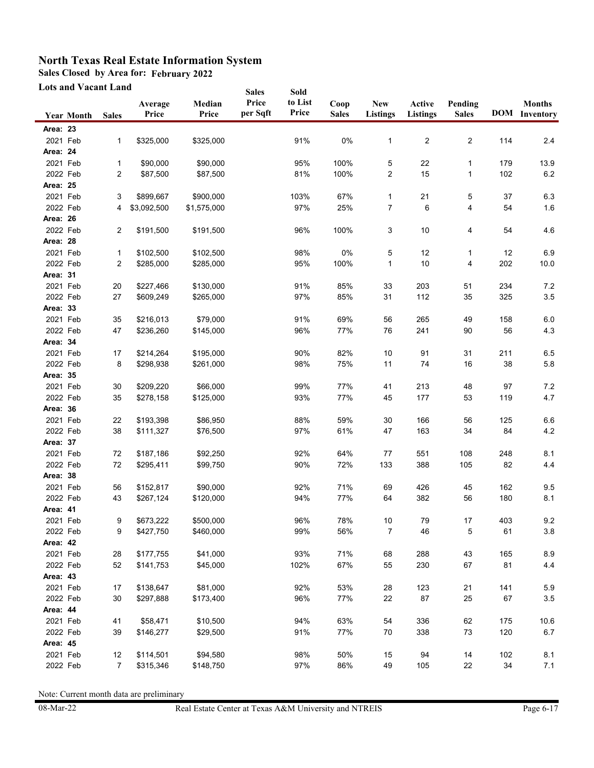**Sales Closed by Area for: February 2022**

**Lots and Vacant Land**

|                 | <b>Lots and Vacant Land</b> |                |                  |                 | <b>Sales</b>      | Sold             |                      |                               |                    |                         |     |                                       |
|-----------------|-----------------------------|----------------|------------------|-----------------|-------------------|------------------|----------------------|-------------------------------|--------------------|-------------------------|-----|---------------------------------------|
|                 | <b>Year Month</b>           | <b>Sales</b>   | Average<br>Price | Median<br>Price | Price<br>per Sqft | to List<br>Price | Coop<br><b>Sales</b> | <b>New</b><br><b>Listings</b> | Active<br>Listings | Pending<br><b>Sales</b> |     | <b>Months</b><br><b>DOM</b> Inventory |
| <b>Area: 23</b> |                             |                |                  |                 |                   |                  |                      |                               |                    |                         |     |                                       |
| 2021 Feb        |                             | $\mathbf{1}$   | \$325,000        | \$325,000       |                   | 91%              | 0%                   | 1                             | 2                  | 2                       | 114 | 2.4                                   |
| Area: 24        |                             |                |                  |                 |                   |                  |                      |                               |                    |                         |     |                                       |
| 2021 Feb        |                             | 1              | \$90,000         | \$90,000        |                   | 95%              | 100%                 | 5                             | 22                 | 1                       | 179 | 13.9                                  |
| 2022 Feb        |                             | $\overline{c}$ | \$87,500         | \$87,500        |                   | 81%              | 100%                 | 2                             | 15                 | 1                       | 102 | $6.2\,$                               |
| <b>Area: 25</b> |                             |                |                  |                 |                   |                  |                      |                               |                    |                         |     |                                       |
| 2021 Feb        |                             | 3              | \$899,667        | \$900,000       |                   | 103%             | 67%                  | 1                             | 21                 | 5                       | 37  | 6.3                                   |
| 2022 Feb        |                             | 4              | \$3,092,500      | \$1,575,000     |                   | 97%              | 25%                  | 7                             | 6                  | 4                       | 54  | 1.6                                   |
| Area: 26        |                             |                |                  |                 |                   |                  |                      |                               |                    |                         |     |                                       |
| 2022 Feb        |                             | 2              | \$191,500        | \$191,500       |                   | 96%              | 100%                 | 3                             | 10                 | 4                       | 54  | 4.6                                   |
| Area: 28        |                             |                |                  |                 |                   |                  |                      |                               |                    |                         |     |                                       |
| 2021 Feb        |                             | 1              | \$102,500        | \$102,500       |                   | 98%              | 0%                   | 5                             | 12                 | $\mathbf{1}$            | 12  | 6.9                                   |
| 2022 Feb        |                             | 2              | \$285,000        | \$285,000       |                   | 95%              | 100%                 | 1                             | 10                 | 4                       | 202 | 10.0                                  |
| Area: 31        |                             |                |                  |                 |                   |                  |                      |                               |                    |                         |     |                                       |
| 2021 Feb        |                             | 20             | \$227,466        | \$130,000       |                   | 91%              | 85%                  | 33                            | 203                | 51                      | 234 | $7.2\,$                               |
| 2022 Feb        |                             | 27             | \$609,249        | \$265,000       |                   | 97%              | 85%                  | 31                            | 112                | 35                      | 325 | $3.5\,$                               |
| Area: 33        |                             |                |                  |                 |                   |                  |                      |                               |                    |                         |     |                                       |
| 2021 Feb        |                             | 35             | \$216,013        | \$79,000        |                   | 91%              | 69%                  | 56                            | 265                | 49                      | 158 | 6.0                                   |
| 2022 Feb        |                             | 47             | \$236,260        | \$145,000       |                   | 96%              | 77%                  | 76                            | 241                | 90                      | 56  | 4.3                                   |
| Area: 34        |                             |                |                  |                 |                   |                  |                      |                               |                    |                         |     |                                       |
| 2021 Feb        |                             | 17             | \$214,264        | \$195,000       |                   | 90%              | 82%                  | 10                            | 91                 | 31                      | 211 | 6.5                                   |
| 2022 Feb        |                             | 8              | \$298,938        | \$261,000       |                   | 98%              | 75%                  | 11                            | 74                 | 16                      | 38  | 5.8                                   |
| <b>Area: 35</b> |                             |                |                  |                 |                   |                  |                      |                               |                    |                         |     |                                       |
| 2021 Feb        |                             | 30             | \$209,220        | \$66,000        |                   | 99%              | 77%                  | 41                            | 213                | 48                      | 97  | 7.2                                   |
| 2022 Feb        |                             | 35             | \$278,158        | \$125,000       |                   | 93%              | 77%                  | 45                            | 177                | 53                      | 119 | 4.7                                   |
| Area: 36        |                             |                |                  |                 |                   |                  |                      |                               |                    |                         |     |                                       |
| 2021 Feb        |                             | 22             | \$193,398        | \$86,950        |                   | 88%              | 59%                  | 30                            | 166                | 56                      | 125 | 6.6                                   |
| 2022 Feb        |                             | 38             | \$111,327        | \$76,500        |                   | 97%              | 61%                  | 47                            | 163                | 34                      | 84  | $4.2\,$                               |
| Area: 37        |                             |                |                  |                 |                   |                  |                      |                               |                    |                         |     |                                       |
| 2021 Feb        |                             | 72             | \$187,186        | \$92,250        |                   | 92%              | 64%                  | 77                            | 551                | 108                     | 248 | 8.1                                   |
| 2022 Feb        |                             | 72             | \$295,411        | \$99,750        |                   | 90%              | 72%                  | 133                           | 388                | 105                     | 82  | 4.4                                   |
| Area: 38        |                             |                |                  |                 |                   |                  |                      |                               |                    |                         |     |                                       |
| 2021 Feb        |                             | 56             | \$152,817        | \$90,000        |                   | 92%              | 71%                  | 69                            | 426                | 45                      | 162 | 9.5                                   |
| 2022 Feb        |                             | 43             | \$267,124        | \$120,000       |                   | 94%              | 77%                  | 64                            | 382                | 56                      | 180 | 8.1                                   |
| Area: 41        |                             |                |                  |                 |                   |                  |                      |                               |                    |                         |     |                                       |
| 2021 Feb        |                             | 9              | \$673,222        | \$500,000       |                   | 96%              | 78%                  | 10                            | 79                 | 17                      | 403 | 9.2                                   |
| 2022 Feb        |                             | 9              | \$427,750        | \$460,000       |                   | 99%              | 56%                  | $\overline{7}$                | 46                 | 5                       | 61  | 3.8                                   |
| Area: 42        |                             |                |                  |                 |                   |                  |                      |                               |                    |                         |     |                                       |
| 2021 Feb        |                             | 28             | \$177,755        | \$41,000        |                   | 93%              | 71%                  | 68                            | 288                | 43                      | 165 | 8.9                                   |
| 2022 Feb        |                             | 52             | \$141,753        | \$45,000        |                   | 102%             | 67%                  | 55                            | 230                | 67                      | 81  | 4.4                                   |
| Area: 43        |                             |                |                  |                 |                   |                  |                      |                               |                    |                         |     |                                       |
| 2021 Feb        |                             | 17             | \$138,647        | \$81,000        |                   | 92%              | 53%                  | 28                            | 123                | 21                      | 141 | 5.9                                   |
| 2022 Feb        |                             | 30             | \$297,888        | \$173,400       |                   | 96%              | 77%                  | 22                            | 87                 | 25                      | 67  | $3.5\,$                               |
| Area: 44        |                             |                |                  |                 |                   |                  |                      |                               |                    |                         |     |                                       |
| 2021 Feb        |                             | 41             | \$58,471         | \$10,500        |                   | 94%              | 63%                  | 54                            | 336                | 62                      | 175 | 10.6                                  |
| 2022 Feb        |                             | 39             | \$146,277        | \$29,500        |                   | 91%              | 77%                  | 70                            | 338                | $73\,$                  | 120 | 6.7                                   |
| Area: 45        |                             |                |                  |                 |                   |                  |                      |                               |                    |                         |     |                                       |
| 2021 Feb        |                             | 12             | \$114,501        | \$94,580        |                   | 98%              | 50%                  | 15                            | 94                 | 14                      | 102 | 8.1                                   |
| 2022 Feb        |                             | $\overline{7}$ | \$315,346        | \$148,750       |                   | 97%              | 86%                  | 49                            | 105                | 22                      | 34  | 7.1                                   |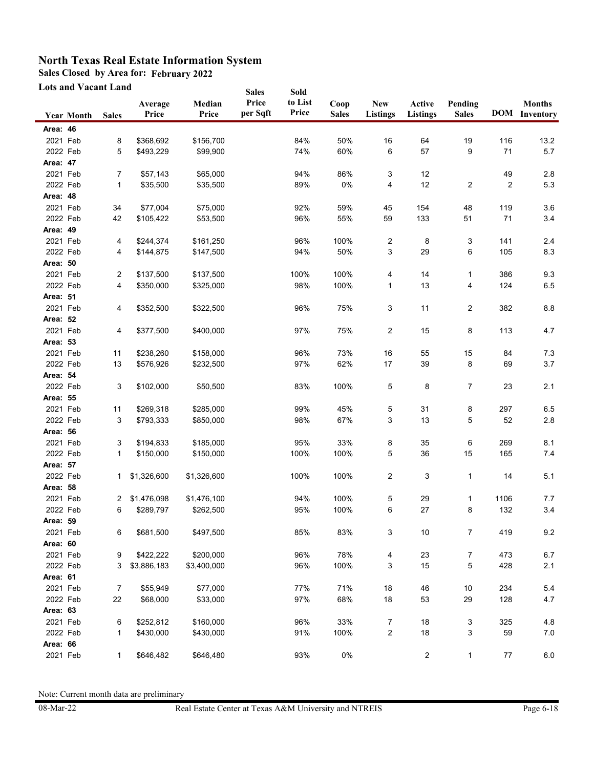**Sales Closed by Area for: February 2022**

**Lots and Vacant Land**

|                 | Lots and Vacant Land |              |                  |                 | Sold<br><b>Sales</b> |                  |                      |                               |                           |                         |         |                                       |
|-----------------|----------------------|--------------|------------------|-----------------|----------------------|------------------|----------------------|-------------------------------|---------------------------|-------------------------|---------|---------------------------------------|
|                 | <b>Year Month</b>    | <b>Sales</b> | Average<br>Price | Median<br>Price | Price<br>per Sqft    | to List<br>Price | Coop<br><b>Sales</b> | <b>New</b><br><b>Listings</b> | Active<br><b>Listings</b> | Pending<br><b>Sales</b> |         | <b>Months</b><br><b>DOM</b> Inventory |
| Area: 46        |                      |              |                  |                 |                      |                  |                      |                               |                           |                         |         |                                       |
| 2021 Feb        |                      | 8            | \$368,692        | \$156,700       |                      | 84%              | 50%                  | 16                            | 64                        | 19                      | 116     | 13.2                                  |
| 2022 Feb        |                      | 5            | \$493,229        | \$99,900        |                      | 74%              | 60%                  | 6                             | 57                        | 9                       | 71      | 5.7                                   |
| Area: 47        |                      |              |                  |                 |                      |                  |                      |                               |                           |                         |         |                                       |
| 2021 Feb        |                      | 7            | \$57,143         | \$65,000        |                      | 94%              | 86%                  | 3                             | 12                        |                         | 49      | 2.8                                   |
| 2022 Feb        |                      | 1            | \$35,500         | \$35,500        |                      | 89%              | 0%                   | 4                             | 12                        | $\overline{2}$          | 2       | 5.3                                   |
| Area: 48        |                      |              |                  |                 |                      |                  |                      |                               |                           |                         |         |                                       |
| 2021 Feb        |                      | 34           | \$77,004         | \$75,000        |                      | 92%              | 59%                  | 45                            | 154                       | 48                      | 119     | 3.6                                   |
| 2022 Feb        |                      | 42           | \$105,422        | \$53,500        |                      | 96%              | 55%                  | 59                            | 133                       | 51                      | 71      | 3.4                                   |
| Area: 49        |                      |              |                  |                 |                      |                  |                      |                               |                           |                         |         |                                       |
| 2021 Feb        |                      | 4            | \$244,374        | \$161,250       |                      | 96%              | 100%                 | 2                             | 8                         | 3                       | 141     | 2.4                                   |
| 2022 Feb        |                      | 4            | \$144,875        | \$147,500       |                      | 94%              | 50%                  | 3                             | 29                        | 6                       | 105     | 8.3                                   |
| Area: 50        |                      |              |                  |                 |                      |                  |                      |                               |                           |                         |         |                                       |
| 2021 Feb        |                      | 2            | \$137,500        | \$137,500       |                      | 100%             | 100%                 | 4                             | 14                        | 1                       | 386     | 9.3                                   |
| 2022 Feb        |                      | 4            | \$350,000        | \$325,000       |                      | 98%              | 100%                 | 1                             | 13                        | 4                       | 124     | 6.5                                   |
| Area: 51        |                      |              |                  |                 |                      |                  |                      |                               |                           |                         |         |                                       |
| 2021 Feb        |                      | 4            | \$352,500        | \$322,500       |                      | 96%              | 75%                  | 3                             | 11                        | 2                       | 382     | 8.8                                   |
| Area: 52        |                      |              |                  |                 |                      |                  |                      |                               |                           |                         |         |                                       |
| 2021 Feb        |                      | 4            | \$377,500        | \$400,000       |                      | 97%              | 75%                  | $\overline{c}$                | 15                        | 8                       | 113     | 4.7                                   |
| Area: 53        |                      |              |                  |                 |                      |                  |                      |                               |                           |                         |         |                                       |
| 2021 Feb        |                      | 11           | \$238,260        | \$158,000       |                      | 96%              | 73%                  | 16                            | 55                        | 15                      | 84      | 7.3                                   |
| 2022 Feb        |                      | 13           | \$576,926        | \$232,500       |                      | 97%              | 62%                  | 17                            | 39                        | 8                       | 69      | 3.7                                   |
| Area: 54        |                      |              |                  |                 |                      |                  |                      |                               |                           |                         |         |                                       |
| 2022 Feb        |                      | 3            | \$102,000        | \$50,500        |                      | 83%              | 100%                 | 5                             | 8                         | 7                       | 23      | 2.1                                   |
| Area: 55        |                      |              |                  |                 |                      |                  |                      |                               |                           |                         |         |                                       |
| 2021 Feb        |                      | 11           | \$269,318        | \$285,000       |                      | 99%              | 45%                  | 5                             | 31                        | 8                       | 297     | 6.5                                   |
| 2022 Feb        |                      | 3            | \$793,333        | \$850,000       |                      | 98%              | 67%                  | 3                             | 13                        | 5                       | 52      | 2.8                                   |
| <b>Area: 56</b> |                      |              |                  |                 |                      |                  |                      |                               |                           |                         |         |                                       |
| 2021 Feb        |                      | 3            | \$194,833        | \$185,000       |                      | 95%              | 33%                  | 8                             | 35                        | 6                       | 269     | 8.1                                   |
| 2022 Feb        |                      | 1            | \$150,000        | \$150,000       |                      | 100%             | 100%                 | 5                             | 36                        | 15                      | 165     | 7.4                                   |
| Area: 57        |                      |              |                  |                 |                      |                  |                      |                               |                           |                         |         |                                       |
| 2022 Feb        |                      | 1            | \$1,326,600      | \$1,326,600     |                      | 100%             | 100%                 | $\overline{c}$                | 3                         | 1                       | 14      | 5.1                                   |
| Area: 58        |                      |              |                  |                 |                      |                  |                      |                               |                           |                         |         |                                       |
| 2021 Feb        |                      | 2            | \$1,476,098      | \$1,476,100     |                      | 94%              | 100%                 | 5                             | 29                        | 1                       | 1106    | 7.7                                   |
| 2022 Feb        |                      | 6            | \$289,797        | \$262,500       |                      | 95%              | 100%                 | 6                             | 27                        | 8                       | 132     | 3.4                                   |
| Area: 59        |                      |              |                  |                 |                      |                  |                      |                               |                           |                         |         |                                       |
| 2021 Feb        |                      | 6            | \$681,500        | \$497,500       |                      | 85%              | 83%                  | 3                             | $10$                      | $\overline{7}$          | 419     | 9.2                                   |
| Area: 60        |                      |              |                  |                 |                      |                  |                      |                               |                           |                         |         |                                       |
| 2021 Feb        |                      | 9            | \$422,222        | \$200,000       |                      | 96%              | 78%                  | 4                             | 23                        | 7                       | 473     | 6.7                                   |
| 2022 Feb        |                      | 3            | \$3,886,183      | \$3,400,000     |                      | 96%              | 100%                 | 3                             | 15                        | 5                       | 428     | 2.1                                   |
| Area: 61        |                      |              |                  |                 |                      |                  |                      |                               |                           |                         |         |                                       |
| 2021 Feb        |                      | 7            | \$55,949         | \$77,000        |                      | 77%              | 71%                  | 18                            | 46                        | 10                      | 234     | 5.4                                   |
| 2022 Feb        |                      | 22           | \$68,000         | \$33,000        |                      | 97%              | 68%                  | 18                            | 53                        | 29                      | 128     | 4.7                                   |
| Area: 63        |                      |              |                  |                 |                      |                  |                      |                               |                           |                         |         |                                       |
| 2021 Feb        |                      | 6            | \$252,812        | \$160,000       |                      | 96%              | 33%                  | 7                             | 18                        | 3                       | 325     | 4.8                                   |
| 2022 Feb        |                      | 1            | \$430,000        | \$430,000       |                      | 91%              | 100%                 | 2                             | $18$                      | 3                       | 59      | 7.0                                   |
| Area: 66        |                      |              |                  |                 |                      |                  |                      |                               |                           |                         |         |                                       |
| 2021 Feb        |                      | 1            | \$646,482        | \$646,480       |                      | 93%              | $0\%$                |                               | $\overline{\mathbf{c}}$   | 1                       | $77 \,$ | $6.0\,$                               |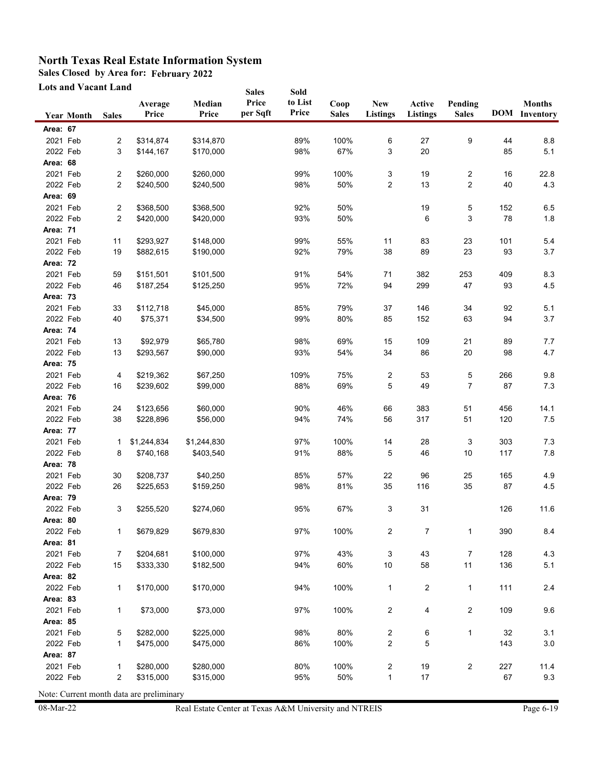**Sales Closed by Area for: February 2022**

**Lots and Vacant Land**

|                      | Lots and Vacant Land |                |                        |                        | <b>Sales</b>      | Sold             |                      |                                         |                           |                         |           |                                       |
|----------------------|----------------------|----------------|------------------------|------------------------|-------------------|------------------|----------------------|-----------------------------------------|---------------------------|-------------------------|-----------|---------------------------------------|
|                      | <b>Year Month</b>    | <b>Sales</b>   | Average<br>Price       | Median<br>Price        | Price<br>per Sqft | to List<br>Price | Coop<br><b>Sales</b> | <b>New</b><br>Listings                  | Active<br><b>Listings</b> | Pending<br><b>Sales</b> |           | <b>Months</b><br><b>DOM</b> Inventory |
| <b>Area: 67</b>      |                      |                |                        |                        |                   |                  |                      |                                         |                           |                         |           |                                       |
| 2021 Feb             |                      | 2              | \$314,874              | \$314,870              |                   | 89%              | 100%                 | 6                                       | 27                        | 9                       | 44        | 8.8                                   |
| 2022 Feb             |                      | 3              | \$144,167              | \$170,000              |                   | 98%              | 67%                  | 3                                       | 20                        |                         | 85        | 5.1                                   |
| Area: 68             |                      |                |                        |                        |                   |                  |                      |                                         |                           |                         |           |                                       |
| 2021 Feb             |                      | 2              | \$260,000              | \$260,000              |                   | 99%              | 100%                 | 3                                       | 19                        | $\overline{\mathbf{c}}$ | 16        | 22.8                                  |
| 2022 Feb             |                      | $\overline{c}$ | \$240,500              | \$240,500              |                   | 98%              | 50%                  | $\overline{c}$                          | 13                        | $\overline{\mathbf{c}}$ | 40        | 4.3                                   |
| Area: 69             |                      |                |                        |                        |                   |                  |                      |                                         |                           |                         |           |                                       |
| 2021 Feb             |                      | 2              | \$368,500              | \$368,500              |                   | 92%              | 50%                  |                                         | 19                        | 5                       | 152       | 6.5                                   |
| 2022 Feb             |                      | $\mathbf{2}$   | \$420,000              | \$420,000              |                   | 93%              | 50%                  |                                         | 6                         | 3                       | 78        | 1.8                                   |
| Area: 71             |                      |                |                        |                        |                   |                  |                      |                                         |                           |                         |           |                                       |
| 2021 Feb             |                      | 11             | \$293,927              | \$148,000              |                   | 99%              | 55%                  | 11                                      | 83                        | 23                      | 101       | 5.4                                   |
| 2022 Feb             |                      | 19             | \$882,615              | \$190,000              |                   | 92%              | 79%                  | 38                                      | 89                        | 23                      | 93        | 3.7                                   |
| <b>Area: 72</b>      |                      |                |                        |                        |                   |                  |                      |                                         |                           |                         |           |                                       |
| 2021 Feb             |                      | 59             | \$151,501              | \$101,500              |                   | 91%              | 54%                  | 71                                      | 382                       | 253                     | 409       | 8.3                                   |
| 2022 Feb             |                      | 46             | \$187,254              | \$125,250              |                   | 95%              | 72%                  | 94                                      | 299                       | 47                      | 93        | 4.5                                   |
| Area: 73             |                      |                |                        |                        |                   |                  |                      |                                         |                           |                         |           |                                       |
| 2021 Feb             |                      | 33             | \$112,718              | \$45,000               |                   | 85%              | 79%                  | 37                                      | 146                       | 34                      | 92        | 5.1                                   |
| 2022 Feb             |                      | 40             | \$75,371               | \$34,500               |                   | 99%              | 80%                  | 85                                      | 152                       | 63                      | 94        | 3.7                                   |
| Area: 74             |                      |                |                        |                        |                   |                  |                      |                                         |                           |                         |           |                                       |
| 2021 Feb             |                      | 13             | \$92,979               | \$65,780               |                   | 98%              | 69%                  | 15                                      | 109                       | 21                      | 89        | 7.7                                   |
| 2022 Feb             |                      | 13             | \$293,567              | \$90,000               |                   | 93%              | 54%                  | 34                                      | 86                        | $20\,$                  | 98        | 4.7                                   |
| <b>Area: 75</b>      |                      |                |                        |                        |                   |                  |                      |                                         |                           |                         |           |                                       |
| 2021 Feb<br>2022 Feb |                      | 4<br>16        | \$219,362<br>\$239,602 | \$67,250<br>\$99,000   |                   | 109%<br>88%      | 75%<br>69%           | 2<br>5                                  | 53<br>49                  | 5<br>7                  | 266<br>87 | 9.8<br>7.3                            |
| Area: 76             |                      |                |                        |                        |                   |                  |                      |                                         |                           |                         |           |                                       |
| 2021 Feb             |                      | 24             | \$123,656              | \$60,000               |                   | 90%              | 46%                  | 66                                      | 383                       | 51                      | 456       | 14.1                                  |
| 2022 Feb             |                      | 38             | \$228,896              | \$56,000               |                   | 94%              | 74%                  | 56                                      | 317                       | 51                      | 120       | 7.5                                   |
| Area: 77             |                      |                |                        |                        |                   |                  |                      |                                         |                           |                         |           |                                       |
| 2021 Feb             |                      | 1              | \$1,244,834            | \$1,244,830            |                   | 97%              | 100%                 | 14                                      | 28                        | 3                       | 303       | 7.3                                   |
| 2022 Feb             |                      | 8              | \$740,168              | \$403,540              |                   | 91%              | 88%                  | 5                                       | 46                        | 10                      | 117       | $7.8$                                 |
| <b>Area: 78</b>      |                      |                |                        |                        |                   |                  |                      |                                         |                           |                         |           |                                       |
| 2021 Feb             |                      | 30             | \$208,737              | \$40,250               |                   | 85%              | 57%                  | 22                                      | 96                        | 25                      | 165       | 4.9                                   |
| 2022 Feb             |                      | 26             | \$225,653              | \$159,250              |                   | 98%              | 81%                  | 35                                      | 116                       | $35\,$                  | 87        | 4.5                                   |
| Area: 79             |                      |                |                        |                        |                   |                  |                      |                                         |                           |                         |           |                                       |
| 2022 Feb             |                      | 3              | \$255,520              | \$274,060              |                   | 95%              | 67%                  | 3                                       | 31                        |                         | 126       | 11.6                                  |
| Area: 80             |                      |                |                        |                        |                   |                  |                      |                                         |                           |                         |           |                                       |
| 2022 Feb             |                      | 1              | \$679,829              | \$679,830              |                   | 97%              | 100%                 | 2                                       | 7                         | 1                       | 390       | 8.4                                   |
| <b>Area: 81</b>      |                      |                |                        |                        |                   |                  |                      |                                         |                           |                         |           |                                       |
| 2021 Feb             |                      | 7              | \$204,681              | \$100,000              |                   | 97%              | 43%                  | 3                                       | 43                        | $\overline{7}$          | 128       | 4.3                                   |
| 2022 Feb             |                      | 15             | \$333,330              | \$182,500              |                   | 94%              | 60%                  | $10$                                    | 58                        | 11                      | 136       | 5.1                                   |
| Area: 82             |                      |                |                        |                        |                   |                  |                      |                                         |                           |                         |           |                                       |
| 2022 Feb             |                      | 1              | \$170,000              | \$170,000              |                   | 94%              | 100%                 | $\mathbf{1}$                            | 2                         | 1                       | 111       | 2.4                                   |
| Area: 83             |                      |                |                        |                        |                   |                  |                      |                                         |                           |                         |           |                                       |
| 2021 Feb             |                      | 1              | \$73,000               | \$73,000               |                   | 97%              | 100%                 | 2                                       | 4                         | 2                       | 109       | 9.6                                   |
| Area: 85             |                      |                |                        |                        |                   |                  |                      |                                         |                           |                         |           |                                       |
| 2021 Feb             |                      | 5              | \$282,000              | \$225,000              |                   | 98%              | 80%                  | 2                                       | 6                         | 1                       | 32        | 3.1                                   |
| 2022 Feb             |                      | 1              | \$475,000              | \$475,000              |                   | 86%              | 100%                 | 2                                       | 5                         |                         | 143       | $3.0\,$                               |
| <b>Area: 87</b>      |                      |                |                        |                        |                   |                  |                      |                                         |                           |                         |           |                                       |
| 2021 Feb<br>2022 Feb |                      | 1<br>2         | \$280,000<br>\$315,000 | \$280,000<br>\$315,000 |                   | 80%<br>95%       | 100%<br>50%          | $\overline{\mathbf{c}}$<br>$\mathbf{1}$ | 19<br>17                  | $\overline{2}$          | 227<br>67 | 11.4<br>9.3                           |
|                      |                      |                |                        |                        |                   |                  |                      |                                         |                           |                         |           |                                       |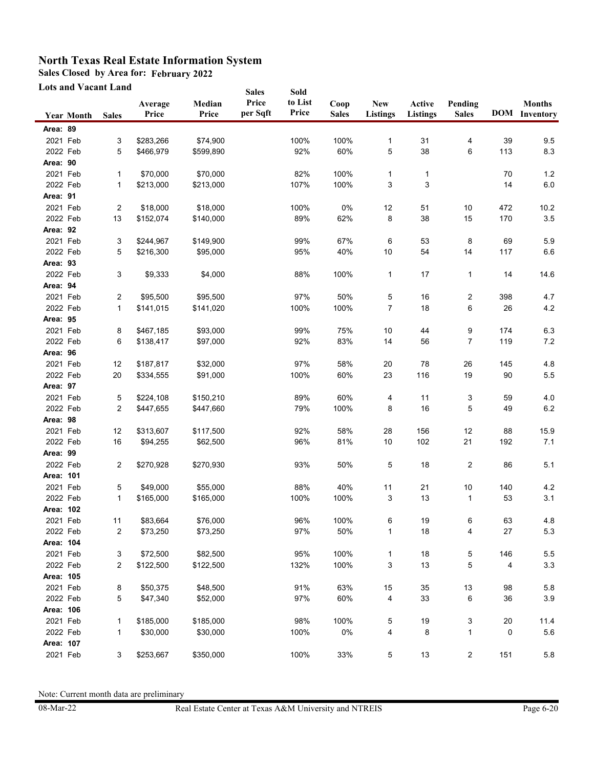**Sales Closed by Area for: February 2022**

**Lots and Vacant Land**

|           | Lots and Vacant Land |              |                  |                 | <b>Sales</b>      | Sold             |                      |                               |                           |                         |     |                                       |
|-----------|----------------------|--------------|------------------|-----------------|-------------------|------------------|----------------------|-------------------------------|---------------------------|-------------------------|-----|---------------------------------------|
|           | <b>Year Month</b>    | <b>Sales</b> | Average<br>Price | Median<br>Price | Price<br>per Sqft | to List<br>Price | Coop<br><b>Sales</b> | <b>New</b><br><b>Listings</b> | Active<br><b>Listings</b> | Pending<br><b>Sales</b> |     | <b>Months</b><br><b>DOM</b> Inventory |
| Area: 89  |                      |              |                  |                 |                   |                  |                      |                               |                           |                         |     |                                       |
| 2021 Feb  |                      | 3            | \$283,266        | \$74,900        |                   | 100%             | 100%                 | 1                             | 31                        | 4                       | 39  | 9.5                                   |
| 2022 Feb  |                      | 5            | \$466,979        | \$599,890       |                   | 92%              | 60%                  | 5                             | 38                        | 6                       | 113 | 8.3                                   |
| Area: 90  |                      |              |                  |                 |                   |                  |                      |                               |                           |                         |     |                                       |
| 2021 Feb  |                      | 1            | \$70,000         | \$70,000        |                   | 82%              | 100%                 | 1                             | 1                         |                         | 70  | 1.2                                   |
| 2022 Feb  |                      | 1            | \$213,000        | \$213,000       |                   | 107%             | 100%                 | 3                             | 3                         |                         | 14  | $6.0\,$                               |
| Area: 91  |                      |              |                  |                 |                   |                  |                      |                               |                           |                         |     |                                       |
| 2021 Feb  |                      | 2            | \$18,000         | \$18,000        |                   | 100%             | 0%                   | 12                            | 51                        | $10$                    | 472 | 10.2                                  |
| 2022 Feb  |                      | 13           | \$152,074        | \$140,000       |                   | 89%              | 62%                  | 8                             | 38                        | 15                      | 170 | 3.5                                   |
| Area: 92  |                      |              |                  |                 |                   |                  |                      |                               |                           |                         |     |                                       |
| 2021 Feb  |                      | 3            | \$244,967        | \$149,900       |                   | 99%              | 67%                  | 6                             | 53                        | 8                       | 69  | 5.9                                   |
| 2022 Feb  |                      | 5            | \$216,300        | \$95,000        |                   | 95%              | 40%                  | 10                            | 54                        | 14                      | 117 | 6.6                                   |
| Area: 93  |                      |              |                  |                 |                   |                  |                      |                               |                           |                         |     |                                       |
| 2022 Feb  |                      | 3            | \$9,333          | \$4,000         |                   | 88%              | 100%                 | 1                             | 17                        | 1                       | 14  | 14.6                                  |
| Area: 94  |                      |              |                  |                 |                   |                  |                      |                               |                           |                         |     |                                       |
| 2021 Feb  |                      | 2            | \$95,500         | \$95,500        |                   | 97%              | 50%                  | 5                             | 16                        | 2                       | 398 | 4.7                                   |
| 2022 Feb  |                      | 1            | \$141,015        | \$141,020       |                   | 100%             | 100%                 | 7                             | 18                        | 6                       | 26  | 4.2                                   |
| Area: 95  |                      |              |                  |                 |                   |                  |                      |                               |                           |                         |     |                                       |
| 2021 Feb  |                      | 8            | \$467,185        | \$93,000        |                   | 99%              | 75%                  | 10                            | 44                        | 9                       | 174 | 6.3                                   |
| 2022 Feb  |                      | 6            | \$138,417        | \$97,000        |                   | 92%              | 83%                  | 14                            | 56                        | 7                       | 119 | 7.2                                   |
| Area: 96  |                      |              |                  |                 |                   |                  |                      |                               |                           |                         |     |                                       |
| 2021 Feb  |                      | 12           | \$187,817        | \$32,000        |                   | 97%              | 58%                  | 20                            | 78                        | 26                      | 145 | 4.8                                   |
| 2022 Feb  |                      | 20           | \$334,555        | \$91,000        |                   | 100%             | 60%                  | 23                            | 116                       | 19                      | 90  | $5.5\,$                               |
| Area: 97  |                      |              |                  |                 |                   |                  |                      |                               |                           |                         |     |                                       |
| 2021 Feb  |                      | 5            | \$224,108        | \$150,210       |                   | 89%              | 60%                  | 4                             | 11                        | 3                       | 59  | 4.0                                   |
| 2022 Feb  |                      | 2            | \$447,655        | \$447,660       |                   | 79%              | 100%                 | 8                             | 16                        | 5                       | 49  | $6.2\,$                               |
| Area: 98  |                      |              |                  |                 |                   |                  |                      |                               |                           |                         |     |                                       |
| 2021 Feb  |                      | 12           | \$313,607        | \$117,500       |                   | 92%              | 58%                  | 28                            | 156                       | 12                      | 88  | 15.9                                  |
| 2022 Feb  |                      | 16           | \$94,255         | \$62,500        |                   | 96%              | 81%                  | $10$                          | 102                       | 21                      | 192 | 7.1                                   |
| Area: 99  |                      |              |                  |                 |                   |                  |                      |                               |                           |                         |     |                                       |
| 2022 Feb  |                      | 2            | \$270,928        | \$270,930       |                   | 93%              | 50%                  | 5                             | 18                        | 2                       | 86  | 5.1                                   |
| Area: 101 |                      |              |                  |                 |                   |                  |                      |                               |                           |                         |     |                                       |
| 2021 Feb  |                      | 5            | \$49,000         | \$55,000        |                   | 88%              | 40%                  | 11                            | 21                        | $10$                    | 140 | 4.2                                   |
| 2022 Feb  |                      | 1            | \$165,000        | \$165,000       |                   | 100%             | 100%                 | 3                             | 13                        | 1                       | 53  | 3.1                                   |
| Area: 102 |                      |              |                  |                 |                   |                  |                      |                               |                           |                         |     |                                       |
| 2021 Feb  |                      | 11           | \$83,664         | \$76,000        |                   | 96%              | 100%                 | 6                             | 19                        | 6                       | 63  | 4.8                                   |
| 2022 Feb  |                      | 2            | \$73,250         | \$73,250        |                   | 97%              | 50%                  | 1                             | 18                        | 4                       | 27  | 5.3                                   |
| Area: 104 |                      |              |                  |                 |                   |                  |                      |                               |                           |                         |     |                                       |
| 2021 Feb  |                      | 3            | \$72,500         | \$82,500        |                   | 95%              | 100%                 | 1                             | 18                        | 5                       | 146 | 5.5                                   |
| 2022 Feb  |                      | 2            | \$122,500        | \$122,500       |                   | 132%             | 100%                 | 3                             | 13                        | 5                       | 4   | 3.3                                   |
| Area: 105 |                      |              |                  |                 |                   |                  |                      |                               |                           |                         |     |                                       |
| 2021 Feb  |                      | 8            | \$50,375         | \$48,500        |                   | 91%              | 63%                  | 15                            | 35                        | 13                      | 98  | 5.8                                   |
| 2022 Feb  |                      | 5            | \$47,340         | \$52,000        |                   | 97%              | 60%                  | 4                             | 33                        | 6                       | 36  | $3.9\,$                               |
| Area: 106 |                      |              |                  |                 |                   |                  |                      |                               |                           |                         |     |                                       |
| 2021 Feb  |                      | 1            | \$185,000        | \$185,000       |                   | 98%              | 100%                 | 5                             | 19                        | 3                       | 20  | 11.4                                  |
| 2022 Feb  |                      | 1            | \$30,000         | \$30,000        |                   | 100%             | 0%                   | 4                             | 8                         | 1                       | 0   | 5.6                                   |
| Area: 107 |                      |              |                  |                 |                   |                  |                      |                               |                           |                         |     |                                       |
| 2021 Feb  |                      | 3            | \$253,667        | \$350,000       |                   | 100%             | 33%                  | 5                             | $13\,$                    | $\sqrt{2}$              | 151 | 5.8                                   |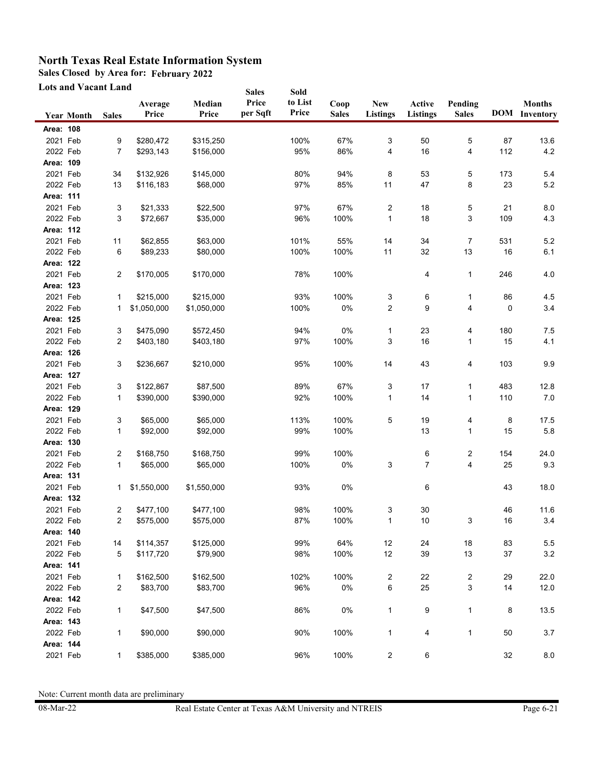**Sales Closed by Area for: February 2022**

**Lots and Vacant Land**

| <b>Lots and Vacant Land</b> |                   |                |                        |                        | <b>Sales</b>      | Sold             |                      |                        |                    |                         |          |                                       |
|-----------------------------|-------------------|----------------|------------------------|------------------------|-------------------|------------------|----------------------|------------------------|--------------------|-------------------------|----------|---------------------------------------|
|                             | <b>Year Month</b> | <b>Sales</b>   | Average<br>Price       | Median<br>Price        | Price<br>per Sqft | to List<br>Price | Coop<br><b>Sales</b> | <b>New</b><br>Listings | Active<br>Listings | Pending<br><b>Sales</b> |          | <b>Months</b><br><b>DOM</b> Inventory |
| Area: 108                   |                   |                |                        |                        |                   |                  |                      |                        |                    |                         |          |                                       |
| 2021 Feb                    |                   | 9              | \$280,472              | \$315,250              |                   | 100%             | 67%                  | 3                      | 50                 | 5                       | 87       | 13.6                                  |
| 2022 Feb                    |                   | 7              | \$293,143              | \$156,000              |                   | 95%              | 86%                  | 4                      | 16                 | 4                       | 112      | $4.2\,$                               |
| Area: 109                   |                   |                |                        |                        |                   |                  |                      |                        |                    |                         |          |                                       |
| 2021 Feb                    |                   | 34             | \$132,926              | \$145,000              |                   | 80%              | 94%                  | 8                      | 53                 | 5                       | 173      | 5.4                                   |
| 2022 Feb                    |                   | 13             | \$116,183              | \$68,000               |                   | 97%              | 85%                  | 11                     | 47                 | 8                       | 23       | $5.2\,$                               |
| Area: 111                   |                   |                |                        |                        |                   |                  |                      |                        |                    |                         |          |                                       |
| 2021 Feb                    |                   | 3              | \$21,333               | \$22,500               |                   | 97%              | 67%                  | 2                      | 18                 | 5                       | 21       | 8.0                                   |
| 2022 Feb                    |                   | 3              | \$72,667               | \$35,000               |                   | 96%              | 100%                 | $\mathbf{1}$           | 18                 | 3                       | 109      | 4.3                                   |
| Area: 112                   |                   |                |                        |                        |                   |                  |                      |                        |                    |                         |          |                                       |
| 2021 Feb                    |                   | 11             | \$62,855               | \$63,000               |                   | 101%             | 55%                  | 14                     | 34                 | $\overline{7}$          | 531      | 5.2                                   |
| 2022 Feb                    |                   | 6              | \$89,233               | \$80,000               |                   | 100%             | 100%                 | 11                     | 32                 | 13                      | 16       | 6.1                                   |
| Area: 122                   |                   |                |                        |                        |                   |                  |                      |                        |                    |                         |          |                                       |
| 2021 Feb                    |                   | $\overline{2}$ | \$170,005              | \$170,000              |                   | 78%              | 100%                 |                        | 4                  | 1                       | 246      | 4.0                                   |
| Area: 123                   |                   |                |                        |                        |                   |                  |                      |                        |                    |                         |          |                                       |
| 2021 Feb                    |                   | 1              | \$215,000              | \$215,000              |                   | 93%              | 100%                 | 3                      | 6                  | 1                       | 86       | 4.5                                   |
| 2022 Feb                    |                   | 1              | \$1,050,000            | \$1,050,000            |                   | 100%             | 0%                   | 2                      | 9                  | 4                       | 0        | 3.4                                   |
| Area: 125                   |                   |                |                        |                        |                   |                  |                      |                        |                    |                         |          |                                       |
| 2021 Feb                    |                   | 3              | \$475,090              | \$572,450              |                   | 94%              | 0%                   | 1                      | 23                 | 4                       | 180      | 7.5                                   |
| 2022 Feb                    |                   | 2              | \$403,180              | \$403,180              |                   | 97%              | 100%                 | 3                      | 16                 | 1                       | 15       | 4.1                                   |
| Area: 126                   |                   |                |                        |                        |                   |                  |                      |                        |                    |                         |          |                                       |
| 2021 Feb                    |                   | 3              | \$236,667              | \$210,000              |                   | 95%              | 100%                 | 14                     | 43                 | 4                       | 103      | 9.9                                   |
| Area: 127                   |                   |                |                        |                        |                   |                  |                      |                        |                    |                         |          |                                       |
| 2021 Feb                    |                   | 3              | \$122,867              | \$87,500               |                   | 89%              | 67%                  | 3                      | 17                 | 1                       | 483      | 12.8                                  |
| 2022 Feb                    |                   | 1              | \$390,000              | \$390,000              |                   | 92%              | 100%                 | $\mathbf{1}$           | 14                 | 1                       | 110      | 7.0                                   |
| Area: 129                   |                   |                |                        |                        |                   |                  |                      |                        |                    |                         |          |                                       |
| 2021 Feb                    |                   | 3              | \$65,000               | \$65,000               |                   | 113%             | 100%                 | 5                      | 19                 | 4                       | 8        | 17.5                                  |
| 2022 Feb                    |                   | $\mathbf{1}$   | \$92,000               | \$92,000               |                   | 99%              | 100%                 |                        | 13                 | 1                       | 15       | 5.8                                   |
| Area: 130                   |                   |                |                        |                        |                   |                  |                      |                        |                    |                         |          |                                       |
| 2021 Feb                    |                   | 2              | \$168,750              | \$168,750              |                   | 99%              | 100%                 |                        | 6                  | 2                       | 154      | 24.0                                  |
| 2022 Feb<br>Area: 131       |                   | $\mathbf{1}$   | \$65,000               | \$65,000               |                   | 100%             | 0%                   | 3                      | 7                  | 4                       | 25       | 9.3                                   |
| 2021 Feb                    |                   |                |                        |                        |                   |                  |                      |                        |                    |                         |          |                                       |
|                             |                   | 1              | \$1,550,000            | \$1,550,000            |                   | 93%              | 0%                   |                        | 6                  |                         | 43       | 18.0                                  |
| Area: 132                   |                   |                |                        |                        |                   |                  |                      |                        |                    |                         |          |                                       |
| 2021 Feb<br>2022 Feb        |                   | 2              | \$477,100<br>\$575,000 | \$477,100<br>\$575,000 |                   | 98%<br>87%       | 100%<br>100%         | 3                      | 30<br>$10$         |                         | 46<br>16 | 11.6<br>3.4                           |
| Area: 140                   |                   | 2              |                        |                        |                   |                  |                      | 1                      |                    | 3                       |          |                                       |
| 2021 Feb                    |                   | 14             | \$114,357              | \$125,000              |                   | 99%              | 64%                  | 12                     | 24                 | $18$                    | 83       | $5.5\,$                               |
| 2022 Feb                    |                   | 5              | \$117,720              | \$79,900               |                   | 98%              | 100%                 | 12                     | 39                 | 13                      | 37       | 3.2                                   |
| Area: 141                   |                   |                |                        |                        |                   |                  |                      |                        |                    |                         |          |                                       |
| 2021 Feb                    |                   | 1              | \$162,500              | \$162,500              |                   | 102%             | 100%                 | 2                      | 22                 | $\overline{\mathbf{c}}$ | 29       | 22.0                                  |
| 2022 Feb                    |                   | $\overline{c}$ | \$83,700               | \$83,700               |                   | 96%              | $0\%$                | 6                      | 25                 | 3                       | 14       | 12.0                                  |
| Area: 142                   |                   |                |                        |                        |                   |                  |                      |                        |                    |                         |          |                                       |
| 2022 Feb                    |                   | 1              | \$47,500               | \$47,500               |                   | 86%              | 0%                   | $\mathbf{1}$           | 9                  | $\mathbf{1}$            | 8        | 13.5                                  |
| Area: 143                   |                   |                |                        |                        |                   |                  |                      |                        |                    |                         |          |                                       |
| 2022 Feb                    |                   | 1              | \$90,000               | \$90,000               |                   | 90%              | 100%                 | $\mathbf{1}$           | 4                  | 1                       | 50       | 3.7                                   |
| Area: 144                   |                   |                |                        |                        |                   |                  |                      |                        |                    |                         |          |                                       |
| 2021 Feb                    |                   | $\mathbf{1}$   | \$385,000              | \$385,000              |                   | 96%              | 100%                 | $\overline{c}$         | 6                  |                         | 32       | $8.0\,$                               |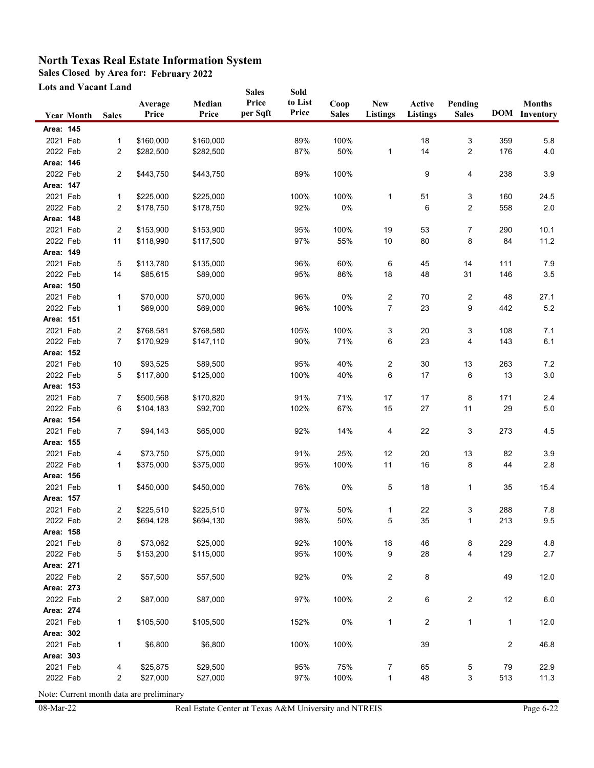**Sales Closed by Area for: February 2022**

**Lots and Vacant Land**

|                       | Lots and Vacant Land |                |                        |                        | <b>Sales</b>      | Sold             |                      |                        |                           |                         |                |                                       |
|-----------------------|----------------------|----------------|------------------------|------------------------|-------------------|------------------|----------------------|------------------------|---------------------------|-------------------------|----------------|---------------------------------------|
|                       | <b>Year Month</b>    | <b>Sales</b>   | Average<br>Price       | Median<br>Price        | Price<br>per Sqft | to List<br>Price | Coop<br><b>Sales</b> | <b>New</b><br>Listings | Active<br><b>Listings</b> | Pending<br><b>Sales</b> |                | <b>Months</b><br><b>DOM</b> Inventory |
| Area: 145             |                      |                |                        |                        |                   |                  |                      |                        |                           |                         |                |                                       |
| 2021 Feb              |                      | $\mathbf{1}$   | \$160,000              | \$160,000              |                   | 89%              | 100%                 |                        | 18                        | 3                       | 359            | 5.8                                   |
| 2022 Feb              |                      | 2              | \$282,500              | \$282,500              |                   | 87%              | 50%                  | $\mathbf{1}$           | 14                        | 2                       | 176            | 4.0                                   |
| Area: 146             |                      |                |                        |                        |                   |                  |                      |                        |                           |                         |                |                                       |
| 2022 Feb              |                      | $\overline{c}$ | \$443,750              | \$443,750              |                   | 89%              | 100%                 |                        | 9                         | 4                       | 238            | 3.9                                   |
| Area: 147             |                      |                |                        |                        |                   |                  |                      |                        |                           |                         |                |                                       |
| 2021 Feb              |                      | 1              | \$225,000              | \$225,000              |                   | 100%             | 100%                 | 1                      | 51                        | 3                       | 160            | 24.5                                  |
| 2022 Feb              |                      | 2              | \$178,750              | \$178,750              |                   | 92%              | 0%                   |                        | 6                         | 2                       | 558            | 2.0                                   |
| Area: 148             |                      |                |                        |                        |                   |                  |                      |                        |                           |                         |                |                                       |
| 2021 Feb              |                      | $\overline{c}$ | \$153,900              | \$153,900              |                   | 95%              | 100%                 | 19                     | 53                        | $\overline{7}$          | 290            | 10.1                                  |
| 2022 Feb              |                      | 11             | \$118,990              | \$117,500              |                   | 97%              | 55%                  | 10                     | 80                        | 8                       | 84             | 11.2                                  |
| Area: 149             |                      |                |                        |                        |                   |                  |                      |                        |                           |                         |                |                                       |
| 2021 Feb              |                      | 5              | \$113,780              | \$135,000              |                   | 96%              | 60%                  | 6                      | 45                        | 14                      | 111            | 7.9                                   |
| 2022 Feb              |                      | 14             | \$85,615               | \$89,000               |                   | 95%              | 86%                  | 18                     | 48                        | 31                      | 146            | $3.5\,$                               |
| Area: 150             |                      |                |                        |                        |                   |                  |                      |                        |                           |                         |                |                                       |
| 2021 Feb              |                      | 1              | \$70,000               | \$70,000               |                   | 96%              | $0\%$                | 2                      | 70                        | 2                       | 48             | 27.1                                  |
| 2022 Feb              |                      | 1              | \$69,000               | \$69,000               |                   | 96%              | 100%                 | 7                      | 23                        | 9                       | 442            | 5.2                                   |
| Area: 151             |                      |                |                        |                        |                   |                  |                      |                        |                           |                         |                |                                       |
| 2021 Feb              |                      | $\overline{c}$ | \$768,581              | \$768,580              |                   | 105%             | 100%                 | 3                      | 20                        | 3                       | 108            | 7.1                                   |
| 2022 Feb              |                      | 7              | \$170,929              | \$147,110              |                   | 90%              | 71%                  | 6                      | 23                        | 4                       | 143            | 6.1                                   |
| Area: 152             |                      |                |                        |                        |                   |                  |                      |                        |                           |                         |                |                                       |
| 2021 Feb              |                      | 10             | \$93,525               | \$89,500               |                   | 95%              | 40%                  | 2                      | 30                        | 13                      | 263            | 7.2                                   |
| 2022 Feb              |                      | 5              | \$117,800              | \$125,000              |                   | 100%             | 40%                  | 6                      | 17                        | 6                       | 13             | $3.0\,$                               |
| Area: 153             |                      |                |                        |                        |                   |                  |                      |                        |                           |                         |                |                                       |
| 2021 Feb              |                      | 7              | \$500,568              | \$170,820              |                   | 91%              | 71%                  | 17                     | 17                        | 8                       | 171            | 2.4                                   |
| 2022 Feb              |                      | 6              | \$104,183              | \$92,700               |                   | 102%             | 67%                  | 15                     | 27                        | 11                      | 29             | $5.0\,$                               |
| Area: 154             |                      |                |                        |                        |                   |                  |                      |                        |                           |                         |                |                                       |
| 2021 Feb              |                      | 7              | \$94,143               | \$65,000               |                   | 92%              | 14%                  | 4                      | 22                        | 3                       | 273            | 4.5                                   |
| Area: 155             |                      |                |                        |                        |                   |                  |                      |                        |                           |                         |                |                                       |
| 2021 Feb              |                      | 4              | \$73,750               | \$75,000               |                   | 91%              | 25%                  | 12                     | 20                        | $13$                    | 82             | 3.9                                   |
| 2022 Feb              |                      | 1              | \$375,000              | \$375,000              |                   | 95%              | 100%                 | 11                     | 16                        | 8                       | 44             | 2.8                                   |
| Area: 156             |                      |                |                        |                        |                   |                  |                      |                        |                           |                         |                |                                       |
| 2021 Feb              |                      | 1              | \$450,000              | \$450,000              |                   | 76%              | 0%                   | 5                      | 18                        | 1                       | 35             | 15.4                                  |
| Area: 157<br>2021 Feb |                      |                |                        |                        |                   |                  |                      |                        |                           |                         |                |                                       |
| 2022 Feb              |                      | 2<br>2         | \$225,510<br>\$694,128 | \$225,510<br>\$694,130 |                   | 97%<br>98%       | 50%<br>50%           | 1<br>5                 | 22<br>35                  | 3<br>1                  | 288<br>213     | 7.8<br>$9.5\,$                        |
| Area: 158             |                      |                |                        |                        |                   |                  |                      |                        |                           |                         |                |                                       |
| 2021 Feb              |                      | 8              | \$73,062               | \$25,000               |                   | 92%              | 100%                 | 18                     | 46                        | 8                       | 229            | 4.8                                   |
| 2022 Feb              |                      | 5              | \$153,200              | \$115,000              |                   | 95%              | 100%                 | 9                      | 28                        | 4                       | 129            | 2.7                                   |
| Area: 271             |                      |                |                        |                        |                   |                  |                      |                        |                           |                         |                |                                       |
| 2022 Feb              |                      | $\overline{2}$ | \$57,500               | \$57,500               |                   | 92%              | 0%                   | 2                      | 8                         |                         | 49             | 12.0                                  |
| Area: 273             |                      |                |                        |                        |                   |                  |                      |                        |                           |                         |                |                                       |
| 2022 Feb              |                      | $\overline{2}$ | \$87,000               | \$87,000               |                   | 97%              | 100%                 | 2                      | 6                         | $\overline{2}$          | 12             | $6.0\,$                               |
| Area: 274             |                      |                |                        |                        |                   |                  |                      |                        |                           |                         |                |                                       |
| 2021 Feb              |                      | 1              | \$105,500              | \$105,500              |                   | 152%             | 0%                   | $\mathbf{1}$           | 2                         | $\mathbf{1}$            | 1              | 12.0                                  |
| Area: 302             |                      |                |                        |                        |                   |                  |                      |                        |                           |                         |                |                                       |
| 2021 Feb              |                      | 1              | \$6,800                | \$6,800                |                   | 100%             | 100%                 |                        | 39                        |                         | $\overline{2}$ | 46.8                                  |
| Area: 303             |                      |                |                        |                        |                   |                  |                      |                        |                           |                         |                |                                       |
| 2021 Feb              |                      | 4              | \$25,875               | \$29,500               |                   | 95%              | 75%                  | 7                      | 65                        | 5                       | 79             | 22.9                                  |
| 2022 Feb              |                      | 2              | \$27,000               | \$27,000               |                   | 97%              | 100%                 | $\mathbf{1}$           | 48                        | 3                       | 513            | 11.3                                  |
|                       |                      |                |                        |                        |                   |                  |                      |                        |                           |                         |                |                                       |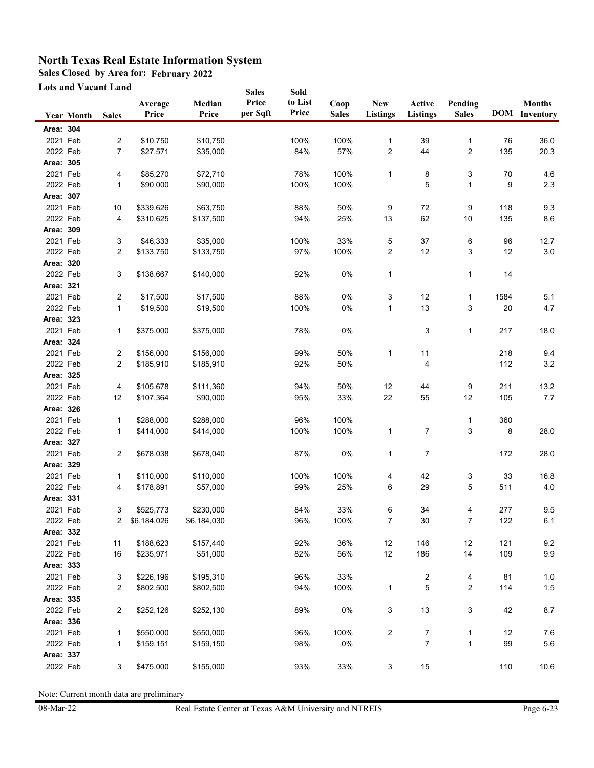**Sales Closed by Area for: February 2022**

**Lots and Vacant Land**

|           | <b>Lots and Vacant Land</b> |                |               |             | <b>Sales</b> | Sold    |              |                |                |              |      |                      |
|-----------|-----------------------------|----------------|---------------|-------------|--------------|---------|--------------|----------------|----------------|--------------|------|----------------------|
|           |                             |                | Average       | Median      | Price        | to List | Coop         | <b>New</b>     | Active         | Pending      |      | <b>Months</b>        |
|           | <b>Year Month</b>           | <b>Sales</b>   | Price         | Price       | per Sqft     | Price   | <b>Sales</b> | Listings       | Listings       | <b>Sales</b> |      | <b>DOM</b> Inventory |
| Area: 304 |                             |                |               |             |              |         |              |                |                |              |      |                      |
| 2021 Feb  |                             | 2              | \$10,750      | \$10,750    |              | 100%    | 100%         | 1              | 39             | 1            | 76   | 36.0                 |
| 2022 Feb  |                             | $\overline{7}$ | \$27,571      | \$35,000    |              | 84%     | 57%          | 2              | 44             | 2            | 135  | 20.3                 |
| Area: 305 |                             |                |               |             |              |         |              |                |                |              |      |                      |
| 2021 Feb  |                             | 4              | \$85,270      | \$72,710    |              | 78%     | 100%         | 1              | 8              | 3            | 70   | 4.6                  |
| 2022 Feb  |                             | 1              | \$90,000      | \$90,000    |              | 100%    | 100%         |                | 5              | 1            | 9    | 2.3                  |
| Area: 307 |                             |                |               |             |              |         |              |                |                |              |      |                      |
| 2021 Feb  |                             | 10             | \$339,626     | \$63,750    |              | 88%     | 50%          | 9              | $72\,$         | 9            | 118  | 9.3                  |
| 2022 Feb  |                             | 4              | \$310,625     | \$137,500   |              | 94%     | 25%          | 13             | 62             | 10           | 135  | 8.6                  |
| Area: 309 |                             |                |               |             |              |         |              |                |                |              |      |                      |
| 2021 Feb  |                             | 3              | \$46,333      | \$35,000    |              | 100%    | 33%          | 5              | 37             | 6            | 96   | 12.7                 |
| 2022 Feb  |                             | 2              | \$133,750     | \$133,750   |              | 97%     | 100%         | 2              | 12             | 3            | 12   | 3.0                  |
| Area: 320 |                             |                |               |             |              |         |              |                |                |              |      |                      |
| 2022 Feb  |                             | 3              | \$138,667     | \$140,000   |              | 92%     | 0%           | 1              |                | $\mathbf{1}$ | 14   |                      |
| Area: 321 |                             |                |               |             |              |         |              |                |                |              |      |                      |
| 2021 Feb  |                             | 2              | \$17,500      | \$17,500    |              | 88%     | 0%           | 3              | 12             | $\mathbf{1}$ | 1584 | 5.1                  |
| 2022 Feb  |                             | 1              | \$19,500      | \$19,500    |              | 100%    | 0%           | 1              | 13             | 3            | 20   | 4.7                  |
| Area: 323 |                             |                |               |             |              |         |              |                |                |              |      |                      |
| 2021 Feb  |                             | 1              | \$375,000     | \$375,000   |              | 78%     | 0%           |                | 3              | 1            | 217  | 18.0                 |
| Area: 324 |                             |                |               |             |              |         |              |                |                |              |      |                      |
| 2021 Feb  |                             | 2              | \$156,000     | \$156,000   |              | 99%     | 50%          | $\mathbf{1}$   | 11             |              | 218  | 9.4                  |
| 2022 Feb  |                             | 2              | \$185,910     | \$185,910   |              | 92%     | 50%          |                | 4              |              | 112  | 3.2                  |
| Area: 325 |                             |                |               |             |              |         |              |                |                |              |      |                      |
| 2021 Feb  |                             | 4              | \$105,678     | \$111,360   |              | 94%     | 50%          | 12             | 44             | 9            | 211  | 13.2                 |
| 2022 Feb  |                             | 12             | \$107,364     | \$90,000    |              | 95%     | 33%          | 22             | 55             | 12           | 105  | 7.7                  |
| Area: 326 |                             |                |               |             |              |         |              |                |                |              |      |                      |
| 2021 Feb  |                             | 1              | \$288,000     | \$288,000   |              | 96%     | 100%         |                |                | 1            | 360  |                      |
| 2022 Feb  |                             | 1              | \$414,000     | \$414,000   |              | 100%    | 100%         | 1              | 7              | 3            | 8    | 28.0                 |
| Area: 327 |                             |                |               |             |              |         |              |                |                |              |      |                      |
| 2021 Feb  |                             | $\overline{c}$ | \$678,038     | \$678,040   |              | 87%     | 0%           | 1              | 7              |              | 172  | 28.0                 |
| Area: 329 |                             |                |               |             |              |         |              |                |                |              |      |                      |
| 2021 Feb  |                             | 1              | \$110,000     | \$110,000   |              | 100%    | 100%         | 4              | 42             | 3            | 33   | 16.8                 |
| 2022 Feb  |                             | 4              | \$178,891     | \$57,000    |              | 99%     | 25%          | 6              | 29             | 5            | 511  | 4.0                  |
| Area: 331 |                             |                |               |             |              |         |              |                |                |              |      |                      |
| 2021 Feb  |                             | 3              | \$525,773     | \$230,000   |              | 84%     | 33%          | 6              | 34             | 4            | 277  | 9.5                  |
| 2022 Feb  |                             |                | 2 \$6,184,026 | \$6,184,030 |              | 96%     | 100%         | 7              | 30             | 7            | 122  | 6.1                  |
| Area: 332 |                             |                |               |             |              |         |              |                |                |              |      |                      |
| 2021 Feb  |                             | 11             | \$188,623     | \$157,440   |              | 92%     | 36%          | 12             | 146            | 12           | 121  | 9.2                  |
| 2022 Feb  |                             | 16             | \$235,971     | \$51,000    |              | 82%     | 56%          | 12             | 186            | 14           | 109  | 9.9                  |
| Area: 333 |                             |                |               |             |              |         |              |                |                |              |      |                      |
| 2021 Feb  |                             | 3              | \$226,196     | \$195,310   |              | 96%     | 33%          |                | 2              | 4            | 81   | $1.0\,$              |
| 2022 Feb  |                             | $\overline{c}$ | \$802,500     | \$802,500   |              | 94%     | 100%         | $\mathbf{1}$   | 5              | 2            | 114  | $1.5$                |
| Area: 335 |                             |                |               |             |              |         |              |                |                |              |      |                      |
| 2022 Feb  |                             | $\overline{2}$ | \$252,126     | \$252,130   |              | 89%     | 0%           | 3              | 13             | 3            | 42   | 8.7                  |
| Area: 336 |                             |                |               |             |              |         |              |                |                |              |      |                      |
| 2021 Feb  |                             | 1              | \$550,000     | \$550,000   |              | 96%     | 100%         | $\overline{c}$ | 7              | 1            | 12   | 7.6                  |
| 2022 Feb  |                             | 1              | \$159,151     | \$159,150   |              | 98%     | $0\%$        |                | $\overline{7}$ | $\mathbf{1}$ | 99   | 5.6                  |
| Area: 337 |                             |                |               |             |              |         |              |                |                |              |      |                      |
| 2022 Feb  |                             | 3              | \$475,000     | \$155,000   |              | 93%     | 33%          | 3              | $15\,$         |              | 110  | $10.6\,$             |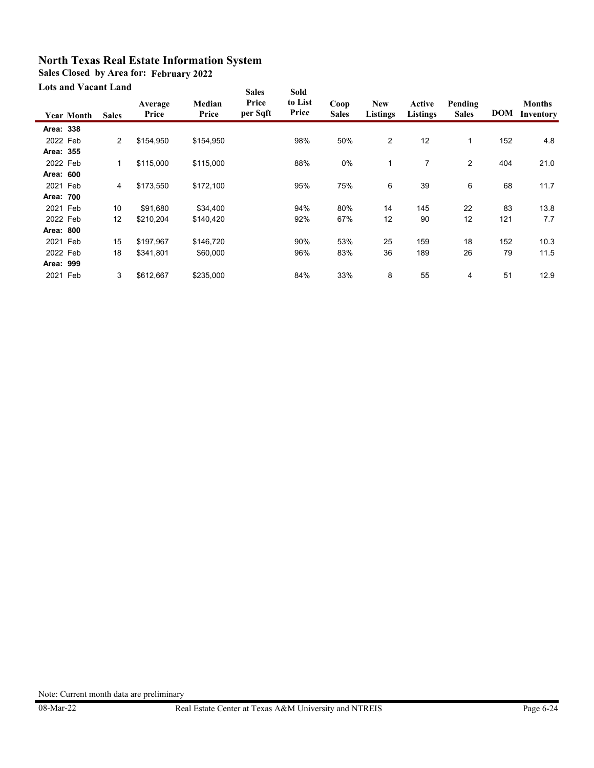**Sales Closed by Area for: February 2022**

#### **Lots and Vacant Land**

| Lots and y acant Land |                   |              |                  |                 | <b>Sales</b>      | <b>Sold</b>      |                      |                               |                           |                         |            |                            |  |
|-----------------------|-------------------|--------------|------------------|-----------------|-------------------|------------------|----------------------|-------------------------------|---------------------------|-------------------------|------------|----------------------------|--|
|                       | <b>Year Month</b> | <b>Sales</b> | Average<br>Price | Median<br>Price | Price<br>per Sqft | to List<br>Price | Coop<br><b>Sales</b> | <b>New</b><br><b>Listings</b> | Active<br><b>Listings</b> | Pending<br><b>Sales</b> | <b>DOM</b> | <b>Months</b><br>Inventory |  |
| Area: 338             |                   |              |                  |                 |                   |                  |                      |                               |                           |                         |            |                            |  |
| 2022 Feb              |                   | 2            | \$154,950        | \$154,950       |                   | 98%              | 50%                  | 2                             | 12                        | $\mathbf{1}$            | 152        | 4.8                        |  |
| Area: 355             |                   |              |                  |                 |                   |                  |                      |                               |                           |                         |            |                            |  |
| 2022 Feb              |                   | 1            | \$115,000        | \$115,000       |                   | 88%              | 0%                   | 1                             | 7                         | $\overline{2}$          | 404        | 21.0                       |  |
| Area: 600             |                   |              |                  |                 |                   |                  |                      |                               |                           |                         |            |                            |  |
| 2021 Feb              |                   | 4            | \$173,550        | \$172,100       |                   | 95%              | 75%                  | 6                             | 39                        | 6                       | 68         | 11.7                       |  |
| Area: 700             |                   |              |                  |                 |                   |                  |                      |                               |                           |                         |            |                            |  |
| 2021 Feb              |                   | 10           | \$91,680         | \$34,400        |                   | 94%              | 80%                  | 14                            | 145                       | 22                      | 83         | 13.8                       |  |
| 2022 Feb              |                   | 12           | \$210,204        | \$140,420       |                   | 92%              | 67%                  | 12                            | 90                        | 12                      | 121        | 7.7                        |  |
| Area: 800             |                   |              |                  |                 |                   |                  |                      |                               |                           |                         |            |                            |  |
| 2021 Feb              |                   | 15           | \$197,967        | \$146,720       |                   | 90%              | 53%                  | 25                            | 159                       | 18                      | 152        | 10.3                       |  |
| 2022 Feb              |                   | 18           | \$341,801        | \$60,000        |                   | 96%              | 83%                  | 36                            | 189                       | 26                      | 79         | 11.5                       |  |
| Area: 999             |                   |              |                  |                 |                   |                  |                      |                               |                           |                         |            |                            |  |
| 2021 Feb              |                   | 3            | \$612,667        | \$235,000       |                   | 84%              | 33%                  | 8                             | 55                        | 4                       | 51         | 12.9                       |  |
|                       |                   |              |                  |                 |                   |                  |                      |                               |                           |                         |            |                            |  |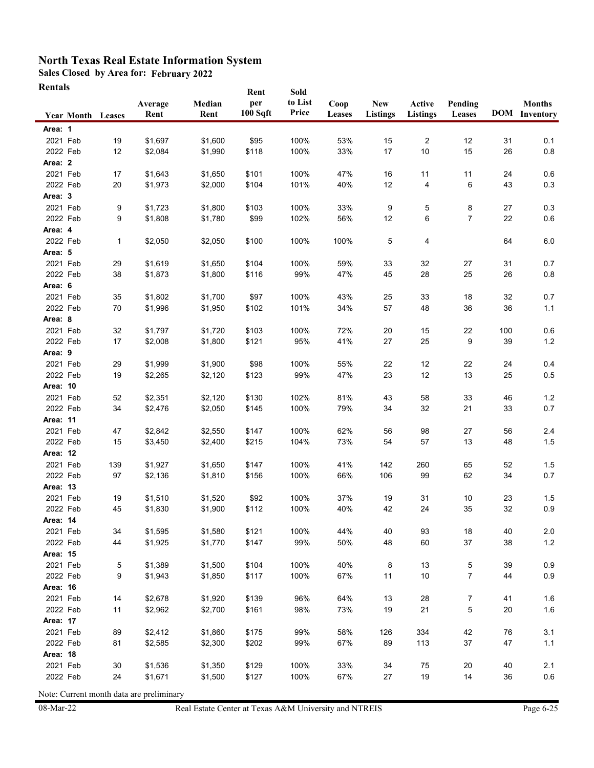**Sales Closed by Area for: February 2022**

**Rentals**

|                      | <b>Year Month Leases</b> |           | Average<br>Rent    | Median<br>Rent     | Rent<br>per<br>100 Sqft | Sold<br>to List<br>Price | Coop<br>Leases | <b>New</b><br><b>Listings</b> | Active<br><b>Listings</b> | Pending<br>Leases |          | <b>Months</b><br><b>DOM</b> Inventory |
|----------------------|--------------------------|-----------|--------------------|--------------------|-------------------------|--------------------------|----------------|-------------------------------|---------------------------|-------------------|----------|---------------------------------------|
| Area: 1              |                          |           |                    |                    |                         |                          |                |                               |                           |                   |          |                                       |
| 2021 Feb             |                          | 19        | \$1,697            | \$1,600            | \$95                    | 100%                     | 53%            | 15                            | 2                         | 12                | 31       | 0.1                                   |
| 2022 Feb             |                          | 12        | \$2,084            | \$1,990            | \$118                   | 100%                     | 33%            | 17                            | 10                        | 15                | 26       | 0.8                                   |
| Area: 2              |                          |           |                    |                    |                         |                          |                |                               |                           |                   |          |                                       |
| 2021 Feb             |                          | 17        | \$1,643            | \$1,650            | \$101                   | 100%                     | 47%            | 16                            | 11                        | 11                | 24       | 0.6                                   |
| 2022 Feb             |                          | 20        | \$1,973            | \$2,000            | \$104                   | 101%                     | 40%            | 12                            | 4                         | 6                 | 43       | 0.3                                   |
| Area: 3              |                          |           |                    |                    |                         |                          |                |                               |                           |                   |          |                                       |
| 2021 Feb             |                          | 9         | \$1,723            | \$1,800            | \$103                   | 100%                     | 33%            | 9                             | 5                         | 8                 | 27       | 0.3                                   |
| 2022 Feb             |                          | 9         | \$1,808            | \$1,780            | \$99                    | 102%                     | 56%            | 12                            | 6                         | $\overline{7}$    | 22       | 0.6                                   |
| Area: 4              |                          |           |                    |                    |                         |                          |                |                               |                           |                   |          |                                       |
| 2022 Feb             |                          | 1         | \$2,050            | \$2,050            | \$100                   | 100%                     | 100%           | 5                             | 4                         |                   | 64       | 6.0                                   |
| Area: 5              |                          |           |                    |                    |                         |                          |                |                               |                           |                   |          |                                       |
| 2021 Feb             |                          | 29        | \$1,619            | \$1,650            | \$104                   | 100%                     | 59%            | 33                            | 32                        | 27                | 31       | 0.7                                   |
| 2022 Feb             |                          | 38        | \$1,873            | \$1,800            | \$116                   | 99%                      | 47%            | 45                            | 28                        | 25                | 26       | 0.8                                   |
| Area: 6              |                          |           |                    |                    |                         |                          |                |                               |                           |                   |          |                                       |
| 2021 Feb             |                          | 35        | \$1,802            | \$1,700            | \$97                    | 100%                     | 43%            | 25                            | 33                        | 18                | 32       | 0.7                                   |
| 2022 Feb             |                          | 70        | \$1,996            | \$1,950            | \$102                   | 101%                     | 34%            | 57                            | 48                        | 36                | 36       | 1.1                                   |
| Area: 8              |                          |           |                    |                    |                         |                          |                |                               |                           |                   |          |                                       |
| 2021 Feb             |                          | 32        | \$1,797            | \$1,720            | \$103                   | 100%                     | 72%            | 20                            | 15                        | 22                | 100      | $0.6\,$                               |
| 2022 Feb             |                          | 17        | \$2,008            | \$1,800            | \$121                   | 95%                      | 41%            | 27                            | 25                        | 9                 | 39       | $1.2$                                 |
| Area: 9              |                          |           |                    |                    |                         |                          |                |                               |                           |                   |          |                                       |
| 2021 Feb             |                          | 29        | \$1,999            | \$1,900            | \$98                    | 100%                     | 55%            | 22                            | 12                        | 22                | 24       | 0.4                                   |
| 2022 Feb             |                          | 19        | \$2,265            | \$2,120            | \$123                   | 99%                      | 47%            | 23                            | 12                        | 13                | 25       | 0.5                                   |
| Area: 10             |                          |           |                    |                    |                         |                          |                |                               |                           |                   |          |                                       |
| 2021 Feb             |                          | 52        | \$2,351            | \$2,120            | \$130                   | 102%                     | 81%            | 43                            | 58                        | 33                | 46       | $1.2$                                 |
| 2022 Feb             |                          | 34        | \$2,476            | \$2,050            | \$145                   | 100%                     | 79%            | 34                            | 32                        | 21                | 33       | 0.7                                   |
| Area: 11             |                          |           |                    |                    |                         |                          |                |                               |                           |                   |          |                                       |
| 2021 Feb             |                          | 47        | \$2,842            | \$2,550            | \$147                   | 100%                     | 62%            | 56                            | 98                        | 27                | 56       | 2.4                                   |
| 2022 Feb<br>Area: 12 |                          | 15        | \$3,450            | \$2,400            | \$215                   | 104%                     | 73%            | 54                            | 57                        | 13                | 48       | 1.5                                   |
| 2021 Feb             |                          |           |                    |                    |                         |                          |                |                               |                           |                   |          |                                       |
| 2022 Feb             |                          | 139<br>97 | \$1,927<br>\$2,136 | \$1,650<br>\$1,810 | \$147<br>\$156          | 100%<br>100%             | 41%<br>66%     | 142<br>106                    | 260<br>99                 | 65<br>62          | 52<br>34 | 1.5<br>0.7                            |
| Area: 13             |                          |           |                    |                    |                         |                          |                |                               |                           |                   |          |                                       |
| 2021 Feb             |                          | 19        | \$1,510            | \$1,520            | \$92                    | 100%                     | 37%            | 19                            | 31                        | $10$              | 23       | 1.5                                   |
| 2022 Feb             |                          | 45        | \$1,830            | \$1,900            | \$112                   | 100%                     | 40%            | 42                            | 24                        | 35                | 32       | 0.9                                   |
| Area: 14             |                          |           |                    |                    |                         |                          |                |                               |                           |                   |          |                                       |
| 2021 Feb             |                          | 34        | \$1,595            | \$1,580            | \$121                   | 100%                     | 44%            | 40                            | 93                        | 18                | 40       | $2.0\,$                               |
| 2022 Feb             |                          | 44        | \$1,925            | \$1,770            | \$147                   | 99%                      | 50%            | 48                            | 60                        | 37                | 38       | $1.2$                                 |
| Area: 15             |                          |           |                    |                    |                         |                          |                |                               |                           |                   |          |                                       |
| 2021 Feb             |                          | 5         | \$1,389            | \$1,500            | \$104                   | 100%                     | 40%            | 8                             | 13                        | 5                 | 39       | 0.9                                   |
| 2022 Feb             |                          | 9         | \$1,943            | \$1,850            | \$117                   | 100%                     | 67%            | 11                            | 10                        | $\overline{7}$    | 44       | 0.9                                   |
| <b>Area: 16</b>      |                          |           |                    |                    |                         |                          |                |                               |                           |                   |          |                                       |
| 2021 Feb             |                          | 14        | \$2,678            | \$1,920            | \$139                   | 96%                      | 64%            | 13                            | 28                        | 7                 | 41       | 1.6                                   |
| 2022 Feb             |                          | 11        | \$2,962            | \$2,700            | \$161                   | 98%                      | 73%            | 19                            | 21                        | 5                 | 20       | 1.6                                   |
| Area: 17             |                          |           |                    |                    |                         |                          |                |                               |                           |                   |          |                                       |
| 2021 Feb             |                          | 89        | \$2,412            | \$1,860            | \$175                   | 99%                      | 58%            | 126                           | 334                       | 42                | 76       | 3.1                                   |
| 2022 Feb             |                          | 81        | \$2,585            | \$2,300            | \$202                   | 99%                      | 67%            | 89                            | 113                       | 37                | 47       | $1.1$                                 |
| Area: 18             |                          |           |                    |                    |                         |                          |                |                               |                           |                   |          |                                       |
| 2021 Feb             |                          | 30        | \$1,536            | \$1,350            | \$129                   | 100%                     | 33%            | 34                            | 75                        | 20                | 40       | 2.1                                   |
| 2022 Feb             |                          | 24        | \$1,671            | \$1,500            | \$127                   | 100%                     | 67%            | 27                            | 19                        | 14                | 36       | 0.6                                   |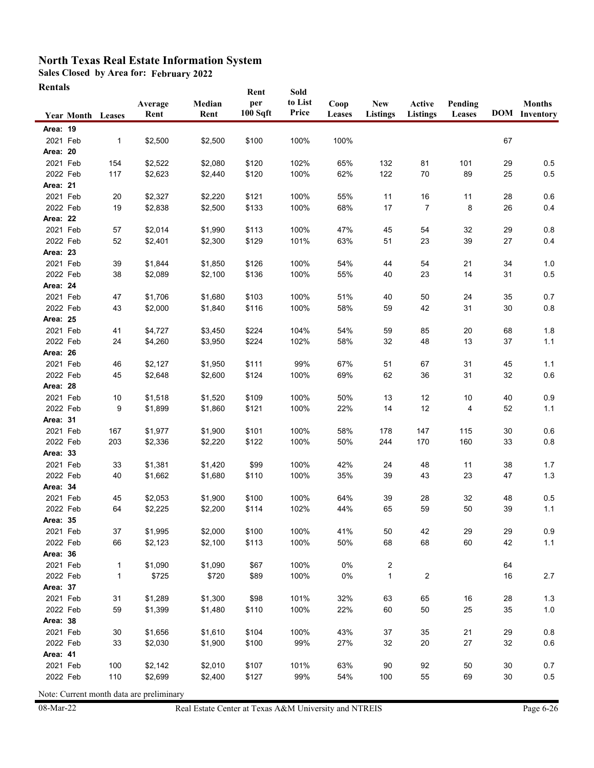**Sales Closed by Area for: February 2022**

| <b>Rentals</b> |
|----------------|
|----------------|

|                             |                          |                   | Average | Median  | Rent<br>per<br>100 Sqft | Sold<br>to List<br>Price | Coop<br>Leases | <b>New</b>                     | Active          | Pending |    | <b>Months</b><br><b>DOM</b> Inventory |
|-----------------------------|--------------------------|-------------------|---------|---------|-------------------------|--------------------------|----------------|--------------------------------|-----------------|---------|----|---------------------------------------|
|                             | <b>Year Month Leases</b> |                   | Rent    | Rent    |                         |                          |                | <b>Listings</b>                | <b>Listings</b> | Leases  |    |                                       |
| <b>Area: 19</b>             |                          |                   |         |         |                         |                          |                |                                |                 |         |    |                                       |
| 2021 Feb                    |                          | $\mathbf{1}$      | \$2,500 | \$2,500 | \$100                   | 100%                     | 100%           |                                |                 |         | 67 |                                       |
| <b>Area: 20</b>             |                          |                   |         |         |                         |                          |                |                                |                 |         |    |                                       |
| 2021 Feb                    |                          | 154               | \$2,522 | \$2,080 | \$120                   | 102%                     | 65%            | 132                            | 81              | 101     | 29 | 0.5                                   |
| 2022 Feb<br><b>Area: 21</b> |                          | 117               | \$2,623 | \$2,440 | \$120                   | 100%                     | 62%            | 122                            | 70              | 89      | 25 | 0.5                                   |
| 2021 Feb                    |                          | 20                | \$2,327 | \$2,220 | \$121                   | 100%                     | 55%            | 11                             | 16              | 11      | 28 | 0.6                                   |
| 2022 Feb                    |                          | 19                | \$2,838 | \$2,500 | \$133                   | 100%                     | 68%            | 17                             | $\overline{7}$  | 8       | 26 | 0.4                                   |
| Area: 22                    |                          |                   |         |         |                         |                          |                |                                |                 |         |    |                                       |
| 2021 Feb                    |                          | 57                | \$2,014 | \$1,990 | \$113                   | 100%                     | 47%            | 45                             | 54              | 32      | 29 | 0.8                                   |
| 2022 Feb                    |                          | 52                | \$2,401 | \$2,300 | \$129                   | 101%                     | 63%            | 51                             | 23              | 39      | 27 | 0.4                                   |
| Area: 23                    |                          |                   |         |         |                         |                          |                |                                |                 |         |    |                                       |
| 2021 Feb                    |                          | 39                | \$1,844 | \$1,850 | \$126                   | 100%                     | 54%            | 44                             | 54              | 21      | 34 | 1.0                                   |
| 2022 Feb                    |                          | 38                | \$2,089 | \$2,100 | \$136                   | 100%                     | 55%            | 40                             | 23              | 14      | 31 | 0.5                                   |
| Area: 24                    |                          |                   |         |         |                         |                          |                |                                |                 |         |    |                                       |
| 2021 Feb                    |                          | 47                | \$1,706 | \$1,680 | \$103                   | 100%                     | 51%            | 40                             | 50              | 24      | 35 | 0.7                                   |
| 2022 Feb                    |                          | 43                | \$2,000 | \$1,840 | \$116                   | 100%                     | 58%            | 59                             | 42              | 31      | 30 | 0.8                                   |
| <b>Area: 25</b>             |                          |                   |         |         |                         |                          |                |                                |                 |         |    |                                       |
| 2021 Feb                    |                          | 41                | \$4,727 | \$3,450 | \$224                   | 104%                     | 54%            | 59                             | 85              | 20      | 68 | $1.8$                                 |
| 2022 Feb                    |                          | 24                | \$4,260 | \$3,950 | \$224                   | 102%                     | 58%            | 32                             | 48              | 13      | 37 | 1.1                                   |
| Area: 26                    |                          |                   |         |         |                         |                          |                |                                |                 |         |    |                                       |
| 2021 Feb                    |                          | 46                | \$2,127 | \$1,950 | \$111                   | 99%                      | 67%            | 51                             | 67              | 31      | 45 | 1.1                                   |
| 2022 Feb                    |                          | 45                | \$2,648 | \$2,600 | \$124                   | 100%                     | 69%            | 62                             | 36              | 31      | 32 | 0.6                                   |
| Area: 28                    |                          |                   |         |         |                         |                          |                |                                |                 |         |    |                                       |
| 2021 Feb                    |                          | 10                | \$1,518 | \$1,520 | \$109                   | 100%                     | 50%            | 13                             | 12              | 10      | 40 | 0.9                                   |
| 2022 Feb                    |                          | 9                 | \$1,899 | \$1,860 | \$121                   | 100%                     | 22%            | 14                             | 12              | 4       | 52 | 1.1                                   |
| Area: 31                    |                          |                   |         |         |                         |                          |                |                                |                 |         |    |                                       |
| 2021 Feb                    |                          | 167               | \$1,977 | \$1,900 | \$101                   | 100%                     | 58%            | 178                            | 147             | 115     | 30 | 0.6                                   |
| 2022 Feb                    |                          | 203               | \$2,336 | \$2,220 | \$122                   | 100%                     | 50%            | 244                            | 170             | 160     | 33 | 0.8                                   |
| <b>Area: 33</b>             |                          |                   |         |         |                         |                          |                |                                |                 |         |    |                                       |
| 2021 Feb                    |                          | 33                | \$1,381 | \$1,420 | \$99                    | 100%                     | 42%            | 24                             | 48              | 11      | 38 | 1.7                                   |
| 2022 Feb                    |                          | 40                | \$1,662 | \$1,680 | \$110                   | 100%                     | 35%            | 39                             | 43              | 23      | 47 | 1.3                                   |
| Area: 34                    |                          |                   |         |         |                         |                          |                |                                |                 |         |    |                                       |
| 2021 Feb                    |                          | 45                | \$2,053 | \$1,900 | \$100                   | 100%                     | 64%            | 39                             | 28              | 32      | 48 | 0.5                                   |
| 2022 Feb                    |                          | 64                | \$2,225 | \$2,200 | \$114                   | 102%                     | 44%            | 65                             | 59              | 50      | 39 | 1.1                                   |
| Area: 35                    |                          |                   |         |         |                         |                          |                |                                |                 |         |    |                                       |
| 2021 Feb                    |                          | 37                | \$1,995 | \$2,000 | \$100                   | 100%                     | 41%            | 50                             | 42              | 29      | 29 | 0.9                                   |
| 2022 Feb                    |                          | 66                | \$2,123 | \$2,100 | \$113                   | 100%                     | 50%            | 68                             | 68              | 60      | 42 | 1.1                                   |
| Area: 36<br>2021 Feb        |                          |                   | \$1,090 | \$1,090 | \$67                    | 100%                     | 0%             |                                |                 |         | 64 |                                       |
| 2022 Feb                    |                          | 1<br>$\mathbf{1}$ | \$725   | \$720   | \$89                    | 100%                     | 0%             | $\overline{2}$<br>$\mathbf{1}$ | 2               |         | 16 | 2.7                                   |
| Area: 37                    |                          |                   |         |         |                         |                          |                |                                |                 |         |    |                                       |
| 2021 Feb                    |                          | 31                | \$1,289 | \$1,300 | \$98                    | 101%                     | 32%            | 63                             | 65              | $16\,$  | 28 | 1.3                                   |
| 2022 Feb                    |                          | 59                | \$1,399 | \$1,480 | \$110                   | 100%                     | 22%            | 60                             | 50              | 25      | 35 | 1.0                                   |
| Area: 38                    |                          |                   |         |         |                         |                          |                |                                |                 |         |    |                                       |
| 2021 Feb                    |                          | 30                | \$1,656 | \$1,610 | \$104                   | 100%                     | 43%            | 37                             | 35              | 21      | 29 | $0.8\,$                               |
| 2022 Feb                    |                          | 33                | \$2,030 | \$1,900 | \$100                   | 99%                      | 27%            | 32                             | 20              | $27\,$  | 32 | 0.6                                   |
| Area: 41                    |                          |                   |         |         |                         |                          |                |                                |                 |         |    |                                       |
| 2021 Feb                    |                          | 100               | \$2,142 | \$2,010 | \$107                   | 101%                     | 63%            | 90                             | 92              | 50      | 30 | 0.7                                   |
| 2022 Feb                    |                          | 110               | \$2,699 | \$2,400 | \$127                   | 99%                      | 54%            | 100                            | 55              | 69      | 30 | 0.5                                   |
|                             |                          |                   |         |         |                         |                          |                |                                |                 |         |    |                                       |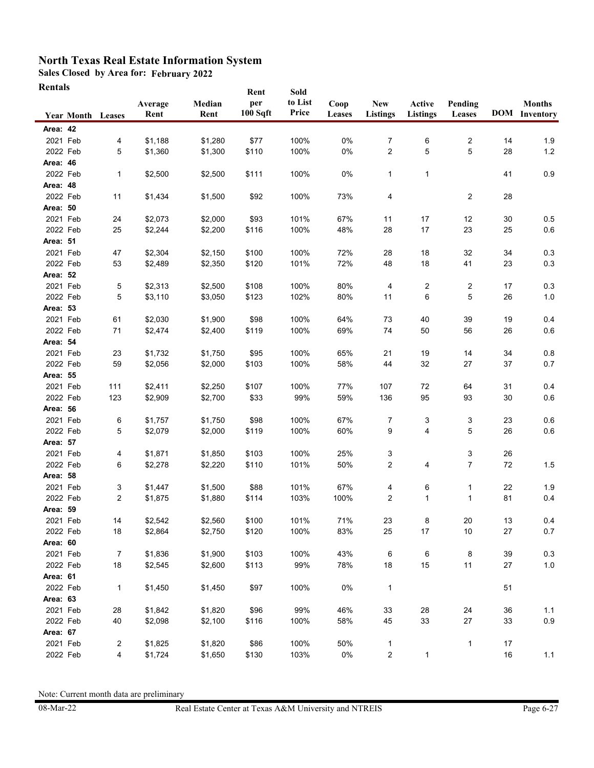**Sales Closed by Area for: February 2022**

| Rentals |
|---------|
|---------|

|                      | <b>Year Month Leases</b> | Average<br>Rent    | Median<br>Rent     | Rent<br>per<br>100 Sqft | Sold<br>to List<br>Price | Coop<br>Leases | <b>New</b><br><b>Listings</b> | Active<br><b>Listings</b> | Pending<br>Leases |          | <b>Months</b><br><b>DOM</b> Inventory |
|----------------------|--------------------------|--------------------|--------------------|-------------------------|--------------------------|----------------|-------------------------------|---------------------------|-------------------|----------|---------------------------------------|
| Area: 42             |                          |                    |                    |                         |                          |                |                               |                           |                   |          |                                       |
| 2021 Feb             | 4                        | \$1,188            | \$1,280            | \$77                    | 100%                     | 0%             | 7                             | 6                         | 2                 | 14       | 1.9                                   |
| 2022 Feb             | 5                        | \$1,360            | \$1,300            | \$110                   | 100%                     | 0%             | $\overline{2}$                | 5                         | 5                 | 28       | 1.2                                   |
| Area: 46             |                          |                    |                    |                         |                          |                |                               |                           |                   |          |                                       |
| 2022 Feb             | 1                        | \$2,500            | \$2,500            | \$111                   | 100%                     | 0%             | $\mathbf{1}$                  | $\mathbf{1}$              |                   | 41       | 0.9                                   |
| Area: 48             |                          |                    |                    |                         |                          |                |                               |                           |                   |          |                                       |
| 2022 Feb             | 11                       | \$1,434            | \$1,500            | \$92                    | 100%                     | 73%            | 4                             |                           | $\overline{2}$    | 28       |                                       |
| <b>Area: 50</b>      |                          |                    |                    |                         |                          |                |                               |                           |                   |          |                                       |
| 2021 Feb             | 24                       | \$2,073            | \$2,000            | \$93                    | 101%                     | 67%            | 11                            | 17                        | 12                | 30       | 0.5                                   |
| 2022 Feb             | 25                       | \$2,244            | \$2,200            | \$116                   | 100%                     | 48%            | 28                            | 17                        | 23                | 25       | 0.6                                   |
| Area: 51             |                          |                    |                    |                         |                          |                |                               |                           |                   |          |                                       |
| 2021 Feb             | 47                       | \$2,304            | \$2,150            | \$100                   | 100%                     | 72%            | 28                            | 18                        | 32                | 34       | 0.3                                   |
| 2022 Feb             | 53                       | \$2,489            | \$2,350            | \$120                   | 101%                     | 72%            | 48                            | 18                        | 41                | 23       | 0.3                                   |
| Area: 52             |                          |                    |                    |                         |                          |                |                               |                           |                   |          |                                       |
| 2021 Feb             | 5                        | \$2,313            | \$2,500            | \$108                   | 100%                     | 80%            | 4                             | 2                         | $\overline{c}$    | 17       | 0.3                                   |
| 2022 Feb             | 5                        | \$3,110            | \$3,050            | \$123                   | 102%                     | 80%            | 11                            | 6                         | 5                 | 26       | 1.0                                   |
| Area: 53             |                          |                    |                    |                         |                          |                |                               |                           |                   |          |                                       |
| 2021 Feb             | 61                       | \$2,030            | \$1,900            | \$98                    | 100%                     | 64%            | 73                            | 40                        | 39                | 19       | 0.4                                   |
| 2022 Feb             | 71                       | \$2,474            | \$2,400            | \$119                   | 100%                     | 69%            | 74                            | 50                        | 56                | 26       | $0.6\,$                               |
| Area: 54             |                          |                    |                    |                         |                          |                |                               |                           |                   |          |                                       |
| 2021 Feb             | 23                       | \$1,732            | \$1,750            | \$95                    | 100%                     | 65%            | 21                            | 19                        | 14                | 34       | 0.8                                   |
| 2022 Feb             | 59                       | \$2,056            | \$2,000            | \$103                   | 100%                     | 58%            | 44                            | 32                        | 27                | 37       | 0.7                                   |
| Area: 55             |                          |                    |                    |                         |                          |                |                               |                           |                   |          |                                       |
| 2021 Feb             | 111                      | \$2,411            | \$2,250            | \$107                   | 100%                     | 77%            | 107                           | 72                        | 64                | 31       | 0.4                                   |
| 2022 Feb             | 123                      | \$2,909            | \$2,700            | \$33                    | 99%                      | 59%            | 136                           | 95                        | 93                | 30       | 0.6                                   |
| Area: 56             |                          |                    |                    |                         |                          |                |                               |                           |                   |          |                                       |
| 2021 Feb<br>2022 Feb | 6<br>5                   | \$1,757<br>\$2,079 | \$1,750<br>\$2,000 | \$98<br>\$119           | 100%<br>100%             | 67%<br>60%     | 7<br>9                        | 3<br>4                    | 3<br>5            | 23<br>26 | 0.6<br>0.6                            |
| Area: 57             |                          |                    |                    |                         |                          |                |                               |                           |                   |          |                                       |
| 2021 Feb             | 4                        | \$1,871            | \$1,850            | \$103                   | 100%                     | 25%            | 3                             |                           | 3                 | 26       |                                       |
| 2022 Feb             | 6                        | \$2,278            | \$2,220            | \$110                   | 101%                     | 50%            | 2                             | 4                         | $\overline{7}$    | 72       | 1.5                                   |
| Area: 58             |                          |                    |                    |                         |                          |                |                               |                           |                   |          |                                       |
| 2021 Feb             | 3                        | \$1,447            | \$1,500            | \$88                    | 101%                     | 67%            | 4                             | 6                         | 1                 | 22       | 1.9                                   |
| 2022 Feb             | 2                        | \$1,875            | \$1,880            | \$114                   | 103%                     | 100%           | 2                             | $\mathbf{1}$              | 1                 | 81       | 0.4                                   |
| Area: 59             |                          |                    |                    |                         |                          |                |                               |                           |                   |          |                                       |
| 2021 Feb             | 14                       | \$2,542            | \$2,560            | \$100                   | 101%                     | 71%            | 23                            | 8                         | 20                | 13       | 0.4                                   |
| 2022 Feb             | 18                       | \$2,864            | \$2,750            | \$120                   | 100%                     | 83%            | 25                            | $17\,$                    | 10                | 27       | 0.7                                   |
| Area: 60             |                          |                    |                    |                         |                          |                |                               |                           |                   |          |                                       |
| 2021 Feb             | 7                        | \$1,836            | \$1,900            | \$103                   | 100%                     | 43%            | 6                             | 6                         | 8                 | 39       | 0.3                                   |
| 2022 Feb             | 18                       | \$2,545            | \$2,600            | \$113                   | 99%                      | 78%            | 18                            | 15                        | 11                | 27       | $1.0\,$                               |
| Area: 61             |                          |                    |                    |                         |                          |                |                               |                           |                   |          |                                       |
| 2022 Feb             | 1                        | \$1,450            | \$1,450            | \$97                    | 100%                     | 0%             | 1                             |                           |                   | 51       |                                       |
| Area: 63             |                          |                    |                    |                         |                          |                |                               |                           |                   |          |                                       |
| 2021 Feb             | 28                       | \$1,842            | \$1,820            | \$96                    | 99%                      | 46%            | 33                            | 28                        | 24                | 36       | 1.1                                   |
| 2022 Feb             | 40                       | \$2,098            | \$2,100            | \$116                   | 100%                     | 58%            | 45                            | 33                        | 27                | 33       | 0.9                                   |
| Area: 67             |                          |                    |                    |                         |                          |                |                               |                           |                   |          |                                       |
| 2021 Feb             | 2                        | \$1,825            | \$1,820            | \$86                    | 100%                     | 50%            | 1                             |                           | $\mathbf{1}$      | 17       |                                       |
| 2022 Feb             | 4                        | \$1,724            | \$1,650            | \$130                   | 103%                     | 0%             | 2                             | $\mathbf{1}$              |                   | 16       | 1.1                                   |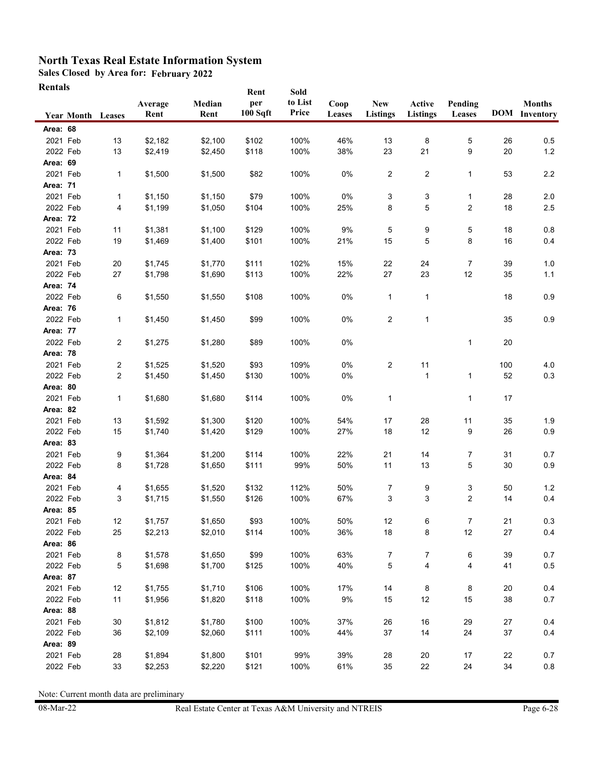**Sales Closed by Area for: February 2022**

| Rentals |
|---------|
|---------|

|                      | <b>Year Month Leases</b> |                | Average<br>Rent    | Median<br>Rent | Rent<br>per<br>100 Sqft | Sold<br>to List<br>Price | Coop<br>Leases | <b>New</b><br><b>Listings</b> | Active<br><b>Listings</b> | Pending<br>Leases |        | <b>Months</b><br><b>DOM</b> Inventory |
|----------------------|--------------------------|----------------|--------------------|----------------|-------------------------|--------------------------|----------------|-------------------------------|---------------------------|-------------------|--------|---------------------------------------|
| Area: 68             |                          |                |                    |                |                         |                          |                |                               |                           |                   |        |                                       |
| 2021 Feb             |                          | 13             | \$2,182            | \$2,100        | \$102                   | 100%                     | 46%            | 13                            | 8                         | 5                 | 26     | 0.5                                   |
| 2022 Feb             |                          | 13             | \$2,419            | \$2,450        | \$118                   | 100%                     | 38%            | 23                            | 21                        | 9                 | 20     | $1.2$                                 |
| Area: 69             |                          |                |                    |                |                         |                          |                |                               |                           |                   |        |                                       |
| 2021 Feb             |                          | 1              | \$1,500            | \$1,500        | \$82                    | 100%                     | 0%             | $\overline{c}$                | $\overline{\mathbf{c}}$   | $\mathbf{1}$      | 53     | 2.2                                   |
| <b>Area: 71</b>      |                          |                |                    |                |                         |                          |                |                               |                           |                   |        |                                       |
| 2021 Feb             |                          | 1              | \$1,150            | \$1,150        | \$79                    | 100%                     | 0%             | 3                             | 3                         | 1                 | 28     | 2.0                                   |
| 2022 Feb             |                          | 4              | \$1,199            | \$1,050        | \$104                   | 100%                     | 25%            | 8                             | 5                         | 2                 | 18     | 2.5                                   |
| <b>Area: 72</b>      |                          |                |                    |                |                         |                          |                |                               |                           |                   |        |                                       |
| 2021 Feb             |                          | 11             | \$1,381            | \$1,100        | \$129                   | 100%                     | 9%             | 5                             | 9                         | 5                 | 18     | 0.8                                   |
| 2022 Feb             |                          | 19             | \$1,469            | \$1,400        | \$101                   | 100%                     | 21%            | 15                            | 5                         | 8                 | 16     | 0.4                                   |
| Area: 73             |                          |                |                    |                |                         |                          |                |                               |                           |                   |        |                                       |
| 2021 Feb             |                          | 20             | \$1,745            | \$1,770        | \$111                   | 102%                     | 15%            | 22                            | 24                        | 7                 | 39     | 1.0                                   |
| 2022 Feb             |                          | 27             | \$1,798            | \$1,690        | \$113                   | 100%                     | 22%            | 27                            | 23                        | 12                | 35     | 1.1                                   |
| Area: 74             |                          |                |                    |                |                         |                          |                |                               |                           |                   |        |                                       |
| 2022 Feb             |                          | 6              | \$1,550            | \$1,550        | \$108                   | 100%                     | 0%             | 1                             | $\mathbf{1}$              |                   | 18     | 0.9                                   |
| <b>Area: 76</b>      |                          |                |                    |                |                         |                          |                |                               |                           |                   |        |                                       |
| 2022 Feb             |                          | 1              | \$1,450            | \$1,450        | \$99                    | 100%                     | 0%             | 2                             | $\mathbf{1}$              |                   | 35     | 0.9                                   |
| <b>Area: 77</b>      |                          |                |                    |                |                         |                          |                |                               |                           |                   |        |                                       |
| 2022 Feb             |                          | $\overline{c}$ | \$1,275            | \$1,280        | \$89                    | 100%                     | 0%             |                               |                           | 1                 | $20\,$ |                                       |
| Area: 78             |                          |                |                    |                |                         |                          |                |                               |                           |                   |        |                                       |
| 2021 Feb             |                          | 2              | \$1,525            | \$1,520        | \$93                    | 109%                     | 0%             | $\overline{c}$                | 11                        |                   | 100    | 4.0                                   |
| 2022 Feb             |                          | $\overline{c}$ | \$1,450            | \$1,450        | \$130                   | 100%                     | 0%             |                               | $\mathbf{1}$              | 1                 | 52     | 0.3                                   |
| Area: 80             |                          |                |                    |                |                         |                          |                |                               |                           |                   |        |                                       |
| 2021 Feb<br>Area: 82 |                          | 1              | \$1,680            | \$1,680        | \$114                   | 100%                     | 0%             | $\mathbf{1}$                  |                           | $\mathbf{1}$      | 17     |                                       |
| 2021 Feb             |                          | 13             |                    | \$1,300        | \$120                   | 100%                     | 54%            | 17                            | 28                        | 11                | 35     | 1.9                                   |
| 2022 Feb             |                          | 15             | \$1,592<br>\$1,740 | \$1,420        | \$129                   | 100%                     | 27%            | 18                            | 12                        | 9                 | 26     | 0.9                                   |
| Area: 83             |                          |                |                    |                |                         |                          |                |                               |                           |                   |        |                                       |
| 2021 Feb             |                          | 9              | \$1,364            | \$1,200        | \$114                   | 100%                     | 22%            | 21                            | 14                        | 7                 | 31     | 0.7                                   |
| 2022 Feb             |                          | 8              | \$1,728            | \$1,650        | \$111                   | 99%                      | 50%            | 11                            | 13                        | 5                 | 30     | 0.9                                   |
| Area: 84             |                          |                |                    |                |                         |                          |                |                               |                           |                   |        |                                       |
| 2021 Feb             |                          | 4              | \$1,655            | \$1,520        | \$132                   | 112%                     | 50%            | $\overline{7}$                | 9                         | 3                 | 50     | $1.2$                                 |
| 2022 Feb             |                          | 3              | \$1,715            | \$1,550        | \$126                   | 100%                     | 67%            | 3                             | 3                         | $\overline{2}$    | 14     | 0.4                                   |
| Area: 85             |                          |                |                    |                |                         |                          |                |                               |                           |                   |        |                                       |
| 2021 Feb             |                          | 12             | \$1,757            | \$1,650        | \$93                    | 100%                     | 50%            | 12                            | 6                         | 7                 | 21     | 0.3                                   |
| 2022 Feb             |                          | 25             | \$2,213            | \$2,010        | \$114                   | 100%                     | 36%            | 18                            | 8                         | 12                | 27     | 0.4                                   |
| Area: 86             |                          |                |                    |                |                         |                          |                |                               |                           |                   |        |                                       |
| 2021 Feb             |                          | 8              | \$1,578            | \$1,650        | \$99                    | 100%                     | 63%            | 7                             | 7                         | 6                 | 39     | 0.7                                   |
| 2022 Feb             |                          | 5              | \$1,698            | \$1,700        | \$125                   | 100%                     | 40%            | 5                             | 4                         | 4                 | 41     | 0.5                                   |
| Area: 87             |                          |                |                    |                |                         |                          |                |                               |                           |                   |        |                                       |
| 2021 Feb             |                          | 12             | \$1,755            | \$1,710        | \$106                   | 100%                     | 17%            | 14                            | 8                         | 8                 | 20     | 0.4                                   |
| 2022 Feb             |                          | 11             | \$1,956            | \$1,820        | \$118                   | 100%                     | 9%             | 15                            | 12                        | 15                | 38     | 0.7                                   |
| Area: 88             |                          |                |                    |                |                         |                          |                |                               |                           |                   |        |                                       |
| 2021 Feb             |                          | 30             | \$1,812            | \$1,780        | \$100                   | 100%                     | 37%            | 26                            | 16                        | 29                | 27     | 0.4                                   |
| 2022 Feb             |                          | 36             | \$2,109            | \$2,060        | \$111                   | 100%                     | 44%            | 37                            | 14                        | 24                | 37     | 0.4                                   |
| Area: 89             |                          |                |                    |                |                         |                          |                |                               |                           |                   |        |                                       |
| 2021 Feb             |                          | 28             | \$1,894            | \$1,800        | \$101                   | 99%                      | 39%            | 28                            | $20\,$                    | 17                | 22     | 0.7                                   |
| 2022 Feb             |                          | 33             | \$2,253            | \$2,220        | \$121                   | 100%                     | 61%            | 35                            | 22                        | 24                | 34     | 0.8                                   |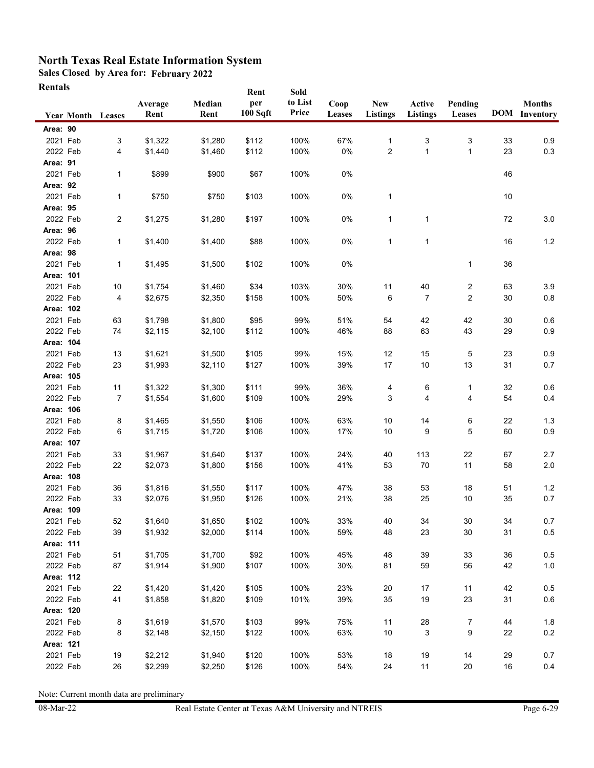**Sales Closed by Area for: February 2022**

| Rentals |  |
|---------|--|
|---------|--|

|                       | <b>Year Month Leases</b> | Average<br>Rent | Median<br>Rent | Rent<br>per<br>100 Sqft | Sold<br>to List<br>Price | Coop<br>Leases | <b>New</b><br><b>Listings</b> | Active<br><b>Listings</b> | Pending<br>Leases |    | <b>Months</b><br><b>DOM</b> Inventory |
|-----------------------|--------------------------|-----------------|----------------|-------------------------|--------------------------|----------------|-------------------------------|---------------------------|-------------------|----|---------------------------------------|
| Area: 90              |                          |                 |                |                         |                          |                |                               |                           |                   |    |                                       |
| 2021 Feb              | 3                        | \$1,322         | \$1,280        | \$112                   | 100%                     | 67%            | $\mathbf{1}$                  | 3                         | 3                 | 33 | 0.9                                   |
| 2022 Feb              | 4                        | \$1,440         | \$1,460        | \$112                   | 100%                     | $0\%$          | $\overline{2}$                | 1                         | 1                 | 23 | 0.3                                   |
| Area: 91              |                          |                 |                |                         |                          |                |                               |                           |                   |    |                                       |
| 2021 Feb              | 1                        | \$899           | \$900          | \$67                    | 100%                     | $0\%$          |                               |                           |                   | 46 |                                       |
| Area: 92              |                          |                 |                |                         |                          |                |                               |                           |                   |    |                                       |
| 2021 Feb              | 1                        | \$750           | \$750          | \$103                   | 100%                     | 0%             | 1                             |                           |                   | 10 |                                       |
| Area: 95              |                          |                 |                |                         |                          |                |                               |                           |                   |    |                                       |
| 2022 Feb              | $\overline{2}$           | \$1,275         | \$1,280        | \$197                   | 100%                     | 0%             | $\mathbf{1}$                  | $\mathbf{1}$              |                   | 72 | 3.0                                   |
| Area: 96              |                          |                 |                |                         |                          |                |                               |                           |                   |    |                                       |
| 2022 Feb              | 1                        | \$1,400         | \$1,400        | \$88                    | 100%                     | 0%             | $\mathbf{1}$                  | $\mathbf{1}$              |                   | 16 | $1.2$                                 |
| Area: 98              |                          |                 |                |                         |                          |                |                               |                           |                   |    |                                       |
| 2021 Feb              | 1                        | \$1,495         | \$1,500        | \$102                   | 100%                     | 0%             |                               |                           | 1                 | 36 |                                       |
| Area: 101             |                          |                 |                |                         |                          |                |                               |                           |                   |    |                                       |
| 2021 Feb              | $10$                     | \$1,754         | \$1,460        | \$34                    | 103%                     | 30%            | 11                            | 40                        | 2                 | 63 | 3.9                                   |
| 2022 Feb              | 4                        | \$2,675         | \$2,350        | \$158                   | 100%                     | 50%            | 6                             | $\overline{7}$            | 2                 | 30 | 0.8                                   |
| Area: 102             |                          |                 |                |                         |                          |                |                               |                           |                   |    |                                       |
| 2021 Feb              | 63                       | \$1,798         | \$1,800        | \$95                    | 99%                      | 51%            | 54                            | 42                        | 42                | 30 | 0.6                                   |
| 2022 Feb              | 74                       | \$2,115         | \$2,100        | \$112                   | 100%                     | 46%            | 88                            | 63                        | 43                | 29 | 0.9                                   |
| Area: 104             |                          |                 |                |                         |                          |                |                               |                           |                   |    |                                       |
| 2021 Feb              | 13                       | \$1,621         | \$1,500        | \$105                   | 99%                      | 15%            | 12                            | 15                        | 5                 | 23 | 0.9                                   |
| 2022 Feb              | 23                       | \$1,993         | \$2,110        | \$127                   | 100%                     | 39%            | 17                            | 10                        | 13                | 31 | 0.7                                   |
| Area: 105             |                          |                 |                |                         |                          |                |                               |                           |                   |    |                                       |
| 2021 Feb              | 11                       | \$1,322         | \$1,300        | \$111                   | 99%                      | 36%            | 4                             | 6                         | 1                 | 32 | 0.6                                   |
| 2022 Feb              | 7                        | \$1,554         | \$1,600        | \$109                   | 100%                     | 29%            | 3                             | 4                         | 4                 | 54 | 0.4                                   |
| Area: 106             |                          |                 |                |                         |                          |                |                               |                           |                   |    |                                       |
| 2021 Feb              | 8                        | \$1,465         | \$1,550        | \$106                   | 100%                     | 63%            | 10                            | 14                        | 6                 | 22 | 1.3                                   |
| 2022 Feb<br>Area: 107 | 6                        | \$1,715         | \$1,720        | \$106                   | 100%                     | 17%            | 10                            | 9                         | 5                 | 60 | 0.9                                   |
| 2021 Feb              | 33                       | \$1,967         | \$1,640        | \$137                   | 100%                     | 24%            | 40                            | 113                       | 22                | 67 | 2.7                                   |
| 2022 Feb              | 22                       | \$2,073         | \$1,800        | \$156                   | 100%                     | 41%            | 53                            | 70                        | 11                | 58 | 2.0                                   |
| Area: 108             |                          |                 |                |                         |                          |                |                               |                           |                   |    |                                       |
| 2021 Feb              | 36                       | \$1,816         | \$1,550        | \$117                   | 100%                     | 47%            | 38                            | 53                        | 18                | 51 | $1.2$                                 |
| 2022 Feb              | 33                       | \$2,076         | \$1,950        | \$126                   | 100%                     | 21%            | 38                            | 25                        | 10                | 35 | 0.7                                   |
| Area: 109             |                          |                 |                |                         |                          |                |                               |                           |                   |    |                                       |
| 2021 Feb              | 52                       | \$1,640         | \$1,650        | \$102                   | 100%                     | 33%            | 40                            | 34                        | 30                | 34 | 0.7                                   |
| 2022 Feb              | 39                       | \$1,932         | \$2,000        | \$114                   | 100%                     | 59%            | 48                            | 23                        | 30                | 31 | $0.5\,$                               |
| Area: 111             |                          |                 |                |                         |                          |                |                               |                           |                   |    |                                       |
| 2021 Feb              | 51                       | \$1,705         | \$1,700        | \$92                    | 100%                     | 45%            | 48                            | 39                        | 33                | 36 | $0.5\,$                               |
| 2022 Feb              | 87                       | \$1,914         | \$1,900        | \$107                   | 100%                     | 30%            | 81                            | 59                        | 56                | 42 | $1.0\,$                               |
| Area: 112             |                          |                 |                |                         |                          |                |                               |                           |                   |    |                                       |
| 2021 Feb              | 22                       | \$1,420         | \$1,420        | \$105                   | 100%                     | 23%            | 20                            | 17                        | 11                | 42 | 0.5                                   |
| 2022 Feb              | 41                       | \$1,858         | \$1,820        | \$109                   | 101%                     | 39%            | 35                            | 19                        | 23                | 31 | 0.6                                   |
| Area: 120             |                          |                 |                |                         |                          |                |                               |                           |                   |    |                                       |
| 2021 Feb              | 8                        | \$1,619         | \$1,570        | \$103                   | 99%                      | 75%            | 11                            | 28                        | $\overline{7}$    | 44 | 1.8                                   |
| 2022 Feb              | 8                        | \$2,148         | \$2,150        | \$122                   | 100%                     | 63%            | 10                            | 3                         | 9                 | 22 | 0.2                                   |
| Area: 121             |                          |                 |                |                         |                          |                |                               |                           |                   |    |                                       |
| 2021 Feb              | 19                       | \$2,212         | \$1,940        | \$120                   | 100%                     | 53%            | 18                            | 19                        | 14                | 29 | 0.7                                   |
| 2022 Feb              | 26                       | \$2,299         | \$2,250        | \$126                   | 100%                     | 54%            | 24                            | 11                        | 20                | 16 | 0.4                                   |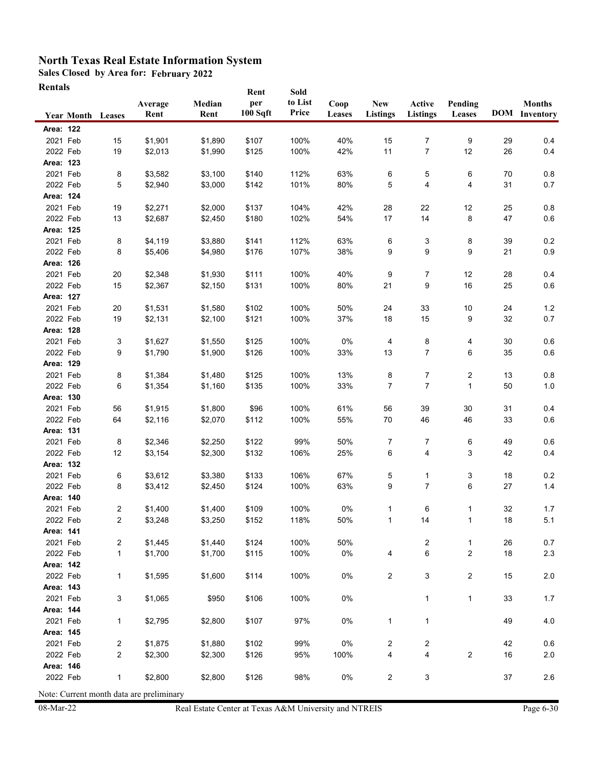**Sales Closed by Area for: February 2022**

| Rentals |
|---------|
|---------|

| Rentals   |                          |                |                                                     |                | Rent            | Sold             |                |                               |                           |                         |      |                                       |
|-----------|--------------------------|----------------|-----------------------------------------------------|----------------|-----------------|------------------|----------------|-------------------------------|---------------------------|-------------------------|------|---------------------------------------|
|           | <b>Year Month Leases</b> |                | Average<br>Rent                                     | Median<br>Rent | per<br>100 Sqft | to List<br>Price | Coop<br>Leases | <b>New</b><br><b>Listings</b> | Active<br><b>Listings</b> | Pending<br>Leases       |      | <b>Months</b><br><b>DOM</b> Inventory |
| Area: 122 |                          |                |                                                     |                |                 |                  |                |                               |                           |                         |      |                                       |
| 2021 Feb  |                          | 15             | \$1,901                                             | \$1,890        | \$107           | 100%             | 40%            | 15                            | 7                         | 9                       | 29   | 0.4                                   |
| 2022 Feb  |                          | 19             | \$2,013                                             | \$1,990        | \$125           | 100%             | 42%            | 11                            | 7                         | 12                      | 26   | 0.4                                   |
| Area: 123 |                          |                |                                                     |                |                 |                  |                |                               |                           |                         |      |                                       |
| 2021 Feb  |                          | 8              | \$3,582                                             | \$3,100        | \$140           | 112%             | 63%            | 6                             | 5                         | 6                       | 70   | 0.8                                   |
| 2022 Feb  |                          | 5              | \$2,940                                             | \$3,000        | \$142           | 101%             | 80%            | 5                             | 4                         | 4                       | 31   | 0.7                                   |
| Area: 124 |                          |                |                                                     |                |                 |                  |                |                               |                           |                         |      |                                       |
| 2021 Feb  |                          | 19             | \$2,271                                             | \$2,000        | \$137           | 104%             | 42%            | 28                            | 22                        | 12                      | 25   | 0.8                                   |
| 2022 Feb  |                          | 13             | \$2,687                                             | \$2,450        | \$180           | 102%             | 54%            | 17                            | 14                        | 8                       | 47   | 0.6                                   |
| Area: 125 |                          |                |                                                     |                |                 |                  |                |                               |                           |                         |      |                                       |
| 2021 Feb  |                          | 8              | \$4,119                                             | \$3,880        | \$141           | 112%             | 63%            | 6                             | 3                         | 8                       | 39   | $0.2\,$                               |
| 2022 Feb  |                          | 8              | \$5,406                                             | \$4,980        | \$176           | 107%             | 38%            | 9                             | 9                         | 9                       | 21   | 0.9                                   |
| Area: 126 |                          |                |                                                     |                |                 |                  |                |                               |                           |                         |      |                                       |
| 2021 Feb  |                          | 20             | \$2,348                                             | \$1,930        | \$111           | 100%             | 40%            | 9                             | 7                         | 12                      | 28   | 0.4                                   |
| 2022 Feb  |                          | 15             | \$2,367                                             | \$2,150        | \$131           | 100%             | 80%            | 21                            | 9                         | 16                      | 25   | 0.6                                   |
| Area: 127 |                          |                |                                                     |                |                 |                  |                |                               |                           |                         |      |                                       |
| 2021 Feb  |                          | 20             | \$1,531                                             | \$1,580        | \$102           | 100%             | 50%            | 24                            | 33                        | $10$                    | 24   | $1.2$                                 |
| 2022 Feb  |                          | 19             | \$2,131                                             | \$2,100        | \$121           | 100%             | 37%            | 18                            | 15                        | 9                       | 32   | 0.7                                   |
| Area: 128 |                          |                |                                                     |                |                 |                  |                |                               |                           |                         |      |                                       |
| 2021 Feb  |                          | 3              | \$1,627                                             | \$1,550        | \$125           | 100%             | 0%             | 4                             | 8                         | 4                       | 30   | 0.6                                   |
| 2022 Feb  |                          | 9              | \$1,790                                             | \$1,900        | \$126           | 100%             | 33%            | 13                            | 7                         | 6                       | 35   | 0.6                                   |
| Area: 129 |                          |                |                                                     |                |                 |                  |                |                               |                           |                         |      |                                       |
| 2021 Feb  |                          | 8              | \$1,384                                             | \$1,480        | \$125           | 100%             | 13%            | 8                             | 7                         | 2                       | 13   | 0.8                                   |
| 2022 Feb  |                          | 6              | \$1,354                                             | \$1,160        | \$135           | 100%             | 33%            | 7                             | 7                         | $\mathbf{1}$            | 50   | 1.0                                   |
| Area: 130 |                          |                |                                                     |                |                 |                  |                |                               |                           |                         |      |                                       |
| 2021 Feb  |                          | 56             | \$1,915                                             | \$1,800        | \$96            | 100%             | 61%            | 56                            | 39                        | 30                      | 31   | 0.4                                   |
| 2022 Feb  |                          | 64             | \$2,116                                             | \$2,070        | \$112           | 100%             | 55%            | 70                            | 46                        | 46                      | 33   | $0.6\,$                               |
| Area: 131 |                          |                |                                                     |                |                 |                  |                |                               |                           |                         |      |                                       |
| 2021 Feb  |                          | 8              | \$2,346                                             | \$2,250        | \$122           | 99%              | 50%            | 7                             | 7                         | 6                       | 49   | 0.6                                   |
| 2022 Feb  |                          | 12             | \$3,154                                             | \$2,300        | \$132           | 106%             | 25%            | 6                             | 4                         | 3                       | 42   | 0.4                                   |
| Area: 132 |                          |                |                                                     |                |                 |                  |                |                               |                           |                         |      |                                       |
| 2021 Feb  |                          | 6              | \$3,612                                             | \$3,380        | \$133           | 106%             | 67%            | 5                             | 1                         | 3                       | 18   | 0.2                                   |
| 2022 Feb  |                          | 8              | \$3,412                                             | \$2,450        | \$124           | 100%             | 63%            | 9                             | $\overline{7}$            | 6                       | 27   | 1.4                                   |
| Area: 140 |                          |                |                                                     |                |                 |                  |                |                               |                           |                         |      |                                       |
| 2021 Feb  |                          | 2              | \$1,400                                             | \$1,400        | \$109           | 100%             | 0%             | 1                             | 6                         | 1                       | 32   | 1.7                                   |
| 2022 Feb  |                          | 2              | \$3,248                                             | \$3,250        | \$152           | 118%             | 50%            | 1                             | 14                        |                         | $18$ | 5.1                                   |
| Area: 141 |                          |                |                                                     |                |                 |                  |                |                               |                           |                         |      |                                       |
| 2021 Feb  |                          | $\overline{c}$ | \$1,445                                             | \$1,440        | \$124           | 100%             | 50%            |                               | 2                         | $\mathbf{1}$            | 26   | 0.7                                   |
| 2022 Feb  |                          | $\mathbf{1}$   | \$1,700                                             | \$1,700        | \$115           | 100%             | $0\%$          | 4                             | 6                         | 2                       | 18   | 2.3                                   |
| Area: 142 |                          |                |                                                     |                |                 |                  |                |                               |                           |                         |      |                                       |
| 2022 Feb  |                          | 1              | \$1,595                                             | \$1,600        | \$114           | 100%             | 0%             | $\overline{c}$                | 3                         | $\overline{\mathbf{c}}$ | 15   | $2.0\,$                               |
| Area: 143 |                          |                |                                                     |                |                 |                  |                |                               |                           |                         |      |                                       |
| 2021 Feb  |                          | 3              | \$1,065                                             | \$950          | \$106           | 100%             | 0%             |                               | $\mathbf{1}$              | $\mathbf{1}$            | 33   | 1.7                                   |
| Area: 144 |                          |                |                                                     |                |                 |                  |                |                               |                           |                         |      |                                       |
| 2021 Feb  |                          | 1              | \$2,795                                             | \$2,800        | \$107           | 97%              | 0%             | $\mathbf{1}$                  | $\mathbf{1}$              |                         | 49   | $4.0\,$                               |
| Area: 145 |                          |                |                                                     |                |                 |                  |                |                               |                           |                         |      |                                       |
| 2021 Feb  |                          | 2              | \$1,875                                             | \$1,880        | \$102           | 99%              | 0%             | 2                             | $\overline{\mathbf{c}}$   |                         | 42   | 0.6                                   |
| 2022 Feb  |                          | $\overline{c}$ | \$2,300                                             | \$2,300        | \$126           | 95%              | 100%           | 4                             | 4                         | $\sqrt{2}$              | 16   | $2.0\,$                               |
| Area: 146 |                          |                |                                                     |                |                 |                  |                |                               |                           |                         |      |                                       |
| 2022 Feb  |                          | 1              | \$2,800<br>Note: Current month data are preliminary | \$2,800        | \$126           | 98%              | 0%             | 2                             | 3                         |                         | 37   | 2.6                                   |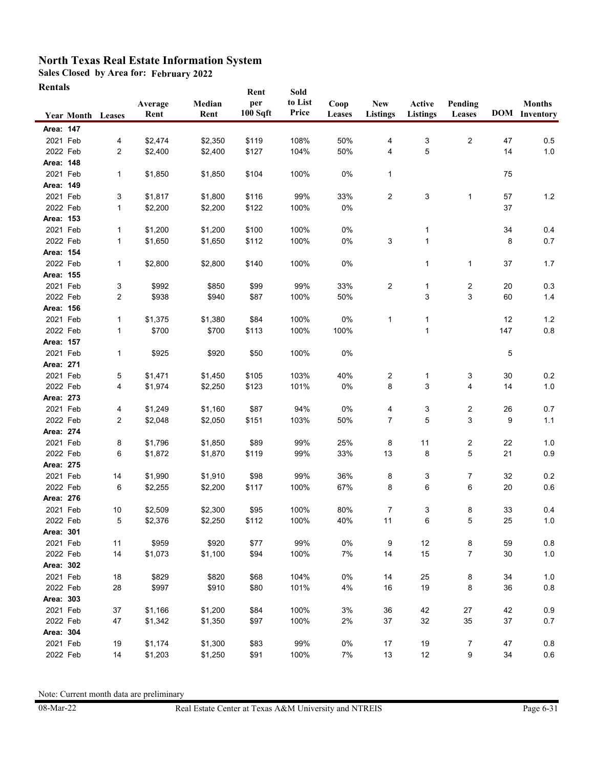**Sales Closed by Area for: February 2022**

| Rentals |
|---------|
|---------|

|           | <b>Year Month Leases</b> |                | Average<br>Rent | Median<br>Rent | Rent<br>per<br>100 Sqft | Sold<br>to List<br>Price | Coop<br>Leases | <b>New</b><br><b>Listings</b> | Active<br><b>Listings</b> | Pending<br>Leases       |     | <b>Months</b><br><b>DOM</b> Inventory |
|-----------|--------------------------|----------------|-----------------|----------------|-------------------------|--------------------------|----------------|-------------------------------|---------------------------|-------------------------|-----|---------------------------------------|
| Area: 147 |                          |                |                 |                |                         |                          |                |                               |                           |                         |     |                                       |
| 2021 Feb  |                          | 4              | \$2,474         | \$2,350        | \$119                   | 108%                     | 50%            | 4                             |                           | $\overline{c}$          | 47  | 0.5                                   |
| 2022 Feb  |                          | $\overline{c}$ | \$2,400         | \$2,400        | \$127                   | 104%                     | 50%            | 4                             | 3<br>5                    |                         | 14  | 1.0                                   |
| Area: 148 |                          |                |                 |                |                         |                          |                |                               |                           |                         |     |                                       |
| 2021 Feb  |                          |                | \$1,850         | \$1,850        | \$104                   | 100%                     | 0%             | 1                             |                           |                         | 75  |                                       |
| Area: 149 |                          | 1              |                 |                |                         |                          |                |                               |                           |                         |     |                                       |
| 2021 Feb  |                          | 3              | \$1,817         | \$1,800        | \$116                   | 99%                      | 33%            | $\overline{c}$                | 3                         | $\mathbf{1}$            | 57  | $1.2$                                 |
| 2022 Feb  |                          | 1              | \$2,200         | \$2,200        | \$122                   | 100%                     | 0%             |                               |                           |                         | 37  |                                       |
| Area: 153 |                          |                |                 |                |                         |                          |                |                               |                           |                         |     |                                       |
| 2021 Feb  |                          | 1              | \$1,200         | \$1,200        | \$100                   | 100%                     | 0%             |                               | 1                         |                         | 34  | 0.4                                   |
| 2022 Feb  |                          | 1              | \$1,650         | \$1,650        | \$112                   | 100%                     | 0%             | 3                             | $\mathbf{1}$              |                         | 8   | 0.7                                   |
| Area: 154 |                          |                |                 |                |                         |                          |                |                               |                           |                         |     |                                       |
| 2022 Feb  |                          | 1              | \$2,800         | \$2,800        | \$140                   | 100%                     | 0%             |                               | 1                         | 1                       | 37  | 1.7                                   |
| Area: 155 |                          |                |                 |                |                         |                          |                |                               |                           |                         |     |                                       |
| 2021 Feb  |                          | 3              | \$992           | \$850          | \$99                    | 99%                      | 33%            | $\overline{c}$                | $\mathbf{1}$              | $\overline{c}$          | 20  | 0.3                                   |
| 2022 Feb  |                          | 2              | \$938           | \$940          | \$87                    | 100%                     | 50%            |                               | 3                         | 3                       | 60  | 1.4                                   |
| Area: 156 |                          |                |                 |                |                         |                          |                |                               |                           |                         |     |                                       |
| 2021 Feb  |                          | 1              | \$1,375         | \$1,380        | \$84                    | 100%                     | 0%             | 1                             | $\mathbf{1}$              |                         | 12  | $1.2$                                 |
| 2022 Feb  |                          | $\mathbf{1}$   | \$700           | \$700          | \$113                   | 100%                     | 100%           |                               | 1                         |                         | 147 | $0.8\,$                               |
| Area: 157 |                          |                |                 |                |                         |                          |                |                               |                           |                         |     |                                       |
| 2021 Feb  |                          | 1              | \$925           | \$920          | \$50                    | 100%                     | 0%             |                               |                           |                         | 5   |                                       |
| Area: 271 |                          |                |                 |                |                         |                          |                |                               |                           |                         |     |                                       |
| 2021 Feb  |                          | 5              | \$1,471         | \$1,450        | \$105                   | 103%                     | 40%            | 2                             | 1                         | 3                       | 30  | 0.2                                   |
| 2022 Feb  |                          | 4              | \$1,974         | \$2,250        | \$123                   | 101%                     | 0%             | 8                             | 3                         | 4                       | 14  | $1.0$                                 |
| Area: 273 |                          |                |                 |                |                         |                          |                |                               |                           |                         |     |                                       |
| 2021 Feb  |                          | 4              | \$1,249         | \$1,160        | \$87                    | 94%                      | 0%             | 4                             | 3                         | 2                       | 26  | 0.7                                   |
| 2022 Feb  |                          | $\overline{c}$ | \$2,048         | \$2,050        | \$151                   | 103%                     | 50%            | $\overline{7}$                | 5                         | 3                       | 9   | 1.1                                   |
| Area: 274 |                          |                |                 |                |                         |                          |                |                               |                           |                         |     |                                       |
| 2021 Feb  |                          | 8              | \$1,796         | \$1,850        | \$89                    | 99%                      | 25%            | 8                             | 11                        | $\overline{\mathbf{c}}$ | 22  | 1.0                                   |
| 2022 Feb  |                          | 6              | \$1,872         | \$1,870        | \$119                   | 99%                      | 33%            | 13                            | 8                         | 5                       | 21  | 0.9                                   |
| Area: 275 |                          |                |                 |                |                         |                          |                |                               |                           |                         |     |                                       |
| 2021 Feb  |                          | 14             | \$1,990         | \$1,910        | \$98                    | 99%                      | 36%            | 8                             | 3                         | $\overline{7}$          | 32  | 0.2                                   |
| 2022 Feb  |                          | 6              | \$2,255         | \$2,200        | \$117                   | 100%                     | 67%            | 8                             | 6                         | 6                       | 20  | 0.6                                   |
| Area: 276 |                          |                |                 |                |                         |                          |                |                               |                           |                         |     |                                       |
| 2021 Feb  |                          | $10$           | \$2,509         | \$2,300        | \$95                    | 100%                     | 80%            | 7                             | 3                         | 8                       | 33  | 0.4                                   |
| 2022 Feb  |                          | 5              | \$2,376         | \$2,250        | \$112                   | 100%                     | 40%            | 11                            | 6                         | 5                       | 25  | 1.0                                   |
| Area: 301 |                          |                |                 |                |                         |                          |                |                               |                           |                         |     |                                       |
| 2021 Feb  |                          | 11             | \$959           | \$920          | \$77                    | 99%                      | $0\%$          | 9                             | $12\,$                    | 8                       | 59  | $0.8\,$                               |
| 2022 Feb  |                          | 14             | \$1,073         | \$1,100        | \$94                    | 100%                     | 7%             | 14                            | 15                        | $\overline{7}$          | 30  | $1.0\,$                               |
| Area: 302 |                          |                |                 |                |                         |                          |                |                               |                           |                         |     |                                       |
| 2021 Feb  |                          | $18\,$         | \$829           | \$820          | \$68                    | 104%                     | 0%             | 14                            | 25                        | 8                       | 34  | $1.0$                                 |
| 2022 Feb  |                          | 28             | \$997           | \$910          | \$80                    | 101%                     | 4%             | 16                            | 19                        | 8                       | 36  | 0.8                                   |
| Area: 303 |                          |                |                 |                |                         |                          |                |                               |                           |                         |     |                                       |
| 2021 Feb  |                          | 37             | \$1,166         | \$1,200        | \$84                    | 100%                     | 3%             | 36                            | 42                        | 27                      | 42  | 0.9                                   |
| 2022 Feb  |                          | 47             | \$1,342         | \$1,350        | \$97                    | 100%                     | 2%             | 37                            | 32                        | $35\,$                  | 37  | 0.7                                   |
| Area: 304 |                          |                |                 |                |                         |                          |                |                               |                           |                         |     |                                       |
| 2021 Feb  |                          | 19             | \$1,174         | \$1,300        | \$83                    | 99%                      | 0%             | 17                            | 19                        | 7                       | 47  | 0.8                                   |
| 2022 Feb  |                          | 14             | \$1,203         | \$1,250        | \$91                    | 100%                     | 7%             | 13                            | 12                        | 9                       | 34  | 0.6                                   |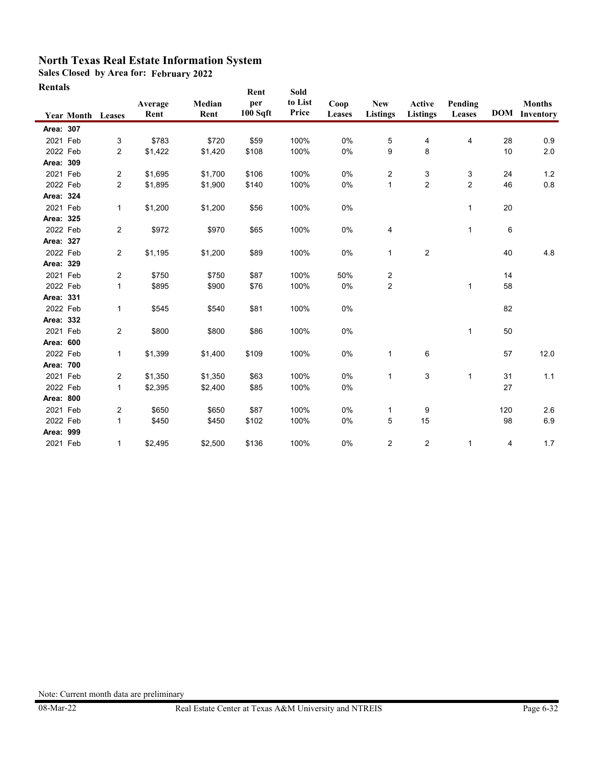**Sales Closed by Area for: February 2022**

| Rentals   |                          |                         |                 |                | Rent            | Sold             |                |                                |                    |                   |                |                                       |
|-----------|--------------------------|-------------------------|-----------------|----------------|-----------------|------------------|----------------|--------------------------------|--------------------|-------------------|----------------|---------------------------------------|
|           | <b>Year Month Leases</b> |                         | Average<br>Rent | Median<br>Rent | per<br>100 Sqft | to List<br>Price | Coop<br>Leases | ${\bf New}$<br><b>Listings</b> | Active<br>Listings | Pending<br>Leases |                | <b>Months</b><br><b>DOM</b> Inventory |
| Area: 307 |                          |                         |                 |                |                 |                  |                |                                |                    |                   |                |                                       |
| 2021 Feb  |                          | 3                       | \$783           | \$720          | \$59            | 100%             | 0%             | 5                              | 4                  | 4                 | 28             | 0.9                                   |
| 2022 Feb  |                          | 2                       | \$1,422         | \$1,420        | \$108           | 100%             | 0%             | 9                              | 8                  |                   | 10             | 2.0                                   |
| Area: 309 |                          |                         |                 |                |                 |                  |                |                                |                    |                   |                |                                       |
| 2021 Feb  |                          | $\overline{\mathbf{c}}$ | \$1,695         | \$1,700        | \$106           | 100%             | 0%             | 2                              | 3                  | 3                 | 24             | 1.2                                   |
| 2022 Feb  |                          | $\overline{c}$          | \$1,895         | \$1,900        | \$140           | 100%             | 0%             | $\mathbf{1}$                   | $\overline{2}$     | $\overline{2}$    | 46             | 0.8                                   |
| Area: 324 |                          |                         |                 |                |                 |                  |                |                                |                    |                   |                |                                       |
| 2021 Feb  |                          | $\mathbf{1}$            | \$1,200         | \$1,200        | \$56            | 100%             | 0%             |                                |                    | 1                 | 20             |                                       |
| Area: 325 |                          |                         |                 |                |                 |                  |                |                                |                    |                   |                |                                       |
| 2022 Feb  |                          | $\overline{\mathbf{c}}$ | \$972           | \$970          | \$65            | 100%             | 0%             | 4                              |                    | 1                 | $6\phantom{1}$ |                                       |
| Area: 327 |                          |                         |                 |                |                 |                  |                |                                |                    |                   |                |                                       |
| 2022 Feb  |                          | $\sqrt{2}$              | \$1,195         | \$1,200        | \$89            | 100%             | 0%             | 1                              | $\overline{2}$     |                   | 40             | 4.8                                   |
| Area: 329 |                          |                         |                 |                |                 |                  |                |                                |                    |                   |                |                                       |
| 2021 Feb  |                          | 2                       | \$750           | \$750          | \$87            | 100%             | 50%            | 2                              |                    |                   | 14             |                                       |
| 2022 Feb  |                          | $\mathbf{1}$            | \$895           | \$900          | \$76            | 100%             | 0%             | 2                              |                    | 1                 | 58             |                                       |
| Area: 331 |                          |                         |                 |                |                 |                  |                |                                |                    |                   |                |                                       |
| 2022 Feb  |                          | 1                       | \$545           | \$540          | \$81            | 100%             | 0%             |                                |                    |                   | 82             |                                       |
| Area: 332 |                          |                         |                 |                |                 |                  |                |                                |                    |                   |                |                                       |
| 2021 Feb  |                          | $\overline{2}$          | \$800           | \$800          | \$86            | 100%             | 0%             |                                |                    | 1                 | 50             |                                       |
| Area: 600 |                          |                         |                 |                |                 |                  |                |                                |                    |                   |                |                                       |
| 2022 Feb  |                          | 1                       | \$1,399         | \$1,400        | \$109           | 100%             | 0%             | 1                              | 6                  |                   | 57             | 12.0                                  |
| Area: 700 |                          |                         |                 |                |                 |                  |                |                                |                    |                   |                |                                       |
| 2021 Feb  |                          | 2                       | \$1,350         | \$1,350        | \$63            | 100%             | $0\%$          | $\mathbf{1}$                   | 3                  | $\mathbf{1}$      | 31             | 1.1                                   |
| 2022 Feb  |                          | $\mathbf{1}$            | \$2,395         | \$2,400        | \$85            | 100%             | 0%             |                                |                    |                   | 27             |                                       |
| Area: 800 |                          |                         |                 |                |                 |                  |                |                                |                    |                   |                |                                       |
| 2021 Feb  |                          | 2                       | \$650           | \$650          | \$87            | 100%             | 0%             | 1                              | 9                  |                   | 120            | 2.6                                   |
| 2022 Feb  |                          | 1                       | \$450           | \$450          | \$102           | 100%             | 0%             | 5                              | 15                 |                   | 98             | 6.9                                   |
| Area: 999 |                          |                         |                 |                |                 |                  |                |                                |                    |                   |                |                                       |
| 2021 Feb  |                          | 1                       | \$2,495         | \$2,500        | \$136           | 100%             | 0%             | $\overline{2}$                 | 2                  | $\mathbf{1}$      | 4              | 1.7                                   |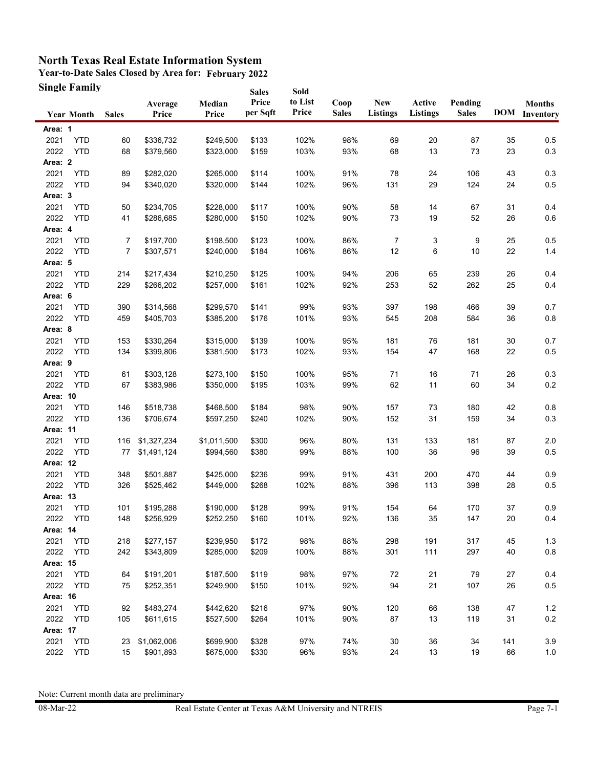**Year-to-Date Sales Closed by Area for: February 2022 Single Family Sales** 

| Single Family     |            |                |                  |                 | <b>Sales</b>      | Sold             |                      |                               |                           |                         |        |                                       |
|-------------------|------------|----------------|------------------|-----------------|-------------------|------------------|----------------------|-------------------------------|---------------------------|-------------------------|--------|---------------------------------------|
| <b>Year Month</b> |            | <b>Sales</b>   | Average<br>Price | Median<br>Price | Price<br>per Sqft | to List<br>Price | Coop<br><b>Sales</b> | <b>New</b><br><b>Listings</b> | Active<br><b>Listings</b> | Pending<br><b>Sales</b> |        | <b>Months</b><br><b>DOM</b> Inventory |
| Area: 1           |            |                |                  |                 |                   |                  |                      |                               |                           |                         |        |                                       |
| 2021              | <b>YTD</b> | 60             | \$336,732        | \$249,500       | \$133             | 102%             | 98%                  | 69                            | 20                        | 87                      | 35     | 0.5                                   |
| 2022              | <b>YTD</b> | 68             | \$379,560        | \$323,000       | \$159             | 103%             | 93%                  | 68                            | 13                        | 73                      | 23     | $0.3\,$                               |
| Area: 2           |            |                |                  |                 |                   |                  |                      |                               |                           |                         |        |                                       |
| 2021              | <b>YTD</b> | 89             | \$282,020        | \$265,000       | \$114             | 100%             | 91%                  | 78                            | 24                        | 106                     | 43     | 0.3                                   |
| 2022              | <b>YTD</b> | 94             | \$340,020        | \$320,000       | \$144             | 102%             | 96%                  | 131                           | 29                        | 124                     | 24     | 0.5                                   |
| Area: 3           |            |                |                  |                 |                   |                  |                      |                               |                           |                         |        |                                       |
| 2021              | <b>YTD</b> | 50             | \$234,705        | \$228,000       | \$117             | 100%             | 90%                  | 58                            | 14                        | 67                      | 31     | 0.4                                   |
| 2022              | <b>YTD</b> | 41             | \$286,685        | \$280,000       | \$150             | 102%             | 90%                  | 73                            | 19                        | 52                      | 26     | 0.6                                   |
| Area: 4           |            |                |                  |                 |                   |                  |                      |                               |                           |                         |        |                                       |
| 2021              | <b>YTD</b> | 7              | \$197,700        | \$198,500       | \$123             | 100%             | 86%                  | 7                             | 3                         | 9                       | 25     | 0.5                                   |
| 2022              | <b>YTD</b> | $\overline{7}$ | \$307,571        | \$240,000       | \$184             | 106%             | 86%                  | 12                            | 6                         | 10                      | 22     | 1.4                                   |
| Area: 5           |            |                |                  |                 |                   |                  |                      |                               |                           |                         |        |                                       |
| 2021              | <b>YTD</b> | 214            | \$217,434        | \$210,250       | \$125             | 100%             | 94%                  | 206                           | 65                        | 239                     | 26     | 0.4                                   |
| 2022              | <b>YTD</b> | 229            | \$266,202        | \$257,000       | \$161             | 102%             | 92%                  | 253                           | 52                        | 262                     | 25     | 0.4                                   |
| Area: 6           |            |                |                  |                 |                   |                  |                      |                               |                           |                         |        |                                       |
| 2021              | <b>YTD</b> | 390            | \$314,568        | \$299,570       | \$141             | 99%              | 93%                  | 397                           | 198                       | 466                     | 39     | 0.7                                   |
| 2022              | <b>YTD</b> | 459            | \$405,703        | \$385,200       | \$176             | 101%             | 93%                  | 545                           | 208                       | 584                     | 36     | 0.8                                   |
| Area: 8           |            |                |                  |                 |                   |                  |                      |                               |                           |                         |        |                                       |
| 2021              | <b>YTD</b> | 153            | \$330,264        | \$315,000       | \$139             | 100%             | 95%                  | 181                           | 76                        | 181                     | 30     | 0.7                                   |
| 2022              | <b>YTD</b> | 134            | \$399,806        | \$381,500       | \$173             | 102%             | 93%                  | 154                           | 47                        | 168                     | 22     | 0.5                                   |
| Area: 9           |            |                |                  |                 |                   |                  |                      |                               |                           |                         |        |                                       |
| 2021              | <b>YTD</b> | 61             | \$303,128        | \$273,100       | \$150             | 100%             | 95%                  | 71                            | 16                        | 71                      | 26     | 0.3                                   |
| 2022              | <b>YTD</b> | 67             | \$383,986        | \$350,000       | \$195             | 103%             | 99%                  | 62                            | 11                        | 60                      | 34     | 0.2                                   |
| Area: 10          |            |                |                  |                 |                   |                  |                      |                               |                           |                         |        |                                       |
| 2021              | <b>YTD</b> | 146            | \$518,738        | \$468,500       | \$184             | 98%              | 90%                  | 157                           | 73                        | 180                     | 42     | 0.8                                   |
| 2022              | <b>YTD</b> | 136            | \$706,674        | \$597,250       | \$240             | 102%             | 90%                  | 152                           | 31                        | 159                     | 34     | 0.3                                   |
| Area: 11          |            |                |                  |                 |                   |                  |                      |                               |                           |                         |        |                                       |
| 2021              | <b>YTD</b> | 116            | \$1,327,234      | \$1,011,500     | \$300             | 96%              | 80%                  | 131                           | 133                       | 181                     | 87     | 2.0                                   |
| 2022              | <b>YTD</b> | 77             | \$1,491,124      | \$994,560       | \$380             | 99%              | 88%                  | 100                           | 36                        | 96                      | 39     | 0.5                                   |
| Area: 12          |            |                |                  |                 |                   |                  |                      |                               |                           |                         |        |                                       |
| 2021              | <b>YTD</b> | 348            | \$501,887        | \$425,000       | \$236             | 99%              | 91%                  | 431                           | 200                       | 470                     | 44     | 0.9                                   |
| 2022              | <b>YTD</b> | 326            | \$525,462        | \$449,000       | \$268             | 102%             | 88%                  | 396                           | 113                       | 398                     | 28     | 0.5                                   |
| Area: 13          |            |                |                  |                 |                   |                  |                      |                               |                           |                         |        |                                       |
| 2021              | <b>YTD</b> | 101            | \$195,288        | \$190,000       | \$128             | 99%              | 91%                  | 154                           | 64                        | 170                     | 37     | 0.9                                   |
| 2022              | <b>YTD</b> | 148            | \$256,929        | \$252,250       | \$160             | 101%             | 92%                  | 136                           | 35                        | 147                     | 20     | 0.4                                   |
| Area: 14          |            |                |                  |                 |                   |                  |                      |                               |                           |                         |        |                                       |
| 2021              | <b>YTD</b> | 218            | \$277,157        | \$239,950       | \$172             | 98%              | 88%                  | 298                           | 191                       | 317                     | 45     | $1.3$                                 |
| 2022              | <b>YTD</b> | 242            | \$343,809        | \$285,000       | \$209             | 100%             | 88%                  | 301                           | 111                       | 297                     | 40     | $0.8\,$                               |
| Area: 15          |            |                |                  |                 |                   |                  |                      |                               |                           |                         |        |                                       |
| 2021              | <b>YTD</b> | 64             | \$191,201        | \$187,500       | \$119             | 98%              | 97%                  | 72                            | 21                        | 79                      | $27\,$ | 0.4                                   |
| 2022              | <b>YTD</b> | 75             | \$252,351        | \$249,900       | \$150             | 101%             | 92%                  | 94                            | 21                        | 107                     | $26\,$ | $0.5\,$                               |
| Area: 16          |            |                |                  |                 |                   |                  |                      |                               |                           |                         |        |                                       |
| 2021              | <b>YTD</b> | 92             | \$483,274        | \$442,620       | \$216             | 97%              | 90%                  | 120                           | 66                        | 138                     | 47     | $1.2$                                 |
| 2022              | <b>YTD</b> | 105            | \$611,615        | \$527,500       | \$264             | 101%             | 90%                  | 87                            | 13                        | 119                     | 31     | 0.2                                   |
| Area: 17          |            |                |                  |                 |                   |                  |                      |                               |                           |                         |        |                                       |
| 2021              | <b>YTD</b> | 23             | \$1,062,006      | \$699,900       | \$328             | 97%              | 74%                  | 30                            | 36                        | 34                      | 141    | 3.9                                   |
| 2022              | <b>YTD</b> | 15             | \$901,893        | \$675,000       | \$330             | 96%              | 93%                  | 24                            | 13                        | 19                      | 66     | $1.0\,$                               |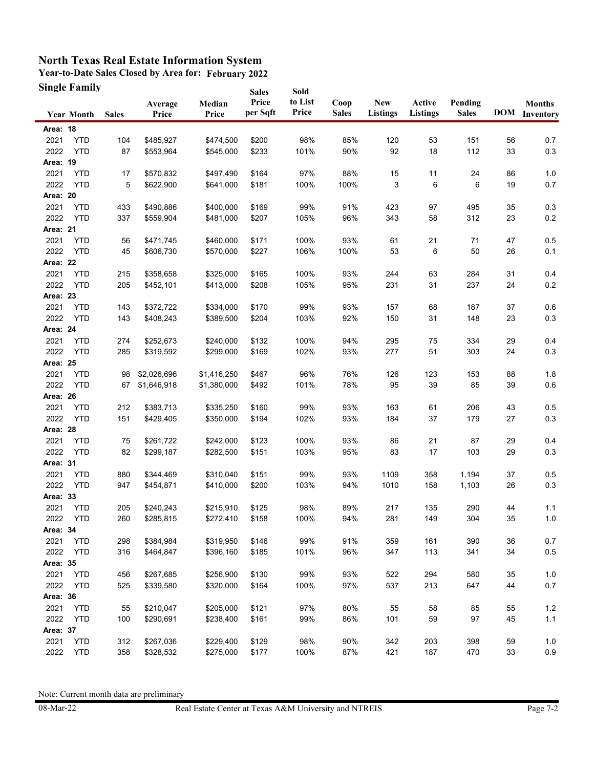**Year-to-Date Sales Closed by Area for: February 2022 Single Family**

|                 | <b>Single Family</b> |              |                  |                 | <b>Sales</b>      | Sold             |                      |                               |                    |                         |    |                                       |
|-----------------|----------------------|--------------|------------------|-----------------|-------------------|------------------|----------------------|-------------------------------|--------------------|-------------------------|----|---------------------------------------|
|                 | <b>Year Month</b>    | <b>Sales</b> | Average<br>Price | Median<br>Price | Price<br>per Sqft | to List<br>Price | Coop<br><b>Sales</b> | <b>New</b><br><b>Listings</b> | Active<br>Listings | Pending<br><b>Sales</b> |    | <b>Months</b><br><b>DOM</b> Inventory |
| Area: 18        |                      |              |                  |                 |                   |                  |                      |                               |                    |                         |    |                                       |
| 2021            | <b>YTD</b>           | 104          | \$485,927        | \$474,500       | \$200             | 98%              | 85%                  | 120                           | 53                 | 151                     | 56 | 0.7                                   |
| 2022            | <b>YTD</b>           | 87           | \$553,964        | \$545,000       | \$233             | 101%             | 90%                  | 92                            | 18                 | 112                     | 33 | $0.3\,$                               |
| Area: 19        |                      |              |                  |                 |                   |                  |                      |                               |                    |                         |    |                                       |
| 2021            | <b>YTD</b>           | 17           | \$570,832        | \$497,490       | \$164             | 97%              | 88%                  | 15                            | 11                 | 24                      | 86 | 1.0                                   |
| 2022            | <b>YTD</b>           | 5            | \$622,900        | \$641,000       | \$181             | 100%             | 100%                 | 3                             | 6                  | 6                       | 19 | 0.7                                   |
| Area: 20        |                      |              |                  |                 |                   |                  |                      |                               |                    |                         |    |                                       |
| 2021            | <b>YTD</b>           | 433          | \$490,886        | \$400,000       | \$169             | 99%              | 91%                  | 423                           | 97                 | 495                     | 35 | 0.3                                   |
| 2022            | <b>YTD</b>           | 337          | \$559,904        | \$481,000       | \$207             | 105%             | 96%                  | 343                           | 58                 | 312                     | 23 | $0.2\,$                               |
| Area: 21        |                      |              |                  |                 |                   |                  |                      |                               |                    |                         |    |                                       |
| 2021            | <b>YTD</b>           | 56           | \$471,745        | \$460,000       | \$171             | 100%             | 93%                  | 61                            | 21                 | 71                      | 47 | 0.5                                   |
| 2022            | <b>YTD</b>           | 45           | \$606,730        | \$570,000       | \$227             | 106%             | 100%                 | 53                            | 6                  | 50                      | 26 | 0.1                                   |
| Area: 22        |                      |              |                  |                 |                   |                  |                      |                               |                    |                         |    |                                       |
| 2021            | <b>YTD</b>           | 215          | \$358,658        | \$325,000       | \$165             | 100%             | 93%                  | 244                           | 63                 | 284                     | 31 | 0.4                                   |
| 2022            | <b>YTD</b>           | 205          | \$452,101        | \$413,000       | \$208             | 105%             | 95%                  | 231                           | 31                 | 237                     | 24 | 0.2                                   |
| Area: 23        |                      |              |                  |                 |                   |                  |                      |                               |                    |                         |    |                                       |
| 2021            | <b>YTD</b>           | 143          | \$372,722        | \$334,000       | \$170             | 99%              | 93%                  | 157                           | 68                 | 187                     | 37 | 0.6                                   |
| 2022            | <b>YTD</b>           | 143          | \$408,243        | \$389,500       | \$204             | 103%             | 92%                  | 150                           | 31                 | 148                     | 23 | 0.3                                   |
| Area: 24        |                      |              |                  |                 |                   |                  |                      |                               |                    |                         |    |                                       |
| 2021            | <b>YTD</b>           | 274          | \$252,673        | \$240,000       | \$132             | 100%             | 94%                  | 295                           | 75                 | 334                     | 29 | 0.4                                   |
| 2022            | <b>YTD</b>           | 285          | \$319,592        | \$299,000       | \$169             | 102%             | 93%                  | 277                           | 51                 | 303                     | 24 | 0.3                                   |
| <b>Area: 25</b> |                      |              |                  |                 |                   |                  |                      |                               |                    |                         |    |                                       |
| 2021            | <b>YTD</b>           | 98           | \$2,026,696      | \$1,416,250     | \$467             | 96%              | 76%                  | 126                           | 123                | 153                     | 88 | 1.8                                   |
| 2022            | <b>YTD</b>           | 67           | \$1,646,918      | \$1,380,000     | \$492             | 101%             | 78%                  | 95                            | 39                 | 85                      | 39 | 0.6                                   |
| Area: 26        |                      |              |                  |                 |                   |                  |                      |                               |                    |                         |    |                                       |
| 2021            | <b>YTD</b>           | 212          | \$383,713        | \$335,250       | \$160             | 99%              | 93%                  | 163                           | 61                 | 206                     | 43 | 0.5                                   |
| 2022            | <b>YTD</b>           | 151          | \$429,405        | \$350,000       | \$194             | 102%             | 93%                  | 184                           | 37                 | 179                     | 27 | 0.3                                   |
| Area: 28        |                      |              |                  |                 |                   |                  |                      |                               |                    |                         |    |                                       |
| 2021            | <b>YTD</b>           | 75           | \$261,722        | \$242,000       | \$123             | 100%             | 93%                  | 86                            | 21                 | 87                      | 29 | 0.4                                   |
| 2022            | <b>YTD</b>           | 82           | \$299,187        | \$282,500       | \$151             | 103%             | 95%                  | 83                            | 17                 | 103                     | 29 | 0.3                                   |
| Area: 31        |                      |              |                  |                 |                   |                  |                      |                               |                    |                         |    |                                       |
| 2021            | <b>YTD</b>           | 880          | \$344,469        | \$310,040       | \$151             | 99%              | 93%                  | 1109                          | 358                | 1,194                   | 37 | 0.5                                   |
| 2022            | <b>YTD</b>           | 947          | \$454,871        | \$410,000       | \$200             | 103%             | 94%                  | 1010                          | 158                | 1,103                   | 26 | $0.3\,$                               |
| Area: 33        |                      |              |                  |                 |                   |                  |                      |                               |                    |                         |    |                                       |
| 2021            | <b>YTD</b>           | 205          | \$240,243        | \$215,910       | \$125             | 98%              | 89%                  | 217                           | 135                | 290                     | 44 | 1.1                                   |
| 2022            | YTD                  | 260          | \$285,815        | \$272,410       | \$158             | 100%             | 94%                  | 281                           | 149                | 304                     | 35 | $1.0$                                 |
| Area: 34        |                      |              |                  |                 |                   |                  |                      |                               |                    |                         |    |                                       |
| 2021            | <b>YTD</b>           | 298          | \$384,984        | \$319,950       | \$146             | 99%              | 91%                  | 359                           | 161                | 390                     | 36 | 0.7                                   |
| 2022            | <b>YTD</b>           | 316          | \$464,847        | \$396,160       | \$185             | 101%             | 96%                  | 347                           | 113                | 341                     | 34 | $0.5\,$                               |
| Area: 35        |                      |              |                  |                 |                   |                  |                      |                               |                    |                         |    |                                       |
| 2021            | <b>YTD</b>           | 456          | \$267,685        | \$256,900       | \$130             | 99%              | 93%                  | 522                           | 294                | 580                     | 35 | 1.0                                   |
| 2022            | <b>YTD</b>           | 525          | \$339,580        | \$320,000       | \$164             | 100%             | 97%                  | 537                           | 213                | 647                     | 44 | 0.7                                   |
| Area: 36        |                      |              |                  |                 |                   |                  |                      |                               |                    |                         |    |                                       |
| 2021            | <b>YTD</b>           | 55           | \$210,047        | \$205,000       | \$121             | 97%              | 80%                  | 55                            | 58                 | 85                      | 55 | $1.2$                                 |
| 2022            | <b>YTD</b>           | 100          | \$290,691        | \$238,400       | \$161             | 99%              | 86%                  | 101                           | 59                 | 97                      | 45 | $1.1$                                 |
| Area: 37        |                      |              |                  |                 |                   |                  |                      |                               |                    |                         |    |                                       |
| 2021            | <b>YTD</b>           | 312          | \$267,036        | \$229,400       | \$129             | 98%              | 90%                  | 342                           | 203                | 398                     | 59 | 1.0                                   |
| 2022            | <b>YTD</b>           | 358          | \$328,532        | \$275,000       | \$177             | 100%             | 87%                  | 421                           | 187                | 470                     | 33 | $0.9\,$                               |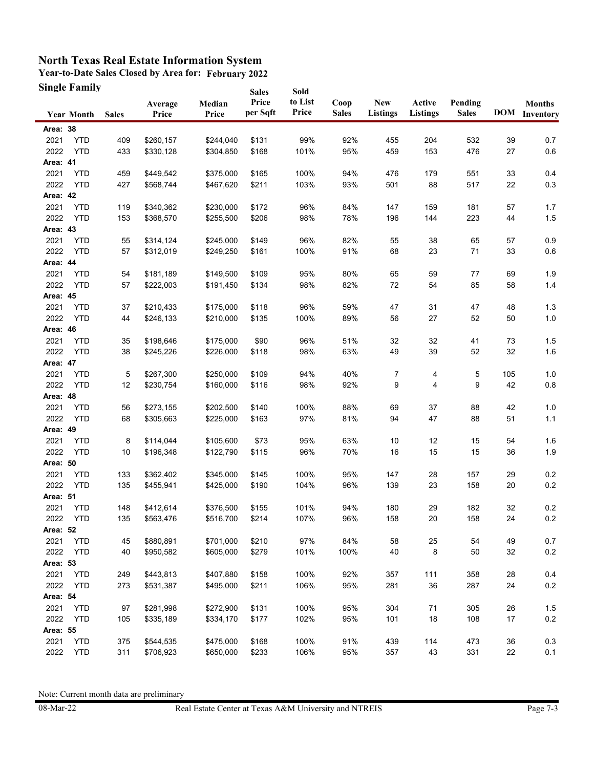**Year-to-Date Sales Closed by Area for: February 2022 Single Family Sales** 

|          | Single Family     |              |                  |                 | <b>Sales</b>      | Sold             |                      |                               |                    |                         |        |                                       |
|----------|-------------------|--------------|------------------|-----------------|-------------------|------------------|----------------------|-------------------------------|--------------------|-------------------------|--------|---------------------------------------|
|          | <b>Year Month</b> | <b>Sales</b> | Average<br>Price | Median<br>Price | Price<br>per Sqft | to List<br>Price | Coop<br><b>Sales</b> | <b>New</b><br><b>Listings</b> | Active<br>Listings | Pending<br><b>Sales</b> |        | <b>Months</b><br><b>DOM</b> Inventory |
| Area: 38 |                   |              |                  |                 |                   |                  |                      |                               |                    |                         |        |                                       |
| 2021     | <b>YTD</b>        | 409          | \$260,157        | \$244,040       | \$131             | 99%              | 92%                  | 455                           | 204                | 532                     | 39     | 0.7                                   |
| 2022     | <b>YTD</b>        | 433          | \$330,128        | \$304,850       | \$168             | 101%             | 95%                  | 459                           | 153                | 476                     | 27     | $0.6\,$                               |
| Area: 41 |                   |              |                  |                 |                   |                  |                      |                               |                    |                         |        |                                       |
| 2021     | <b>YTD</b>        | 459          | \$449,542        | \$375,000       | \$165             | 100%             | 94%                  | 476                           | 179                | 551                     | 33     | 0.4                                   |
| 2022     | <b>YTD</b>        | 427          | \$568,744        | \$467,620       | \$211             | 103%             | 93%                  | 501                           | 88                 | 517                     | 22     | 0.3                                   |
| Area: 42 |                   |              |                  |                 |                   |                  |                      |                               |                    |                         |        |                                       |
| 2021     | <b>YTD</b>        | 119          | \$340,362        | \$230,000       | \$172             | 96%              | 84%                  | 147                           | 159                | 181                     | 57     | 1.7                                   |
| 2022     | <b>YTD</b>        | 153          | \$368,570        | \$255,500       | \$206             | 98%              | 78%                  | 196                           | 144                | 223                     | 44     | $1.5$                                 |
| Area: 43 |                   |              |                  |                 |                   |                  |                      |                               |                    |                         |        |                                       |
| 2021     | <b>YTD</b>        | 55           | \$314,124        | \$245,000       | \$149             | 96%              | 82%                  | 55                            | 38                 | 65                      | 57     | 0.9                                   |
| 2022     | <b>YTD</b>        | 57           | \$312,019        | \$249,250       | \$161             | 100%             | 91%                  | 68                            | 23                 | 71                      | 33     | 0.6                                   |
| Area: 44 |                   |              |                  |                 |                   |                  |                      |                               |                    |                         |        |                                       |
| 2021     | <b>YTD</b>        | 54           | \$181,189        | \$149,500       | \$109             | 95%              | 80%                  | 65                            | 59                 | 77                      | 69     | 1.9                                   |
| 2022     | <b>YTD</b>        | 57           | \$222,003        | \$191,450       | \$134             | 98%              | 82%                  | 72                            | 54                 | 85                      | 58     | 1.4                                   |
| Area: 45 |                   |              |                  |                 |                   |                  |                      |                               |                    |                         |        |                                       |
| 2021     | <b>YTD</b>        | 37           | \$210,433        | \$175,000       | \$118             | 96%              | 59%                  | 47                            | 31                 | 47                      | 48     | 1.3                                   |
| 2022     | <b>YTD</b>        | 44           | \$246,133        | \$210,000       | \$135             | 100%             | 89%                  | 56                            | 27                 | 52                      | 50     | 1.0                                   |
| Area: 46 |                   |              |                  |                 |                   |                  |                      |                               |                    |                         |        |                                       |
| 2021     | <b>YTD</b>        | 35           | \$198,646        | \$175,000       | \$90              | 96%              | 51%                  | 32                            | 32                 | 41                      | 73     | 1.5                                   |
| 2022     | <b>YTD</b>        | 38           | \$245,226        | \$226,000       | \$118             | 98%              | 63%                  | 49                            | 39                 | 52                      | 32     | 1.6                                   |
| Area: 47 |                   |              |                  |                 |                   |                  |                      |                               |                    |                         |        |                                       |
| 2021     | <b>YTD</b>        | 5            | \$267,300        | \$250,000       | \$109             | 94%              | 40%                  | 7                             | 4                  | 5                       | 105    | 1.0                                   |
| 2022     | <b>YTD</b>        | 12           | \$230,754        | \$160,000       | \$116             | 98%              | 92%                  | 9                             | 4                  | 9                       | 42     | $0.8\,$                               |
| Area: 48 |                   |              |                  |                 |                   |                  |                      |                               |                    |                         |        |                                       |
| 2021     | <b>YTD</b>        | 56           | \$273,155        | \$202,500       | \$140             | 100%             | 88%                  | 69                            | 37                 | 88                      | 42     | 1.0                                   |
| 2022     | <b>YTD</b>        | 68           | \$305,663        | \$225,000       | \$163             | 97%              | 81%                  | 94                            | 47                 | 88                      | 51     | $1.1$                                 |
| Area: 49 |                   |              |                  |                 |                   |                  |                      |                               |                    |                         |        |                                       |
| 2021     | <b>YTD</b>        | 8            | \$114,044        | \$105,600       | \$73              | 95%              | 63%                  | 10                            | 12                 | 15                      | 54     | 1.6                                   |
| 2022     | <b>YTD</b>        | 10           | \$196,348        | \$122,790       | \$115             | 96%              | 70%                  | 16                            | 15                 | 15                      | 36     | 1.9                                   |
| Area: 50 |                   |              |                  |                 |                   |                  |                      |                               |                    |                         |        |                                       |
| 2021     | <b>YTD</b>        | 133          | \$362,402        | \$345,000       | \$145             | 100%             | 95%                  | 147                           | 28                 | 157                     | 29     | 0.2                                   |
| 2022     | <b>YTD</b>        | 135          | \$455,941        | \$425,000       | \$190             | 104%             | 96%                  | 139                           | 23                 | 158                     | 20     | $0.2\,$                               |
| Area: 51 |                   |              |                  |                 |                   |                  |                      |                               |                    |                         |        |                                       |
| 2021     | <b>YTD</b>        | 148          | \$412,614        | \$376,500       | \$155             | 101%             | 94%                  | 180                           | 29                 | 182                     | 32     | 0.2                                   |
| 2022     | <b>YTD</b>        | 135          | \$563,476        | \$516,700       | \$214             | 107%             | 96%                  | 158                           | 20                 | 158                     | 24     | 0.2                                   |
| Area: 52 |                   |              |                  |                 |                   |                  |                      |                               |                    |                         |        |                                       |
| 2021     | <b>YTD</b>        | 45           | \$880,891        | \$701,000       | \$210             | 97%              | 84%                  | 58                            | 25                 | 54                      | 49     | 0.7                                   |
| 2022     | <b>YTD</b>        | 40           | \$950,582        | \$605,000       | \$279             | 101%             | 100%                 | 40                            | 8                  | 50                      | 32     | $0.2\,$                               |
| Area: 53 |                   |              |                  |                 |                   |                  |                      |                               |                    |                         |        |                                       |
| 2021     | <b>YTD</b>        | 249          | \$443,813        | \$407,880       | \$158             | 100%             | 92%                  | 357                           | 111                | 358                     | 28     | 0.4                                   |
| 2022     | <b>YTD</b>        | 273          | \$531,387        | \$495,000       | \$211             | 106%             | 95%                  | 281                           | 36                 | 287                     | 24     | 0.2                                   |
| Area: 54 |                   |              |                  |                 |                   |                  |                      |                               |                    |                         |        |                                       |
| 2021     | <b>YTD</b>        | 97           | \$281,998        | \$272,900       | \$131             | 100%             | 95%                  | 304                           | 71                 | 305                     | $26\,$ | $1.5$                                 |
| 2022     | <b>YTD</b>        | 105          | \$335,189        | \$334,170       | \$177             | 102%             | 95%                  | 101                           | 18                 | 108                     | 17     | 0.2                                   |
| Area: 55 |                   |              |                  |                 |                   |                  |                      |                               |                    |                         |        |                                       |
| 2021     | <b>YTD</b>        | 375          | \$544,535        | \$475,000       | \$168             | 100%             | 91%                  | 439                           | 114                | 473                     | 36     | 0.3                                   |
| 2022     | <b>YTD</b>        | 311          | \$706,923        | \$650,000       | \$233             | 106%             | 95%                  | 357                           | 43                 | 331                     | 22     | 0.1                                   |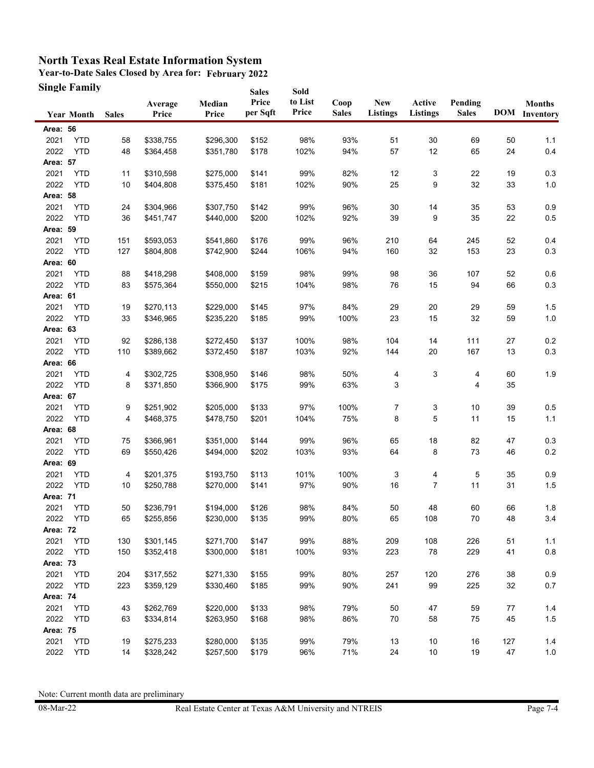**Year-to-Date Sales Closed by Area for: February 2022 Single Family**

|                 | <b>Single Family</b> |              |                  |                 | <b>Sales</b>      | Sold             |                      |                               |                    |                         |     |                                       |
|-----------------|----------------------|--------------|------------------|-----------------|-------------------|------------------|----------------------|-------------------------------|--------------------|-------------------------|-----|---------------------------------------|
|                 | <b>Year Month</b>    | <b>Sales</b> | Average<br>Price | Median<br>Price | Price<br>per Sqft | to List<br>Price | Coop<br><b>Sales</b> | <b>New</b><br><b>Listings</b> | Active<br>Listings | Pending<br><b>Sales</b> |     | <b>Months</b><br><b>DOM</b> Inventory |
| Area: 56        |                      |              |                  |                 |                   |                  |                      |                               |                    |                         |     |                                       |
| 2021            | <b>YTD</b>           | 58           | \$338,755        | \$296,300       | \$152             | 98%              | 93%                  | 51                            | 30                 | 69                      | 50  | 1.1                                   |
| 2022            | <b>YTD</b>           | 48           | \$364,458        | \$351,780       | \$178             | 102%             | 94%                  | 57                            | 12                 | 65                      | 24  | 0.4                                   |
| Area: 57        |                      |              |                  |                 |                   |                  |                      |                               |                    |                         |     |                                       |
| 2021            | <b>YTD</b>           | 11           | \$310,598        | \$275,000       | \$141             | 99%              | 82%                  | 12                            | 3                  | 22                      | 19  | 0.3                                   |
| 2022            | <b>YTD</b>           | 10           | \$404,808        | \$375,450       | \$181             | 102%             | 90%                  | 25                            | 9                  | 32                      | 33  | 1.0                                   |
| Area: 58        |                      |              |                  |                 |                   |                  |                      |                               |                    |                         |     |                                       |
| 2021            | <b>YTD</b>           | 24           | \$304,966        | \$307,750       | \$142             | 99%              | 96%                  | 30                            | 14                 | 35                      | 53  | 0.9                                   |
| 2022            | <b>YTD</b>           | 36           | \$451,747        | \$440,000       | \$200             | 102%             | 92%                  | 39                            | 9                  | 35                      | 22  | 0.5                                   |
| Area: 59        |                      |              |                  |                 |                   |                  |                      |                               |                    |                         |     |                                       |
| 2021            | <b>YTD</b>           | 151          | \$593,053        | \$541,860       | \$176             | 99%              | 96%                  | 210                           | 64                 | 245                     | 52  | 0.4                                   |
| 2022            | <b>YTD</b>           | 127          | \$804,808        | \$742,900       | \$244             | 106%             | 94%                  | 160                           | 32                 | 153                     | 23  | 0.3                                   |
| Area: 60        |                      |              |                  |                 |                   |                  |                      |                               |                    |                         |     |                                       |
| 2021            | <b>YTD</b>           | 88           | \$418,298        | \$408,000       | \$159             | 98%              | 99%                  | 98                            | 36                 | 107                     | 52  | 0.6                                   |
| 2022            | <b>YTD</b>           | 83           | \$575,364        | \$550,000       | \$215             | 104%             | 98%                  | 76                            | 15                 | 94                      | 66  | 0.3                                   |
| Area: 61        |                      |              |                  |                 |                   |                  |                      |                               |                    |                         |     |                                       |
| 2021            | <b>YTD</b>           | 19           | \$270,113        | \$229,000       | \$145             | 97%              | 84%                  | 29                            | 20                 | 29                      | 59  | 1.5                                   |
| 2022            | <b>YTD</b>           | 33           | \$346,965        | \$235,220       | \$185             | 99%              | 100%                 | 23                            | 15                 | 32                      | 59  | 1.0                                   |
| Area: 63        |                      |              |                  |                 |                   |                  |                      |                               |                    |                         |     |                                       |
| 2021            | <b>YTD</b>           | 92           | \$286,138        | \$272,450       | \$137             | 100%             | 98%                  | 104                           | 14                 | 111                     | 27  | 0.2                                   |
| 2022            | <b>YTD</b>           | 110          | \$389,662        | \$372,450       | \$187             | 103%             | 92%                  | 144                           | 20                 | 167                     | 13  | 0.3                                   |
| Area: 66        |                      |              |                  |                 |                   |                  |                      |                               |                    |                         |     |                                       |
| 2021            | <b>YTD</b>           | 4            | \$302,725        | \$308,950       | \$146             | 98%              | 50%                  | 4                             | 3                  | 4                       | 60  | 1.9                                   |
| 2022            | <b>YTD</b>           | 8            | \$371,850        | \$366,900       | \$175             | 99%              | 63%                  | 3                             |                    | 4                       | 35  |                                       |
| Area: 67        |                      |              |                  |                 |                   |                  |                      |                               |                    |                         |     |                                       |
| 2021            | <b>YTD</b>           | 9            | \$251,902        | \$205,000       | \$133             | 97%              | 100%                 | 7                             | 3                  | 10                      | 39  | 0.5                                   |
| 2022            | <b>YTD</b>           | 4            | \$468,375        | \$478,750       | \$201             | 104%             | 75%                  | 8                             | 5                  | 11                      | 15  | $1.1$                                 |
| Area: 68        |                      |              |                  |                 |                   |                  |                      |                               |                    |                         |     |                                       |
| 2021            | <b>YTD</b>           | 75           | \$366,961        | \$351,000       | \$144             | 99%              | 96%                  | 65                            | 18                 | 82                      | 47  | 0.3                                   |
| 2022            | <b>YTD</b>           | 69           | \$550,426        | \$494,000       | \$202             | 103%             | 93%                  | 64                            | 8                  | 73                      | 46  | 0.2                                   |
| Area: 69        |                      |              |                  |                 |                   |                  |                      |                               |                    |                         |     |                                       |
| 2021            | <b>YTD</b>           | 4            | \$201,375        | \$193,750       | \$113             | 101%             | 100%                 | 3                             | 4                  | 5                       | 35  | 0.9                                   |
| 2022            | <b>YTD</b>           | 10           | \$250,788        | \$270,000       | \$141             | 97%              | 90%                  | 16                            | $\overline{7}$     | 11                      | 31  | $1.5$                                 |
| Area: 71        |                      |              |                  |                 |                   |                  |                      |                               |                    |                         |     |                                       |
| 2021            | <b>YTD</b>           | 50           | \$236,791        | \$194,000       | \$126             | 98%              | 84%                  | 50                            | 48                 | 60                      | 66  | 1.8                                   |
| 2022            | YTD                  | 65           | \$255,856        | \$230,000       | \$135             | 99%              | 80%                  | 65                            | 108                | 70                      | 48  | 3.4                                   |
| <b>Area: 72</b> |                      |              |                  |                 |                   |                  |                      |                               |                    |                         |     |                                       |
| 2021            | <b>YTD</b>           | 130          | \$301,145        | \$271,700       | \$147             | 99%              | 88%                  | 209                           | 108                | 226                     | 51  | 1.1                                   |
| 2022            | <b>YTD</b>           | 150          | \$352,418        | \$300,000       | \$181             | 100%             | 93%                  | 223                           | 78                 | 229                     | 41  | $0.8\,$                               |
| Area: 73        |                      |              |                  |                 |                   |                  |                      |                               |                    |                         |     |                                       |
| 2021            | <b>YTD</b>           | 204          | \$317,552        | \$271,330       | \$155             | 99%              | 80%                  | 257                           | 120                | 276                     | 38  | 0.9                                   |
| 2022            | <b>YTD</b>           | 223          | \$359,129        | \$330,460       | \$185             | 99%              | 90%                  | 241                           | 99                 | 225                     | 32  | 0.7                                   |
| Area: 74        |                      |              |                  |                 |                   |                  |                      |                               |                    |                         |     |                                       |
| 2021            | <b>YTD</b>           | 43           | \$262,769        | \$220,000       | \$133             | 98%              | 79%                  | 50                            | 47                 | 59                      | 77  | 1.4                                   |
| 2022            | <b>YTD</b>           | 63           | \$334,814        | \$263,950       | \$168             | 98%              | 86%                  | 70                            | 58                 | 75                      | 45  | $1.5$                                 |
| <b>Area: 75</b> |                      |              |                  |                 |                   |                  |                      |                               |                    |                         |     |                                       |
| 2021            | <b>YTD</b>           | 19           | \$275,233        | \$280,000       | \$135             | 99%              | 79%                  | 13                            | 10                 | 16                      | 127 | 1.4                                   |
| 2022            | <b>YTD</b>           | 14           | \$328,242        | \$257,500       | \$179             | 96%              | 71%                  | 24                            | 10                 | 19                      | 47  | $1.0$                                 |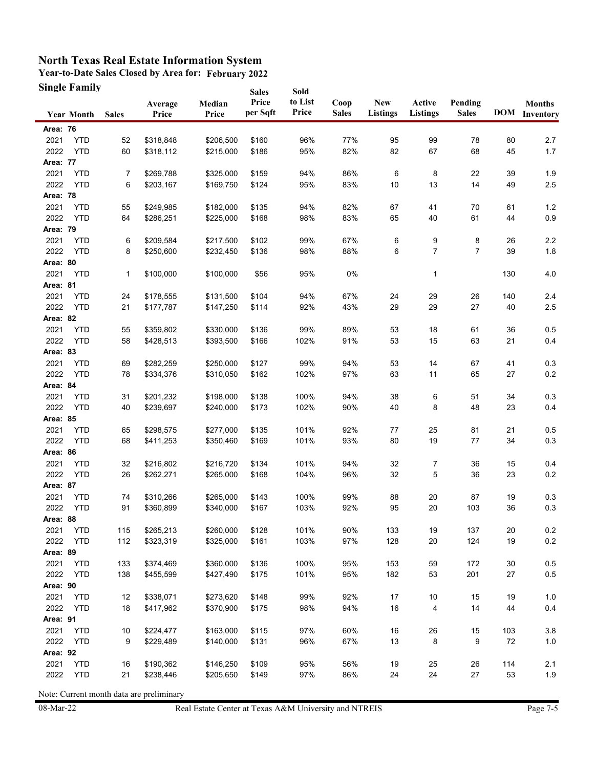**Year-to-Date Sales Closed by Area for: February 2022 Single Family Sales** 

|                  | Single Family            |              |                        |                        | <b>Sales</b>      | Sold             |                      |                               |                           |                         |          |                                       |
|------------------|--------------------------|--------------|------------------------|------------------------|-------------------|------------------|----------------------|-------------------------------|---------------------------|-------------------------|----------|---------------------------------------|
|                  | <b>Year Month</b>        | <b>Sales</b> | Average<br>Price       | Median<br>Price        | Price<br>per Sqft | to List<br>Price | Coop<br><b>Sales</b> | <b>New</b><br><b>Listings</b> | Active<br><b>Listings</b> | Pending<br><b>Sales</b> |          | <b>Months</b><br><b>DOM</b> Inventory |
| Area: 76         |                          |              |                        |                        |                   |                  |                      |                               |                           |                         |          |                                       |
| 2021             | <b>YTD</b>               | 52           | \$318,848              | \$206,500              | \$160             | 96%              | 77%                  | 95                            | 99                        | 78                      | 80       | 2.7                                   |
| 2022             | <b>YTD</b>               | 60           | \$318,112              | \$215,000              | \$186             | 95%              | 82%                  | 82                            | 67                        | 68                      | 45       | 1.7                                   |
| Area: 77         |                          |              |                        |                        |                   |                  |                      |                               |                           |                         |          |                                       |
| 2021             | <b>YTD</b>               | 7            | \$269,788              | \$325,000              | \$159             | 94%              | 86%                  | 6                             | 8                         | 22                      | 39       | 1.9                                   |
| 2022             | <b>YTD</b>               | 6            | \$203,167              | \$169,750              | \$124             | 95%              | 83%                  | 10                            | 13                        | 14                      | 49       | $2.5\,$                               |
| Area: 78         |                          |              |                        |                        |                   |                  |                      |                               |                           |                         |          |                                       |
| 2021             | <b>YTD</b>               | 55           | \$249,985              | \$182,000              | \$135             | 94%              | 82%                  | 67                            | 41                        | 70                      | 61       | 1.2                                   |
| 2022             | <b>YTD</b>               | 64           | \$286,251              | \$225,000              | \$168             | 98%              | 83%                  | 65                            | 40                        | 61                      | 44       | 0.9                                   |
| Area: 79         |                          |              |                        |                        |                   |                  |                      |                               |                           |                         |          |                                       |
| 2021             | <b>YTD</b>               | 6            | \$209,584              | \$217,500              | \$102             | 99%              | 67%                  | 6                             | 9                         | 8                       | 26       | $2.2\,$                               |
| 2022             | <b>YTD</b>               | 8            | \$250,600              | \$232,450              | \$136             | 98%              | 88%                  | 6                             | 7                         | $\overline{7}$          | 39       | 1.8                                   |
| Area: 80         |                          |              |                        |                        |                   |                  |                      |                               |                           |                         |          |                                       |
| 2021             | <b>YTD</b>               | 1            | \$100,000              | \$100,000              | \$56              | 95%              | 0%                   |                               | 1                         |                         | 130      | 4.0                                   |
| Area: 81         |                          |              |                        |                        |                   |                  |                      |                               |                           |                         |          |                                       |
| 2021             | <b>YTD</b>               | 24           | \$178,555              | \$131,500              | \$104             | 94%              | 67%                  | 24                            | 29                        | 26                      | 140      | 2.4                                   |
| 2022             | <b>YTD</b>               | 21           | \$177,787              | \$147,250              | \$114             | 92%              | 43%                  | 29                            | 29                        | 27                      | 40       | 2.5                                   |
| Area: 82         |                          |              |                        |                        |                   |                  |                      |                               |                           |                         |          |                                       |
| 2021             | <b>YTD</b>               | 55           | \$359,802              | \$330,000              | \$136             | 99%              | 89%                  | 53                            | 18                        | 61                      | 36       | 0.5                                   |
| 2022             | <b>YTD</b>               | 58           | \$428,513              | \$393,500              | \$166             | 102%             | 91%                  | 53                            | 15                        | 63                      | 21       | 0.4                                   |
| Area: 83         |                          |              |                        |                        |                   |                  |                      |                               |                           |                         |          |                                       |
| 2021             | <b>YTD</b>               | 69           | \$282,259              | \$250,000              | \$127             | 99%              | 94%                  | 53                            | 14                        | 67                      | 41       | 0.3                                   |
| 2022             | <b>YTD</b>               | 78           | \$334,376              | \$310,050              | \$162             | 102%             | 97%                  | 63                            | 11                        | 65                      | 27       | 0.2                                   |
| Area: 84         |                          |              |                        |                        |                   |                  |                      |                               |                           |                         |          |                                       |
| 2021             | <b>YTD</b>               | 31           | \$201,232              | \$198,000              | \$138             | 100%             | 94%                  | 38                            | 6                         | 51                      | 34       | 0.3                                   |
| 2022             | <b>YTD</b>               | 40           | \$239,697              | \$240,000              | \$173             | 102%             | 90%                  | 40                            | 8                         | 48                      | 23       | 0.4                                   |
| Area: 85         |                          |              |                        |                        |                   |                  |                      |                               |                           |                         |          |                                       |
| 2021             | YTD                      | 65           | \$298,575              | \$277,000              | \$135             | 101%             | 92%                  | 77                            | 25                        | 81                      | 21       | 0.5                                   |
| 2022             | <b>YTD</b>               | 68           | \$411,253              | \$350,460              | \$169             | 101%             | 93%                  | 80                            | 19                        | 77                      | 34       | 0.3                                   |
| Area: 86         |                          |              |                        |                        |                   |                  |                      |                               |                           |                         |          |                                       |
| 2021             | <b>YTD</b>               | 32           | \$216,802              | \$216,720              | \$134             | 101%             | 94%                  | 32                            | 7                         | 36                      | 15       | 0.4                                   |
| 2022             | <b>YTD</b>               | 26           | \$262,271              | \$265,000              | \$168             | 104%             | 96%                  | 32                            | 5                         | 36                      | 23       | 0.2                                   |
| Area: 87         |                          |              |                        |                        |                   |                  |                      |                               |                           |                         |          |                                       |
| 2021             | <b>YTD</b>               | 74           | \$310,266              | \$265,000              | \$143             | 100%             | 99%                  | 88                            | 20                        | 87                      | 19       | 0.3                                   |
| 2022<br>Area: 88 | <b>YTD</b>               | 91           | \$360,899              | \$340,000              | \$167             | 103%             | 92%                  | 95                            | 20                        | 103                     | 36       | 0.3                                   |
|                  |                          |              |                        |                        |                   |                  |                      |                               |                           |                         |          |                                       |
| 2021<br>2022     | <b>YTD</b><br><b>YTD</b> | 115<br>112   | \$265,213<br>\$323,319 | \$260,000<br>\$325,000 | \$128<br>\$161    | 101%<br>103%     | 90%<br>97%           | 133<br>128                    | 19<br>20                  | 137<br>124              | 20<br>19 | 0.2<br>0.2                            |
|                  |                          |              |                        |                        |                   |                  |                      |                               |                           |                         |          |                                       |
| Area: 89<br>2021 | <b>YTD</b>               |              |                        | \$360,000              |                   | 100%             | 95%                  | 153                           | 59                        | 172                     | 30       | 0.5                                   |
| 2022             | <b>YTD</b>               | 133<br>138   | \$374,469<br>\$455,599 | \$427,490              | \$136<br>\$175    | 101%             | 95%                  | 182                           | 53                        | 201                     | 27       | $0.5\,$                               |
| Area: 90         |                          |              |                        |                        |                   |                  |                      |                               |                           |                         |          |                                       |
| 2021             | <b>YTD</b>               | 12           | \$338,071              | \$273,620              | \$148             | 99%              | 92%                  | 17                            | 10                        | 15                      | 19       | 1.0                                   |
| 2022             | <b>YTD</b>               | 18           | \$417,962              | \$370,900              | \$175             | 98%              | 94%                  | 16                            | 4                         | 14                      | 44       | 0.4                                   |
| Area: 91         |                          |              |                        |                        |                   |                  |                      |                               |                           |                         |          |                                       |
| 2021             | <b>YTD</b>               | 10           | \$224,477              | \$163,000              | \$115             | 97%              | 60%                  | 16                            | 26                        | 15                      | 103      | 3.8                                   |
| 2022             | <b>YTD</b>               | 9            | \$229,489              | \$140,000              | \$131             | 96%              | 67%                  | 13                            | 8                         | 9                       | 72       | 1.0                                   |
| Area: 92         |                          |              |                        |                        |                   |                  |                      |                               |                           |                         |          |                                       |
| 2021             | <b>YTD</b>               | 16           | \$190,362              | \$146,250              | \$109             | 95%              | 56%                  | 19                            | 25                        | 26                      | 114      | 2.1                                   |
| 2022             | <b>YTD</b>               | 21           | \$238,446              | \$205,650              | \$149             | 97%              | 86%                  | 24                            | 24                        | 27                      | 53       | 1.9                                   |
|                  |                          |              |                        |                        |                   |                  |                      |                               |                           |                         |          |                                       |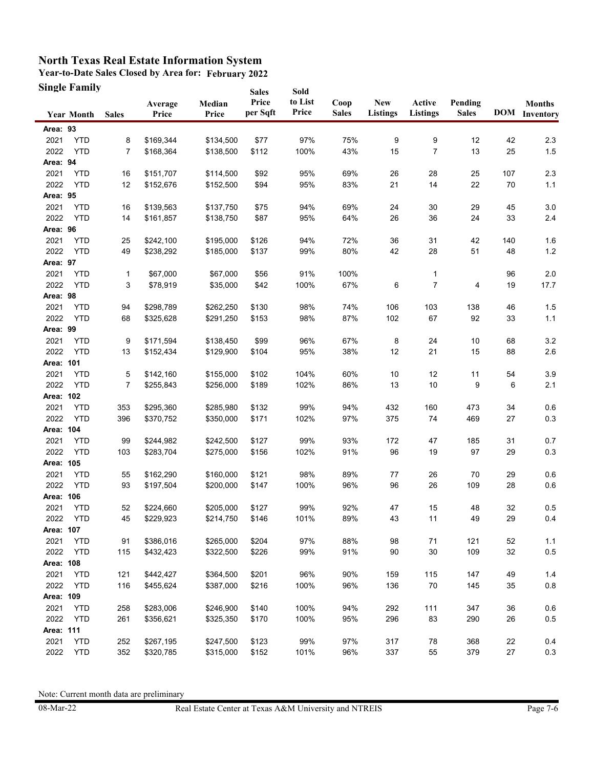**Year-to-Date Sales Closed by Area for: February 2022 Single Family Sales** 

|           | Single Family     |                |                  |                 | <b>Sales</b>      | Sold             |                      |                               |                    |                         |     |                                       |
|-----------|-------------------|----------------|------------------|-----------------|-------------------|------------------|----------------------|-------------------------------|--------------------|-------------------------|-----|---------------------------------------|
|           | <b>Year Month</b> | <b>Sales</b>   | Average<br>Price | Median<br>Price | Price<br>per Sqft | to List<br>Price | Coop<br><b>Sales</b> | <b>New</b><br><b>Listings</b> | Active<br>Listings | Pending<br><b>Sales</b> |     | <b>Months</b><br><b>DOM</b> Inventory |
| Area: 93  |                   |                |                  |                 |                   |                  |                      |                               |                    |                         |     |                                       |
| 2021      | <b>YTD</b>        | 8              | \$169,344        | \$134,500       | \$77              | 97%              | 75%                  | 9                             | 9                  | 12                      | 42  | 2.3                                   |
| 2022      | <b>YTD</b>        | $\overline{7}$ | \$168,364        | \$138,500       | \$112             | 100%             | 43%                  | 15                            | 7                  | 13                      | 25  | $1.5$                                 |
| Area: 94  |                   |                |                  |                 |                   |                  |                      |                               |                    |                         |     |                                       |
| 2021      | <b>YTD</b>        | 16             | \$151,707        | \$114,500       | \$92              | 95%              | 69%                  | 26                            | 28                 | 25                      | 107 | 2.3                                   |
| 2022      | <b>YTD</b>        | 12             | \$152,676        | \$152,500       | \$94              | 95%              | 83%                  | 21                            | 14                 | 22                      | 70  | $1.1$                                 |
| Area: 95  |                   |                |                  |                 |                   |                  |                      |                               |                    |                         |     |                                       |
| 2021      | <b>YTD</b>        | 16             | \$139,563        | \$137,750       | \$75              | 94%              | 69%                  | 24                            | 30                 | 29                      | 45  | 3.0                                   |
| 2022      | <b>YTD</b>        | 14             | \$161,857        | \$138,750       | \$87              | 95%              | 64%                  | 26                            | 36                 | 24                      | 33  | 2.4                                   |
| Area: 96  |                   |                |                  |                 |                   |                  |                      |                               |                    |                         |     |                                       |
| 2021      | <b>YTD</b>        | 25             | \$242,100        | \$195,000       | \$126             | 94%              | 72%                  | 36                            | 31                 | 42                      | 140 | 1.6                                   |
| 2022      | <b>YTD</b>        | 49             | \$238,292        | \$185,000       | \$137             | 99%              | 80%                  | 42                            | 28                 | 51                      | 48  | $1.2$                                 |
| Area: 97  |                   |                |                  |                 |                   |                  |                      |                               |                    |                         |     |                                       |
| 2021      | <b>YTD</b>        | 1              | \$67,000         | \$67,000        | \$56              | 91%              | 100%                 |                               | 1                  |                         | 96  | $2.0\,$                               |
| 2022      | <b>YTD</b>        | 3              | \$78,919         | \$35,000        | \$42              | 100%             | 67%                  | 6                             | $\overline{7}$     | 4                       | 19  | 17.7                                  |
| Area: 98  |                   |                |                  |                 |                   |                  |                      |                               |                    |                         |     |                                       |
| 2021      | <b>YTD</b>        | 94             | \$298,789        | \$262,250       | \$130             | 98%              | 74%                  | 106                           | 103                | 138                     | 46  | 1.5                                   |
| 2022      | <b>YTD</b>        | 68             | \$325,628        | \$291,250       | \$153             | 98%              | 87%                  | 102                           | 67                 | 92                      | 33  | 1.1                                   |
| Area: 99  |                   |                |                  |                 |                   |                  |                      |                               |                    |                         |     |                                       |
| 2021      | <b>YTD</b>        | 9              | \$171,594        | \$138,450       | \$99              | 96%              | 67%                  | 8                             | 24                 | 10                      | 68  | 3.2                                   |
| 2022      | <b>YTD</b>        | 13             | \$152,434        | \$129,900       | \$104             | 95%              | 38%                  | 12                            | 21                 | 15                      | 88  | 2.6                                   |
| Area: 101 |                   |                |                  |                 |                   |                  |                      |                               |                    |                         |     |                                       |
| 2021      | <b>YTD</b>        | 5              | \$142,160        | \$155,000       | \$102             | 104%             | 60%                  | 10                            | 12                 | 11                      | 54  | 3.9                                   |
| 2022      | <b>YTD</b>        | $\overline{7}$ | \$255,843        | \$256,000       | \$189             | 102%             | 86%                  | 13                            | 10                 | 9                       | 6   | 2.1                                   |
| Area: 102 |                   |                |                  |                 |                   |                  |                      |                               |                    |                         |     |                                       |
| 2021      | <b>YTD</b>        | 353            | \$295,360        | \$285,980       | \$132             | 99%              | 94%                  | 432                           | 160                | 473                     | 34  | 0.6                                   |
| 2022      | <b>YTD</b>        | 396            | \$370,752        | \$350,000       | \$171             | 102%             | 97%                  | 375                           | 74                 | 469                     | 27  | 0.3                                   |
| Area: 104 |                   |                |                  |                 |                   |                  |                      |                               |                    |                         |     |                                       |
| 2021      | <b>YTD</b>        | 99             | \$244,982        | \$242,500       | \$127             | 99%              | 93%                  | 172                           | 47                 | 185                     | 31  | 0.7                                   |
| 2022      | <b>YTD</b>        | 103            | \$283,704        | \$275,000       | \$156             | 102%             | 91%                  | 96                            | 19                 | 97                      | 29  | $0.3\,$                               |
| Area: 105 |                   |                |                  |                 |                   |                  |                      |                               |                    |                         |     |                                       |
| 2021      | <b>YTD</b>        | 55             | \$162,290        | \$160,000       | \$121             | 98%              | 89%                  | 77                            | 26                 | 70                      | 29  | 0.6                                   |
| 2022      | <b>YTD</b>        | 93             | \$197,504        | \$200,000       | \$147             | 100%             | 96%                  | 96                            | 26                 | 109                     | 28  | 0.6                                   |
| Area: 106 |                   |                |                  |                 |                   |                  |                      |                               |                    |                         |     |                                       |
| 2021      | <b>YTD</b>        | 52             | \$224,660        | \$205,000       | \$127             | 99%              | 92%                  | 47                            | 15                 | 48                      | 32  | 0.5                                   |
| 2022      | <b>YTD</b>        | 45             | \$229,923        | \$214,750       | \$146             | 101%             | 89%                  | 43                            | 11                 | 49                      | 29  | 0.4                                   |
| Area: 107 |                   |                |                  |                 |                   |                  |                      |                               |                    |                         |     |                                       |
| 2021      | <b>YTD</b>        | 91             | \$386,016        | \$265,000       | \$204             | 97%              | 88%                  | 98                            | 71                 | 121                     | 52  | 1.1                                   |
| 2022      | <b>YTD</b>        | 115            | \$432,423        | \$322,500       | \$226             | 99%              | 91%                  | 90                            | 30                 | 109                     | 32  | $0.5\,$                               |
| Area: 108 |                   |                |                  |                 |                   |                  |                      |                               |                    |                         |     |                                       |
| 2021      | <b>YTD</b>        | 121            | \$442,427        | \$364,500       | \$201             | 96%              | 90%                  | 159                           | 115                | 147                     | 49  | 1.4                                   |
| 2022      | <b>YTD</b>        | 116            | \$455,624        | \$387,000       | \$216             | 100%             | 96%                  | 136                           | 70                 | 145                     | 35  | $0.8\,$                               |
| Area: 109 |                   |                |                  |                 |                   |                  |                      |                               |                    |                         |     |                                       |
| 2021      | <b>YTD</b>        | 258            | \$283,006        | \$246,900       | \$140             | 100%             | 94%                  | 292                           | 111                | 347                     | 36  | 0.6                                   |
| 2022      | <b>YTD</b>        | 261            | \$356,621        | \$325,350       | \$170             | 100%             | 95%                  | 296                           | 83                 | 290                     | 26  | 0.5                                   |
| Area: 111 |                   |                |                  |                 |                   |                  |                      |                               |                    |                         |     |                                       |
| 2021      | <b>YTD</b>        | 252            | \$267,195        | \$247,500       | \$123             | 99%              | 97%                  | 317                           | 78                 | 368                     | 22  | 0.4                                   |
| 2022      | <b>YTD</b>        | 352            | \$320,785        | \$315,000       | \$152             | 101%             | 96%                  | 337                           | 55                 | 379                     | 27  | $0.3\,$                               |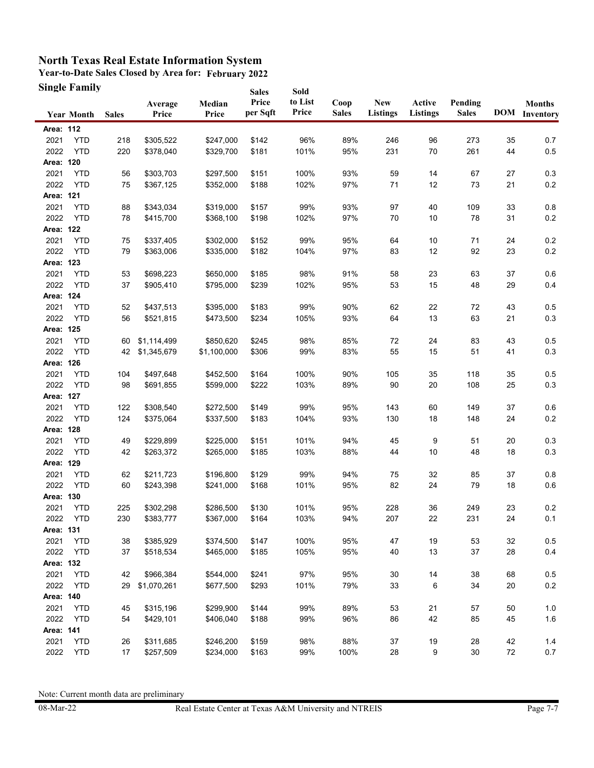**Year-to-Date Sales Closed by Area for: February 2022 Single Family**

|           | <b>Single Family</b> |              |                  |                 | <b>Sales</b>      | Sold             |                      |                        |                           |                         |    |                                       |
|-----------|----------------------|--------------|------------------|-----------------|-------------------|------------------|----------------------|------------------------|---------------------------|-------------------------|----|---------------------------------------|
|           | <b>Year Month</b>    | <b>Sales</b> | Average<br>Price | Median<br>Price | Price<br>per Sqft | to List<br>Price | Coop<br><b>Sales</b> | <b>New</b><br>Listings | Active<br><b>Listings</b> | Pending<br><b>Sales</b> |    | <b>Months</b><br><b>DOM</b> Inventory |
| Area: 112 |                      |              |                  |                 |                   |                  |                      |                        |                           |                         |    |                                       |
| 2021      | <b>YTD</b>           | 218          | \$305,522        | \$247,000       | \$142             | 96%              | 89%                  | 246                    | 96                        | 273                     | 35 | 0.7                                   |
| 2022      | <b>YTD</b>           | 220          | \$378,040        | \$329,700       | \$181             | 101%             | 95%                  | 231                    | 70                        | 261                     | 44 | $0.5\,$                               |
| Area: 120 |                      |              |                  |                 |                   |                  |                      |                        |                           |                         |    |                                       |
| 2021      | <b>YTD</b>           | 56           | \$303,703        | \$297,500       | \$151             | 100%             | 93%                  | 59                     | 14                        | 67                      | 27 | 0.3                                   |
| 2022      | <b>YTD</b>           | 75           | \$367,125        | \$352,000       | \$188             | 102%             | 97%                  | 71                     | 12                        | 73                      | 21 | 0.2                                   |
| Area: 121 |                      |              |                  |                 |                   |                  |                      |                        |                           |                         |    |                                       |
| 2021      | <b>YTD</b>           | 88           | \$343,034        | \$319,000       | \$157             | 99%              | 93%                  | 97                     | 40                        | 109                     | 33 | 0.8                                   |
| 2022      | <b>YTD</b>           | 78           | \$415,700        | \$368,100       | \$198             | 102%             | 97%                  | 70                     | 10                        | 78                      | 31 | 0.2                                   |
| Area: 122 |                      |              |                  |                 |                   |                  |                      |                        |                           |                         |    |                                       |
| 2021      | <b>YTD</b>           | 75           | \$337,405        | \$302,000       | \$152             | 99%              | 95%                  | 64                     | 10                        | 71                      | 24 | 0.2                                   |
| 2022      | <b>YTD</b>           | 79           | \$363,006        | \$335,000       | \$182             | 104%             | 97%                  | 83                     | 12                        | 92                      | 23 | 0.2                                   |
| Area: 123 |                      |              |                  |                 |                   |                  |                      |                        |                           |                         |    |                                       |
| 2021      | <b>YTD</b>           | 53           | \$698,223        | \$650,000       | \$185             | 98%              | 91%                  | 58                     | 23                        | 63                      | 37 | 0.6                                   |
| 2022      | <b>YTD</b>           | 37           | \$905,410        | \$795,000       | \$239             | 102%             | 95%                  | 53                     | 15                        | 48                      | 29 | 0.4                                   |
| Area: 124 |                      |              |                  |                 |                   |                  |                      |                        |                           |                         |    |                                       |
| 2021      | <b>YTD</b>           | 52           | \$437,513        | \$395,000       | \$183             | 99%              | 90%                  | 62                     | 22                        | 72                      | 43 | 0.5                                   |
| 2022      | <b>YTD</b>           | 56           | \$521,815        | \$473,500       | \$234             | 105%             | 93%                  | 64                     | 13                        | 63                      | 21 | 0.3                                   |
| Area: 125 |                      |              |                  |                 |                   |                  |                      |                        |                           |                         |    |                                       |
| 2021      | <b>YTD</b>           | 60           | \$1,114,499      | \$850,620       | \$245             | 98%              | 85%                  | 72                     | 24                        | 83                      | 43 | 0.5                                   |
| 2022      | <b>YTD</b>           | 42           | \$1,345,679      | \$1,100,000     | \$306             | 99%              | 83%                  | 55                     | 15                        | 51                      | 41 | 0.3                                   |
| Area: 126 |                      |              |                  |                 |                   |                  |                      |                        |                           |                         |    |                                       |
| 2021      | <b>YTD</b>           | 104          | \$497,648        | \$452,500       | \$164             | 100%             | 90%                  | 105                    | 35                        | 118                     | 35 | 0.5                                   |
| 2022      | <b>YTD</b>           | 98           | \$691,855        | \$599,000       | \$222             | 103%             | 89%                  | 90                     | 20                        | 108                     | 25 | 0.3                                   |
| Area: 127 |                      |              |                  |                 |                   |                  |                      |                        |                           |                         |    |                                       |
| 2021      | <b>YTD</b>           | 122          | \$308,540        | \$272,500       | \$149             | 99%              | 95%                  | 143                    | 60                        | 149                     | 37 | 0.6                                   |
| 2022      | <b>YTD</b>           | 124          | \$375,064        | \$337,500       | \$183             | 104%             | 93%                  | 130                    | 18                        | 148                     | 24 | $0.2\,$                               |
| Area: 128 |                      |              |                  |                 |                   |                  |                      |                        |                           |                         |    |                                       |
| 2021      | <b>YTD</b>           | 49           | \$229,899        | \$225,000       | \$151             | 101%             | 94%                  | 45                     | 9                         | 51                      | 20 | 0.3                                   |
| 2022      | <b>YTD</b>           | 42           | \$263,372        | \$265,000       | \$185             | 103%             | 88%                  | 44                     | 10                        | 48                      | 18 | 0.3                                   |
| Area: 129 |                      |              |                  |                 |                   |                  |                      |                        |                           |                         |    |                                       |
| 2021      | <b>YTD</b>           | 62           | \$211,723        | \$196,800       | \$129             | 99%              | 94%                  | 75                     | 32                        | 85                      | 37 | 0.8                                   |
| 2022      | <b>YTD</b>           | 60           | \$243,398        | \$241,000       | \$168             | 101%             | 95%                  | 82                     | 24                        | 79                      | 18 | 0.6                                   |
| Area: 130 |                      |              |                  |                 |                   |                  |                      |                        |                           |                         |    |                                       |
| 2021      | <b>YTD</b>           | 225          | \$302,298        | \$286,500       | \$130             | 101%             | 95%                  | 228                    | 36                        | 249                     | 23 | 0.2                                   |
| 2022      | YTD                  | 230          | \$383,777        | \$367,000       | \$164             | 103%             | 94%                  | 207                    | 22                        | 231                     | 24 | 0.1                                   |
| Area: 131 |                      |              |                  |                 |                   |                  |                      |                        |                           |                         |    |                                       |
| 2021      | <b>YTD</b>           | 38           | \$385,929        | \$374,500       | \$147             | 100%             | 95%                  | 47                     | 19                        | 53                      | 32 | 0.5                                   |
| 2022      | <b>YTD</b>           | 37           | \$518,534        | \$465,000       | \$185             | 105%             | 95%                  | 40                     | 13                        | 37                      | 28 | 0.4                                   |
| Area: 132 |                      |              |                  |                 |                   |                  |                      |                        |                           |                         |    |                                       |
| 2021      | <b>YTD</b>           | 42           | \$966,384        | \$544,000       | \$241             | 97%              | 95%                  | 30                     | 14                        | 38                      | 68 | 0.5                                   |
| 2022      | <b>YTD</b>           | 29           | \$1,070,261      | \$677,500       | \$293             | 101%             | 79%                  | 33                     | 6                         | 34                      | 20 | $0.2\,$                               |
| Area: 140 |                      |              |                  |                 |                   |                  |                      |                        |                           |                         |    |                                       |
| 2021      | <b>YTD</b>           | 45           | \$315,196        | \$299,900       | \$144             | 99%              | 89%                  | 53                     | 21                        | 57                      | 50 | 1.0                                   |
| 2022      | <b>YTD</b>           | 54           | \$429,101        | \$406,040       | \$188             | 99%              | 96%                  | 86                     | 42                        | 85                      | 45 | 1.6                                   |
| Area: 141 |                      |              |                  |                 |                   |                  |                      |                        |                           |                         |    |                                       |
| 2021      | <b>YTD</b>           | 26           | \$311,685        | \$246,200       | \$159             | 98%              | 88%                  | 37                     | 19                        | 28                      | 42 | 1.4                                   |
| 2022      | <b>YTD</b>           | 17           | \$257,509        | \$234,000       | \$163             | 99%              | 100%                 | 28                     | 9                         | 30                      | 72 | 0.7                                   |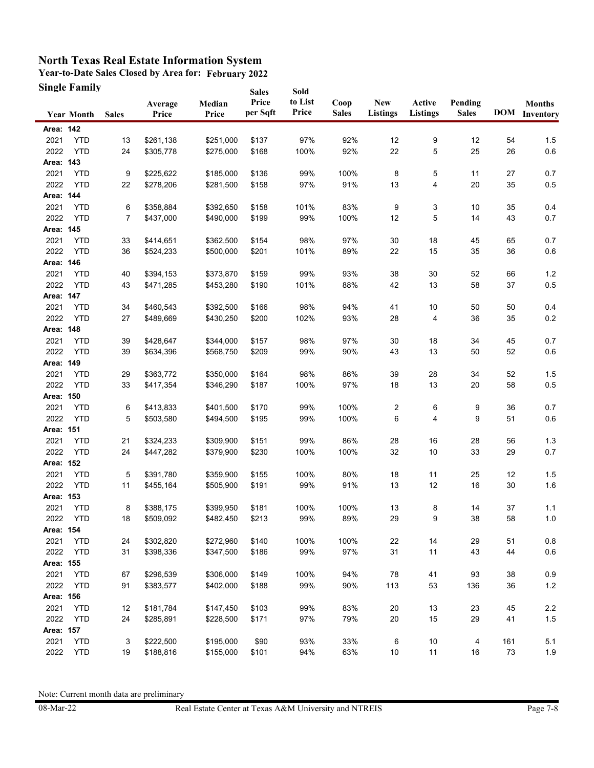**Year-to-Date Sales Closed by Area for: February 2022 Single Family Sales** 

|           | Single Family     |              |                  |                 | <b>Sales</b>      | Sold             |                      |                               |                    |                         |     |                                       |
|-----------|-------------------|--------------|------------------|-----------------|-------------------|------------------|----------------------|-------------------------------|--------------------|-------------------------|-----|---------------------------------------|
|           | <b>Year Month</b> | <b>Sales</b> | Average<br>Price | Median<br>Price | Price<br>per Sqft | to List<br>Price | Coop<br><b>Sales</b> | <b>New</b><br><b>Listings</b> | Active<br>Listings | Pending<br><b>Sales</b> |     | <b>Months</b><br><b>DOM</b> Inventory |
| Area: 142 |                   |              |                  |                 |                   |                  |                      |                               |                    |                         |     |                                       |
| 2021      | <b>YTD</b>        | 13           | \$261,138        | \$251,000       | \$137             | 97%              | 92%                  | 12                            | 9                  | 12                      | 54  | 1.5                                   |
| 2022      | <b>YTD</b>        | 24           | \$305,778        | \$275,000       | \$168             | 100%             | 92%                  | 22                            | 5                  | 25                      | 26  | $0.6\,$                               |
| Area: 143 |                   |              |                  |                 |                   |                  |                      |                               |                    |                         |     |                                       |
| 2021      | <b>YTD</b>        | 9            | \$225,622        | \$185,000       | \$136             | 99%              | 100%                 | 8                             | 5                  | 11                      | 27  | 0.7                                   |
| 2022      | <b>YTD</b>        | 22           | \$278,206        | \$281,500       | \$158             | 97%              | 91%                  | 13                            | 4                  | 20                      | 35  | $0.5\,$                               |
| Area: 144 |                   |              |                  |                 |                   |                  |                      |                               |                    |                         |     |                                       |
| 2021      | <b>YTD</b>        | 6            | \$358,884        | \$392,650       | \$158             | 101%             | 83%                  | 9                             | 3                  | 10                      | 35  | 0.4                                   |
| 2022      | <b>YTD</b>        | 7            | \$437,000        | \$490,000       | \$199             | 99%              | 100%                 | 12                            | $\,$ 5 $\,$        | 14                      | 43  | 0.7                                   |
| Area: 145 |                   |              |                  |                 |                   |                  |                      |                               |                    |                         |     |                                       |
| 2021      | <b>YTD</b>        | 33           | \$414,651        | \$362,500       | \$154             | 98%              | 97%                  | 30                            | 18                 | 45                      | 65  | 0.7                                   |
| 2022      | <b>YTD</b>        | 36           | \$524,233        | \$500,000       | \$201             | 101%             | 89%                  | 22                            | 15                 | 35                      | 36  | $0.6\,$                               |
| Area: 146 |                   |              |                  |                 |                   |                  |                      |                               |                    |                         |     |                                       |
| 2021      | <b>YTD</b>        | 40           | \$394,153        | \$373,870       | \$159             | 99%              | 93%                  | 38                            | 30                 | 52                      | 66  | 1.2                                   |
| 2022      | <b>YTD</b>        | 43           | \$471,285        | \$453,280       | \$190             | 101%             | 88%                  | 42                            | 13                 | 58                      | 37  | 0.5                                   |
| Area: 147 |                   |              |                  |                 |                   |                  |                      |                               |                    |                         |     |                                       |
| 2021      | <b>YTD</b>        | 34           | \$460,543        | \$392,500       | \$166             | 98%              | 94%                  | 41                            | 10                 | 50                      | 50  | 0.4                                   |
| 2022      | <b>YTD</b>        | 27           | \$489,669        | \$430,250       | \$200             | 102%             | 93%                  | 28                            | 4                  | 36                      | 35  | 0.2                                   |
| Area: 148 |                   |              |                  |                 |                   |                  |                      |                               |                    |                         |     |                                       |
| 2021      | <b>YTD</b>        | 39           | \$428,647        | \$344,000       | \$157             | 98%              | 97%                  | 30                            | 18                 | 34                      | 45  | 0.7                                   |
| 2022      | <b>YTD</b>        | 39           | \$634,396        | \$568,750       | \$209             | 99%              | 90%                  | 43                            | 13                 | 50                      | 52  | 0.6                                   |
| Area: 149 |                   |              |                  |                 |                   |                  |                      |                               |                    |                         |     |                                       |
| 2021      | <b>YTD</b>        | 29           | \$363,772        | \$350,000       | \$164             | 98%              | 86%                  | 39                            | 28                 | 34                      | 52  | 1.5                                   |
| 2022      | <b>YTD</b>        | 33           | \$417,354        | \$346,290       | \$187             | 100%             | 97%                  | 18                            | 13                 | 20                      | 58  | $0.5\,$                               |
| Area: 150 |                   |              |                  |                 |                   |                  |                      |                               |                    |                         |     |                                       |
| 2021      | <b>YTD</b>        | 6            | \$413,833        | \$401,500       | \$170             | 99%              | 100%                 | 2                             | 6                  | 9                       | 36  | 0.7                                   |
| 2022      | <b>YTD</b>        | 5            | \$503,580        | \$494,500       | \$195             | 99%              | 100%                 | 6                             | 4                  | 9                       | 51  | $0.6\,$                               |
| Area: 151 |                   |              |                  |                 |                   |                  |                      |                               |                    |                         |     |                                       |
| 2021      | <b>YTD</b>        | 21           | \$324,233        | \$309,900       | \$151             | 99%              | 86%                  | 28                            | 16                 | 28                      | 56  | 1.3                                   |
| 2022      | <b>YTD</b>        | 24           | \$447,282        | \$379,900       | \$230             | 100%             | 100%                 | 32                            | 10                 | 33                      | 29  | 0.7                                   |
| Area: 152 |                   |              |                  |                 |                   |                  |                      |                               |                    |                         |     |                                       |
| 2021      | <b>YTD</b>        | 5            | \$391,780        | \$359,900       | \$155             | 100%             | 80%                  | 18                            | 11                 | 25                      | 12  | 1.5                                   |
| 2022      | <b>YTD</b>        | 11           | \$455,164        | \$505,900       | \$191             | 99%              | 91%                  | 13                            | 12                 | 16                      | 30  | 1.6                                   |
| Area: 153 |                   |              |                  |                 |                   |                  |                      |                               |                    |                         |     |                                       |
| 2021      | <b>YTD</b>        | 8            | \$388,175        | \$399,950       | \$181             | 100%             | 100%                 | 13                            | 8                  | 14                      | 37  | 1.1                                   |
| 2022      | <b>YTD</b>        | 18           | \$509,092        | \$482,450       | \$213             | 99%              | 89%                  | 29                            | 9                  | 38                      | 58  | 1.0                                   |
| Area: 154 |                   |              |                  |                 |                   |                  |                      |                               |                    |                         |     |                                       |
| 2021      | <b>YTD</b>        | 24           | \$302,820        | \$272,960       | \$140             | 100%             | 100%                 | 22                            | 14                 | 29                      | 51  | 0.8                                   |
| 2022      | <b>YTD</b>        | 31           | \$398,336        | \$347,500       | \$186             | 99%              | 97%                  | 31                            | 11                 | 43                      | 44  | $0.6\,$                               |
| Area: 155 |                   |              |                  |                 |                   |                  |                      |                               |                    |                         |     |                                       |
| 2021      | <b>YTD</b>        | 67           | \$296,539        | \$306,000       | \$149             | 100%             | 94%                  | 78                            | 41                 | 93                      | 38  | 0.9                                   |
| 2022      | <b>YTD</b>        | 91           | \$383,577        | \$402,000       | \$188             | 99%              | 90%                  | 113                           | 53                 | 136                     | 36  | $1.2$                                 |
| Area: 156 |                   |              |                  |                 |                   |                  |                      |                               |                    |                         |     |                                       |
| 2021      | <b>YTD</b>        | 12           | \$181,784        | \$147,450       | \$103             | 99%              | 83%                  | 20                            | 13                 | 23                      | 45  | $2.2\,$                               |
| 2022      | <b>YTD</b>        | 24           | \$285,891        | \$228,500       | \$171             | 97%              | 79%                  | 20                            | 15                 | 29                      | 41  | $1.5$                                 |
| Area: 157 |                   |              |                  |                 |                   |                  |                      |                               |                    |                         |     |                                       |
| 2021      | <b>YTD</b>        | 3            | \$222,500        | \$195,000       | \$90              | 93%              | 33%                  | 6                             | 10                 | 4                       | 161 | 5.1                                   |
| 2022      | <b>YTD</b>        | 19           | \$188,816        | \$155,000       | \$101             | 94%              | 63%                  | 10                            | 11                 | 16                      | 73  | 1.9                                   |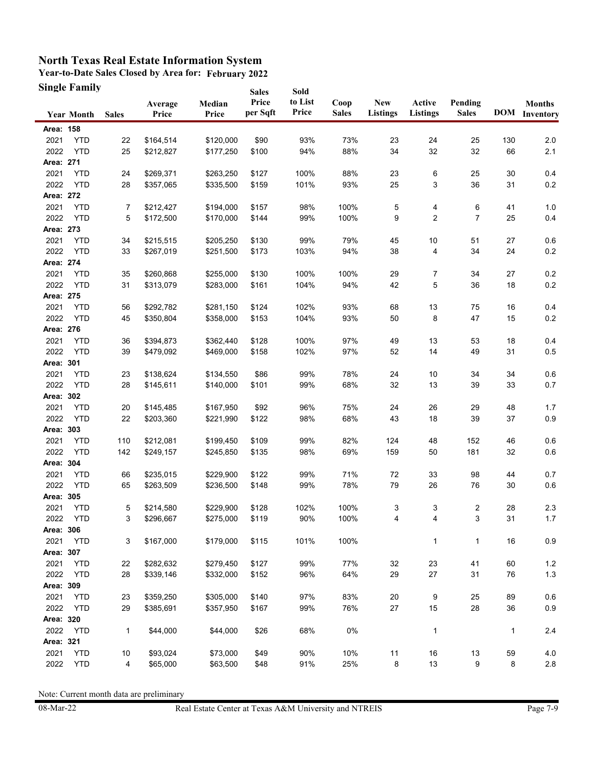**Year-to-Date Sales Closed by Area for: February 2022 Single Family**

|           | <b>Single Family</b> |              |                  |                 | <b>Sales</b>      | Sold             |                      |                               |                           |                         |     |                                       |
|-----------|----------------------|--------------|------------------|-----------------|-------------------|------------------|----------------------|-------------------------------|---------------------------|-------------------------|-----|---------------------------------------|
|           | <b>Year Month</b>    | <b>Sales</b> | Average<br>Price | Median<br>Price | Price<br>per Sqft | to List<br>Price | Coop<br><b>Sales</b> | <b>New</b><br><b>Listings</b> | Active<br><b>Listings</b> | Pending<br><b>Sales</b> |     | <b>Months</b><br><b>DOM</b> Inventory |
| Area: 158 |                      |              |                  |                 |                   |                  |                      |                               |                           |                         |     |                                       |
| 2021      | <b>YTD</b>           | 22           | \$164,514        | \$120,000       | \$90              | 93%              | 73%                  | 23                            | 24                        | 25                      | 130 | 2.0                                   |
| 2022      | <b>YTD</b>           | 25           | \$212,827        | \$177,250       | \$100             | 94%              | 88%                  | 34                            | 32                        | 32                      | 66  | 2.1                                   |
| Area: 271 |                      |              |                  |                 |                   |                  |                      |                               |                           |                         |     |                                       |
| 2021      | <b>YTD</b>           | 24           | \$269,371        | \$263,250       | \$127             | 100%             | 88%                  | 23                            | 6                         | 25                      | 30  | 0.4                                   |
| 2022      | <b>YTD</b>           | 28           | \$357,065        | \$335,500       | \$159             | 101%             | 93%                  | 25                            | 3                         | 36                      | 31  | 0.2                                   |
| Area: 272 |                      |              |                  |                 |                   |                  |                      |                               |                           |                         |     |                                       |
| 2021      | <b>YTD</b>           | 7            | \$212,427        | \$194,000       | \$157             | 98%              | 100%                 | 5                             | 4                         | 6                       | 41  | 1.0                                   |
| 2022      | <b>YTD</b>           | 5            | \$172,500        | \$170,000       | \$144             | 99%              | 100%                 | 9                             | $\overline{2}$            | $\overline{7}$          | 25  | 0.4                                   |
| Area: 273 |                      |              |                  |                 |                   |                  |                      |                               |                           |                         |     |                                       |
| 2021      | <b>YTD</b>           | 34           | \$215,515        | \$205,250       | \$130             | 99%              | 79%                  | 45                            | 10                        | 51                      | 27  | 0.6                                   |
| 2022      | <b>YTD</b>           | 33           | \$267,019        | \$251,500       | \$173             | 103%             | 94%                  | 38                            | 4                         | 34                      | 24  | 0.2                                   |
| Area: 274 |                      |              |                  |                 |                   |                  |                      |                               |                           |                         |     |                                       |
| 2021      | <b>YTD</b>           | 35           | \$260,868        | \$255,000       | \$130             | 100%             | 100%                 | 29                            | 7                         | 34                      | 27  | 0.2                                   |
| 2022      | <b>YTD</b>           | 31           | \$313,079        | \$283,000       | \$161             | 104%             | 94%                  | 42                            | 5                         | 36                      | 18  | 0.2                                   |
| Area: 275 |                      |              |                  |                 |                   |                  |                      |                               |                           |                         |     |                                       |
| 2021      | <b>YTD</b>           | 56           | \$292,782        | \$281,150       | \$124             | 102%             | 93%                  | 68                            | 13                        | 75                      | 16  | 0.4                                   |
| 2022      | <b>YTD</b>           | 45           | \$350,804        | \$358,000       | \$153             | 104%             | 93%                  | 50                            | 8                         | 47                      | 15  | 0.2                                   |
| Area: 276 |                      |              |                  |                 |                   |                  |                      |                               |                           |                         |     |                                       |
| 2021      | <b>YTD</b>           | 36           | \$394,873        | \$362,440       | \$128             | 100%             | 97%                  | 49                            | 13                        | 53                      | 18  | 0.4                                   |
| 2022      | <b>YTD</b>           | 39           | \$479,092        | \$469,000       | \$158             | 102%             | 97%                  | 52                            | 14                        | 49                      | 31  | 0.5                                   |
| Area: 301 |                      |              |                  |                 |                   |                  |                      |                               |                           |                         |     |                                       |
| 2021      | <b>YTD</b>           | 23           | \$138,624        | \$134,550       | \$86              | 99%              | 78%                  | 24                            | 10                        | 34                      | 34  | 0.6                                   |
| 2022      | <b>YTD</b>           | 28           | \$145,611        | \$140,000       | \$101             | 99%              | 68%                  | 32                            | 13                        | 39                      | 33  | 0.7                                   |
| Area: 302 |                      |              |                  |                 |                   |                  |                      |                               |                           |                         |     |                                       |
| 2021      | <b>YTD</b>           | 20           | \$145,485        | \$167,950       | \$92              | 96%              | 75%                  | 24                            | 26                        | 29                      | 48  | 1.7                                   |
| 2022      | <b>YTD</b>           | 22           | \$203,360        | \$221,990       | \$122             | 98%              | 68%                  | 43                            | 18                        | 39                      | 37  | 0.9                                   |
| Area: 303 |                      |              |                  |                 |                   |                  |                      |                               |                           |                         |     |                                       |
| 2021      | <b>YTD</b>           | 110          | \$212,081        | \$199,450       | \$109             | 99%              | 82%                  | 124                           | 48                        | 152                     | 46  | 0.6                                   |
| 2022      | <b>YTD</b>           | 142          | \$249,157        | \$245,850       | \$135             | 98%              | 69%                  | 159                           | 50                        | 181                     | 32  | 0.6                                   |
| Area: 304 |                      |              |                  |                 |                   |                  |                      |                               |                           |                         |     |                                       |
| 2021      | <b>YTD</b>           | 66           | \$235,015        | \$229,900       | \$122             | 99%              | 71%                  | 72                            | 33                        | 98                      | 44  | 0.7                                   |
| 2022      | <b>YTD</b>           | 65           | \$263,509        | \$236,500       | \$148             | 99%              | 78%                  | 79                            | 26                        | 76                      | 30  | 0.6                                   |
| Area: 305 |                      |              |                  |                 |                   |                  |                      |                               |                           |                         |     |                                       |
| 2021      | <b>YTD</b>           | 5            | \$214,580        | \$229,900       | \$128             | 102%             | 100%                 | 3                             | 3                         | 2                       | 28  | 2.3                                   |
| 2022      | YTD                  | 3            | \$296,667        | \$275,000       | \$119             | 90%              | 100%                 | 4                             | 4                         | 3                       | 31  | $1.7$                                 |
| Area: 306 |                      |              |                  |                 |                   |                  |                      |                               |                           |                         |     |                                       |
| 2021      | <b>YTD</b>           | 3            | \$167,000        | \$179,000       | \$115             | 101%             | 100%                 |                               | 1                         | 1                       | 16  | $0.9\,$                               |
| Area: 307 |                      |              |                  |                 |                   |                  |                      |                               |                           |                         |     |                                       |
| 2021      | <b>YTD</b>           | 22           | \$282,632        | \$279,450       | \$127             | 99%              | 77%                  | 32                            | 23                        | 41                      | 60  | $1.2$                                 |
| 2022      | <b>YTD</b>           | 28           | \$339,146        | \$332,000       | \$152             | 96%              | 64%                  | 29                            | 27                        | 31                      | 76  | 1.3                                   |
| Area: 309 |                      |              |                  |                 |                   |                  |                      |                               |                           |                         |     |                                       |
| 2021      | <b>YTD</b>           | 23           | \$359,250        | \$305,000       | \$140             | 97%              | 83%                  | 20                            | 9                         | 25                      | 89  | 0.6                                   |
| 2022      | <b>YTD</b>           | 29           | \$385,691        | \$357,950       | \$167             | 99%              | 76%                  | 27                            | 15                        | 28                      | 36  | $0.9\,$                               |
| Area: 320 |                      |              |                  |                 |                   |                  |                      |                               |                           |                         |     |                                       |
| 2022      | <b>YTD</b>           | $\mathbf{1}$ | \$44,000         | \$44,000        | \$26              | 68%              | $0\%$                |                               | 1                         |                         | 1   | 2.4                                   |
| Area: 321 |                      |              |                  |                 |                   |                  |                      |                               |                           |                         |     |                                       |
| 2021      | <b>YTD</b>           | 10           | \$93,024         | \$73,000        | \$49              | 90%              | 10%                  | 11                            | 16                        | 13                      | 59  | 4.0                                   |
| 2022      | <b>YTD</b>           | 4            | \$65,000         | \$63,500        | \$48              | 91%              | 25%                  | 8                             | 13                        | 9                       | 8   | $2.8\,$                               |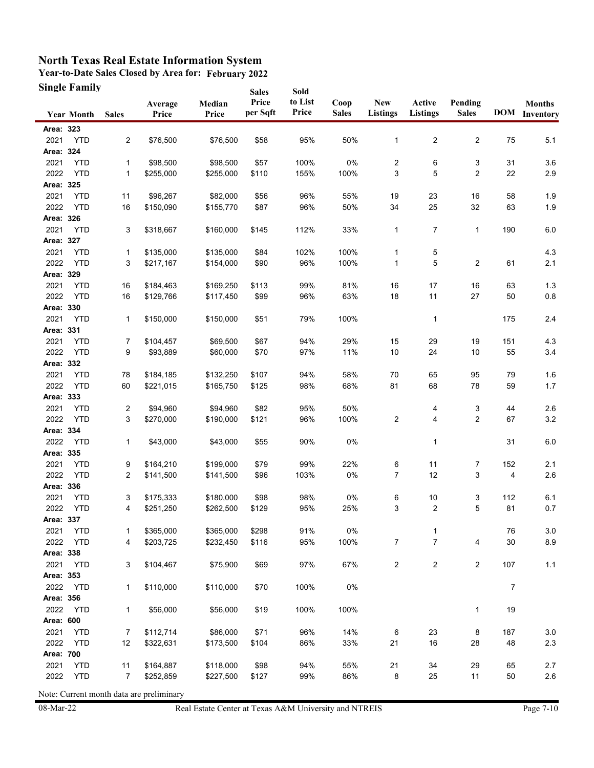**Year-to-Date Sales Closed by Area for: February 2022 Single Family Sales** 

|              | Single Family            |                |                        |                       | <b>Sales</b>      | Sold             |                      |                         |                           |                         |                |                                       |
|--------------|--------------------------|----------------|------------------------|-----------------------|-------------------|------------------|----------------------|-------------------------|---------------------------|-------------------------|----------------|---------------------------------------|
|              | <b>Year Month</b>        | <b>Sales</b>   | Average<br>Price       | Median<br>Price       | Price<br>per Sqft | to List<br>Price | Coop<br><b>Sales</b> | New<br><b>Listings</b>  | Active<br><b>Listings</b> | Pending<br><b>Sales</b> |                | <b>Months</b><br><b>DOM</b> Inventory |
| Area: 323    |                          |                |                        |                       |                   |                  |                      |                         |                           |                         |                |                                       |
| 2021         | <b>YTD</b>               | $\overline{2}$ | \$76,500               | \$76,500              | \$58              | 95%              | 50%                  | 1                       | $\overline{\mathbf{c}}$   | $\overline{c}$          | 75             | 5.1                                   |
| Area: 324    |                          |                |                        |                       |                   |                  |                      |                         |                           |                         |                |                                       |
| 2021         | <b>YTD</b>               | 1              | \$98,500               | \$98,500              | \$57              | 100%             | 0%                   | $\overline{c}$          | 6                         | 3                       | 31             | 3.6                                   |
| 2022         | <b>YTD</b>               | 1              | \$255,000              | \$255,000             | \$110             | 155%             | 100%                 | 3                       | 5                         | $\overline{2}$          | 22             | $2.9\,$                               |
| Area: 325    |                          |                |                        |                       |                   |                  |                      |                         |                           |                         |                |                                       |
| 2021         | <b>YTD</b>               | 11             | \$96,267               | \$82,000              | \$56              | 96%              | 55%                  | 19                      | 23                        | 16                      | 58             | 1.9                                   |
| 2022         | <b>YTD</b>               | 16             | \$150,090              | \$155,770             | \$87              | 96%              | 50%                  | 34                      | 25                        | 32                      | 63             | 1.9                                   |
| Area: 326    |                          |                |                        |                       |                   |                  |                      |                         |                           |                         |                |                                       |
| 2021         | <b>YTD</b>               | 3              | \$318,667              | \$160,000             | \$145             | 112%             | 33%                  | $\mathbf{1}$            | $\overline{7}$            | 1                       | 190            | $6.0\,$                               |
| Area: 327    |                          |                |                        |                       |                   |                  |                      |                         |                           |                         |                |                                       |
| 2021         | <b>YTD</b>               | 1              | \$135,000              | \$135,000             | \$84              | 102%             | 100%                 | 1                       | 5                         |                         |                | 4.3                                   |
| 2022         | <b>YTD</b>               | 3              | \$217,167              | \$154,000             | \$90              | 96%              | 100%                 | 1                       | 5                         | $\overline{2}$          | 61             | 2.1                                   |
| Area: 329    |                          |                |                        |                       |                   |                  |                      |                         |                           |                         |                |                                       |
| 2021         | <b>YTD</b>               | 16             | \$184,463              | \$169,250             | \$113             | 99%              | 81%                  | 16                      | 17                        | 16                      | 63             | 1.3                                   |
| 2022         | <b>YTD</b>               | 16             | \$129,766              | \$117,450             | \$99              | 96%              | 63%                  | 18                      | 11                        | 27                      | 50             | 0.8                                   |
| Area: 330    |                          |                |                        |                       |                   |                  |                      |                         |                           |                         |                |                                       |
| 2021         | <b>YTD</b>               | 1              | \$150,000              | \$150,000             | \$51              | 79%              | 100%                 |                         | 1                         |                         | 175            | 2.4                                   |
| Area: 331    |                          |                |                        |                       |                   |                  |                      |                         |                           |                         |                |                                       |
| 2021         | <b>YTD</b>               | 7              | \$104,457              | \$69,500              | \$67              | 94%              | 29%                  | 15                      | 29                        | 19                      | 151            | 4.3                                   |
| 2022         | <b>YTD</b>               | 9              | \$93,889               | \$60,000              | \$70              | 97%              | 11%                  | 10                      | 24                        | 10                      | 55             | 3.4                                   |
| Area: 332    |                          |                |                        |                       |                   |                  |                      |                         |                           |                         |                |                                       |
| 2021         | <b>YTD</b>               | 78             | \$184,185              | \$132,250             | \$107             | 94%              | 58%                  | 70                      | 65                        | 95                      | 79             | 1.6                                   |
| 2022         | <b>YTD</b>               | 60             | \$221,015              | \$165,750             | \$125             | 98%              | 68%                  | 81                      | 68                        | 78                      | 59             | $1.7$                                 |
| Area: 333    |                          |                |                        |                       |                   |                  |                      |                         |                           |                         |                |                                       |
| 2021         | <b>YTD</b>               | 2              | \$94,960               | \$94,960              | \$82              | 95%              | 50%                  |                         | 4                         | 3                       | 44             | 2.6                                   |
| 2022         | <b>YTD</b>               | 3              | \$270,000              | \$190,000             | \$121             | 96%              | 100%                 | 2                       | 4                         | $\overline{2}$          | 67             | $3.2\,$                               |
| Area: 334    |                          |                |                        |                       |                   |                  |                      |                         |                           |                         |                |                                       |
| 2022         | <b>YTD</b>               | 1              | \$43,000               | \$43,000              | \$55              | 90%              | 0%                   |                         | 1                         |                         | 31             | 6.0                                   |
| Area: 335    |                          |                |                        |                       |                   |                  |                      |                         |                           |                         |                |                                       |
| 2021         | <b>YTD</b>               | 9              | \$164,210              | \$199,000             | \$79              | 99%              | 22%                  | 6                       | 11                        | 7                       | 152            | 2.1                                   |
| 2022         | <b>YTD</b>               | 2              | \$141,500              | \$141,500             | \$96              | 103%             | 0%                   | 7                       | 12                        | 3                       | 4              | 2.6                                   |
| Area: 336    |                          |                |                        |                       |                   |                  |                      |                         |                           |                         |                |                                       |
| 2021         | <b>YTD</b>               | 3              | \$175,333              | \$180,000             | \$98              | 98%              | $0\%$                | 6                       | 10                        | 3                       | 112            | 6.1                                   |
| 2022         | <b>YTD</b>               | 4              | \$251,250              | \$262,500             | \$129             | 95%              | 25%                  | 3                       | 2                         | 5                       | 81             | 0.7                                   |
| Area: 337    |                          |                |                        |                       |                   |                  |                      |                         |                           |                         |                |                                       |
| 2021         | <b>YTD</b>               | 1              | \$365,000              | \$365,000             | \$298             | 91%              | 0%                   |                         | 1                         |                         | 76             | 3.0                                   |
| 2022         | <b>YTD</b>               | 4              | \$203,725              | \$232,450             | \$116             | 95%              | 100%                 | $\overline{7}$          | $\overline{7}$            | 4                       | 30             | $8.9\,$                               |
| Area: 338    |                          |                |                        |                       |                   |                  |                      |                         |                           |                         |                |                                       |
| 2021         | <b>YTD</b>               | 3              | \$104,467              | \$75,900              | \$69              | 97%              | 67%                  | $\overline{\mathbf{c}}$ | 2                         | $\overline{c}$          | 107            | $1.1$                                 |
| Area: 353    |                          |                |                        | \$110,000             |                   |                  |                      |                         |                           |                         |                |                                       |
| 2022         | <b>YTD</b>               | 1              | \$110,000              |                       | \$70              | 100%             | 0%                   |                         |                           |                         | $\overline{7}$ |                                       |
| Area: 356    |                          |                |                        |                       |                   |                  |                      |                         |                           |                         |                |                                       |
| 2022         | <b>YTD</b>               | 1              | \$56,000               | \$56,000              | \$19              | 100%             | 100%                 |                         |                           | 1                       | 19             |                                       |
| Area: 600    |                          |                |                        |                       |                   |                  |                      |                         |                           |                         |                |                                       |
| 2021<br>2022 | <b>YTD</b><br><b>YTD</b> | 7<br>12        | \$112,714<br>\$322,631 | \$86,000<br>\$173,500 | \$71<br>\$104     | 96%<br>86%       | 14%<br>33%           | 6<br>21                 | 23<br>16                  | 8<br>28                 | 187<br>48      | 3.0<br>$2.3\,$                        |
| Area: 700    |                          |                |                        |                       |                   |                  |                      |                         |                           |                         |                |                                       |
| 2021         | <b>YTD</b>               | 11             | \$164,887              | \$118,000             | \$98              | 94%              | 55%                  | 21                      | 34                        | 29                      | 65             | 2.7                                   |
| 2022         | <b>YTD</b>               | 7              | \$252,859              | \$227,500             | \$127             | 99%              | 86%                  | 8                       | 25                        | 11                      | 50             | 2.6                                   |
|              |                          |                |                        |                       |                   |                  |                      |                         |                           |                         |                |                                       |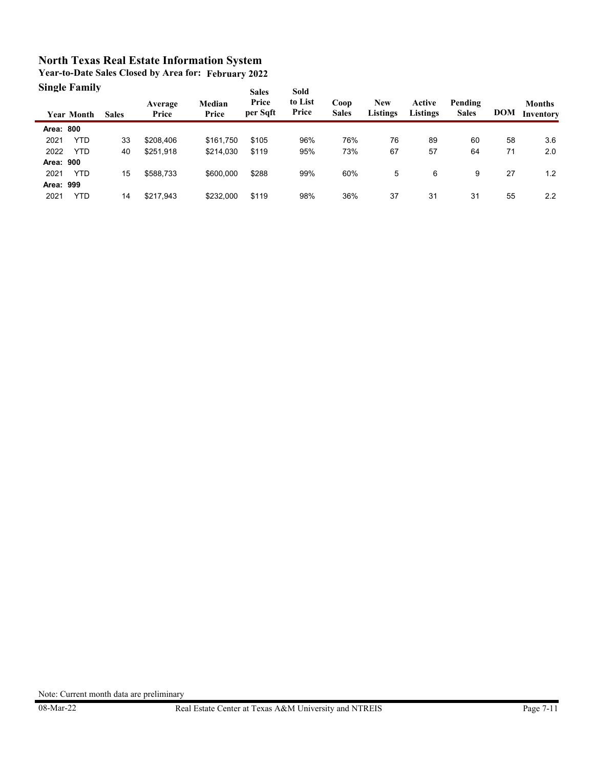**Year-to-Date Sales Closed by Area for: February 2022 Single Family**

|           | энічне ганніў     |              |                  |                 | <b>Sales</b><br>Price | <b>Sold</b><br>to List |                      |                        |                           |                         |            |                            |
|-----------|-------------------|--------------|------------------|-----------------|-----------------------|------------------------|----------------------|------------------------|---------------------------|-------------------------|------------|----------------------------|
|           | <b>Year Month</b> | <b>Sales</b> | Average<br>Price | Median<br>Price | per Sqft              | Price                  | Coop<br><b>Sales</b> | <b>New</b><br>Listings | Active<br><b>Listings</b> | Pending<br><b>Sales</b> | <b>DOM</b> | <b>Months</b><br>Inventory |
| Area: 800 |                   |              |                  |                 |                       |                        |                      |                        |                           |                         |            |                            |
| 2021      | <b>YTD</b>        | 33           | \$208,406        | \$161.750       | \$105                 | 96%                    | 76%                  | 76                     | 89                        | 60                      | 58         | 3.6                        |
| 2022      | <b>YTD</b>        | 40           | \$251,918        | \$214,030       | \$119                 | 95%                    | 73%                  | 67                     | 57                        | 64                      | 71         | 2.0                        |
| Area: 900 |                   |              |                  |                 |                       |                        |                      |                        |                           |                         |            |                            |
| 2021      | <b>YTD</b>        | 15           | \$588,733        | \$600,000       | \$288                 | 99%                    | 60%                  | 5                      | 6                         | 9                       | 27         | 1.2                        |
| Area: 999 |                   |              |                  |                 |                       |                        |                      |                        |                           |                         |            |                            |
| 2021      | YTD               | 14           | \$217,943        | \$232,000       | \$119                 | 98%                    | 36%                  | 37                     | 31                        | 31                      | 55         | 2.2                        |
|           |                   |              |                  |                 |                       |                        |                      |                        |                           |                         |            |                            |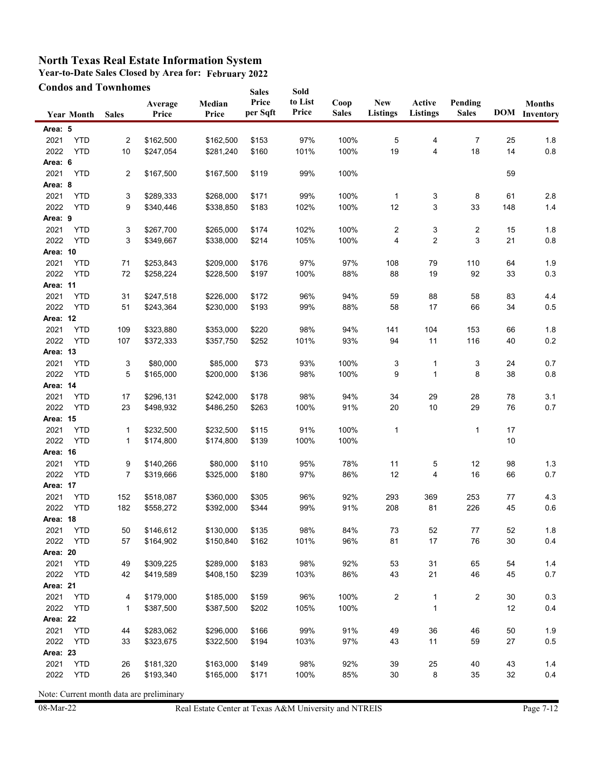**Year-to-Date Sales Closed by Area for: February 2022**

|          |                   | <b>Condos and Townhomes</b> |                  |                 | <b>Sales</b>      | Sold             |                      |                               |                           |                         |        |                                       |
|----------|-------------------|-----------------------------|------------------|-----------------|-------------------|------------------|----------------------|-------------------------------|---------------------------|-------------------------|--------|---------------------------------------|
|          | <b>Year Month</b> | <b>Sales</b>                | Average<br>Price | Median<br>Price | Price<br>per Sqft | to List<br>Price | Coop<br><b>Sales</b> | <b>New</b><br><b>Listings</b> | Active<br><b>Listings</b> | Pending<br><b>Sales</b> |        | <b>Months</b><br><b>DOM</b> Inventory |
| Area: 5  |                   |                             |                  |                 |                   |                  |                      |                               |                           |                         |        |                                       |
| 2021     | <b>YTD</b>        | $\overline{\mathbf{c}}$     | \$162,500        | \$162,500       | \$153             | 97%              | 100%                 | 5                             | 4                         | 7                       | 25     | 1.8                                   |
| 2022     | <b>YTD</b>        | 10                          | \$247,054        | \$281,240       | \$160             | 101%             | 100%                 | 19                            | 4                         | 18                      | 14     | 0.8                                   |
| Area: 6  |                   |                             |                  |                 |                   |                  |                      |                               |                           |                         |        |                                       |
| 2021     | <b>YTD</b>        | 2                           | \$167,500        | \$167,500       | \$119             | 99%              | 100%                 |                               |                           |                         | 59     |                                       |
| Area: 8  |                   |                             |                  |                 |                   |                  |                      |                               |                           |                         |        |                                       |
| 2021     | <b>YTD</b>        | 3                           | \$289,333        | \$268,000       | \$171             | 99%              | 100%                 | $\mathbf{1}$                  | 3                         | 8                       | 61     | 2.8                                   |
| 2022     | <b>YTD</b>        | 9                           | \$340,446        | \$338,850       | \$183             | 102%             | 100%                 | 12                            | 3                         | 33                      | 148    | $1.4$                                 |
| Area: 9  |                   |                             |                  |                 |                   |                  |                      |                               |                           |                         |        |                                       |
| 2021     | <b>YTD</b>        | 3                           | \$267,700        | \$265,000       | \$174             | 102%             | 100%                 | $\overline{c}$                | 3                         | 2                       | 15     | 1.8                                   |
| 2022     | <b>YTD</b>        | 3                           | \$349,667        | \$338,000       | \$214             | 105%             | 100%                 | 4                             | $\overline{\mathbf{c}}$   | 3                       | 21     | 0.8                                   |
| Area: 10 |                   |                             |                  |                 |                   |                  |                      |                               |                           |                         |        |                                       |
| 2021     | <b>YTD</b>        | 71                          | \$253,843        | \$209,000       | \$176             | 97%              | 97%                  | 108                           | 79                        | 110                     | 64     | 1.9                                   |
| 2022     | <b>YTD</b>        | 72                          | \$258,224        | \$228,500       | \$197             | 100%             | 88%                  | 88                            | 19                        | 92                      | 33     | $0.3\,$                               |
| Area: 11 |                   |                             |                  |                 |                   |                  |                      |                               |                           |                         |        |                                       |
| 2021     | <b>YTD</b>        | 31                          | \$247,518        | \$226,000       | \$172             | 96%              | 94%                  | 59                            | 88                        | 58                      | 83     | 4.4                                   |
| 2022     | <b>YTD</b>        | 51                          | \$243,364        | \$230,000       | \$193             | 99%              | 88%                  | 58                            | 17                        | 66                      | 34     | 0.5                                   |
| Area: 12 |                   |                             |                  |                 |                   |                  |                      |                               |                           |                         |        |                                       |
| 2021     | <b>YTD</b>        | 109                         | \$323,880        | \$353,000       | \$220             | 98%              | 94%                  | 141                           | 104                       | 153                     | 66     | 1.8                                   |
| 2022     | <b>YTD</b>        | 107                         | \$372,333        | \$357,750       | \$252             | 101%             | 93%                  | 94                            | 11                        | 116                     | 40     | 0.2                                   |
| Area: 13 |                   |                             |                  |                 |                   |                  |                      |                               |                           |                         |        |                                       |
| 2021     | <b>YTD</b>        | 3                           | \$80,000         | \$85,000        | \$73              | 93%              | 100%                 | 3                             | 1                         | 3                       | 24     | 0.7                                   |
| 2022     | <b>YTD</b>        | 5                           | \$165,000        | \$200,000       | \$136             | 98%              | 100%                 | 9                             | 1                         | 8                       | 38     | 0.8                                   |
| Area: 14 |                   |                             |                  |                 |                   |                  |                      |                               |                           |                         |        |                                       |
| 2021     | <b>YTD</b>        | 17                          | \$296,131        | \$242,000       | \$178             | 98%              | 94%                  | 34                            | 29                        | 28                      | 78     | 3.1                                   |
| 2022     | <b>YTD</b>        | 23                          | \$498,932        | \$486,250       | \$263             | 100%             | 91%                  | 20                            | 10                        | 29                      | 76     | 0.7                                   |
| Area: 15 |                   |                             |                  |                 |                   |                  |                      |                               |                           |                         |        |                                       |
| 2021     | <b>YTD</b>        | 1                           | \$232,500        | \$232,500       | \$115             | 91%              | 100%                 | 1                             |                           | 1                       | 17     |                                       |
| 2022     | <b>YTD</b>        | 1                           | \$174,800        | \$174,800       | \$139             | 100%             | 100%                 |                               |                           |                         | 10     |                                       |
| Area: 16 |                   |                             |                  |                 |                   |                  |                      |                               |                           |                         |        |                                       |
| 2021     | <b>YTD</b>        | 9                           | \$140,266        | \$80,000        | \$110             | 95%              | 78%                  | 11                            | 5                         | 12                      | 98     | 1.3                                   |
| 2022     | <b>YTD</b>        | $\overline{7}$              | \$319,666        | \$325,000       | \$180             | 97%              | 86%                  | 12                            | 4                         | 16                      | 66     | 0.7                                   |
| Area: 17 |                   |                             |                  |                 |                   |                  |                      |                               |                           |                         |        |                                       |
| 2021     | <b>YTD</b>        | 152                         | \$518,087        | \$360,000       | \$305             | 96%              | 92%                  | 293                           | 369                       | 253                     | 77     | 4.3                                   |
| 2022     | <b>YTD</b>        | 182                         | \$558,272        | \$392,000       | \$344             | 99%              | 91%                  | 208                           | 81                        | 226                     | 45     | $0.6\,$                               |
| Area: 18 |                   |                             |                  |                 |                   |                  |                      |                               |                           |                         |        |                                       |
| 2021     | <b>YTD</b>        | 50                          | \$146,612        | \$130,000       | \$135             | 98%              | 84%                  | 73                            | 52                        | 77                      | 52     | 1.8                                   |
| 2022     | <b>YTD</b>        | 57                          | \$164,902        | \$150,840       | \$162             | 101%             | 96%                  | 81                            | 17                        | 76                      | 30     | 0.4                                   |
| Area: 20 |                   |                             |                  |                 |                   |                  |                      |                               |                           |                         |        |                                       |
| 2021     | <b>YTD</b>        | 49                          | \$309,225        | \$289,000       | \$183             | 98%              | 92%                  | 53                            | 31                        | 65                      | 54     | 1.4                                   |
| 2022     | <b>YTD</b>        | 42                          | \$419,589        | \$408,150       | \$239             | 103%             | 86%                  | 43                            | 21                        | 46                      | 45     | 0.7                                   |
| Area: 21 |                   |                             |                  |                 |                   |                  |                      |                               |                           |                         |        |                                       |
| 2021     | <b>YTD</b>        | 4                           | \$179,000        | \$185,000       | \$159             | 96%              | 100%                 | 2                             | 1                         | 2                       | $30\,$ | 0.3                                   |
| 2022     | <b>YTD</b>        | 1                           | \$387,500        | \$387,500       | \$202             | 105%             | 100%                 |                               | 1                         |                         | 12     | 0.4                                   |
| Area: 22 |                   |                             |                  |                 |                   |                  |                      |                               |                           |                         |        |                                       |
| 2021     | <b>YTD</b>        | 44                          | \$283,062        | \$296,000       | \$166             | 99%              | 91%                  | 49                            | 36                        | 46                      | 50     | 1.9                                   |
| 2022     | <b>YTD</b>        | 33                          | \$323,675        | \$322,500       | \$194             | 103%             | 97%                  | 43                            | 11                        | 59                      | 27     | $0.5\,$                               |
| Area: 23 |                   |                             |                  |                 |                   |                  |                      |                               |                           |                         |        |                                       |
| 2021     | <b>YTD</b>        | 26                          | \$181,320        | \$163,000       | \$149             | 98%              | 92%                  | 39                            | 25                        | 40                      | 43     | 1.4                                   |
| 2022     | <b>YTD</b>        | 26                          | \$193,340        | \$165,000       | \$171             | 100%             | 85%                  | 30                            | 8                         | 35                      | 32     | 0.4                                   |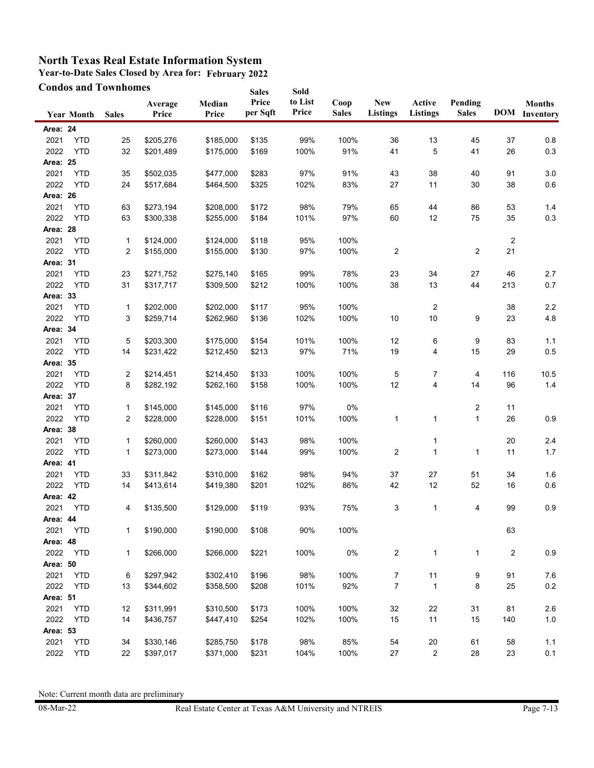**Year-to-Date Sales Closed by Area for: February 2022**

|          |                   | <b>Condos and Townhomes</b> |                  |                 | <b>Sales</b>      | Sold             |                      |                               |                    |                         |     |                                       |
|----------|-------------------|-----------------------------|------------------|-----------------|-------------------|------------------|----------------------|-------------------------------|--------------------|-------------------------|-----|---------------------------------------|
|          | <b>Year Month</b> | <b>Sales</b>                | Average<br>Price | Median<br>Price | Price<br>per Sqft | to List<br>Price | Coop<br><b>Sales</b> | <b>New</b><br><b>Listings</b> | Active<br>Listings | Pending<br><b>Sales</b> |     | <b>Months</b><br><b>DOM</b> Inventory |
| Area: 24 |                   |                             |                  |                 |                   |                  |                      |                               |                    |                         |     |                                       |
| 2021     | <b>YTD</b>        | 25                          | \$205,276        | \$185,000       | \$135             | 99%              | 100%                 | 36                            | 13                 | 45                      | 37  | 0.8                                   |
| 2022     | <b>YTD</b>        | 32                          | \$201,489        | \$175,000       | \$169             | 100%             | 91%                  | 41                            | 5                  | 41                      | 26  | 0.3                                   |
| Area: 25 |                   |                             |                  |                 |                   |                  |                      |                               |                    |                         |     |                                       |
| 2021     | <b>YTD</b>        | 35                          | \$502,035        | \$477,000       | \$283             | 97%              | 91%                  | 43                            | 38                 | 40                      | 91  | 3.0                                   |
| 2022     | <b>YTD</b>        | 24                          | \$517,684        | \$464,500       | \$325             | 102%             | 83%                  | 27                            | 11                 | 30                      | 38  | $0.6\,$                               |
| Area: 26 |                   |                             |                  |                 |                   |                  |                      |                               |                    |                         |     |                                       |
| 2021     | <b>YTD</b>        | 63                          | \$273,194        | \$208,000       | \$172             | 98%              | 79%                  | 65                            | 44                 | 86                      | 53  | 1.4                                   |
| 2022     | <b>YTD</b>        | 63                          | \$300,338        | \$255,000       | \$184             | 101%             | 97%                  | 60                            | 12                 | 75                      | 35  | 0.3                                   |
| Area: 28 |                   |                             |                  |                 |                   |                  |                      |                               |                    |                         |     |                                       |
| 2021     | <b>YTD</b>        | 1                           | \$124,000        | \$124,000       | \$118             | 95%              | 100%                 |                               |                    |                         | 2   |                                       |
| 2022     | <b>YTD</b>        | 2                           | \$155,000        | \$155,000       | \$130             | 97%              | 100%                 | 2                             |                    | 2                       | 21  |                                       |
| Area: 31 |                   |                             |                  |                 |                   |                  |                      |                               |                    |                         |     |                                       |
| 2021     | <b>YTD</b>        | 23                          | \$271,752        | \$275,140       | \$165             | 99%              | 78%                  | 23                            | 34                 | 27                      | 46  | 2.7                                   |
| 2022     | <b>YTD</b>        | 31                          | \$317,717        | \$309,500       | \$212             | 100%             | 100%                 | 38                            | 13                 | 44                      | 213 | 0.7                                   |
| Area: 33 |                   |                             |                  |                 |                   |                  |                      |                               |                    |                         |     |                                       |
| 2021     | <b>YTD</b>        | 1                           | \$202,000        | \$202,000       | \$117             | 95%              | 100%                 |                               | $\overline{2}$     |                         | 38  | 2.2                                   |
| 2022     | <b>YTD</b>        | 3                           | \$259,714        | \$262,960       | \$136             | 102%             | 100%                 | 10                            | 10                 | 9                       | 23  | 4.8                                   |
| Area: 34 |                   |                             |                  |                 |                   |                  |                      |                               |                    |                         |     |                                       |
| 2021     | <b>YTD</b>        | 5                           | \$203,300        | \$175,000       | \$154             | 101%             | 100%                 | 12                            | 6                  | 9                       | 83  | 1.1                                   |
| 2022     | <b>YTD</b>        | 14                          | \$231,422        | \$212,450       | \$213             | 97%              | 71%                  | 19                            | 4                  | 15                      | 29  | 0.5                                   |
| Area: 35 |                   |                             |                  |                 |                   |                  |                      |                               |                    |                         |     |                                       |
| 2021     | <b>YTD</b>        | 2                           | \$214,451        | \$214,450       | \$133             | 100%             | 100%                 | 5                             | 7                  | 4                       | 116 | 10.5                                  |
| 2022     | <b>YTD</b>        | 8                           | \$282,192        | \$262,160       | \$158             | 100%             | 100%                 | 12                            | 4                  | 14                      | 96  | 1.4                                   |
| Area: 37 |                   |                             |                  |                 |                   |                  |                      |                               |                    |                         |     |                                       |
| 2021     | <b>YTD</b>        | 1                           | \$145,000        | \$145,000       | \$116             | 97%              | 0%                   |                               |                    | 2                       | 11  |                                       |
| 2022     | <b>YTD</b>        | 2                           | \$228,000        | \$228,000       | \$151             | 101%             | 100%                 | 1                             | 1                  | $\mathbf{1}$            | 26  | 0.9                                   |
| Area: 38 |                   |                             |                  |                 |                   |                  |                      |                               |                    |                         |     |                                       |
| 2021     | <b>YTD</b>        | 1                           | \$260,000        | \$260,000       | \$143             | 98%              | 100%                 |                               | 1                  |                         | 20  | 2.4                                   |
| 2022     | <b>YTD</b>        | 1                           | \$273,000        | \$273,000       | \$144             | 99%              | 100%                 | 2                             | $\mathbf{1}$       | 1                       | 11  | 1.7                                   |
| Area: 41 |                   |                             |                  |                 |                   |                  |                      |                               |                    |                         |     |                                       |
| 2021     | <b>YTD</b>        | 33                          | \$311,842        | \$310,000       | \$162             | 98%              | 94%                  | 37                            | 27                 | 51                      | 34  | 1.6                                   |
| 2022     | <b>YTD</b>        | 14                          | \$413,614        | \$419,380       | \$201             | 102%             | 86%                  | 42                            | 12                 | 52                      | 16  | $0.6\,$                               |
| Area: 42 |                   |                             |                  |                 |                   |                  |                      |                               |                    |                         |     |                                       |
| 2021     | <b>YTD</b>        | 4                           | \$135,500        | \$129,000       | \$119             | 93%              | 75%                  | 3                             | 1                  | 4                       | 99  | 0.9                                   |
| Area: 44 |                   |                             |                  |                 |                   |                  |                      |                               |                    |                         |     |                                       |
| 2021     | <b>YTD</b>        | 1                           | \$190,000        | \$190,000       | \$108             | 90%              | 100%                 |                               |                    |                         | 63  |                                       |
| Area: 48 |                   |                             |                  |                 |                   |                  |                      |                               |                    |                         |     |                                       |
| 2022     | <b>YTD</b>        | 1                           | \$266,000        | \$266,000       | \$221             | 100%             | 0%                   | 2                             | 1                  | 1                       | 2   | 0.9                                   |
| Area: 50 |                   |                             |                  |                 |                   |                  |                      |                               |                    |                         |     |                                       |
| 2021     | <b>YTD</b>        | 6                           | \$297,942        | \$302,410       | \$196             | 98%              | 100%                 | 7                             | 11                 | 9                       | 91  | 7.6                                   |
| 2022     | <b>YTD</b>        | 13                          | \$344,602        | \$358,500       | \$208             | 101%             | 92%                  | 7                             | 1                  | 8                       | 25  | 0.2                                   |
| Area: 51 |                   |                             |                  |                 |                   |                  |                      |                               |                    |                         |     |                                       |
| 2021     | <b>YTD</b>        | 12                          | \$311,991        | \$310,500       | \$173             | 100%             | 100%                 | 32                            | 22                 | 31                      | 81  | 2.6                                   |
| 2022     | <b>YTD</b>        | 14                          | \$436,757        | \$447,410       | \$254             | 102%             | 100%                 | 15                            | 11                 | 15                      | 140 | $1.0$                                 |
| Area: 53 |                   |                             |                  |                 |                   |                  |                      |                               |                    |                         |     |                                       |
| 2021     | <b>YTD</b>        | 34                          | \$330,146        | \$285,750       | \$178             | 98%              | 85%                  | 54                            | 20                 | 61                      | 58  | 1.1                                   |
| 2022     | <b>YTD</b>        | 22                          | \$397,017        | \$371,000       | \$231             | 104%             | 100%                 | 27                            | $\overline{c}$     | 28                      | 23  | 0.1                                   |
|          |                   |                             |                  |                 |                   |                  |                      |                               |                    |                         |     |                                       |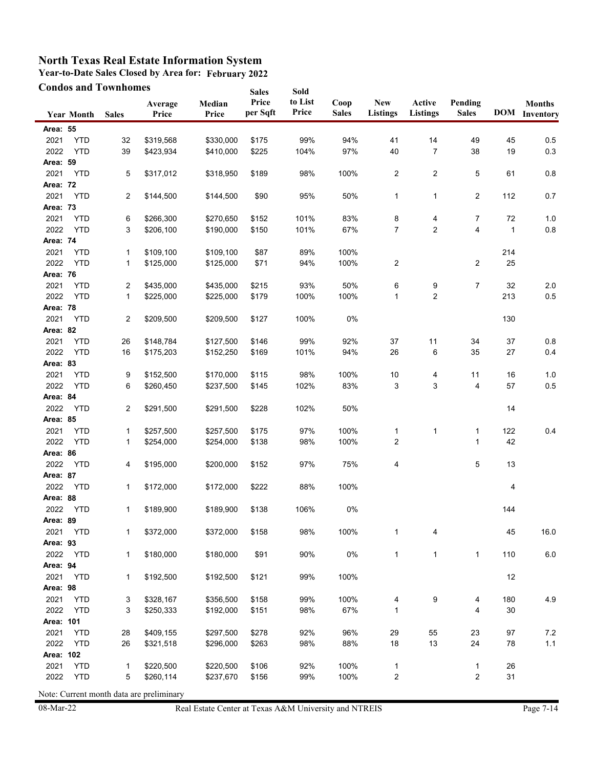**Year-to-Date Sales Closed by Area for: February 2022**

|                 |                   | <b>Condos and Townhomes</b> |                  |                 | <b>Sales</b>      | Sold             |                      |                               |                         |                         |              |                                       |
|-----------------|-------------------|-----------------------------|------------------|-----------------|-------------------|------------------|----------------------|-------------------------------|-------------------------|-------------------------|--------------|---------------------------------------|
|                 | <b>Year Month</b> | <b>Sales</b>                | Average<br>Price | Median<br>Price | Price<br>per Sqft | to List<br>Price | Coop<br><b>Sales</b> | <b>New</b><br><b>Listings</b> | Active<br>Listings      | Pending<br><b>Sales</b> |              | <b>Months</b><br><b>DOM</b> Inventory |
| Area: 55        |                   |                             |                  |                 |                   |                  |                      |                               |                         |                         |              |                                       |
| 2021            | <b>YTD</b>        | 32                          | \$319,568        | \$330,000       | \$175             | 99%              | 94%                  | 41                            | 14                      | 49                      | 45           | 0.5                                   |
| 2022            | <b>YTD</b>        | 39                          | \$423,934        | \$410.000       | \$225             | 104%             | 97%                  | 40                            | $\overline{7}$          | 38                      | 19           | 0.3                                   |
| Area: 59        |                   |                             |                  |                 |                   |                  |                      |                               |                         |                         |              |                                       |
| 2021            | <b>YTD</b>        | 5                           | \$317,012        | \$318,950       | \$189             | 98%              | 100%                 | 2                             | 2                       | 5                       | 61           | $0.8\,$                               |
| <b>Area: 72</b> |                   |                             |                  |                 |                   |                  |                      |                               |                         |                         |              |                                       |
| 2021            | <b>YTD</b>        | 2                           | \$144,500        | \$144,500       | \$90              | 95%              | 50%                  | $\mathbf{1}$                  | 1                       | 2                       | 112          | 0.7                                   |
| Area: 73        |                   |                             |                  |                 |                   |                  |                      |                               |                         |                         |              |                                       |
| 2021            | <b>YTD</b>        | 6                           | \$266,300        | \$270,650       | \$152             | 101%             | 83%                  | 8                             | 4                       | 7                       | 72           | 1.0                                   |
| 2022            | <b>YTD</b>        | 3                           | \$206,100        | \$190,000       | \$150             | 101%             | 67%                  | 7                             | $\overline{\mathbf{c}}$ | 4                       | $\mathbf{1}$ | $0.8\,$                               |
| Area: 74        |                   |                             |                  |                 |                   |                  |                      |                               |                         |                         |              |                                       |
| 2021            | <b>YTD</b>        | 1                           | \$109,100        | \$109,100       | \$87              | 89%              | 100%                 |                               |                         |                         | 214          |                                       |
| 2022            | <b>YTD</b>        | 1                           | \$125,000        | \$125,000       | \$71              | 94%              | 100%                 | 2                             |                         | 2                       | 25           |                                       |
| <b>Area: 76</b> |                   |                             |                  |                 |                   |                  |                      |                               |                         |                         |              |                                       |
| 2021            | <b>YTD</b>        | 2                           | \$435,000        | \$435,000       | \$215             | 93%              | 50%                  | 6                             | 9                       | 7                       | 32           | 2.0                                   |
| 2022            | <b>YTD</b>        | 1                           | \$225,000        | \$225,000       | \$179             | 100%             | 100%                 | $\mathbf{1}$                  | 2                       |                         | 213          | 0.5                                   |
| Area: 78        |                   |                             |                  |                 |                   |                  |                      |                               |                         |                         |              |                                       |
| 2021            | <b>YTD</b>        | 2                           | \$209,500        | \$209,500       | \$127             | 100%             | $0\%$                |                               |                         |                         | 130          |                                       |
| Area: 82        |                   |                             |                  |                 |                   |                  |                      |                               |                         |                         |              |                                       |
| 2021            | <b>YTD</b>        | 26                          | \$148,784        | \$127,500       | \$146             | 99%              | 92%                  | 37                            | 11                      | 34                      | 37           | 0.8                                   |
| 2022            | <b>YTD</b>        | 16                          | \$175,203        | \$152,250       | \$169             | 101%             | 94%                  | 26                            | 6                       | 35                      | 27           | 0.4                                   |
| Area: 83        |                   |                             |                  |                 |                   |                  |                      |                               |                         |                         |              |                                       |
| 2021            | <b>YTD</b>        | 9                           | \$152,500        | \$170,000       | \$115             | 98%              | 100%                 | 10                            | 4                       | 11                      | 16           | 1.0                                   |
| 2022            | <b>YTD</b>        | 6                           | \$260,450        | \$237,500       | \$145             | 102%             | 83%                  | 3                             | 3                       | 4                       | 57           | 0.5                                   |
| Area: 84        |                   |                             |                  |                 |                   |                  |                      |                               |                         |                         |              |                                       |
| 2022            | <b>YTD</b>        | 2                           | \$291,500        | \$291,500       | \$228             | 102%             | 50%                  |                               |                         |                         | 14           |                                       |
| Area: 85        |                   |                             |                  |                 |                   |                  |                      |                               |                         |                         |              |                                       |
| 2021            | <b>YTD</b>        | 1                           | \$257,500        | \$257,500       | \$175             | 97%              | 100%                 | $\mathbf{1}$                  | $\mathbf{1}$            | 1                       | 122          | 0.4                                   |
| 2022            | <b>YTD</b>        | 1                           | \$254,000        | \$254,000       | \$138             | 98%              | 100%                 | 2                             |                         | 1                       | 42           |                                       |
| Area: 86        |                   |                             |                  |                 |                   |                  |                      |                               |                         |                         |              |                                       |
| 2022            | <b>YTD</b>        | 4                           | \$195,000        | \$200,000       | \$152             | 97%              | 75%                  | 4                             |                         | 5                       | 13           |                                       |
| Area: 87        |                   |                             |                  |                 |                   |                  |                      |                               |                         |                         |              |                                       |
| 2022            | <b>YTD</b>        | 1                           | \$172,000        | \$172,000       | \$222             | 88%              | 100%                 |                               |                         |                         | 4            |                                       |
| Area: 88        |                   |                             |                  |                 |                   |                  |                      |                               |                         |                         |              |                                       |
| 2022            | YTD               | 1                           | \$189,900        | \$189,900       | \$138             | 106%             | 0%                   |                               |                         |                         | 144          |                                       |
| Area: 89        |                   |                             |                  |                 |                   |                  |                      |                               |                         |                         |              |                                       |
| 2021            | <b>YTD</b>        | 1                           | \$372,000        | \$372,000       | \$158             | 98%              | 100%                 | $\mathbf{1}$                  | 4                       |                         | 45           | 16.0                                  |
| Area: 93        |                   |                             |                  |                 |                   |                  |                      |                               |                         |                         |              |                                       |
| 2022            | <b>YTD</b>        | 1                           | \$180,000        | \$180,000       | \$91              | 90%              | $0\%$                | $\mathbf{1}$                  | $\mathbf{1}$            | 1                       | 110          | 6.0                                   |
| Area: 94        |                   |                             |                  |                 |                   |                  |                      |                               |                         |                         |              |                                       |
| 2021            | <b>YTD</b>        | 1                           | \$192,500        | \$192,500       | \$121             | 99%              | 100%                 |                               |                         |                         | 12           |                                       |
| Area: 98        |                   |                             |                  |                 |                   |                  |                      |                               |                         |                         |              |                                       |
| 2021            | <b>YTD</b>        | 3                           | \$328,167        | \$356,500       | \$158             | 99%              | 100%                 | 4                             | 9                       | 4                       | 180          | 4.9                                   |
| 2022            | <b>YTD</b>        | 3                           | \$250,333        | \$192,000       | \$151             | 98%              | 67%                  | 1                             |                         | 4                       | 30           |                                       |
| Area: 101       |                   |                             |                  |                 |                   |                  |                      |                               |                         |                         |              |                                       |
| 2021            | <b>YTD</b>        | 28                          | \$409,155        | \$297,500       | \$278             | 92%              | 96%                  | 29                            | 55                      | 23                      | 97           | $7.2\,$                               |
| 2022            | <b>YTD</b>        | 26                          | \$321,518        | \$296,000       | \$263             | 98%              | 88%                  | 18                            | 13                      | 24                      | 78           | $1.1$                                 |
| Area: 102       |                   |                             |                  |                 |                   |                  |                      |                               |                         |                         |              |                                       |
| 2021            | <b>YTD</b>        | 1                           | \$220,500        | \$220,500       | \$106             | 92%              | 100%                 | $\mathbf{1}$                  |                         | 1                       | 26           |                                       |
| 2022            | <b>YTD</b>        | 5                           | \$260,114        | \$237,670       | \$156             | 99%              | 100%                 | $\overline{\mathbf{c}}$       |                         | 2                       | 31           |                                       |
|                 |                   |                             |                  |                 |                   |                  |                      |                               |                         |                         |              |                                       |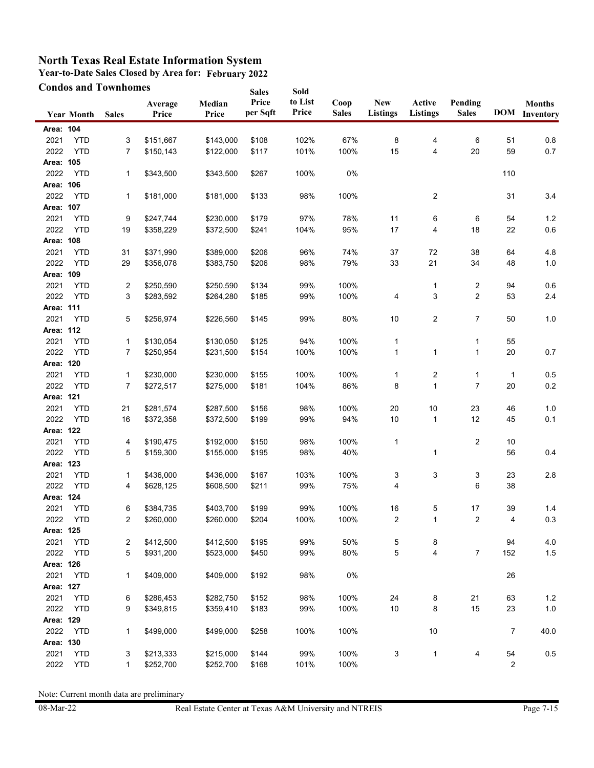**Year-to-Date Sales Closed by Area for: February 2022**

|           |                   | <b>Condos and Townhomes</b> |                  |                 | <b>Sales</b>      | Sold             |                      |                               |                           |                         |                |                                       |
|-----------|-------------------|-----------------------------|------------------|-----------------|-------------------|------------------|----------------------|-------------------------------|---------------------------|-------------------------|----------------|---------------------------------------|
|           | <b>Year Month</b> | <b>Sales</b>                | Average<br>Price | Median<br>Price | Price<br>per Sqft | to List<br>Price | Coop<br><b>Sales</b> | <b>New</b><br><b>Listings</b> | Active<br><b>Listings</b> | Pending<br><b>Sales</b> |                | <b>Months</b><br><b>DOM</b> Inventory |
| Area: 104 |                   |                             |                  |                 |                   |                  |                      |                               |                           |                         |                |                                       |
| 2021      | <b>YTD</b>        | 3                           | \$151,667        | \$143,000       | \$108             | 102%             | 67%                  | 8                             | 4                         | 6                       | 51             | 0.8                                   |
| 2022      | <b>YTD</b>        | 7                           | \$150,143        | \$122,000       | \$117             | 101%             | 100%                 | 15                            | 4                         | 20                      | 59             | 0.7                                   |
| Area: 105 |                   |                             |                  |                 |                   |                  |                      |                               |                           |                         |                |                                       |
| 2022      | <b>YTD</b>        | 1                           | \$343,500        | \$343,500       | \$267             | 100%             | 0%                   |                               |                           |                         | 110            |                                       |
| Area: 106 |                   |                             |                  |                 |                   |                  |                      |                               |                           |                         |                |                                       |
| 2022      | <b>YTD</b>        | 1                           | \$181,000        | \$181,000       | \$133             | 98%              | 100%                 |                               | 2                         |                         | 31             | 3.4                                   |
| Area: 107 |                   |                             |                  |                 |                   |                  |                      |                               |                           |                         |                |                                       |
| 2021      | <b>YTD</b>        | 9                           | \$247,744        | \$230,000       | \$179             | 97%              | 78%                  | 11                            | 6                         | 6                       | 54             | 1.2                                   |
| 2022      | <b>YTD</b>        | 19                          | \$358,229        | \$372,500       | \$241             | 104%             | 95%                  | 17                            | 4                         | 18                      | 22             | 0.6                                   |
| Area: 108 |                   |                             |                  |                 |                   |                  |                      |                               |                           |                         |                |                                       |
| 2021      | <b>YTD</b>        | 31                          | \$371,990        | \$389,000       | \$206             | 96%              | 74%                  | 37                            | 72                        | 38                      | 64             | 4.8                                   |
| 2022      | <b>YTD</b>        | 29                          | \$356,078        | \$383,750       | \$206             | 98%              | 79%                  | 33                            | 21                        | 34                      | 48             | $1.0$                                 |
| Area: 109 |                   |                             |                  |                 |                   |                  |                      |                               |                           |                         |                |                                       |
| 2021      | <b>YTD</b>        | 2                           | \$250,590        | \$250,590       | \$134             | 99%              | 100%                 |                               | 1                         | 2                       | 94             | 0.6                                   |
| 2022      | <b>YTD</b>        | 3                           | \$283,592        | \$264,280       | \$185             | 99%              | 100%                 | 4                             | 3                         | $\overline{2}$          | 53             | $2.4\,$                               |
| Area: 111 |                   |                             |                  |                 |                   |                  |                      |                               |                           |                         |                |                                       |
| 2021      | <b>YTD</b>        | 5                           | \$256,974        | \$226,560       | \$145             | 99%              | 80%                  | 10                            | 2                         | $\overline{7}$          | 50             | 1.0                                   |
| Area: 112 |                   |                             |                  |                 |                   |                  |                      |                               |                           |                         |                |                                       |
| 2021      | <b>YTD</b>        | 1                           | \$130,054        | \$130,050       | \$125             | 94%              | 100%                 | 1                             |                           | 1                       | 55             |                                       |
| 2022      | <b>YTD</b>        | 7                           | \$250,954        | \$231,500       | \$154             | 100%             | 100%                 | $\mathbf{1}$                  | 1                         | 1                       | 20             | 0.7                                   |
| Area: 120 |                   |                             |                  |                 |                   |                  |                      |                               |                           |                         |                |                                       |
| 2021      | <b>YTD</b>        | 1                           | \$230,000        | \$230,000       | \$155             | 100%             | 100%                 | $\mathbf{1}$                  | 2                         | 1                       | $\mathbf{1}$   | 0.5                                   |
| 2022      | <b>YTD</b>        | $\overline{7}$              | \$272,517        | \$275,000       | \$181             | 104%             | 86%                  | 8                             | $\mathbf{1}$              | $\overline{7}$          | 20             | $0.2\,$                               |
| Area: 121 |                   |                             |                  |                 |                   |                  |                      |                               |                           |                         |                |                                       |
| 2021      | <b>YTD</b>        | 21                          | \$281,574        | \$287,500       | \$156             | 98%              | 100%                 | 20                            | $10$                      | 23                      | 46             | 1.0                                   |
| 2022      | <b>YTD</b>        | 16                          | \$372,358        | \$372,500       | \$199             | 99%              | 94%                  | 10                            | 1                         | 12                      | 45             | 0.1                                   |
| Area: 122 |                   |                             |                  |                 |                   |                  |                      |                               |                           |                         |                |                                       |
| 2021      | <b>YTD</b>        | 4                           | \$190,475        | \$192,000       | \$150             | 98%              | 100%                 | $\mathbf{1}$                  |                           | 2                       | 10             |                                       |
| 2022      | <b>YTD</b>        | 5                           | \$159,300        | \$155,000       | \$195             | 98%              | 40%                  |                               | 1                         |                         | 56             | 0.4                                   |
| Area: 123 |                   |                             |                  |                 |                   |                  |                      |                               |                           |                         |                |                                       |
| 2021      | <b>YTD</b>        | 1                           | \$436,000        | \$436,000       | \$167             | 103%             | 100%                 | 3                             | 3                         | 3                       | 23             | 2.8                                   |
| 2022      | <b>YTD</b>        | 4                           | \$628,125        | \$608,500       | \$211             | 99%              | 75%                  | 4                             |                           | 6                       | 38             |                                       |
| Area: 124 |                   |                             |                  |                 |                   |                  |                      |                               |                           |                         |                |                                       |
| 2021      | <b>YTD</b>        | 6                           | \$384,735        | \$403,700       | \$199             | 99%              | 100%                 | 16                            | 5                         | 17                      | 39             | 1.4                                   |
| 2022      | YTD               | 2                           | \$260,000        | \$260,000       | \$204             | 100%             | 100%                 | 2                             | 1                         | $\overline{c}$          | 4              | 0.3                                   |
| Area: 125 |                   |                             |                  |                 |                   |                  |                      |                               |                           |                         |                |                                       |
| 2021      | <b>YTD</b>        | 2                           | \$412,500        | \$412,500       | \$195             | 99%              | 50%                  | 5                             | 8                         |                         | 94             | 4.0                                   |
| 2022      | <b>YTD</b>        | 5                           | \$931,200        | \$523,000       | \$450             | 99%              | 80%                  | 5                             | 4                         | 7                       | 152            | 1.5                                   |
| Area: 126 |                   |                             |                  |                 |                   |                  |                      |                               |                           |                         |                |                                       |
| 2021      | <b>YTD</b>        | 1                           | \$409,000        | \$409,000       | \$192             | 98%              | $0\%$                |                               |                           |                         | 26             |                                       |
| Area: 127 |                   |                             |                  |                 |                   |                  |                      |                               |                           |                         |                |                                       |
| 2021      | <b>YTD</b>        | 6                           | \$286,453        | \$282,750       | \$152             | 98%              | 100%                 | 24                            | 8                         | 21                      | 63             | $1.2$                                 |
| 2022      | <b>YTD</b>        | 9                           | \$349,815        | \$359,410       | \$183             | 99%              | 100%                 | $10$                          | 8                         | 15                      | 23             | $1.0$                                 |
| Area: 129 |                   |                             |                  |                 |                   |                  |                      |                               |                           |                         |                |                                       |
| 2022      | <b>YTD</b>        | 1                           | \$499,000        | \$499,000       | \$258             | 100%             | 100%                 |                               | 10                        |                         | 7              | 40.0                                  |
| Area: 130 |                   |                             |                  |                 |                   |                  |                      |                               |                           |                         |                |                                       |
| 2021      | <b>YTD</b>        | 3                           | \$213,333        | \$215,000       | \$144             | 99%              | 100%                 | 3                             | 1                         | 4                       | 54             | $0.5\,$                               |
| 2022      | <b>YTD</b>        | 1                           | \$252,700        | \$252,700       | \$168             | 101%             | 100%                 |                               |                           |                         | $\overline{c}$ |                                       |
|           |                   |                             |                  |                 |                   |                  |                      |                               |                           |                         |                |                                       |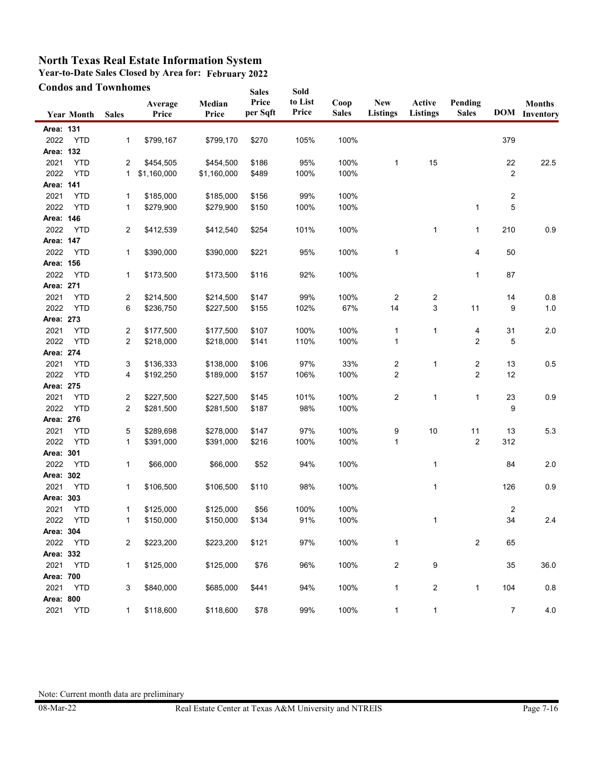**Year-to-Date Sales Closed by Area for: February 2022**

|                   | <b>Condos and Townhomes</b> |              |                  |                 | <b>Sales</b>      | Sold             |                      |                               |                         |                         |                |                                       |
|-------------------|-----------------------------|--------------|------------------|-----------------|-------------------|------------------|----------------------|-------------------------------|-------------------------|-------------------------|----------------|---------------------------------------|
|                   | <b>Year Month</b>           | <b>Sales</b> | Average<br>Price | Median<br>Price | Price<br>per Sqft | to List<br>Price | Coop<br><b>Sales</b> | <b>New</b><br><b>Listings</b> | Active<br>Listings      | Pending<br><b>Sales</b> |                | <b>Months</b><br><b>DOM</b> Inventory |
| Area: 131         |                             |              |                  |                 |                   |                  |                      |                               |                         |                         |                |                                       |
| 2022              | <b>YTD</b>                  | 1            | \$799,167        | \$799,170       | \$270             | 105%             | 100%                 |                               |                         |                         | 379            |                                       |
| Area: 132         |                             |              |                  |                 |                   |                  |                      |                               |                         |                         |                |                                       |
| 2021              | <b>YTD</b>                  | 2            | \$454,505        | \$454,500       | \$186             | 95%              | 100%                 | $\mathbf{1}$                  | 15                      |                         | 22             | 22.5                                  |
| 2022              | <b>YTD</b>                  | 1            | \$1,160,000      | \$1,160,000     | \$489             | 100%             | 100%                 |                               |                         |                         | $\overline{c}$ |                                       |
| Area: 141         |                             |              |                  |                 |                   |                  |                      |                               |                         |                         |                |                                       |
| 2021              | <b>YTD</b>                  | 1            | \$185,000        | \$185,000       | \$156             | 99%              | 100%                 |                               |                         |                         | $\overline{c}$ |                                       |
| 2022              | <b>YTD</b>                  | 1            | \$279,900        | \$279,900       | \$150             | 100%             | 100%                 |                               |                         | 1                       | 5              |                                       |
| Area: 146         |                             |              |                  |                 |                   |                  |                      |                               |                         |                         |                |                                       |
| 2022              | YTD                         | 2            | \$412,539        | \$412,540       | \$254             | 101%             | 100%                 |                               | 1                       | $\mathbf{1}$            | 210            | 0.9                                   |
| Area: 147         |                             |              |                  |                 |                   |                  |                      |                               |                         |                         |                |                                       |
| 2022              | <b>YTD</b>                  | 1            | \$390,000        | \$390,000       | \$221             | 95%              | 100%                 | 1                             |                         | 4                       | 50             |                                       |
| Area: 156         |                             |              |                  |                 |                   |                  |                      |                               |                         |                         |                |                                       |
| 2022              | <b>YTD</b>                  | 1            | \$173,500        | \$173,500       | \$116             | 92%              | 100%                 |                               |                         | 1                       | 87             |                                       |
| Area: 271         |                             |              |                  |                 |                   |                  |                      |                               |                         |                         |                |                                       |
| 2021              | <b>YTD</b>                  | 2            | \$214,500        | \$214,500       | \$147             | 99%              | 100%                 | 2                             | $\overline{\mathbf{c}}$ |                         | 14             | $0.8\,$                               |
| 2022              | <b>YTD</b>                  | 6            | \$236,750        | \$227,500       | \$155             | 102%             | 67%                  | 14                            | 3                       | 11                      | 9              | 1.0                                   |
| Area: 273         |                             |              |                  |                 |                   |                  |                      |                               |                         |                         |                |                                       |
| 2021              | <b>YTD</b>                  | 2            | \$177,500        | \$177,500       | \$107             | 100%             | 100%                 | 1                             | 1                       | 4                       | 31             | 2.0                                   |
| 2022              | <b>YTD</b>                  | 2            | \$218,000        | \$218,000       | \$141             | 110%             | 100%                 | 1                             |                         | $\overline{2}$          | 5              |                                       |
| Area: 274         |                             |              |                  |                 |                   |                  |                      |                               |                         |                         |                |                                       |
| 2021              | <b>YTD</b>                  | 3            | \$136,333        | \$138,000       | \$106             | 97%              | 33%                  | $\overline{\mathbf{c}}$       | 1                       | 2                       | 13             | 0.5                                   |
| 2022              | <b>YTD</b>                  | 4            | \$192,250        | \$189,000       | \$157             | 106%             | 100%                 | $\overline{2}$                |                         | $\overline{2}$          | 12             |                                       |
| Area: 275         |                             |              |                  |                 |                   |                  |                      |                               |                         |                         |                |                                       |
| 2021              | <b>YTD</b>                  | 2            | \$227,500        | \$227,500       | \$145             | 101%             | 100%                 | $\overline{c}$                | $\mathbf{1}$            | 1                       | 23             | 0.9                                   |
| 2022              | <b>YTD</b>                  | 2            | \$281,500        | \$281,500       | \$187             | 98%              | 100%                 |                               |                         |                         | 9              |                                       |
| Area: 276         |                             |              |                  |                 |                   |                  |                      |                               |                         |                         |                |                                       |
| 2021              | <b>YTD</b>                  | 5            | \$289,698        | \$278,000       | \$147             | 97%              | 100%                 | 9                             | 10                      | 11                      | 13             | 5.3                                   |
| 2022<br>Area: 301 | <b>YTD</b>                  | 1            | \$391,000        | \$391,000       | \$216             | 100%             | 100%                 | 1                             |                         | 2                       | 312            |                                       |
|                   | <b>YTD</b>                  |              |                  |                 |                   |                  |                      |                               |                         |                         |                |                                       |
| 2022<br>Area: 302 |                             | 1            | \$66,000         | \$66,000        | \$52              | 94%              | 100%                 |                               | 1                       |                         | 84             | 2.0                                   |
| 2021              | <b>YTD</b>                  | 1            | \$106,500        | \$106,500       | \$110             | 98%              | 100%                 |                               | 1                       |                         | 126            | 0.9                                   |
| Area: 303         |                             |              |                  |                 |                   |                  |                      |                               |                         |                         |                |                                       |
| 2021              | <b>YTD</b>                  | 1            | \$125,000        | \$125,000       | \$56              | 100%             | 100%                 |                               |                         |                         | $\overline{c}$ |                                       |
| 2022              | YTD                         | 1            | \$150,000        | \$150,000       | \$134             | 91%              | 100%                 |                               | $\mathbf{1}$            |                         | 34             | $2.4\,$                               |
| Area: 304         |                             |              |                  |                 |                   |                  |                      |                               |                         |                         |                |                                       |
| 2022              | <b>YTD</b>                  | 2            | \$223,200        | \$223,200       | \$121             | 97%              | 100%                 | $\mathbf{1}$                  |                         | $\overline{2}$          | 65             |                                       |
| Area: 332         |                             |              |                  |                 |                   |                  |                      |                               |                         |                         |                |                                       |
| 2021              | <b>YTD</b>                  | 1            | \$125,000        | \$125,000       | \$76              | 96%              | 100%                 | 2                             | 9                       |                         | 35             | 36.0                                  |
| Area: 700         |                             |              |                  |                 |                   |                  |                      |                               |                         |                         |                |                                       |
| 2021              | <b>YTD</b>                  | 3            | \$840,000        | \$685,000       | \$441             | 94%              | 100%                 | $\mathbf{1}$                  | 2                       | $\mathbf{1}$            | 104            | 0.8                                   |
| Area: 800         |                             |              |                  |                 |                   |                  |                      |                               |                         |                         |                |                                       |
| 2021              | <b>YTD</b>                  | 1            | \$118,600        | \$118,600       | \$78              | 99%              | 100%                 | 1                             | $\mathbf{1}$            |                         | $\overline{7}$ | 4.0                                   |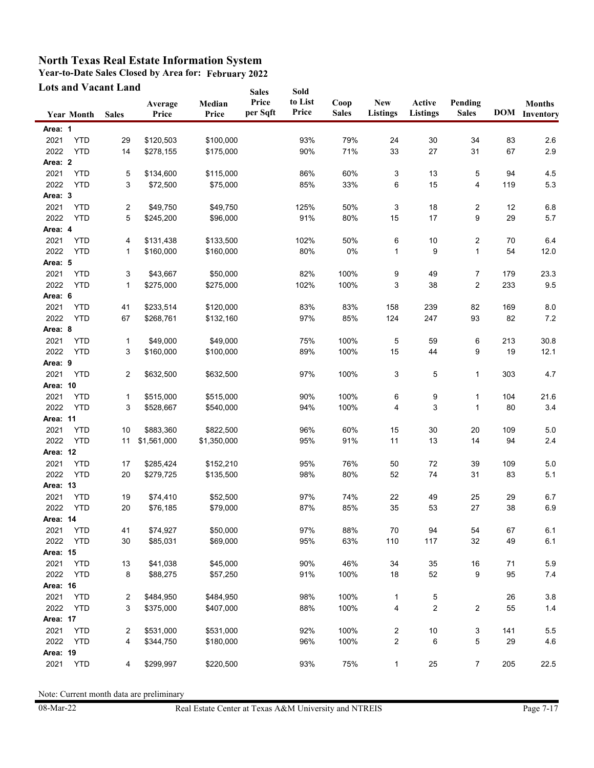**Year-to-Date Sales Closed by Area for: February 2022**

|          | <b>Lots and Vacant Land</b> |                |                  |                 | <b>Sales</b>      | Sold             |                      |                               |                           |                         |     |                                       |
|----------|-----------------------------|----------------|------------------|-----------------|-------------------|------------------|----------------------|-------------------------------|---------------------------|-------------------------|-----|---------------------------------------|
|          | <b>Year Month</b>           | <b>Sales</b>   | Average<br>Price | Median<br>Price | Price<br>per Sqft | to List<br>Price | Coop<br><b>Sales</b> | <b>New</b><br><b>Listings</b> | Active<br><b>Listings</b> | Pending<br><b>Sales</b> |     | <b>Months</b><br><b>DOM</b> Inventory |
| Area: 1  |                             |                |                  |                 |                   |                  |                      |                               |                           |                         |     |                                       |
| 2021     | <b>YTD</b>                  | 29             | \$120,503        | \$100,000       |                   | 93%              | 79%                  | 24                            | 30                        | 34                      | 83  | 2.6                                   |
| 2022     | <b>YTD</b>                  | 14             | \$278,155        | \$175,000       |                   | 90%              | 71%                  | 33                            | 27                        | 31                      | 67  | 2.9                                   |
| Area: 2  |                             |                |                  |                 |                   |                  |                      |                               |                           |                         |     |                                       |
| 2021     | <b>YTD</b>                  | 5              | \$134,600        | \$115,000       |                   | 86%              | 60%                  | 3                             | 13                        | 5                       | 94  | 4.5                                   |
| 2022     | <b>YTD</b>                  | 3              | \$72,500         | \$75,000        |                   | 85%              | 33%                  | 6                             | 15                        | 4                       | 119 | 5.3                                   |
| Area: 3  |                             |                |                  |                 |                   |                  |                      |                               |                           |                         |     |                                       |
| 2021     | <b>YTD</b>                  | 2              | \$49,750         | \$49,750        |                   | 125%             | 50%                  | 3                             | 18                        | 2                       | 12  | 6.8                                   |
| 2022     | <b>YTD</b>                  | 5              | \$245,200        | \$96,000        |                   | 91%              | 80%                  | 15                            | 17                        | 9                       | 29  | 5.7                                   |
| Area: 4  |                             |                |                  |                 |                   |                  |                      |                               |                           |                         |     |                                       |
| 2021     | <b>YTD</b>                  | 4              | \$131,438        | \$133,500       |                   | 102%             | 50%                  | 6                             | 10                        | $\overline{\mathbf{c}}$ | 70  | 6.4                                   |
| 2022     | <b>YTD</b>                  | 1              | \$160,000        | \$160,000       |                   | 80%              | 0%                   | $\mathbf{1}$                  | 9                         | $\mathbf{1}$            | 54  | 12.0                                  |
| Area: 5  |                             |                |                  |                 |                   |                  |                      |                               |                           |                         |     |                                       |
| 2021     | <b>YTD</b>                  | 3              | \$43,667         | \$50,000        |                   | 82%              | 100%                 | 9                             | 49                        | 7                       | 179 | 23.3                                  |
| 2022     | <b>YTD</b>                  | 1              | \$275,000        | \$275,000       |                   | 102%             | 100%                 | 3                             | 38                        | $\overline{2}$          | 233 | 9.5                                   |
| Area: 6  |                             |                |                  |                 |                   |                  |                      |                               |                           |                         |     |                                       |
| 2021     | <b>YTD</b>                  | 41             | \$233,514        | \$120,000       |                   | 83%              | 83%                  | 158                           | 239                       | 82                      | 169 | 8.0                                   |
| 2022     | <b>YTD</b>                  | 67             | \$268,761        | \$132,160       |                   | 97%              | 85%                  | 124                           | 247                       | 93                      | 82  | 7.2                                   |
| Area: 8  |                             |                |                  |                 |                   |                  |                      |                               |                           |                         |     |                                       |
| 2021     | <b>YTD</b>                  | 1              | \$49,000         | \$49.000        |                   | 75%              | 100%                 | 5                             | 59                        | 6                       | 213 | 30.8                                  |
| 2022     | <b>YTD</b>                  | 3              | \$160,000        | \$100,000       |                   | 89%              | 100%                 | 15                            | 44                        | 9                       | 19  | 12.1                                  |
| Area: 9  |                             |                |                  |                 |                   |                  |                      |                               |                           |                         |     |                                       |
| 2021     | <b>YTD</b>                  | $\overline{2}$ | \$632,500        | \$632,500       |                   | 97%              | 100%                 | 3                             | 5                         | $\mathbf{1}$            | 303 | 4.7                                   |
| Area: 10 |                             |                |                  |                 |                   |                  |                      |                               |                           |                         |     |                                       |
| 2021     | <b>YTD</b>                  | 1              | \$515,000        | \$515,000       |                   | 90%              | 100%                 | 6                             | 9                         | 1                       | 104 | 21.6                                  |
| 2022     | <b>YTD</b>                  | 3              | \$528,667        | \$540,000       |                   | 94%              | 100%                 | 4                             | 3                         | $\mathbf 1$             | 80  | 3.4                                   |
| Area: 11 |                             |                |                  |                 |                   |                  |                      |                               |                           |                         |     |                                       |
| 2021     | <b>YTD</b>                  | 10             | \$883,360        | \$822,500       |                   | 96%              | 60%                  | 15                            | 30                        | 20                      | 109 | 5.0                                   |
| 2022     | <b>YTD</b>                  | 11             | \$1,561,000      | \$1,350,000     |                   | 95%              | 91%                  | 11                            | 13                        | 14                      | 94  | 2.4                                   |
| Area: 12 |                             |                |                  |                 |                   |                  |                      |                               |                           |                         |     |                                       |
| 2021     | <b>YTD</b>                  | 17             | \$285,424        | \$152,210       |                   | 95%              | 76%                  | 50                            | 72                        | 39                      | 109 | 5.0                                   |
| 2022     | <b>YTD</b>                  | 20             | \$279,725        | \$135,500       |                   | 98%              | 80%                  | 52                            | 74                        | 31                      | 83  | 5.1                                   |
| Area: 13 |                             |                |                  |                 |                   |                  |                      |                               |                           |                         |     |                                       |
| 2021     | <b>YTD</b>                  | 19             | \$74,410         | \$52,500        |                   | 97%              | 74%                  | 22                            | 49                        | 25                      | 29  | 6.7                                   |
| 2022     | <b>YTD</b>                  | 20             | \$76,185         | \$79,000        |                   | 87%              | 85%                  | 35                            | 53                        | 27                      | 38  | 6.9                                   |
| Area: 14 |                             |                |                  |                 |                   |                  |                      |                               |                           |                         |     |                                       |
| 2021     | <b>YTD</b>                  | 41             | \$74,927         | \$50,000        |                   | 97%              | 88%                  | 70                            | 94                        | 54                      | 67  | 6.1                                   |
| 2022     | <b>YTD</b>                  | 30             | \$85,031         | \$69,000        |                   | 95%              | 63%                  | 110                           | 117                       | 32                      | 49  | 6.1                                   |
| Area: 15 |                             |                |                  |                 |                   |                  |                      |                               |                           |                         |     |                                       |
| 2021     | <b>YTD</b>                  | 13             | \$41,038         | \$45,000        |                   | 90%              | 46%                  | 34                            | 35                        | 16                      | 71  | 5.9                                   |
| 2022     | <b>YTD</b>                  | 8              | \$88,275         | \$57,250        |                   | 91%              | 100%                 | 18                            | 52                        | 9                       | 95  | $7.4$                                 |
| Area: 16 |                             |                |                  |                 |                   |                  |                      |                               |                           |                         |     |                                       |
| 2021     | <b>YTD</b>                  | 2              | \$484,950        | \$484,950       |                   | 98%              | 100%                 | 1                             | 5                         |                         | 26  | 3.8                                   |
| 2022     | <b>YTD</b>                  | 3              | \$375,000        | \$407,000       |                   | 88%              | 100%                 | 4                             | $\boldsymbol{2}$          | 2                       | 55  | $1.4$                                 |
| Area: 17 |                             |                |                  |                 |                   |                  |                      |                               |                           |                         |     |                                       |
| 2021     | <b>YTD</b>                  | 2              | \$531,000        | \$531,000       |                   | 92%              | 100%                 | $\overline{\mathbf{c}}$       | 10                        | 3                       | 141 | 5.5                                   |
| 2022     | <b>YTD</b>                  | 4              | \$344,750        | \$180,000       |                   | 96%              | 100%                 | 2                             | 6                         | 5                       | 29  | 4.6                                   |
| Area: 19 |                             |                |                  |                 |                   |                  |                      |                               |                           |                         |     |                                       |
| 2021     | <b>YTD</b>                  | 4              | \$299,997        | \$220,500       |                   | 93%              | 75%                  | $\mathbf{1}$                  | 25                        | $\overline{7}$          | 205 | 22.5                                  |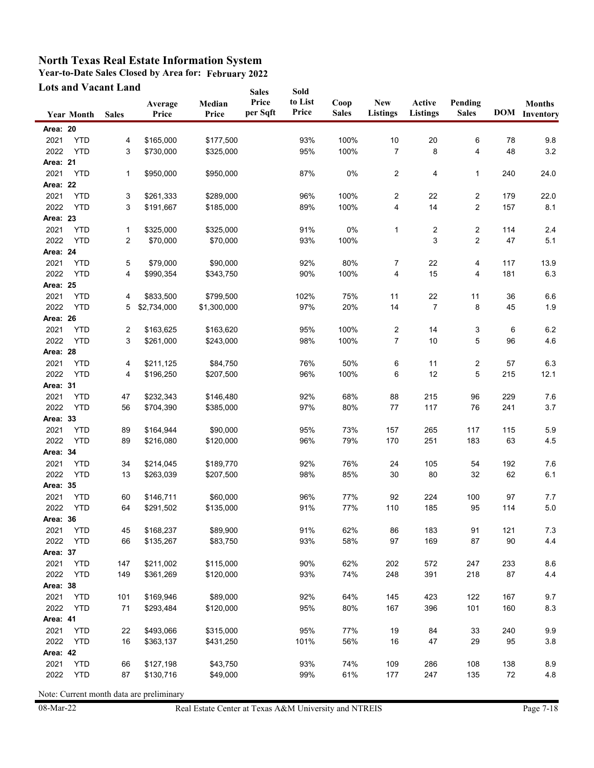**Year-to-Date Sales Closed by Area for: February 2022**

|                 | <b>Lots and Vacant Land</b> |                |                  |                 | <b>Sales</b>      | Sold             |                      |                               |                           |                         |     |                                       |
|-----------------|-----------------------------|----------------|------------------|-----------------|-------------------|------------------|----------------------|-------------------------------|---------------------------|-------------------------|-----|---------------------------------------|
|                 | <b>Year Month</b>           | <b>Sales</b>   | Average<br>Price | Median<br>Price | Price<br>per Sqft | to List<br>Price | Coop<br><b>Sales</b> | <b>New</b><br><b>Listings</b> | Active<br><b>Listings</b> | Pending<br><b>Sales</b> |     | <b>Months</b><br><b>DOM</b> Inventory |
| Area: 20        |                             |                |                  |                 |                   |                  |                      |                               |                           |                         |     |                                       |
| 2021            | <b>YTD</b>                  | 4              | \$165,000        | \$177,500       |                   | 93%              | 100%                 | 10                            | $20\,$                    | 6                       | 78  | 9.8                                   |
| 2022            | <b>YTD</b>                  | 3              | \$730,000        | \$325,000       |                   | 95%              | 100%                 | $\overline{7}$                | 8                         | 4                       | 48  | 3.2                                   |
| Area: 21        |                             |                |                  |                 |                   |                  |                      |                               |                           |                         |     |                                       |
| 2021            | <b>YTD</b>                  | 1              | \$950,000        | \$950,000       |                   | 87%              | 0%                   | 2                             | 4                         | 1                       | 240 | 24.0                                  |
| Area: 22        |                             |                |                  |                 |                   |                  |                      |                               |                           |                         |     |                                       |
| 2021            | <b>YTD</b>                  | 3              | \$261,333        | \$289,000       |                   | 96%              | 100%                 | 2                             | 22                        | 2                       | 179 | 22.0                                  |
| 2022            | <b>YTD</b>                  | 3              | \$191,667        | \$185,000       |                   | 89%              | 100%                 | 4                             | 14                        | $\overline{2}$          | 157 | 8.1                                   |
| <b>Area: 23</b> |                             |                |                  |                 |                   |                  |                      |                               |                           |                         |     |                                       |
| 2021            | <b>YTD</b>                  | 1              | \$325,000        | \$325,000       |                   | 91%              | 0%                   | 1                             | 2                         | 2                       | 114 | 2.4                                   |
| 2022            | <b>YTD</b>                  | $\overline{c}$ | \$70,000         | \$70,000        |                   | 93%              | 100%                 |                               | 3                         | $\overline{c}$          | 47  | 5.1                                   |
| Area: 24        |                             |                |                  |                 |                   |                  |                      |                               |                           |                         |     |                                       |
| 2021            | <b>YTD</b>                  | 5              | \$79,000         | \$90,000        |                   | 92%              | 80%                  | 7                             | 22                        | 4                       | 117 | 13.9                                  |
| 2022            | <b>YTD</b>                  | 4              | \$990,354        | \$343,750       |                   | 90%              | 100%                 | 4                             | 15                        | 4                       | 181 | 6.3                                   |
| Area: 25        |                             |                |                  |                 |                   |                  |                      |                               |                           |                         |     |                                       |
| 2021            | <b>YTD</b>                  | 4              | \$833,500        | \$799,500       |                   | 102%             | 75%                  | 11                            | 22                        | 11                      | 36  | 6.6                                   |
| 2022            | <b>YTD</b>                  | 5              | \$2,734,000      | \$1,300,000     |                   | 97%              | 20%                  | 14                            | $\overline{7}$            | 8                       | 45  | 1.9                                   |
| Area: 26        |                             |                |                  |                 |                   |                  |                      |                               |                           |                         |     |                                       |
| 2021            | <b>YTD</b>                  | 2              | \$163,625        | \$163,620       |                   | 95%              | 100%                 | 2                             | 14                        | 3                       | 6   | $6.2\,$                               |
| 2022            | <b>YTD</b>                  | 3              | \$261,000        | \$243,000       |                   | 98%              | 100%                 | $\overline{7}$                | 10                        | 5                       | 96  | 4.6                                   |
| Area: 28        |                             |                |                  |                 |                   |                  |                      |                               |                           |                         |     |                                       |
| 2021            | <b>YTD</b>                  | 4              | \$211,125        | \$84,750        |                   | 76%              | 50%                  | 6                             | 11                        | 2                       | 57  | 6.3                                   |
| 2022            | <b>YTD</b>                  | 4              | \$196,250        | \$207,500       |                   | 96%              | 100%                 | 6                             | 12                        | 5                       | 215 | 12.1                                  |
| Area: 31        |                             |                |                  |                 |                   |                  |                      |                               |                           |                         |     |                                       |
| 2021            | <b>YTD</b>                  | 47             | \$232,343        | \$146,480       |                   | 92%              | 68%                  | 88                            | 215                       | 96                      | 229 | 7.6                                   |
| 2022            | <b>YTD</b>                  | 56             | \$704,390        | \$385,000       |                   | 97%              | 80%                  | 77                            | 117                       | 76                      | 241 | 3.7                                   |
| Area: 33        |                             |                |                  |                 |                   |                  |                      |                               |                           |                         |     |                                       |
| 2021            | <b>YTD</b>                  | 89             | \$164,944        | \$90,000        |                   | 95%              | 73%                  | 157                           | 265                       | 117                     | 115 | 5.9                                   |
| 2022            | <b>YTD</b>                  | 89             | \$216,080        | \$120,000       |                   | 96%              | 79%                  | 170                           | 251                       | 183                     | 63  | 4.5                                   |
| Area: 34        |                             |                |                  |                 |                   |                  |                      |                               |                           |                         |     |                                       |
| 2021            | <b>YTD</b>                  | 34             | \$214,045        | \$189,770       |                   | 92%              | 76%                  | 24                            | 105                       | 54                      | 192 | 7.6                                   |
| 2022            | <b>YTD</b>                  | 13             | \$263,039        | \$207,500       |                   | 98%              | 85%                  | 30                            | 80                        | 32                      | 62  | 6.1                                   |
| <b>Area: 35</b> |                             |                |                  |                 |                   |                  |                      |                               |                           |                         |     |                                       |
| 2021            | <b>YTD</b>                  | 60             | \$146,711        | \$60,000        |                   | 96%              | 77%                  | 92                            | 224                       | 100                     | 97  | 7.7                                   |
| 2022            | <b>YTD</b>                  | 64             | \$291,502        | \$135,000       |                   | 91%              | 77%                  | 110                           | 185                       | 95                      | 114 | $5.0\,$                               |
| Area: 36        |                             |                |                  |                 |                   |                  |                      |                               |                           |                         |     |                                       |
| 2021            | <b>YTD</b>                  | 45             | \$168,237        | \$89,900        |                   | 91%              | 62%                  | 86                            | 183                       | 91                      | 121 | $7.3$                                 |
| 2022            | <b>YTD</b>                  | 66             | \$135,267        | \$83,750        |                   | 93%              | 58%                  | 97                            | 169                       | 87                      | 90  | 4.4                                   |
| Area: 37        |                             |                |                  |                 |                   |                  |                      |                               |                           |                         |     |                                       |
| 2021            | <b>YTD</b>                  | 147            | \$211,002        | \$115,000       |                   | 90%              | 62%                  | 202                           | 572                       | 247                     | 233 | 8.6                                   |
| 2022            | <b>YTD</b>                  | 149            | \$361,269        | \$120,000       |                   | 93%              | 74%                  | 248                           | 391                       | 218                     | 87  | 4.4                                   |
| Area: 38        |                             |                |                  |                 |                   |                  |                      |                               |                           |                         |     |                                       |
| 2021            | <b>YTD</b>                  | 101            | \$169,946        | \$89,000        |                   | 92%              | 64%                  | 145                           | 423                       | 122                     | 167 | 9.7                                   |
| 2022            | <b>YTD</b>                  | 71             | \$293,484        | \$120,000       |                   | 95%              | 80%                  | 167                           | 396                       | 101                     | 160 | 8.3                                   |
| Area: 41        |                             |                |                  |                 |                   |                  |                      |                               |                           |                         |     |                                       |
| 2021            | <b>YTD</b>                  | 22             | \$493,066        | \$315,000       |                   | 95%              | 77%                  | 19                            | 84                        | 33                      | 240 | 9.9                                   |
| 2022            | <b>YTD</b>                  | 16             | \$363,137        | \$431,250       |                   | 101%             | 56%                  | 16                            | 47                        | 29                      | 95  | $3.8\,$                               |
| Area: 42        |                             |                |                  |                 |                   |                  |                      |                               |                           |                         |     |                                       |
| 2021            | <b>YTD</b>                  | 66             | \$127,198        | \$43,750        |                   | 93%              | 74%                  | 109                           | 286                       | 108                     | 138 | 8.9                                   |
| 2022            | <b>YTD</b>                  | 87             | \$130,716        | \$49,000        |                   | 99%              | 61%                  | 177                           | 247                       | 135                     | 72  | 4.8                                   |
|                 |                             |                |                  |                 |                   |                  |                      |                               |                           |                         |     |                                       |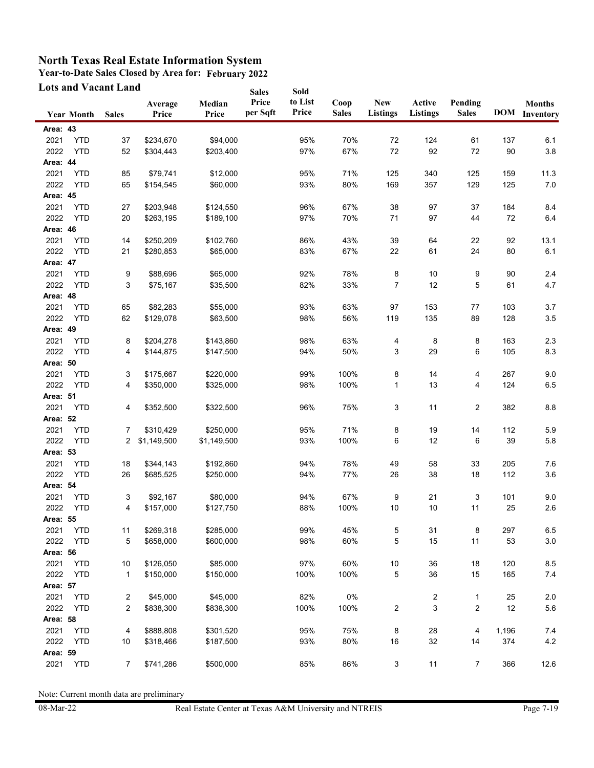**Year-to-Date Sales Closed by Area for: February 2022**

|                  | <b>Lots and Vacant Land</b> |                     |                  |                       | <b>Sales</b>      | Sold             |                      |                               |                           |                         |              |                                       |
|------------------|-----------------------------|---------------------|------------------|-----------------------|-------------------|------------------|----------------------|-------------------------------|---------------------------|-------------------------|--------------|---------------------------------------|
|                  | <b>Year Month</b>           | <b>Sales</b>        | Average<br>Price | Median<br>Price       | Price<br>per Sqft | to List<br>Price | Coop<br><b>Sales</b> | <b>New</b><br><b>Listings</b> | Active<br><b>Listings</b> | Pending<br><b>Sales</b> |              | <b>Months</b><br><b>DOM</b> Inventory |
| Area: 43         |                             |                     |                  |                       |                   |                  |                      |                               |                           |                         |              |                                       |
| 2021             | <b>YTD</b>                  | 37                  | \$234,670        | \$94,000              |                   | 95%              | 70%                  | 72                            | 124                       | 61                      | 137          | 6.1                                   |
| 2022             | <b>YTD</b>                  | 52                  | \$304,443        | \$203,400             |                   | 97%              | 67%                  | 72                            | 92                        | 72                      | 90           | 3.8                                   |
| Area: 44         |                             |                     |                  |                       |                   |                  |                      |                               |                           |                         |              |                                       |
| 2021             | <b>YTD</b>                  | 85                  | \$79,741         | \$12,000              |                   | 95%              | 71%                  | 125                           | 340                       | 125                     | 159          | 11.3                                  |
| 2022             | <b>YTD</b>                  | 65                  | \$154,545        | \$60,000              |                   | 93%              | 80%                  | 169                           | 357                       | 129                     | 125          | 7.0                                   |
| Area: 45         |                             |                     |                  |                       |                   |                  |                      |                               |                           |                         |              |                                       |
| 2021             | <b>YTD</b>                  | 27                  | \$203,948        | \$124,550             |                   | 96%              | 67%                  | 38                            | 97                        | 37                      | 184          | 8.4                                   |
| 2022             | <b>YTD</b>                  | 20                  | \$263,195        | \$189,100             |                   | 97%              | 70%                  | 71                            | 97                        | 44                      | 72           | 6.4                                   |
| Area: 46         |                             |                     |                  |                       |                   |                  |                      |                               |                           |                         |              |                                       |
| 2021             | <b>YTD</b>                  | 14                  | \$250,209        | \$102,760             |                   | 86%              | 43%                  | 39                            | 64                        | 22                      | 92           | 13.1                                  |
| 2022             | <b>YTD</b>                  | 21                  | \$280,853        | \$65,000              |                   | 83%              | 67%                  | 22                            | 61                        | 24                      | 80           | 6.1                                   |
| Area: 47         |                             |                     |                  |                       |                   |                  |                      |                               |                           |                         |              |                                       |
| 2021             | <b>YTD</b>                  | 9                   | \$88,696         | \$65,000              |                   | 92%              | 78%                  | 8                             | 10                        | 9                       | 90           | 2.4                                   |
| 2022             | <b>YTD</b>                  | 3                   | \$75,167         | \$35,500              |                   | 82%              | 33%                  | $\overline{7}$                | 12                        | 5                       | 61           | 4.7                                   |
| Area: 48         |                             |                     |                  |                       |                   |                  |                      |                               |                           |                         |              |                                       |
| 2021             | <b>YTD</b>                  | 65                  | \$82,283         | \$55,000              |                   | 93%              | 63%                  | 97                            | 153                       | 77                      | 103          | 3.7                                   |
| 2022             | <b>YTD</b>                  | 62                  | \$129,078        | \$63,500              |                   | 98%              | 56%                  | 119                           | 135                       | 89                      | 128          | 3.5                                   |
| Area: 49         |                             |                     |                  |                       |                   |                  |                      |                               |                           |                         |              |                                       |
| 2021             | <b>YTD</b>                  | 8                   | \$204,278        | \$143,860             |                   | 98%              | 63%                  | 4                             | 8                         | 8                       | 163          | 2.3                                   |
| 2022             | <b>YTD</b>                  | 4                   | \$144,875        | \$147,500             |                   | 94%              | 50%                  | 3                             | 29                        | 6                       | 105          | 8.3                                   |
| Area: 50         |                             |                     |                  |                       |                   |                  |                      |                               |                           |                         |              |                                       |
| 2021             | <b>YTD</b>                  | 3                   | \$175,667        | \$220,000             |                   | 99%              | 100%                 | 8                             | 14                        | 4                       | 267          | 9.0                                   |
| 2022             | <b>YTD</b>                  | 4                   | \$350,000        | \$325,000             |                   | 98%              | 100%                 | 1                             | 13                        | 4                       | 124          | 6.5                                   |
| Area: 51         |                             |                     |                  |                       |                   |                  |                      |                               |                           |                         |              |                                       |
| 2021             | <b>YTD</b>                  | 4                   | \$352,500        | \$322,500             |                   | 96%              | 75%                  | 3                             | 11                        | 2                       | 382          | 8.8                                   |
| Area: 52         |                             |                     |                  |                       |                   |                  |                      |                               |                           |                         |              |                                       |
| 2021             | <b>YTD</b>                  | 7                   | \$310,429        | \$250,000             |                   | 95%              | 71%                  | 8                             | 19                        | 14                      | 112          | 5.9                                   |
| 2022             | <b>YTD</b>                  | 2                   | \$1,149,500      | \$1,149,500           |                   | 93%              | 100%                 | 6                             | 12                        | 6                       | 39           | 5.8                                   |
| Area: 53         |                             |                     |                  |                       |                   |                  |                      |                               |                           |                         |              |                                       |
| 2021             | <b>YTD</b>                  | 18                  | \$344,143        | \$192,860             |                   | 94%              | 78%                  | 49                            | 58                        | 33                      | 205          | 7.6                                   |
| 2022             | <b>YTD</b>                  | 26                  | \$685,525        | \$250,000             |                   | 94%              | 77%                  | 26                            | 38                        | 18                      | 112          | 3.6                                   |
| Area: 54         |                             |                     |                  |                       |                   |                  |                      |                               |                           |                         |              |                                       |
| 2021             | <b>YTD</b>                  | 3                   | \$92,167         | \$80,000              |                   | 94%              | 67%                  | 9                             | 21                        | 3                       | 101          | 9.0                                   |
| 2022             | <b>YTD</b>                  | 4                   | \$157,000        | \$127,750             |                   | 88%              | 100%                 | 10                            | 10                        | 11                      | 25           | 2.6                                   |
| Area: 55         |                             |                     |                  |                       |                   |                  |                      |                               |                           |                         |              |                                       |
| 2021             | <b>YTD</b>                  | 11                  | \$269,318        | \$285,000             |                   | 99%              | 45%                  | 5                             | 31                        | 8                       | 297          | 6.5                                   |
| 2022             | <b>YTD</b>                  | 5                   | \$658,000        | \$600,000             |                   | 98%              | 60%                  | 5                             | 15                        | 11                      | 53           | $3.0\,$                               |
| Area: 56         |                             |                     |                  |                       |                   |                  |                      |                               |                           |                         |              |                                       |
| 2021             | <b>YTD</b>                  | 10                  | \$126,050        | \$85,000              |                   | 97%              | 60%                  | 10                            | 36                        | 18                      | 120          | 8.5                                   |
| 2022             | <b>YTD</b>                  | 1                   | \$150,000        | \$150,000             |                   | 100%             | 100%                 | 5                             | 36                        | 15                      | 165          | 7.4                                   |
| Area: 57         |                             |                     |                  |                       |                   |                  |                      |                               |                           |                         |              |                                       |
| 2021             | <b>YTD</b>                  | 2<br>$\overline{c}$ | \$45,000         | \$45,000<br>\$838,300 |                   | 82%              | $0\%$                |                               | $\overline{\mathbf{c}}$   | 1                       | 25           | $2.0\,$                               |
| 2022             | <b>YTD</b>                  |                     | \$838,300        |                       |                   | 100%             | 100%                 | $\overline{\mathbf{c}}$       | 3                         | 2                       | 12           | 5.6                                   |
| Area: 58         |                             |                     |                  |                       |                   |                  |                      |                               |                           |                         |              |                                       |
| 2021<br>2022     | <b>YTD</b><br><b>YTD</b>    | 4<br>10             | \$888,808        | \$301,520             |                   | 95%<br>93%       | 75%                  | 8                             | 28<br>32                  | 4<br>14                 | 1,196<br>374 | 7.4<br>$4.2\,$                        |
|                  |                             |                     | \$318,466        | \$187,500             |                   |                  | 80%                  | 16                            |                           |                         |              |                                       |
| Area: 59<br>2021 | <b>YTD</b>                  | 7                   | \$741,286        | \$500,000             |                   | 85%              | 86%                  |                               | 11                        |                         | 366          |                                       |
|                  |                             |                     |                  |                       |                   |                  |                      | 3                             |                           | 7                       |              | 12.6                                  |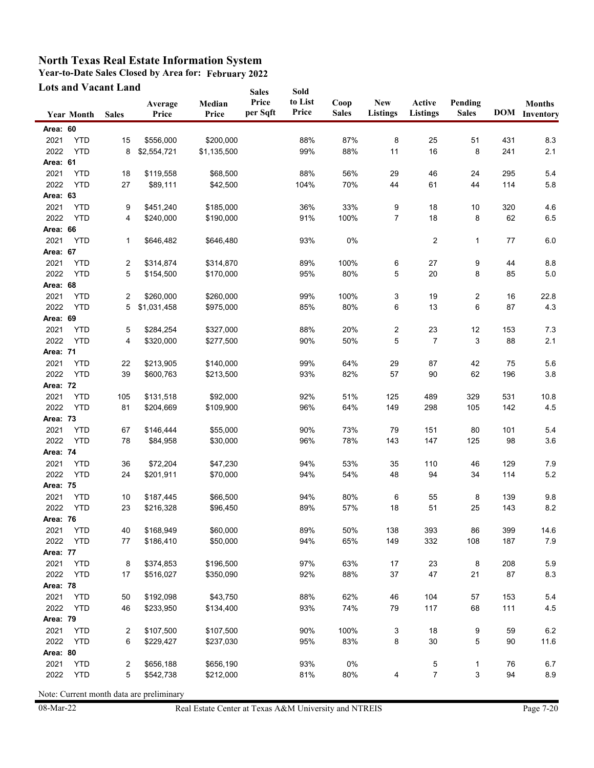**Year-to-Date Sales Closed by Area for: February 2022**

| <b>Lots and Vacant Land</b> |                   |              |                  | <b>Sales</b>    | Sold              |                  |                      |                               |                           |                         |     |                                       |
|-----------------------------|-------------------|--------------|------------------|-----------------|-------------------|------------------|----------------------|-------------------------------|---------------------------|-------------------------|-----|---------------------------------------|
|                             | <b>Year Month</b> | <b>Sales</b> | Average<br>Price | Median<br>Price | Price<br>per Sqft | to List<br>Price | Coop<br><b>Sales</b> | <b>New</b><br><b>Listings</b> | Active<br><b>Listings</b> | Pending<br><b>Sales</b> |     | <b>Months</b><br><b>DOM</b> Inventory |
| Area: 60                    |                   |              |                  |                 |                   |                  |                      |                               |                           |                         |     |                                       |
| 2021                        | <b>YTD</b>        | 15           | \$556,000        | \$200,000       |                   | 88%              | 87%                  | 8                             | 25                        | 51                      | 431 | 8.3                                   |
| 2022                        | <b>YTD</b>        | 8            | \$2,554,721      | \$1,135,500     |                   | 99%              | 88%                  | 11                            | 16                        | 8                       | 241 | 2.1                                   |
| Area: 61                    |                   |              |                  |                 |                   |                  |                      |                               |                           |                         |     |                                       |
| 2021                        | <b>YTD</b>        | 18           | \$119,558        | \$68,500        |                   | 88%              | 56%                  | 29                            | 46                        | 24                      | 295 | 5.4                                   |
| 2022                        | <b>YTD</b>        | 27           | \$89,111         | \$42,500        |                   | 104%             | 70%                  | 44                            | 61                        | 44                      | 114 | 5.8                                   |
| Area: 63                    |                   |              |                  |                 |                   |                  |                      |                               |                           |                         |     |                                       |
| 2021                        | <b>YTD</b>        | 9            | \$451,240        | \$185,000       |                   | 36%              | 33%                  | 9                             | 18                        | 10                      | 320 | 4.6                                   |
| 2022                        | <b>YTD</b>        | 4            | \$240,000        | \$190,000       |                   | 91%              | 100%                 | $\overline{7}$                | 18                        | 8                       | 62  | 6.5                                   |
| Area: 66                    |                   |              |                  |                 |                   |                  |                      |                               |                           |                         |     |                                       |
| 2021                        | <b>YTD</b>        | 1            | \$646,482        | \$646,480       |                   | 93%              | 0%                   |                               | 2                         | 1                       | 77  | $6.0\,$                               |
| Area: 67                    |                   |              |                  |                 |                   |                  |                      |                               |                           |                         |     |                                       |
| 2021                        | <b>YTD</b>        | 2            | \$314,874        | \$314,870       |                   | 89%              | 100%                 | 6                             | 27                        | 9                       | 44  | 8.8                                   |
| 2022                        | <b>YTD</b>        | 5            | \$154,500        | \$170,000       |                   | 95%              | 80%                  | 5                             | 20                        | 8                       | 85  | 5.0                                   |
| Area: 68                    |                   |              |                  |                 |                   |                  |                      |                               |                           |                         |     |                                       |
| 2021                        | <b>YTD</b>        | 2            | \$260,000        | \$260,000       |                   | 99%              | 100%                 | 3                             | 19                        | 2                       | 16  | 22.8                                  |
| 2022                        | <b>YTD</b>        | 5            | \$1,031,458      | \$975,000       |                   | 85%              | 80%                  | 6                             | 13                        | 6                       | 87  | 4.3                                   |
| Area: 69                    |                   |              |                  |                 |                   |                  |                      |                               |                           |                         |     |                                       |
| 2021                        | <b>YTD</b>        | 5            | \$284,254        | \$327,000       |                   | 88%              | 20%                  | $\boldsymbol{2}$              | 23                        | 12                      | 153 | 7.3                                   |
| 2022                        | <b>YTD</b>        | 4            | \$320,000        | \$277,500       |                   | 90%              | 50%                  | 5                             | 7                         | 3                       | 88  | 2.1                                   |
| Area: 71                    |                   |              |                  |                 |                   |                  |                      |                               |                           |                         |     |                                       |
| 2021                        | <b>YTD</b>        | 22           | \$213,905        | \$140,000       |                   | 99%              | 64%                  | 29                            | 87                        | 42                      | 75  | 5.6                                   |
| 2022                        | <b>YTD</b>        | 39           | \$600,763        | \$213,500       |                   | 93%              | 82%                  | 57                            | 90                        | 62                      | 196 | 3.8                                   |
| <b>Area: 72</b>             |                   |              |                  |                 |                   |                  |                      |                               |                           |                         |     |                                       |
| 2021                        | <b>YTD</b>        | 105          | \$131,518        | \$92,000        |                   | 92%              | 51%                  | 125                           | 489                       | 329                     | 531 | 10.8                                  |
| 2022                        | <b>YTD</b>        | 81           | \$204,669        | \$109,900       |                   | 96%              | 64%                  | 149                           | 298                       | 105                     | 142 | 4.5                                   |
| Area: 73                    |                   |              |                  |                 |                   |                  |                      |                               |                           |                         |     |                                       |
| 2021                        | <b>YTD</b>        | 67           | \$146,444        | \$55,000        |                   | 90%              | 73%                  | 79                            | 151                       | 80                      | 101 | 5.4                                   |
| 2022                        | <b>YTD</b>        | 78           | \$84,958         | \$30,000        |                   | 96%              | 78%                  | 143                           | 147                       | 125                     | 98  | 3.6                                   |
| Area: 74                    |                   |              |                  |                 |                   |                  |                      |                               |                           |                         |     |                                       |
| 2021                        | <b>YTD</b>        | 36           | \$72,204         | \$47,230        |                   | 94%              | 53%                  | 35                            | 110                       | 46                      | 129 | 7.9                                   |
| 2022                        | <b>YTD</b>        | 24           | \$201,911        | \$70,000        |                   | 94%              | 54%                  | 48                            | 94                        | 34                      | 114 | 5.2                                   |
| <b>Area: 75</b>             |                   |              |                  |                 |                   |                  |                      |                               |                           |                         |     |                                       |
| 2021                        | <b>YTD</b>        | 10           | \$187,445        | \$66,500        |                   | 94%              | 80%                  | 6                             | 55                        | 8                       | 139 | 9.8                                   |
| 2022                        | <b>YTD</b>        | 23           | \$216,328        | \$96,450        |                   | 89%              | 57%                  | 18                            | 51                        | 25                      | 143 | 8.2                                   |
| Area: 76                    |                   |              |                  |                 |                   |                  |                      |                               |                           |                         |     |                                       |
| 2021                        | <b>YTD</b>        | 40           | \$168,949        | \$60,000        |                   | 89%              | 50%                  | 138                           | 393                       | 86                      | 399 | 14.6                                  |
| 2022                        | <b>YTD</b>        | 77           | \$186,410        | \$50,000        |                   | 94%              | 65%                  | 149                           | 332                       | 108                     | 187 | 7.9                                   |
| <b>Area: 77</b>             |                   |              |                  |                 |                   |                  |                      |                               |                           |                         |     |                                       |
| 2021                        | <b>YTD</b>        | 8            | \$374,853        | \$196,500       |                   | 97%              | 63%                  | 17                            | 23                        | 8                       | 208 | 5.9                                   |
| 2022                        | <b>YTD</b>        | 17           | \$516,027        | \$350,090       |                   | 92%              | 88%                  | 37                            | 47                        | 21                      | 87  | 8.3                                   |
| Area: 78                    |                   |              |                  |                 |                   |                  |                      |                               |                           |                         |     |                                       |
| 2021                        | <b>YTD</b>        | 50           | \$192,098        | \$43,750        |                   | 88%              | 62%                  | 46                            | 104                       | 57                      | 153 | 5.4                                   |
| 2022                        | <b>YTD</b>        | 46           | \$233,950        | \$134,400       |                   | 93%              | 74%                  | 79                            | 117                       | 68                      | 111 | 4.5                                   |
| <b>Area: 79</b>             |                   |              |                  |                 |                   |                  |                      |                               |                           |                         |     |                                       |
| 2021                        | <b>YTD</b>        | 2            | \$107,500        | \$107,500       |                   | 90%              | 100%                 | $\ensuremath{\mathsf{3}}$     | 18                        | 9                       | 59  | $6.2\,$                               |
| 2022                        | <b>YTD</b>        | 6            | \$229,427        | \$237,030       |                   | 95%              | 83%                  | 8                             | 30                        | 5                       | 90  | 11.6                                  |
| Area: 80                    |                   |              |                  |                 |                   |                  |                      |                               |                           |                         |     |                                       |
| 2021                        | <b>YTD</b>        | 2            | \$656,188        | \$656,190       |                   | 93%              | 0%                   |                               | 5                         | 1                       | 76  | 6.7                                   |
| 2022                        | <b>YTD</b>        | 5            | \$542,738        | \$212,000       |                   | 81%              | 80%                  | 4                             | $\overline{7}$            | 3                       | 94  | $8.9\,$                               |
|                             |                   |              |                  |                 |                   |                  |                      |                               |                           |                         |     |                                       |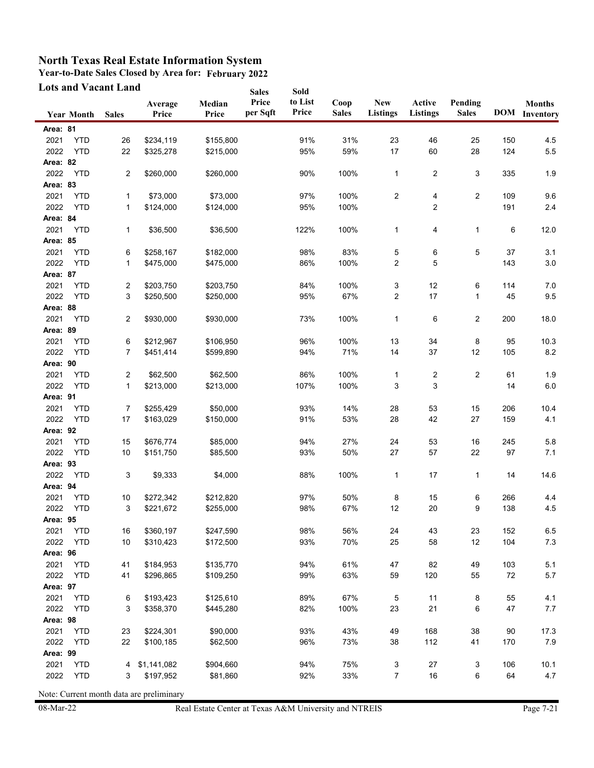**Year-to-Date Sales Closed by Area for: February 2022**

| <b>Lots and Vacant Land</b> |                   |                |                  | <b>Sales</b>    | Sold              |                  |                      |                               |                           |                         |     |                                       |
|-----------------------------|-------------------|----------------|------------------|-----------------|-------------------|------------------|----------------------|-------------------------------|---------------------------|-------------------------|-----|---------------------------------------|
|                             | <b>Year Month</b> | <b>Sales</b>   | Average<br>Price | Median<br>Price | Price<br>per Sqft | to List<br>Price | Coop<br><b>Sales</b> | <b>New</b><br><b>Listings</b> | Active<br><b>Listings</b> | Pending<br><b>Sales</b> |     | <b>Months</b><br><b>DOM</b> Inventory |
| Area: 81                    |                   |                |                  |                 |                   |                  |                      |                               |                           |                         |     |                                       |
| 2021                        | <b>YTD</b>        | 26             | \$234,119        | \$155,800       |                   | 91%              | 31%                  | 23                            | 46                        | 25                      | 150 | 4.5                                   |
| 2022                        | <b>YTD</b>        | 22             | \$325,278        | \$215,000       |                   | 95%              | 59%                  | 17                            | 60                        | 28                      | 124 | 5.5                                   |
| Area: 82                    |                   |                |                  |                 |                   |                  |                      |                               |                           |                         |     |                                       |
| 2022                        | <b>YTD</b>        | 2              | \$260,000        | \$260,000       |                   | 90%              | 100%                 | $\mathbf{1}$                  | 2                         | 3                       | 335 | 1.9                                   |
| Area: 83                    |                   |                |                  |                 |                   |                  |                      |                               |                           |                         |     |                                       |
| 2021                        | <b>YTD</b>        | 1              | \$73,000         | \$73,000        |                   | 97%              | 100%                 | 2                             | 4                         | $\overline{c}$          | 109 | 9.6                                   |
| 2022                        | <b>YTD</b>        | 1              | \$124,000        | \$124,000       |                   | 95%              | 100%                 |                               | $\overline{\mathbf{c}}$   |                         | 191 | 2.4                                   |
| Area: 84                    |                   |                |                  |                 |                   |                  |                      |                               |                           |                         |     |                                       |
| 2021                        | <b>YTD</b>        | 1              | \$36,500         | \$36,500        |                   | 122%             | 100%                 | 1                             | 4                         | 1                       | 6   | 12.0                                  |
| Area: 85                    |                   |                |                  |                 |                   |                  |                      |                               |                           |                         |     |                                       |
| 2021                        | <b>YTD</b>        | 6              | \$258,167        | \$182,000       |                   | 98%              | 83%                  | 5                             | 6                         | 5                       | 37  | 3.1                                   |
| 2022                        | <b>YTD</b>        | $\mathbf{1}$   | \$475,000        | \$475,000       |                   | 86%              | 100%                 | 2                             | 5                         |                         | 143 | $3.0\,$                               |
| Area: 87                    |                   |                |                  |                 |                   |                  |                      |                               |                           |                         |     |                                       |
| 2021                        | <b>YTD</b>        | $\overline{c}$ | \$203,750        | \$203,750       |                   | 84%              | 100%                 | 3                             | 12                        | 6                       | 114 | 7.0                                   |
| 2022                        | <b>YTD</b>        | 3              | \$250,500        | \$250,000       |                   | 95%              | 67%                  | 2                             | 17                        | 1                       | 45  | 9.5                                   |
| Area: 88                    |                   |                |                  |                 |                   |                  |                      |                               |                           |                         |     |                                       |
| 2021                        | <b>YTD</b>        | $\overline{c}$ | \$930,000        | \$930,000       |                   | 73%              | 100%                 | 1                             | 6                         | 2                       | 200 | 18.0                                  |
| Area: 89                    |                   |                |                  |                 |                   |                  |                      |                               |                           |                         |     |                                       |
| 2021                        | <b>YTD</b>        | 6              | \$212,967        | \$106,950       |                   | 96%              | 100%                 | 13                            | 34                        | 8                       | 95  | 10.3                                  |
| 2022                        | <b>YTD</b>        | $\overline{7}$ | \$451,414        | \$599,890       |                   | 94%              | 71%                  | 14                            | 37                        | 12                      | 105 | 8.2                                   |
| Area: 90                    |                   |                |                  |                 |                   |                  |                      |                               |                           |                         |     |                                       |
| 2021                        | <b>YTD</b>        | $\overline{c}$ | \$62,500         | \$62,500        |                   | 86%              | 100%                 | $\mathbf{1}$                  | 2                         | $\overline{2}$          | 61  | 1.9                                   |
| 2022                        | <b>YTD</b>        | $\mathbf{1}$   | \$213,000        | \$213,000       |                   | 107%             | 100%                 | 3                             | 3                         |                         | 14  | 6.0                                   |
| Area: 91                    |                   |                |                  |                 |                   |                  |                      |                               |                           |                         |     |                                       |
| 2021                        | <b>YTD</b>        | 7              | \$255,429        | \$50,000        |                   | 93%              | 14%                  | 28                            | 53                        | 15                      | 206 | 10.4                                  |
| 2022                        | <b>YTD</b>        | 17             | \$163,029        | \$150,000       |                   | 91%              | 53%                  | 28                            | 42                        | 27                      | 159 | 4.1                                   |
| Area: 92                    |                   |                |                  |                 |                   |                  |                      |                               |                           |                         |     |                                       |
| 2021                        | <b>YTD</b>        | 15             | \$676,774        | \$85,000        |                   | 94%              | 27%                  | 24                            | 53                        | 16                      | 245 | 5.8                                   |
| 2022                        | <b>YTD</b>        | 10             | \$151,750        | \$85,500        |                   | 93%              | 50%                  | 27                            | 57                        | 22                      | 97  | 7.1                                   |
| Area: 93                    |                   |                |                  |                 |                   |                  |                      |                               |                           |                         |     |                                       |
| 2022                        | <b>YTD</b>        | 3              | \$9,333          | \$4,000         |                   | 88%              | 100%                 | 1                             | 17                        | 1                       | 14  | 14.6                                  |
| Area: 94                    |                   |                |                  |                 |                   |                  |                      |                               |                           |                         |     |                                       |
| 2021                        | <b>YTD</b>        | 10             | \$272,342        | \$212,820       |                   | 97%              | 50%                  | 8                             | 15                        | 6                       | 266 | 4.4                                   |
| 2022                        | <b>YTD</b>        | 3              | \$221,672        | \$255,000       |                   | 98%              | 67%                  | 12                            | 20                        | 9                       | 138 | 4.5                                   |
| Area: 95                    |                   |                |                  |                 |                   |                  |                      |                               |                           |                         |     |                                       |
| 2021                        | <b>YTD</b>        | 16             | \$360,197        | \$247,590       |                   | 98%              | 56%                  | 24                            | 43                        | 23                      | 152 | 6.5                                   |
| 2022                        | <b>YTD</b>        | $10$           | \$310,423        | \$172,500       |                   | 93%              | 70%                  | 25                            | 58                        | 12                      | 104 | $7.3$                                 |
| Area: 96                    |                   |                |                  |                 |                   |                  |                      |                               |                           |                         |     |                                       |
| 2021                        | <b>YTD</b>        | 41             | \$184,953        | \$135,770       |                   | 94%              | 61%                  | 47                            | 82                        | 49                      | 103 | 5.1                                   |
| 2022                        | <b>YTD</b>        | 41             | \$296,865        | \$109,250       |                   | 99%              | 63%                  | 59                            | 120                       | 55                      | 72  | $5.7\,$                               |
| Area: 97                    |                   |                |                  |                 |                   |                  |                      |                               |                           |                         |     |                                       |
| 2021                        | <b>YTD</b>        | 6              | \$193,423        | \$125,610       |                   | 89%              | 67%                  | 5                             | 11                        | 8                       | 55  | 4.1                                   |
| 2022                        | <b>YTD</b>        | 3              | \$358,370        | \$445,280       |                   | 82%              | 100%                 | 23                            | 21                        | 6                       | 47  | 7.7                                   |
| Area: 98                    |                   |                |                  |                 |                   |                  |                      |                               |                           |                         |     |                                       |
| 2021                        | <b>YTD</b>        | 23             | \$224,301        | \$90,000        |                   | 93%              | 43%                  | 49                            | 168                       | 38                      | 90  | 17.3                                  |
| 2022                        | <b>YTD</b>        | 22             | \$100,185        | \$62,500        |                   | 96%              | 73%                  | 38                            | 112                       | 41                      | 170 | $7.9$                                 |
| Area: 99                    |                   |                |                  |                 |                   |                  |                      |                               |                           |                         |     |                                       |
| 2021                        | <b>YTD</b>        | 4              | \$1,141,082      | \$904,660       |                   | 94%              | 75%                  | 3                             | 27                        | 3                       | 106 | 10.1                                  |
| 2022                        | <b>YTD</b>        | 3              | \$197,952        | \$81,860        |                   | 92%              | 33%                  | $\overline{7}$                | $16\,$                    | 6                       | 64  | 4.7                                   |
|                             |                   |                |                  |                 |                   |                  |                      |                               |                           |                         |     |                                       |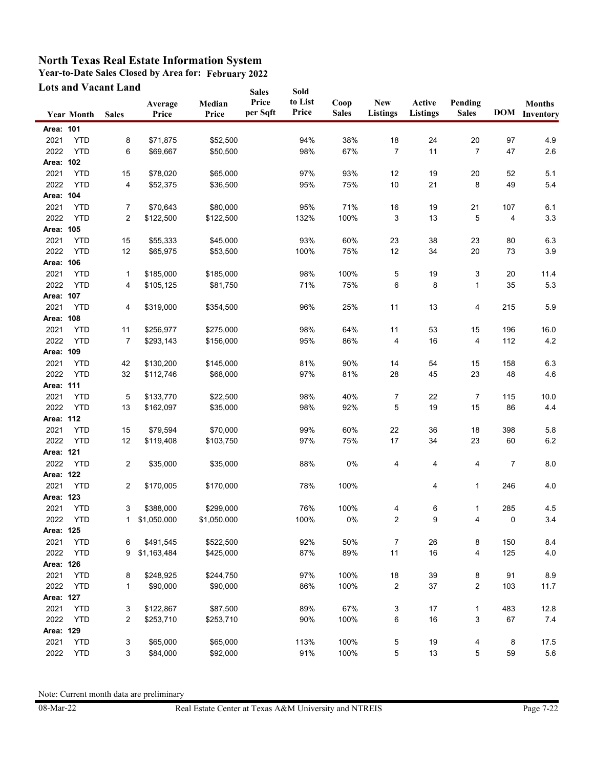**Year-to-Date Sales Closed by Area for: February 2022**

| <b>Lots and Vacant Land</b> |                   |                |                  |                 | <b>Sales</b>      | Sold             |                      |                               |                           |                         |     |                                       |
|-----------------------------|-------------------|----------------|------------------|-----------------|-------------------|------------------|----------------------|-------------------------------|---------------------------|-------------------------|-----|---------------------------------------|
|                             | <b>Year Month</b> | <b>Sales</b>   | Average<br>Price | Median<br>Price | Price<br>per Sqft | to List<br>Price | Coop<br><b>Sales</b> | <b>New</b><br><b>Listings</b> | Active<br><b>Listings</b> | Pending<br><b>Sales</b> |     | <b>Months</b><br><b>DOM</b> Inventory |
| Area: 101                   |                   |                |                  |                 |                   |                  |                      |                               |                           |                         |     |                                       |
| 2021                        | <b>YTD</b>        | 8              | \$71,875         | \$52,500        |                   | 94%              | 38%                  | $18$                          | 24                        | 20                      | 97  | 4.9                                   |
| 2022                        | <b>YTD</b>        | 6              | \$69,667         | \$50,500        |                   | 98%              | 67%                  | $\overline{7}$                | 11                        | $\overline{7}$          | 47  | 2.6                                   |
| Area: 102                   |                   |                |                  |                 |                   |                  |                      |                               |                           |                         |     |                                       |
| 2021                        | <b>YTD</b>        | 15             | \$78,020         | \$65,000        |                   | 97%              | 93%                  | 12                            | 19                        | 20                      | 52  | 5.1                                   |
| 2022                        | <b>YTD</b>        | 4              | \$52,375         | \$36,500        |                   | 95%              | 75%                  | 10                            | 21                        | 8                       | 49  | 5.4                                   |
| Area: 104                   |                   |                |                  |                 |                   |                  |                      |                               |                           |                         |     |                                       |
|                             |                   |                |                  | \$80,000        |                   |                  |                      |                               |                           |                         |     |                                       |
| 2021                        | <b>YTD</b>        | 7<br>2         | \$70,643         |                 |                   | 95%              | 71%                  | 16<br>3                       | 19                        | 21<br>5                 | 107 | 6.1                                   |
| 2022<br>Area: 105           | <b>YTD</b>        |                | \$122,500        | \$122,500       |                   | 132%             | 100%                 |                               | 13                        |                         | 4   | 3.3                                   |
|                             |                   |                |                  |                 |                   |                  |                      |                               |                           |                         |     |                                       |
| 2021                        | <b>YTD</b>        | 15             | \$55,333         | \$45,000        |                   | 93%              | 60%                  | 23                            | 38                        | 23                      | 80  | 6.3                                   |
| 2022                        | <b>YTD</b>        | 12             | \$65,975         | \$53,500        |                   | 100%             | 75%                  | 12                            | 34                        | 20                      | 73  | 3.9                                   |
| Area: 106                   |                   |                |                  |                 |                   |                  |                      |                               |                           |                         |     |                                       |
| 2021                        | <b>YTD</b>        | 1              | \$185,000        | \$185,000       |                   | 98%              | 100%                 | 5                             | 19                        | 3                       | 20  | 11.4                                  |
| 2022                        | <b>YTD</b>        | 4              | \$105,125        | \$81,750        |                   | 71%              | 75%                  | 6                             | 8                         | $\mathbf{1}$            | 35  | 5.3                                   |
| Area: 107                   |                   |                |                  |                 |                   |                  |                      |                               |                           |                         |     |                                       |
| 2021                        | <b>YTD</b>        | 4              | \$319,000        | \$354,500       |                   | 96%              | 25%                  | 11                            | 13                        | 4                       | 215 | 5.9                                   |
| Area: 108                   |                   |                |                  |                 |                   |                  |                      |                               |                           |                         |     |                                       |
| 2021                        | <b>YTD</b>        | 11             | \$256,977        | \$275,000       |                   | 98%              | 64%                  | 11                            | 53                        | 15                      | 196 | 16.0                                  |
| 2022                        | <b>YTD</b>        | $\overline{7}$ | \$293,143        | \$156,000       |                   | 95%              | 86%                  | 4                             | 16                        | 4                       | 112 | 4.2                                   |
| Area: 109                   |                   |                |                  |                 |                   |                  |                      |                               |                           |                         |     |                                       |
| 2021                        | <b>YTD</b>        | 42             | \$130,200        | \$145,000       |                   | 81%              | 90%                  | 14                            | 54                        | 15                      | 158 | 6.3                                   |
| 2022                        | <b>YTD</b>        | 32             | \$112,746        | \$68,000        |                   | 97%              | 81%                  | 28                            | 45                        | 23                      | 48  | 4.6                                   |
| Area: 111                   |                   |                |                  |                 |                   |                  |                      |                               |                           |                         |     |                                       |
| 2021                        | <b>YTD</b>        | 5              | \$133,770        | \$22,500        |                   | 98%              | 40%                  | $\overline{7}$                | 22                        | 7                       | 115 | 10.0                                  |
| 2022                        | <b>YTD</b>        | 13             | \$162,097        | \$35,000        |                   | 98%              | 92%                  | 5                             | 19                        | 15                      | 86  | 4.4                                   |
| Area: 112                   |                   |                |                  |                 |                   |                  |                      |                               |                           |                         |     |                                       |
| 2021                        | <b>YTD</b>        | 15             | \$79,594         | \$70,000        |                   | 99%              | 60%                  | 22                            | 36                        | 18                      | 398 | 5.8                                   |
| 2022                        | <b>YTD</b>        | 12             | \$119,408        | \$103,750       |                   | 97%              | 75%                  | 17                            | 34                        | 23                      | 60  | 6.2                                   |
| Area: 121                   |                   |                |                  |                 |                   |                  |                      |                               |                           |                         |     |                                       |
| 2022                        | <b>YTD</b>        | 2              | \$35,000         | \$35,000        |                   | 88%              | 0%                   | 4                             | 4                         | 4                       | 7   | 8.0                                   |
| Area: 122                   |                   |                |                  |                 |                   |                  |                      |                               |                           |                         |     |                                       |
| 2021                        | <b>YTD</b>        | 2              | \$170,005        | \$170,000       |                   | 78%              | 100%                 |                               | 4                         | $\mathbf{1}$            | 246 | 4.0                                   |
| Area: 123                   |                   |                |                  |                 |                   |                  |                      |                               |                           |                         |     |                                       |
| 2021                        | <b>YTD</b>        | 3              | \$388,000        | \$299,000       |                   | 76%              | 100%                 | 4                             | 6                         | $\mathbf{1}$            | 285 | 4.5                                   |
| 2022                        | YTD               | 1              | \$1,050,000      | \$1,050,000     |                   | 100%             | $0\%$                | $\sqrt{2}$                    | 9                         | 4                       | 0   | 3.4                                   |
| Area: 125                   |                   |                |                  |                 |                   |                  |                      |                               |                           |                         |     |                                       |
| 2021                        | <b>YTD</b>        | 6              | \$491,545        | \$522,500       |                   | 92%              | 50%                  | $\overline{7}$                | 26                        | 8                       | 150 | 8.4                                   |
| 2022                        | <b>YTD</b>        | 9              | \$1,163,484      | \$425,000       |                   | 87%              | 89%                  | 11                            | 16                        | 4                       | 125 | $4.0$                                 |
| Area: 126                   |                   |                |                  |                 |                   |                  |                      |                               |                           |                         |     |                                       |
|                             |                   |                |                  |                 |                   |                  |                      |                               |                           |                         |     |                                       |
| 2021                        | <b>YTD</b>        | 8              | \$248,925        | \$244,750       |                   | 97%              | 100%                 | $18\,$                        | 39                        | 8                       | 91  | 8.9                                   |
| 2022                        | <b>YTD</b>        | 1              | \$90,000         | \$90,000        |                   | 86%              | 100%                 | $\overline{\mathbf{c}}$       | 37                        | $\overline{c}$          | 103 | 11.7                                  |
| Area: 127                   |                   |                |                  |                 |                   |                  |                      |                               |                           |                         |     |                                       |
| 2021                        | <b>YTD</b>        | 3              | \$122,867        | \$87,500        |                   | 89%              | 67%                  | 3                             | 17                        | 1                       | 483 | 12.8                                  |
| 2022                        | <b>YTD</b>        | 2              | \$253,710        | \$253,710       |                   | 90%              | 100%                 | 6                             | 16                        | 3                       | 67  | $7.4$                                 |
| Area: 129                   |                   |                |                  |                 |                   |                  |                      |                               |                           |                         |     |                                       |
| 2021                        | <b>YTD</b>        | 3              | \$65,000         | \$65,000        |                   | 113%             | 100%                 | 5                             | 19                        | 4                       | 8   | 17.5                                  |
| 2022                        | <b>YTD</b>        | 3              | \$84,000         | \$92,000        |                   | 91%              | 100%                 | 5                             | 13                        | 5                       | 59  | 5.6                                   |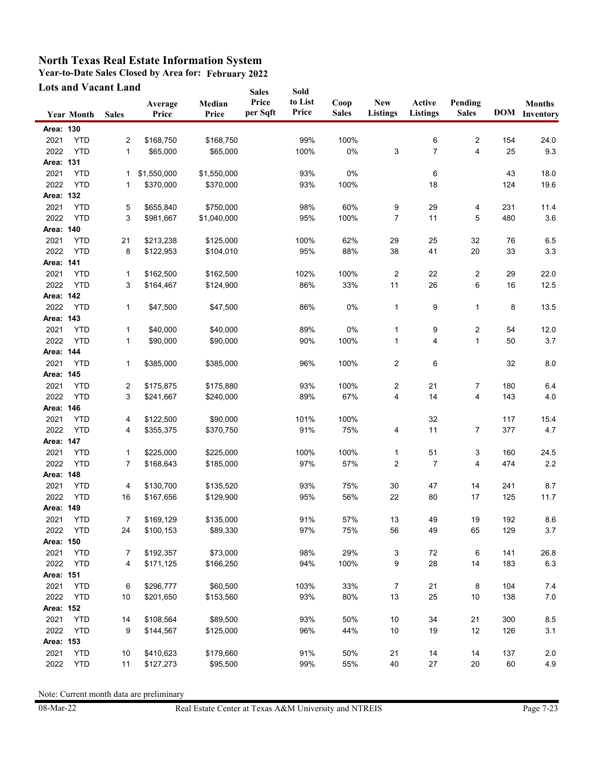**Year-to-Date Sales Closed by Area for: February 2022**

| <b>Lots and Vacant Land</b> |                   |                  |                  | <b>Sales</b>    | Sold              |                  |                      |                               |                           |                         |     |                                       |
|-----------------------------|-------------------|------------------|------------------|-----------------|-------------------|------------------|----------------------|-------------------------------|---------------------------|-------------------------|-----|---------------------------------------|
|                             | <b>Year Month</b> | <b>Sales</b>     | Average<br>Price | Median<br>Price | Price<br>per Sqft | to List<br>Price | Coop<br><b>Sales</b> | <b>New</b><br><b>Listings</b> | Active<br><b>Listings</b> | Pending<br><b>Sales</b> |     | <b>Months</b><br><b>DOM</b> Inventory |
| Area: 130                   |                   |                  |                  |                 |                   |                  |                      |                               |                           |                         |     |                                       |
| 2021                        | <b>YTD</b>        | 2                | \$168,750        | \$168,750       |                   | 99%              | 100%                 |                               | 6                         | $\overline{c}$          | 154 | 24.0                                  |
| 2022                        | <b>YTD</b>        | 1                | \$65,000         | \$65,000        |                   | 100%             | 0%                   | 3                             | 7                         | 4                       | 25  | 9.3                                   |
| Area: 131                   |                   |                  |                  |                 |                   |                  |                      |                               |                           |                         |     |                                       |
| 2021                        | <b>YTD</b>        | 1                | \$1,550,000      | \$1,550,000     |                   | 93%              | 0%                   |                               | 6                         |                         | 43  | 18.0                                  |
| 2022                        | <b>YTD</b>        | 1                | \$370,000        | \$370,000       |                   | 93%              | 100%                 |                               | 18                        |                         | 124 | 19.6                                  |
| Area: 132                   |                   |                  |                  |                 |                   |                  |                      |                               |                           |                         |     |                                       |
| 2021                        | <b>YTD</b>        | 5                | \$655,840        | \$750,000       |                   | 98%              | 60%                  | 9                             | 29                        | 4                       | 231 | 11.4                                  |
| 2022                        | <b>YTD</b>        | 3                | \$981,667        | \$1,040,000     |                   | 95%              | 100%                 | 7                             | 11                        | 5                       | 480 | 3.6                                   |
| Area: 140                   |                   |                  |                  |                 |                   |                  |                      |                               |                           |                         |     |                                       |
| 2021                        | <b>YTD</b>        | 21               | \$213,238        | \$125,000       |                   | 100%             | 62%                  | 29                            | 25                        | 32                      | 76  | 6.5                                   |
| 2022                        | <b>YTD</b>        | 8                | \$122,953        | \$104,010       |                   | 95%              | 88%                  | 38                            | 41                        | 20                      | 33  | 3.3                                   |
| Area: 141                   |                   |                  |                  |                 |                   |                  |                      |                               |                           |                         |     |                                       |
| 2021                        | <b>YTD</b>        | 1                | \$162,500        | \$162,500       |                   | 102%             | 100%                 | $\overline{2}$                | 22                        | $\overline{\mathbf{c}}$ | 29  | 22.0                                  |
| 2022                        | <b>YTD</b>        | 3                | \$164,467        | \$124,900       |                   | 86%              | 33%                  | 11                            | 26                        | 6                       | 16  | 12.5                                  |
| Area: 142                   |                   |                  |                  |                 |                   |                  |                      |                               |                           |                         |     |                                       |
| 2022                        | <b>YTD</b>        | 1                | \$47,500         | \$47,500        |                   | 86%              | 0%                   | $\mathbf{1}$                  | 9                         | $\mathbf{1}$            | 8   | 13.5                                  |
| Area: 143                   |                   |                  |                  |                 |                   |                  |                      |                               |                           |                         |     |                                       |
| 2021                        | <b>YTD</b>        | 1                | \$40,000         | \$40,000        |                   | 89%              | 0%                   | 1                             | 9                         | 2                       | 54  | 12.0                                  |
| 2022                        | <b>YTD</b>        | 1                | \$90,000         | \$90,000        |                   | 90%              | 100%                 | $\mathbf{1}$                  | 4                         | $\mathbf{1}$            | 50  | 3.7                                   |
| Area: 144                   |                   |                  |                  |                 |                   |                  |                      |                               |                           |                         |     |                                       |
| 2021                        | <b>YTD</b>        | 1                | \$385,000        | \$385,000       |                   | 96%              | 100%                 | $\overline{2}$                | 6                         |                         | 32  | 8.0                                   |
| Area: 145                   |                   |                  |                  |                 |                   |                  |                      |                               |                           |                         |     |                                       |
| 2021                        | <b>YTD</b>        | 2                | \$175,875        | \$175,880       |                   | 93%              | 100%                 | $\overline{\mathbf{c}}$       | 21                        | 7                       | 180 | 6.4                                   |
| 2022                        | <b>YTD</b>        | 3                | \$241,667        | \$240,000       |                   | 89%              | 67%                  | $\overline{\mathbf{4}}$       | 14                        | 4                       | 143 | 4.0                                   |
| Area: 146                   |                   |                  |                  |                 |                   |                  |                      |                               |                           |                         |     |                                       |
| 2021                        | <b>YTD</b>        | 4                | \$122,500        | \$90,000        |                   | 101%             | 100%                 |                               | 32                        |                         | 117 | 15.4                                  |
| 2022                        | <b>YTD</b>        | 4                | \$355,375        | \$370,750       |                   | 91%              | 75%                  | 4                             | 11                        | 7                       | 377 | 4.7                                   |
| Area: 147                   |                   |                  |                  |                 |                   |                  |                      |                               |                           |                         |     |                                       |
| 2021                        | <b>YTD</b>        | 1                | \$225,000        | \$225,000       |                   | 100%             | 100%                 | 1                             | 51                        | 3                       | 160 | 24.5                                  |
| 2022                        | <b>YTD</b>        | 7                | \$168,643        | \$185,000       |                   | 97%              | 57%                  | $\overline{\mathbf{c}}$       | 7                         | 4                       | 474 | 2.2                                   |
| Area: 148                   |                   |                  |                  |                 |                   |                  |                      |                               |                           |                         |     |                                       |
| 2021                        | <b>YTD</b>        | 4                | \$130,700        | \$135,520       |                   | 93%              | 75%                  | 30                            | 47                        | 14                      | 241 | 8.7                                   |
| 2022                        | <b>YTD</b>        | 16               | \$167,656        | \$129,900       |                   | 95%              | 56%                  | 22                            | 80                        | 17                      | 125 | 11.7                                  |
| Area: 149                   |                   |                  |                  |                 |                   |                  |                      |                               |                           |                         |     |                                       |
| 2021                        | <b>YTD</b>        | $\boldsymbol{7}$ | \$169,129        | \$135,000       |                   | 91%              | 57%                  | 13                            | 49                        | 19                      | 192 | 8.6                                   |
| 2022                        | <b>YTD</b>        | 24               | \$100,153        | \$89,330        |                   | 97%              | 75%                  | 56                            | 49                        | 65                      | 129 | 3.7                                   |
| Area: 150                   |                   |                  |                  |                 |                   |                  |                      |                               |                           |                         |     |                                       |
| 2021                        | <b>YTD</b>        | 7                | \$192,357        | \$73,000        |                   | 98%              | 29%                  | 3                             | $72\,$                    | 6                       | 141 | 26.8                                  |
| 2022                        | <b>YTD</b>        | 4                | \$171,125        | \$166,250       |                   | 94%              | 100%                 | 9                             | 28                        | 14                      | 183 | 6.3                                   |
| Area: 151                   |                   |                  |                  |                 |                   |                  |                      |                               |                           |                         |     |                                       |
| 2021                        | <b>YTD</b>        | 6                | \$296,777        | \$60,500        |                   | 103%             | 33%                  | $\overline{7}$                | 21                        | 8                       | 104 | 7.4                                   |
| 2022                        | <b>YTD</b>        | 10               | \$201,650        | \$153,560       |                   | 93%              | 80%                  | 13                            | 25                        | 10                      | 138 | $7.0\,$                               |
| Area: 152                   |                   |                  |                  |                 |                   |                  |                      |                               |                           |                         |     |                                       |
| 2021                        | <b>YTD</b>        | 14               | \$108,564        | \$89,500        |                   | 93%              | 50%                  | 10                            | 34                        | 21                      | 300 | 8.5                                   |
| 2022                        | <b>YTD</b>        | 9                | \$144,567        | \$125,000       |                   | 96%              | 44%                  | 10                            | 19                        | 12                      | 126 | 3.1                                   |
| Area: 153                   |                   |                  |                  |                 |                   |                  |                      |                               |                           |                         |     |                                       |
| 2021                        | <b>YTD</b>        | 10               | \$410,623        | \$179,660       |                   | 91%              | 50%                  | 21                            | 14                        | 14                      | 137 | 2.0                                   |
| 2022                        | <b>YTD</b>        | 11               | \$127,273        | \$95,500        |                   | 99%              | 55%                  | 40                            | $27\,$                    | 20                      | 60  | 4.9                                   |
|                             |                   |                  |                  |                 |                   |                  |                      |                               |                           |                         |     |                                       |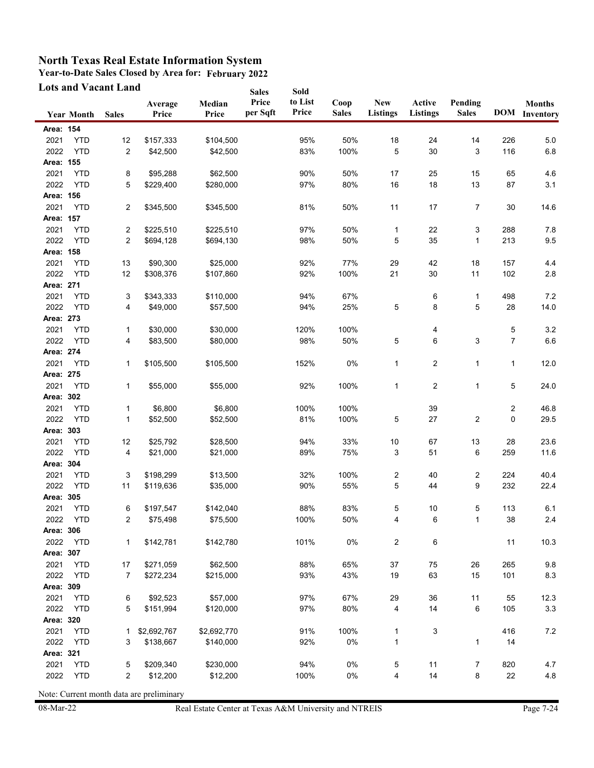**Year-to-Date Sales Closed by Area for: February 2022**

| <b>Lots and Vacant Land</b> |                   |                |                  | <b>Sales</b>    | Sold              |                  |                      |                               |                           |                         |                |                                       |
|-----------------------------|-------------------|----------------|------------------|-----------------|-------------------|------------------|----------------------|-------------------------------|---------------------------|-------------------------|----------------|---------------------------------------|
|                             | <b>Year Month</b> | <b>Sales</b>   | Average<br>Price | Median<br>Price | Price<br>per Sqft | to List<br>Price | Coop<br><b>Sales</b> | <b>New</b><br><b>Listings</b> | Active<br><b>Listings</b> | Pending<br><b>Sales</b> |                | <b>Months</b><br><b>DOM</b> Inventory |
| Area: 154                   |                   |                |                  |                 |                   |                  |                      |                               |                           |                         |                |                                       |
| 2021                        | <b>YTD</b>        | 12             | \$157,333        | \$104,500       |                   | 95%              | 50%                  | $18$                          | 24                        | 14                      | 226            | 5.0                                   |
| 2022                        | <b>YTD</b>        | 2              | \$42,500         | \$42,500        |                   | 83%              | 100%                 | 5                             | 30                        | 3                       | 116            | 6.8                                   |
| Area: 155                   |                   |                |                  |                 |                   |                  |                      |                               |                           |                         |                |                                       |
| 2021                        | <b>YTD</b>        | 8              | \$95,288         | \$62,500        |                   | 90%              | 50%                  | 17                            | 25                        | 15                      | 65             | 4.6                                   |
| 2022                        | <b>YTD</b>        | 5              | \$229,400        | \$280,000       |                   | 97%              | 80%                  | 16                            | 18                        | 13                      | 87             | 3.1                                   |
| Area: 156                   |                   |                |                  |                 |                   |                  |                      |                               |                           |                         |                |                                       |
| 2021                        | <b>YTD</b>        | 2              | \$345,500        | \$345,500       |                   | 81%              | 50%                  | 11                            | 17                        | $\overline{7}$          | 30             | 14.6                                  |
| Area: 157                   |                   |                |                  |                 |                   |                  |                      |                               |                           |                         |                |                                       |
| 2021                        | <b>YTD</b>        | 2              | \$225,510        | \$225,510       |                   | 97%              | 50%                  | 1                             | 22                        | 3                       | 288            | 7.8                                   |
| 2022                        | <b>YTD</b>        | $\overline{2}$ | \$694,128        | \$694,130       |                   | 98%              | 50%                  | 5                             | 35                        | 1                       | 213            | 9.5                                   |
| Area: 158                   |                   |                |                  |                 |                   |                  |                      |                               |                           |                         |                |                                       |
| 2021                        | <b>YTD</b>        | 13             | \$90,300         | \$25,000        |                   | 92%              | 77%                  | 29                            | 42                        | 18                      | 157            | 4.4                                   |
| 2022                        | <b>YTD</b>        | 12             | \$308,376        | \$107,860       |                   | 92%              | 100%                 | 21                            | 30                        | 11                      | 102            | $2.8\,$                               |
| Area: 271                   |                   |                |                  |                 |                   |                  |                      |                               |                           |                         |                |                                       |
| 2021                        | <b>YTD</b>        | 3              | \$343,333        | \$110,000       |                   | 94%              | 67%                  |                               | 6                         | 1                       | 498            | $7.2\,$                               |
| 2022                        | <b>YTD</b>        | 4              | \$49,000         | \$57,500        |                   | 94%              | 25%                  | 5                             | 8                         | 5                       | 28             | 14.0                                  |
| Area: 273                   |                   |                |                  |                 |                   |                  |                      |                               |                           |                         |                |                                       |
| 2021                        | <b>YTD</b>        | 1              | \$30,000         | \$30,000        |                   | 120%             | 100%                 |                               | 4                         |                         | 5              | $3.2\,$                               |
| 2022                        | <b>YTD</b>        | 4              | \$83,500         | \$80,000        |                   | 98%              | 50%                  | 5                             | 6                         | 3                       | $\overline{7}$ | 6.6                                   |
| Area: 274                   |                   |                |                  |                 |                   |                  |                      |                               |                           |                         |                |                                       |
| 2021                        | <b>YTD</b>        | 1              | \$105,500        | \$105,500       |                   | 152%             | 0%                   | 1                             | $\overline{\mathbf{c}}$   | 1                       | 1              | 12.0                                  |
| Area: 275                   |                   |                |                  |                 |                   |                  |                      |                               |                           |                         |                |                                       |
| 2021                        | <b>YTD</b>        | 1              | \$55,000         | \$55,000        |                   | 92%              | 100%                 | $\mathbf{1}$                  | 2                         | 1                       | 5              | 24.0                                  |
| Area: 302                   |                   |                |                  |                 |                   |                  |                      |                               |                           |                         |                |                                       |
| 2021                        | <b>YTD</b>        | 1              | \$6,800          | \$6,800         |                   | 100%             | 100%                 |                               | 39                        |                         | 2              | 46.8                                  |
| 2022                        | <b>YTD</b>        | 1              | \$52,500         | \$52,500        |                   | 81%              | 100%                 | 5                             | 27                        | 2                       | 0              | 29.5                                  |
| Area: 303                   |                   |                |                  |                 |                   |                  |                      |                               |                           |                         |                |                                       |
| 2021                        | <b>YTD</b>        | 12             | \$25,792         | \$28,500        |                   | 94%              | 33%                  | 10                            | 67                        | 13                      | 28             | 23.6                                  |
| 2022                        | <b>YTD</b>        | 4              | \$21,000         | \$21,000        |                   | 89%              | 75%                  | 3                             | 51                        | 6                       | 259            | 11.6                                  |
| Area: 304                   |                   |                |                  |                 |                   |                  |                      |                               |                           |                         |                |                                       |
| 2021                        | <b>YTD</b>        | 3              | \$198,299        | \$13,500        |                   | 32%              | 100%                 | 2                             | 40                        | $\overline{c}$          | 224            | 40.4                                  |
| 2022                        | <b>YTD</b>        | 11             | \$119,636        | \$35,000        |                   | 90%              | 55%                  | 5                             | 44                        | 9                       | 232            | 22.4                                  |
| Area: 305                   |                   |                |                  |                 |                   |                  |                      |                               |                           |                         |                |                                       |
| 2021                        | <b>YTD</b>        | 6              | \$197,547        | \$142,040       |                   | 88%              | 83%                  | 5                             | 10                        | 5                       | 113            | 6.1                                   |
| 2022                        | YTD               | 2              | \$75,498         | \$75,500        |                   | 100%             | 50%                  | 4                             | 6                         | 1                       | 38             | $2.4\,$                               |
| Area: 306                   |                   |                |                  |                 |                   |                  |                      |                               |                           |                         |                |                                       |
| 2022                        | YTD               | $\mathbf{1}$   | \$142,781        | \$142,780       |                   | 101%             | $0\%$                | 2                             | 6                         |                         | 11             | 10.3                                  |
| Area: 307                   |                   |                |                  |                 |                   |                  |                      |                               |                           |                         |                |                                       |
| 2021                        | <b>YTD</b>        | 17             | \$271,059        | \$62,500        |                   | 88%              | 65%                  | 37                            | 75                        | 26                      | 265            | $9.8\,$                               |
| 2022                        | <b>YTD</b>        | 7              | \$272,234        | \$215,000       |                   | 93%              | 43%                  | 19                            | 63                        | 15                      | 101            | 8.3                                   |
| Area: 309                   |                   |                |                  |                 |                   |                  |                      |                               |                           |                         |                |                                       |
| 2021                        | <b>YTD</b>        | 6              | \$92,523         | \$57,000        |                   | 97%              | 67%                  | 29                            | 36                        | 11                      | 55             | 12.3                                  |
| 2022                        | <b>YTD</b>        | 5              | \$151,994        | \$120,000       |                   | 97%              | 80%                  | 4                             | 14                        | 6                       | 105            | 3.3                                   |
| Area: 320                   |                   |                |                  |                 |                   |                  |                      |                               |                           |                         |                |                                       |
| 2021                        | <b>YTD</b>        | 1              | \$2,692,767      | \$2,692,770     |                   | 91%              | 100%                 | 1                             | 3                         |                         | 416            | $7.2\,$                               |
| 2022                        | <b>YTD</b>        | 3              | \$138,667        | \$140,000       |                   | 92%              | 0%                   | $\mathbf{1}$                  |                           | 1                       | 14             |                                       |
| Area: 321                   |                   |                |                  |                 |                   |                  |                      |                               |                           |                         |                |                                       |
| 2021                        | <b>YTD</b>        | 5              | \$209,340        | \$230,000       |                   | 94%              | 0%                   | 5                             | 11                        | 7                       | 820            | 4.7                                   |
| 2022                        | <b>YTD</b>        | 2              | \$12,200         | \$12,200        |                   | 100%             | $0\%$                | 4                             | 14                        | 8                       | 22             | 4.8                                   |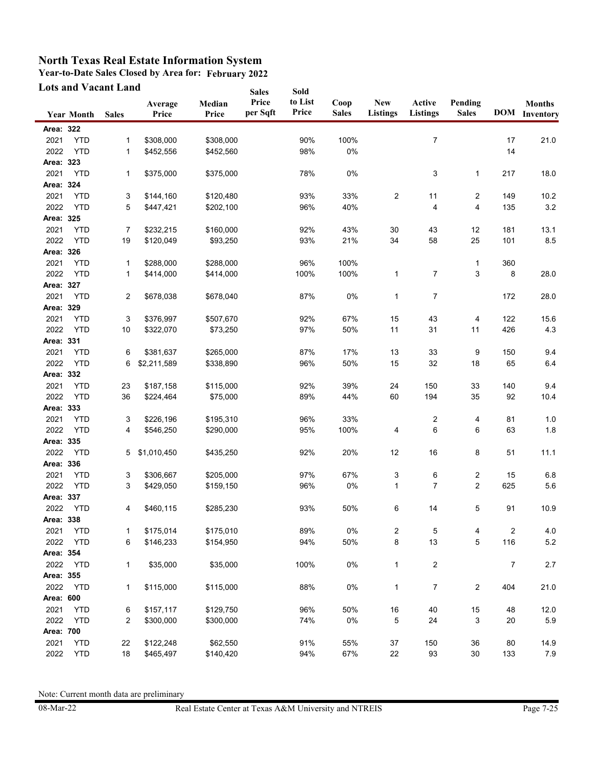**Year-to-Date Sales Closed by Area for: February 2022**

| <b>Lots and Vacant Land</b> |                   |              |                  | <b>Sales</b>    | Sold              |                  |                      |                               |                           |                         |     |                                       |
|-----------------------------|-------------------|--------------|------------------|-----------------|-------------------|------------------|----------------------|-------------------------------|---------------------------|-------------------------|-----|---------------------------------------|
|                             | <b>Year Month</b> | <b>Sales</b> | Average<br>Price | Median<br>Price | Price<br>per Sqft | to List<br>Price | Coop<br><b>Sales</b> | <b>New</b><br><b>Listings</b> | Active<br><b>Listings</b> | Pending<br><b>Sales</b> |     | <b>Months</b><br><b>DOM</b> Inventory |
| Area: 322                   |                   |              |                  |                 |                   |                  |                      |                               |                           |                         |     |                                       |
| 2021                        | <b>YTD</b>        | $\mathbf{1}$ | \$308,000        | \$308,000       |                   | 90%              | 100%                 |                               | 7                         |                         | 17  | 21.0                                  |
| 2022                        | <b>YTD</b>        | 1            | \$452,556        | \$452.560       |                   | 98%              | 0%                   |                               |                           |                         | 14  |                                       |
| Area: 323                   |                   |              |                  |                 |                   |                  |                      |                               |                           |                         |     |                                       |
| 2021                        | <b>YTD</b>        | $\mathbf{1}$ | \$375,000        | \$375,000       |                   | 78%              | 0%                   |                               | 3                         | 1                       | 217 | 18.0                                  |
| Area: 324                   |                   |              |                  |                 |                   |                  |                      |                               |                           |                         |     |                                       |
| 2021                        | <b>YTD</b>        | 3            | \$144,160        | \$120,480       |                   | 93%              | 33%                  | $\overline{c}$                | 11                        | 2                       | 149 | 10.2                                  |
| 2022                        | <b>YTD</b>        | 5            | \$447,421        | \$202,100       |                   | 96%              | 40%                  |                               | 4                         | $\overline{4}$          | 135 | $3.2\,$                               |
| Area: 325                   |                   |              |                  |                 |                   |                  |                      |                               |                           |                         |     |                                       |
| 2021                        | <b>YTD</b>        | 7            | \$232,215        | \$160,000       |                   | 92%              | 43%                  | 30                            | 43                        | 12                      | 181 | 13.1                                  |
| 2022                        | <b>YTD</b>        | 19           | \$120,049        | \$93,250        |                   | 93%              | 21%                  | 34                            | 58                        | 25                      | 101 | $8.5\,$                               |
| Area: 326                   |                   |              |                  |                 |                   |                  |                      |                               |                           |                         |     |                                       |
| 2021                        | <b>YTD</b>        | 1            | \$288,000        | \$288,000       |                   | 96%              | 100%                 |                               |                           | 1                       | 360 |                                       |
| 2022                        | <b>YTD</b>        | 1            | \$414,000        | \$414,000       |                   | 100%             | 100%                 | $\mathbf{1}$                  | 7                         | 3                       | 8   | 28.0                                  |
| Area: 327                   |                   |              |                  |                 |                   |                  |                      |                               |                           |                         |     |                                       |
| 2021                        | <b>YTD</b>        | 2            | \$678,038        | \$678,040       |                   | 87%              | 0%                   | $\mathbf{1}$                  | 7                         |                         | 172 | 28.0                                  |
| Area: 329                   |                   |              |                  |                 |                   |                  |                      |                               |                           |                         |     |                                       |
| 2021                        | <b>YTD</b>        | 3            | \$376,997        | \$507,670       |                   | 92%              | 67%                  | 15                            | 43                        | 4                       | 122 | 15.6                                  |
| 2022                        | <b>YTD</b>        | 10           | \$322,070        | \$73,250        |                   | 97%              | 50%                  | 11                            | 31                        | 11                      | 426 | 4.3                                   |
| Area: 331                   |                   |              |                  |                 |                   |                  |                      |                               |                           |                         |     |                                       |
| 2021                        | <b>YTD</b>        | 6            | \$381,637        | \$265,000       |                   | 87%              | 17%                  | 13                            | 33                        | 9                       | 150 | 9.4                                   |
| 2022                        | <b>YTD</b>        | 6            | \$2,211,589      | \$338,890       |                   | 96%              | 50%                  | 15                            | 32                        | 18                      | 65  | 6.4                                   |
| Area: 332                   |                   |              |                  |                 |                   |                  |                      |                               |                           |                         |     |                                       |
| 2021                        | <b>YTD</b>        | 23           | \$187,158        | \$115,000       |                   | 92%              | 39%                  | 24                            | 150                       | 33                      | 140 | 9.4                                   |
| 2022                        | <b>YTD</b>        | 36           | \$224,464        | \$75,000        |                   | 89%              | 44%                  | 60                            | 194                       | 35                      | 92  | 10.4                                  |
| Area: 333                   |                   |              |                  |                 |                   |                  |                      |                               |                           |                         |     |                                       |
| 2021                        | <b>YTD</b>        | 3            | \$226,196        | \$195,310       |                   | 96%              | 33%                  |                               | 2                         | 4                       | 81  | 1.0                                   |
| 2022                        | <b>YTD</b>        | 4            | \$546,250        | \$290,000       |                   | 95%              | 100%                 | 4                             | 6                         | 6                       | 63  | 1.8                                   |
| Area: 335                   |                   |              |                  |                 |                   |                  |                      |                               |                           |                         |     |                                       |
| 2022                        | <b>YTD</b>        | 5            | \$1,010,450      | \$435,250       |                   | 92%              | 20%                  | 12                            | 16                        | 8                       | 51  | 11.1                                  |
| Area: 336                   |                   |              |                  |                 |                   |                  |                      |                               |                           |                         |     |                                       |
| 2021                        | <b>YTD</b>        |              | \$306,667        | \$205,000       |                   | 97%              | 67%                  |                               |                           | 2                       | 15  | 6.8                                   |
| 2022                        | <b>YTD</b>        | 3<br>3       | \$429,050        | \$159,150       |                   | 96%              | 0%                   | 3<br>$\mathbf{1}$             | 6<br>$\overline{7}$       | $\overline{2}$          | 625 | 5.6                                   |
| Area: 337                   |                   |              |                  |                 |                   |                  |                      |                               |                           |                         |     |                                       |
| 2022                        | <b>YTD</b>        | 4            | \$460,115        | \$285,230       |                   | 93%              | 50%                  | 6                             | 14                        | 5                       | 91  | 10.9                                  |
| Area: 338                   |                   |              |                  |                 |                   |                  |                      |                               |                           |                         |     |                                       |
| 2021                        | <b>YTD</b>        | 1            | \$175,014        | \$175,010       |                   | 89%              | 0%                   |                               | 5                         | 4                       | 2   | 4.0                                   |
| 2022                        | <b>YTD</b>        | 6            | \$146,233        | \$154,950       |                   | 94%              | 50%                  | 2<br>8                        | 13                        | 5                       | 116 | $5.2\,$                               |
| Area: 354                   |                   |              |                  |                 |                   |                  |                      |                               |                           |                         |     |                                       |
| 2022                        | <b>YTD</b>        | 1            | \$35,000         | \$35,000        |                   | 100%             | 0%                   | $\mathbf{1}$                  | $\overline{c}$            |                         | 7   | 2.7                                   |
|                             |                   |              |                  |                 |                   |                  |                      |                               |                           |                         |     |                                       |
| Area: 355                   |                   |              |                  |                 |                   |                  |                      |                               |                           |                         |     |                                       |
| 2022                        | <b>YTD</b>        | 1            | \$115,000        | \$115,000       |                   | 88%              | $0\%$                | $\mathbf{1}$                  | $\overline{7}$            | 2                       | 404 | 21.0                                  |
| Area: 600                   |                   |              |                  |                 |                   |                  |                      |                               |                           |                         |     |                                       |
| 2021                        | <b>YTD</b>        | 6            | \$157,117        | \$129,750       |                   | 96%              | 50%                  | 16                            | 40                        | 15                      | 48  | 12.0                                  |
| 2022                        | <b>YTD</b>        | 2            | \$300,000        | \$300,000       |                   | 74%              | $0\%$                | 5                             | 24                        | 3                       | 20  | $5.9\,$                               |
| Area: 700                   |                   |              |                  |                 |                   |                  |                      |                               |                           |                         |     |                                       |
| 2021                        | <b>YTD</b>        | 22           | \$122,248        | \$62,550        |                   | 91%              | 55%                  | 37                            | 150                       | 36                      | 80  | 14.9                                  |
| 2022                        | <b>YTD</b>        | 18           | \$465,497        | \$140,420       |                   | 94%              | 67%                  | 22                            | 93                        | $30\,$                  | 133 | 7.9                                   |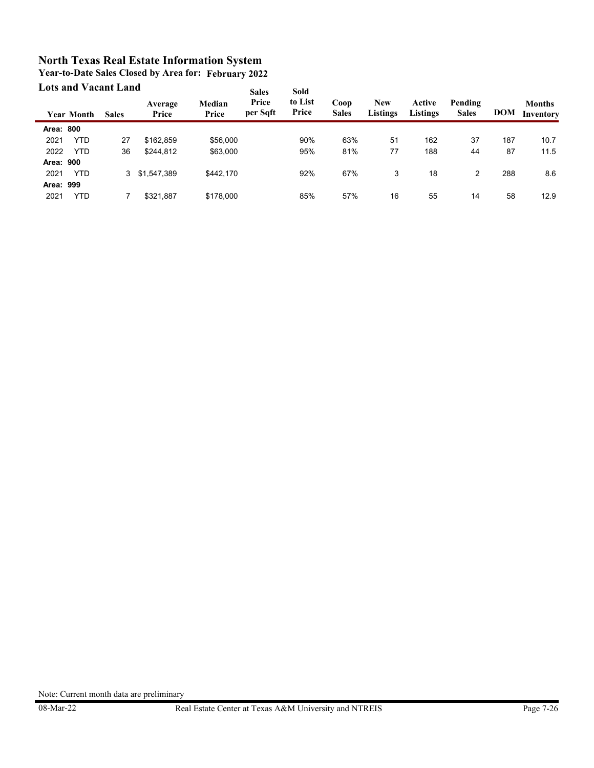| <b>Lots and Vacant Land</b> |                   |              |                  |                 | <b>Sales</b>      | Sold             |                      |                               |                           |                         |            |                            |
|-----------------------------|-------------------|--------------|------------------|-----------------|-------------------|------------------|----------------------|-------------------------------|---------------------------|-------------------------|------------|----------------------------|
|                             | <b>Year Month</b> | <b>Sales</b> | Average<br>Price | Median<br>Price | Price<br>per Sqft | to List<br>Price | Coop<br><b>Sales</b> | <b>New</b><br><b>Listings</b> | Active<br><b>Listings</b> | Pending<br><b>Sales</b> | <b>DOM</b> | <b>Months</b><br>Inventory |
| Area: 800                   |                   |              |                  |                 |                   |                  |                      |                               |                           |                         |            |                            |
| 2021                        | <b>YTD</b>        | 27           | \$162,859        | \$56,000        |                   | 90%              | 63%                  | 51                            | 162                       | 37                      | 187        | 10.7                       |
| 2022                        | <b>YTD</b>        | 36           | \$244,812        | \$63,000        |                   | 95%              | 81%                  | 77                            | 188                       | 44                      | 87         | 11.5                       |
| Area: 900                   |                   |              |                  |                 |                   |                  |                      |                               |                           |                         |            |                            |
| 2021                        | <b>YTD</b>        |              | 3 \$1,547,389    | \$442.170       |                   | 92%              | 67%                  | 3                             | 18                        | 2                       | 288        | 8.6                        |
| Area: 999                   |                   |              |                  |                 |                   |                  |                      |                               |                           |                         |            |                            |
| 2021                        | YTD               |              | \$321.887        | \$178,000       |                   | 85%              | 57%                  | 16                            | 55                        | 14                      | 58         | 12.9                       |

**Year-to-Date Sales Closed by Area for: February 2022**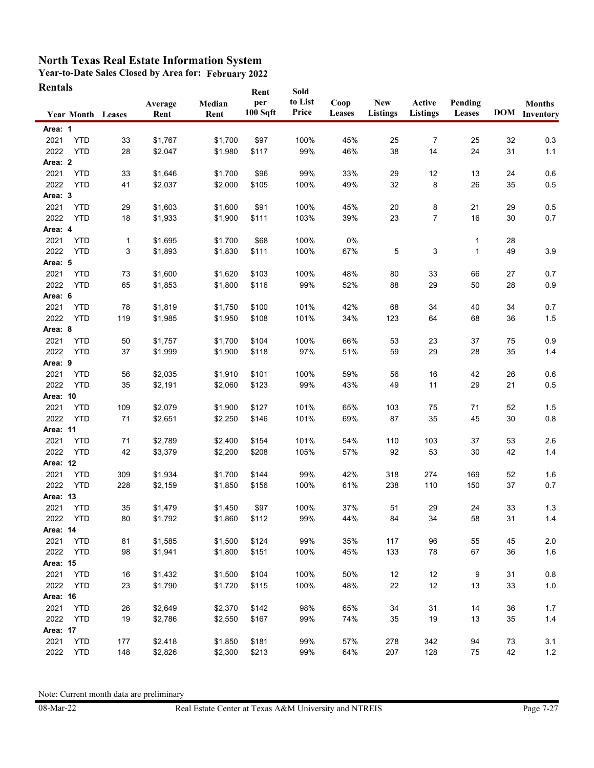**Year-to-Date Sales Closed by Area for: February 2022 Rentals**

| Rentals                  |              |                 |                | Rent            | Sold             |                |                               |                    |                   |    |                                       |
|--------------------------|--------------|-----------------|----------------|-----------------|------------------|----------------|-------------------------------|--------------------|-------------------|----|---------------------------------------|
| <b>Year Month Leases</b> |              | Average<br>Rent | Median<br>Rent | per<br>100 Sqft | to List<br>Price | Coop<br>Leases | <b>New</b><br><b>Listings</b> | Active<br>Listings | Pending<br>Leases |    | <b>Months</b><br><b>DOM</b> Inventory |
| Area: 1                  |              |                 |                |                 |                  |                |                               |                    |                   |    |                                       |
| 2021<br><b>YTD</b>       | 33           | \$1,767         | \$1,700        | \$97            | 100%             | 45%            | 25                            | $\overline{7}$     | 25                | 32 | 0.3                                   |
| 2022<br><b>YTD</b>       | 28           | \$2,047         | \$1,980        | \$117           | 99%              | 46%            | 38                            | 14                 | 24                | 31 | $1.1$                                 |
| Area: 2                  |              |                 |                |                 |                  |                |                               |                    |                   |    |                                       |
| 2021<br><b>YTD</b>       | 33           | \$1,646         | \$1,700        | \$96            | 99%              | 33%            | 29                            | 12                 | 13                | 24 | 0.6                                   |
| 2022<br><b>YTD</b>       | 41           | \$2,037         | \$2,000        | \$105           | 100%             | 49%            | 32                            | 8                  | 26                | 35 | 0.5                                   |
| Area: 3                  |              |                 |                |                 |                  |                |                               |                    |                   |    |                                       |
| 2021<br><b>YTD</b>       | 29           | \$1,603         | \$1,600        | \$91            | 100%             | 45%            | 20                            | 8                  | 21                | 29 | 0.5                                   |
| 2022<br><b>YTD</b>       | 18           | \$1,933         | \$1,900        | \$111           | 103%             | 39%            | 23                            | $\overline{7}$     | 16                | 30 | 0.7                                   |
| Area: 4                  |              |                 |                |                 |                  |                |                               |                    |                   |    |                                       |
| 2021<br><b>YTD</b>       | $\mathbf{1}$ | \$1,695         | \$1,700        | \$68            | 100%             | 0%             |                               |                    | 1                 | 28 |                                       |
| 2022<br><b>YTD</b>       | 3            | \$1,893         | \$1,830        | \$111           | 100%             | 67%            | 5                             | 3                  | 1                 | 49 | 3.9                                   |
| Area: 5                  |              |                 |                |                 |                  |                |                               |                    |                   |    |                                       |
| 2021<br><b>YTD</b>       | 73           | \$1,600         | \$1,620        | \$103           | 100%             | 48%            | 80                            | 33                 | 66                | 27 | 0.7                                   |
| 2022<br><b>YTD</b>       | 65           | \$1,853         | \$1,800        | \$116           | 99%              | 52%            | 88                            | 29                 | 50                | 28 | 0.9                                   |
| Area: 6                  |              |                 |                |                 |                  |                |                               |                    |                   |    |                                       |
| 2021<br><b>YTD</b>       | 78           | \$1,819         | \$1,750        | \$100           | 101%             | 42%            | 68                            | 34                 | 40                | 34 | 0.7                                   |
| 2022<br><b>YTD</b>       | 119          | \$1,985         | \$1,950        | \$108           | 101%             | 34%            | 123                           | 64                 | 68                | 36 | 1.5                                   |
| Area: 8                  |              |                 |                |                 |                  |                |                               |                    |                   |    |                                       |
| 2021<br><b>YTD</b>       | 50           | \$1,757         | \$1,700        | \$104           | 100%             | 66%            | 53                            | 23                 | 37                | 75 | 0.9                                   |
| 2022<br><b>YTD</b>       | 37           | \$1,999         | \$1,900        | \$118           | 97%              | 51%            | 59                            | 29                 | 28                | 35 | 1.4                                   |
| Area: 9                  |              |                 |                |                 |                  |                |                               |                    |                   |    |                                       |
| 2021<br><b>YTD</b>       | 56           | \$2,035         | \$1,910        | \$101           | 100%             | 59%            | 56                            | 16                 | 42                | 26 | 0.6                                   |
| 2022<br><b>YTD</b>       | 35           | \$2,191         | \$2,060        | \$123           | 99%              | 43%            | 49                            | 11                 | 29                | 21 | $0.5\,$                               |
| Area: 10                 |              |                 |                |                 |                  |                |                               |                    |                   |    |                                       |
| 2021<br><b>YTD</b>       | 109          | \$2,079         | \$1,900        | \$127           | 101%             | 65%            | 103                           | 75                 | 71                | 52 | 1.5                                   |
| 2022<br><b>YTD</b>       | 71           | \$2,651         | \$2,250        | \$146           | 101%             | 69%            | 87                            | 35                 | 45                | 30 | $0.8\,$                               |
| Area: 11                 |              |                 |                |                 |                  |                |                               |                    |                   |    |                                       |
| 2021<br><b>YTD</b>       | 71           | \$2,789         | \$2,400        | \$154           | 101%             | 54%            | 110                           | 103                | 37                | 53 | 2.6                                   |
| 2022<br><b>YTD</b>       | 42           | \$3,379         | \$2,200        | \$208           | 105%             | 57%            | 92                            | 53                 | 30                | 42 | 1.4                                   |
| Area: 12                 |              |                 |                |                 |                  |                |                               |                    |                   |    |                                       |
| 2021<br><b>YTD</b>       | 309          | \$1,934         | \$1,700        | \$144           | 99%              | 42%            | 318                           | 274                | 169               | 52 | 1.6                                   |
| 2022<br><b>YTD</b>       | 228          | \$2,159         | \$1,850        | \$156           | 100%             | 61%            | 238                           | 110                | 150               | 37 | 0.7                                   |
| Area: 13                 |              |                 |                |                 |                  |                |                               |                    |                   |    |                                       |
| 2021<br><b>YTD</b>       | 35           | \$1,479         | \$1,450        | \$97            | 100%             | 37%            | 51                            | 29                 | 24                | 33 | 1.3                                   |
| 2022<br><b>YTD</b>       | 80           | \$1,792         | \$1,860        | \$112           | 99%              | 44%            | 84                            | 34                 | 58                | 31 | $1.4$                                 |
| Area: 14                 |              |                 |                |                 |                  |                |                               |                    |                   |    |                                       |
| 2021<br><b>YTD</b>       | 81           | \$1,585         | \$1,500        | \$124           | 99%              | 35%            | 117                           | 96                 | 55                | 45 | 2.0                                   |
| <b>YTD</b><br>2022       | 98           | \$1,941         | \$1,800        | \$151           | 100%             | 45%            | 133                           | 78                 | 67                | 36 | 1.6                                   |
| Area: 15                 |              |                 |                |                 |                  |                |                               |                    |                   |    |                                       |
| 2021<br><b>YTD</b>       | 16           | \$1,432         | \$1,500        | \$104           | 100%             | 50%            | 12                            | 12                 | 9                 | 31 | $0.8\,$                               |
| 2022<br><b>YTD</b>       | 23           | \$1,790         | \$1,720        | \$115           | 100%             | 48%            | 22                            | 12                 | 13                | 33 | $1.0$                                 |
| Area: 16                 |              |                 |                |                 |                  |                |                               |                    |                   |    |                                       |
| 2021<br><b>YTD</b>       | 26           | \$2,649         | \$2,370        | \$142           | 98%              | 65%            | 34                            | 31                 | 14                | 36 | 1.7                                   |
| 2022<br><b>YTD</b>       | 19           | \$2,786         | \$2,550        | \$167           | 99%              | 74%            | 35                            | 19                 | 13                | 35 | $1.4$                                 |
| Area: 17                 |              |                 |                |                 |                  |                |                               |                    |                   |    |                                       |
| 2021<br><b>YTD</b>       | 177          | \$2,418         | \$1,850        | \$181           | 99%              | 57%            | 278                           | 342                | 94                | 73 | 3.1                                   |
| 2022<br><b>YTD</b>       | 148          | \$2,826         | \$2,300        | \$213           | 99%              | 64%            | 207                           | 128                | 75                | 42 | $1.2$                                 |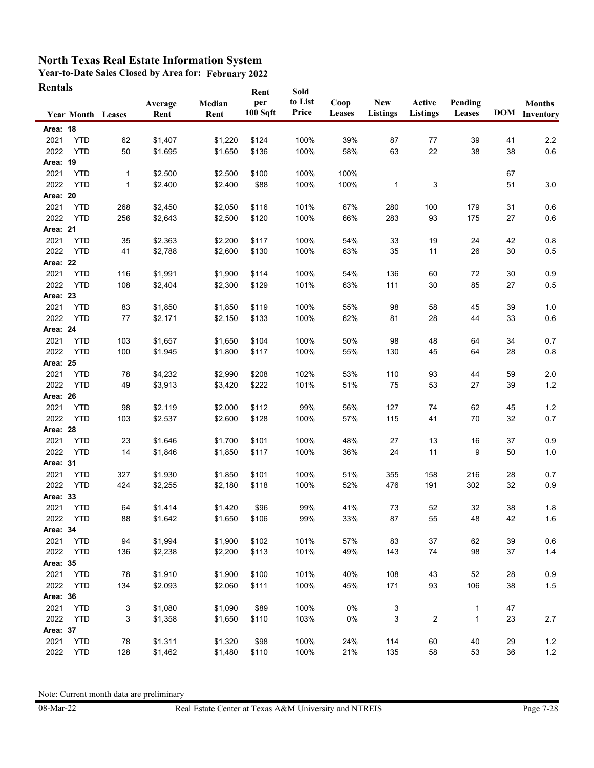**Year-to-Date Sales Closed by Area for: February 2022 Rentals**

| Rentals         |                          |     |                 |                | Rent            | Sold             |                       |                        |                    |                   |    |                                       |
|-----------------|--------------------------|-----|-----------------|----------------|-----------------|------------------|-----------------------|------------------------|--------------------|-------------------|----|---------------------------------------|
|                 | <b>Year Month Leases</b> |     | Average<br>Rent | Median<br>Rent | per<br>100 Sqft | to List<br>Price | Coop<br><b>Leases</b> | <b>New</b><br>Listings | Active<br>Listings | Pending<br>Leases |    | <b>Months</b><br><b>DOM</b> Inventory |
| Area: 18        |                          |     |                 |                |                 |                  |                       |                        |                    |                   |    |                                       |
| 2021            | <b>YTD</b>               | 62  | \$1,407         | \$1,220        | \$124           | 100%             | 39%                   | 87                     | 77                 | 39                | 41 | 2.2                                   |
| 2022            | <b>YTD</b>               | 50  | \$1,695         | \$1,650        | \$136           | 100%             | 58%                   | 63                     | 22                 | 38                | 38 | $0.6\,$                               |
| Area: 19        |                          |     |                 |                |                 |                  |                       |                        |                    |                   |    |                                       |
| 2021            | <b>YTD</b>               | 1   | \$2,500         | \$2,500        | \$100           | 100%             | 100%                  |                        |                    |                   | 67 |                                       |
| 2022            | <b>YTD</b>               | 1   | \$2,400         | \$2,400        | \$88            | 100%             | 100%                  | 1                      | 3                  |                   | 51 | 3.0                                   |
| Area: 20        |                          |     |                 |                |                 |                  |                       |                        |                    |                   |    |                                       |
| 2021            | <b>YTD</b>               | 268 | \$2,450         | \$2,050        | \$116           | 101%             | 67%                   | 280                    | 100                | 179               | 31 | 0.6                                   |
| 2022            | <b>YTD</b>               | 256 | \$2,643         | \$2,500        | \$120           | 100%             | 66%                   | 283                    | 93                 | 175               | 27 | 0.6                                   |
| Area: 21        |                          |     |                 |                |                 |                  |                       |                        |                    |                   |    |                                       |
| 2021            | <b>YTD</b>               | 35  | \$2,363         | \$2,200        | \$117           | 100%             | 54%                   | 33                     | 19                 | 24                | 42 | 0.8                                   |
| 2022            | <b>YTD</b>               | 41  | \$2,788         | \$2,600        | \$130           | 100%             | 63%                   | 35                     | 11                 | 26                | 30 | 0.5                                   |
| Area: 22        |                          |     |                 |                |                 |                  |                       |                        |                    |                   |    |                                       |
| 2021            | <b>YTD</b>               | 116 | \$1,991         | \$1,900        | \$114           | 100%             | 54%                   | 136                    | 60                 | 72                | 30 | 0.9                                   |
| 2022            | <b>YTD</b>               | 108 | \$2,404         | \$2,300        | \$129           | 101%             | 63%                   | 111                    | 30                 | 85                | 27 | 0.5                                   |
| Area: 23        |                          |     |                 |                |                 |                  |                       |                        |                    |                   |    |                                       |
| 2021            | <b>YTD</b>               | 83  | \$1,850         | \$1,850        | \$119           | 100%             | 55%                   | 98                     | 58                 | 45                | 39 | 1.0                                   |
| 2022            | <b>YTD</b>               | 77  | \$2,171         | \$2,150        | \$133           | 100%             | 62%                   | 81                     | 28                 | 44                | 33 | 0.6                                   |
| Area: 24        |                          |     |                 |                |                 |                  |                       |                        |                    |                   |    |                                       |
| 2021            | <b>YTD</b>               | 103 | \$1,657         | \$1,650        | \$104           | 100%             | 50%                   | 98                     | 48                 | 64                | 34 | 0.7                                   |
| 2022            | <b>YTD</b>               | 100 | \$1,945         | \$1,800        | \$117           | 100%             | 55%                   | 130                    | 45                 | 64                | 28 | 0.8                                   |
| <b>Area: 25</b> |                          |     |                 |                |                 |                  |                       |                        |                    |                   |    |                                       |
| 2021            | <b>YTD</b>               | 78  | \$4,232         | \$2,990        | \$208           | 102%             | 53%                   | 110                    | 93                 | 44                | 59 | 2.0                                   |
| 2022            | <b>YTD</b>               | 49  | \$3,913         | \$3,420        | \$222           | 101%             | 51%                   | 75                     | 53                 | 27                | 39 | $1.2$                                 |
| Area: 26        |                          |     |                 |                |                 |                  |                       |                        |                    |                   |    |                                       |
| 2021            | <b>YTD</b>               | 98  | \$2,119         | \$2,000        | \$112           | 99%              | 56%                   | 127                    | 74                 | 62                | 45 | 1.2                                   |
| 2022            | <b>YTD</b>               | 103 | \$2,537         | \$2,600        | \$128           | 100%             | 57%                   | 115                    | 41                 | 70                | 32 | 0.7                                   |
| Area: 28        |                          |     |                 |                |                 |                  |                       |                        |                    |                   |    |                                       |
| 2021            | <b>YTD</b>               | 23  | \$1,646         | \$1,700        | \$101           | 100%             | 48%                   | 27                     | 13                 | 16                | 37 | 0.9                                   |
| 2022            | <b>YTD</b>               | 14  | \$1,846         | \$1,850        | \$117           | 100%             | 36%                   | 24                     | 11                 | 9                 | 50 | 1.0                                   |
| Area: 31        |                          |     |                 |                |                 |                  |                       |                        |                    |                   |    |                                       |
| 2021            | <b>YTD</b>               | 327 | \$1,930         | \$1,850        | \$101           | 100%             | 51%                   | 355                    | 158                | 216               | 28 | 0.7                                   |
| 2022            | <b>YTD</b>               | 424 | \$2,255         | \$2,180        | \$118           | 100%             | 52%                   | 476                    | 191                | 302               | 32 | 0.9                                   |
| Area: 33        |                          |     |                 |                |                 |                  |                       |                        |                    |                   |    |                                       |
| 2021            | <b>YTD</b>               | 64  | \$1,414         | \$1,420        | \$96            | 99%              | 41%                   | 73                     | 52                 | 32                | 38 | 1.8                                   |
| 2022            | <b>YTD</b>               | 88  | \$1,642         | \$1,650        | \$106           | 99%              | 33%                   | 87                     | 55                 | 48                | 42 | 1.6                                   |
| Area: 34        |                          |     |                 |                |                 |                  |                       |                        |                    |                   |    |                                       |
| 2021            | <b>YTD</b>               | 94  | \$1,994         | \$1,900        | \$102           | 101%             | 57%                   | 83                     | 37                 | 62                | 39 | 0.6                                   |
| 2022            | <b>YTD</b>               | 136 | \$2,238         | \$2,200        | \$113           | 101%             | 49%                   | 143                    | 74                 | 98                | 37 | $1.4$                                 |
| Area: 35        |                          |     |                 |                |                 |                  |                       |                        |                    |                   |    |                                       |
| 2021            | <b>YTD</b>               | 78  | \$1,910         | \$1,900        | \$100           | 101%             | 40%                   | 108                    | 43                 | 52                | 28 | 0.9                                   |
| 2022            | <b>YTD</b>               | 134 | \$2,093         | \$2,060        | \$111           | 100%             | 45%                   | 171                    | 93                 | 106               | 38 | $1.5$                                 |
| Area: 36        |                          |     |                 |                |                 |                  |                       |                        |                    |                   |    |                                       |
| 2021            | <b>YTD</b>               | 3   | \$1,080         | \$1,090        | \$89            | 100%             | $0\%$                 | 3                      |                    | 1                 | 47 |                                       |
| 2022            | <b>YTD</b>               | 3   | \$1,358         | \$1,650        | \$110           | 103%             | 0%                    | 3                      | $\overline{c}$     | 1                 | 23 | 2.7                                   |
| Area: 37        |                          |     |                 |                |                 |                  |                       |                        |                    |                   |    |                                       |
| 2021            | <b>YTD</b>               | 78  | \$1,311         | \$1,320        | \$98            | 100%             | 24%                   | 114                    | 60                 | 40                | 29 | $1.2$                                 |
| 2022            | <b>YTD</b>               | 128 | \$1,462         | \$1,480        | \$110           | 100%             | 21%                   | 135                    | 58                 | 53                | 36 | $1.2\,$                               |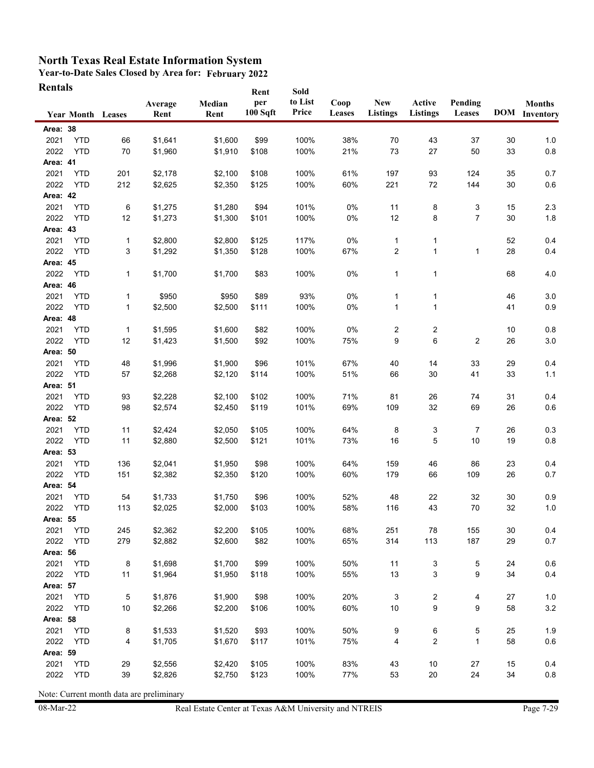**Year-to-Date Sales Closed by Area for: February 2022 Rentals Rent**

| Rentals  |                          |              |         |         | Rent     | Sold    |        |                  |                         |                |    |                      |
|----------|--------------------------|--------------|---------|---------|----------|---------|--------|------------------|-------------------------|----------------|----|----------------------|
|          |                          |              | Average | Median  | per      | to List | Coop   | <b>New</b>       | Active                  | Pending        |    | <b>Months</b>        |
|          | <b>Year Month Leases</b> |              | Rent    | Rent    | 100 Sqft | Price   | Leases | <b>Listings</b>  | Listings                | Leases         |    | <b>DOM</b> Inventory |
| Area: 38 |                          |              |         |         |          |         |        |                  |                         |                |    |                      |
| 2021     | <b>YTD</b>               | 66           | \$1,641 | \$1,600 | \$99     | 100%    | 38%    | 70               | 43                      | 37             | 30 | 1.0                  |
| 2022     | <b>YTD</b>               | 70           | \$1,960 | \$1,910 | \$108    | 100%    | 21%    | 73               | 27                      | 50             | 33 | $0.8\,$              |
| Area: 41 |                          |              |         |         |          |         |        |                  |                         |                |    |                      |
| 2021     | <b>YTD</b>               | 201          | \$2,178 | \$2,100 | \$108    | 100%    | 61%    | 197              | 93                      | 124            | 35 | 0.7                  |
| 2022     | <b>YTD</b>               | 212          | \$2,625 | \$2,350 | \$125    | 100%    | 60%    | 221              | 72                      | 144            | 30 | 0.6                  |
| Area: 42 |                          |              |         |         |          |         |        |                  |                         |                |    |                      |
| 2021     | <b>YTD</b>               | 6            | \$1,275 | \$1,280 | \$94     | 101%    | 0%     | 11               | 8                       | 3              | 15 | 2.3                  |
| 2022     | <b>YTD</b>               | 12           | \$1,273 | \$1,300 | \$101    | 100%    | $0\%$  | 12               | 8                       | $\overline{7}$ | 30 | 1.8                  |
| Area: 43 |                          |              |         |         |          |         |        |                  |                         |                |    |                      |
| 2021     | <b>YTD</b>               | $\mathbf{1}$ | \$2,800 | \$2,800 | \$125    | 117%    | 0%     | 1                | 1                       |                | 52 | 0.4                  |
| 2022     | <b>YTD</b>               | 3            | \$1,292 | \$1,350 | \$128    | 100%    | 67%    | $\boldsymbol{2}$ | 1                       | 1              | 28 | 0.4                  |
| Area: 45 |                          |              |         |         |          |         |        |                  |                         |                |    |                      |
| 2022     | <b>YTD</b>               | 1            | \$1,700 | \$1,700 | \$83     | 100%    | 0%     | 1                | 1                       |                | 68 | 4.0                  |
| Area: 46 |                          |              |         |         |          |         |        |                  |                         |                |    |                      |
| 2021     | <b>YTD</b>               | 1            | \$950   | \$950   | \$89     | 93%     | $0\%$  | 1                | 1                       |                | 46 | 3.0                  |
| 2022     | <b>YTD</b>               | 1            | \$2,500 | \$2,500 | \$111    | 100%    | 0%     | 1                | 1                       |                | 41 | 0.9                  |
| Area: 48 |                          |              |         |         |          |         |        |                  |                         |                |    |                      |
| 2021     | <b>YTD</b>               | 1            | \$1,595 | \$1,600 | \$82     | 100%    | 0%     | 2                | 2                       |                | 10 | 0.8                  |
| 2022     | <b>YTD</b>               | 12           | \$1,423 | \$1,500 | \$92     | 100%    | 75%    | 9                | 6                       | 2              | 26 | 3.0                  |
| Area: 50 |                          |              |         |         |          |         |        |                  |                         |                |    |                      |
| 2021     | <b>YTD</b>               | 48           | \$1,996 | \$1,900 | \$96     | 101%    | 67%    | 40               | 14                      | 33             | 29 | 0.4                  |
| 2022     | <b>YTD</b>               | 57           | \$2,268 | \$2,120 | \$114    | 100%    | 51%    | 66               | 30                      | 41             | 33 | 1.1                  |
| Area: 51 |                          |              |         |         |          |         |        |                  |                         |                |    |                      |
| 2021     | <b>YTD</b>               | 93           | \$2,228 | \$2,100 | \$102    | 100%    | 71%    | 81               | 26                      | 74             | 31 | 0.4                  |
| 2022     | <b>YTD</b>               | 98           | \$2,574 | \$2,450 | \$119    | 101%    | 69%    | 109              | 32                      | 69             | 26 | $0.6\,$              |
| Area: 52 |                          |              |         |         |          |         |        |                  |                         |                |    |                      |
| 2021     | <b>YTD</b>               | 11           | \$2,424 | \$2,050 | \$105    | 100%    | 64%    | 8                | 3                       | 7              | 26 | 0.3                  |
| 2022     | <b>YTD</b>               | 11           | \$2,880 | \$2,500 | \$121    | 101%    | 73%    | 16               | 5                       | 10             | 19 | 0.8                  |
| Area: 53 |                          |              |         |         |          |         |        |                  |                         |                |    |                      |
| 2021     | <b>YTD</b>               | 136          | \$2,041 | \$1,950 | \$98     | 100%    | 64%    | 159              | 46                      | 86             | 23 | 0.4                  |
| 2022     | <b>YTD</b>               | 151          | \$2,382 | \$2,350 | \$120    | 100%    | 60%    | 179              | 66                      | 109            | 26 | 0.7                  |
| Area: 54 |                          |              |         |         |          |         |        |                  |                         |                |    |                      |
| 2021     | <b>YTD</b>               | 54           | \$1,733 | \$1,750 | \$96     | 100%    | 52%    | 48               | 22                      | 32             | 30 | 0.9                  |
| 2022     | <b>YTD</b>               | 113          | \$2,025 | \$2,000 | \$103    | 100%    | 58%    | 116              | 43                      | 70             | 32 | 1.0                  |
| Area: 55 |                          |              |         |         |          |         |        |                  |                         |                |    |                      |
| 2021     | <b>YTD</b>               | 245          | \$2,362 | \$2,200 | \$105    | 100%    | 68%    | 251              | 78                      | 155            | 30 | 0.4                  |
| 2022     | <b>YTD</b>               | 279          | \$2,882 | \$2,600 | \$82     | 100%    | 65%    | 314              | 113                     | 187            | 29 | 0.7                  |
| Area: 56 |                          |              |         |         |          |         |        |                  |                         |                |    |                      |
| 2021     | <b>YTD</b>               | 8            | \$1,698 | \$1,700 | \$99     | 100%    | 50%    | 11               | 3                       | 5              | 24 | 0.6                  |
| 2022     | <b>YTD</b>               | 11           | \$1,964 | \$1,950 | \$118    | 100%    | 55%    | 13               | 3                       | 9              | 34 | 0.4                  |
| Area: 57 |                          |              |         |         |          |         |        |                  |                         |                |    |                      |
| 2021     | <b>YTD</b>               | 5            | \$1,876 | \$1,900 | \$98     | 100%    | 20%    | 3                | 2                       | 4              | 27 | 1.0                  |
| 2022     | <b>YTD</b>               | 10           | \$2,266 | \$2,200 | \$106    | 100%    | 60%    | 10               | 9                       | 9              | 58 | $3.2\,$              |
| Area: 58 |                          |              |         |         |          |         |        |                  |                         |                |    |                      |
| 2021     | <b>YTD</b>               | 8            | \$1,533 | \$1,520 | \$93     | 100%    | 50%    | 9                | 6                       | 5              | 25 | 1.9                  |
| 2022     | <b>YTD</b>               | 4            | \$1,705 | \$1,670 | \$117    | 101%    | 75%    | 4                | $\overline{\mathbf{c}}$ | 1              | 58 | $0.6\,$              |
| Area: 59 |                          |              |         |         |          |         |        |                  |                         |                |    |                      |
| 2021     | <b>YTD</b>               | 29           | \$2,556 | \$2,420 | \$105    | 100%    | 83%    | 43               | 10                      | 27             | 15 | 0.4                  |
| 2022     | <b>YTD</b>               | 39           | \$2,826 | \$2,750 | \$123    | 100%    | 77%    | 53               | 20                      | 24             | 34 | 0.8                  |
|          |                          |              |         |         |          |         |        |                  |                         |                |    |                      |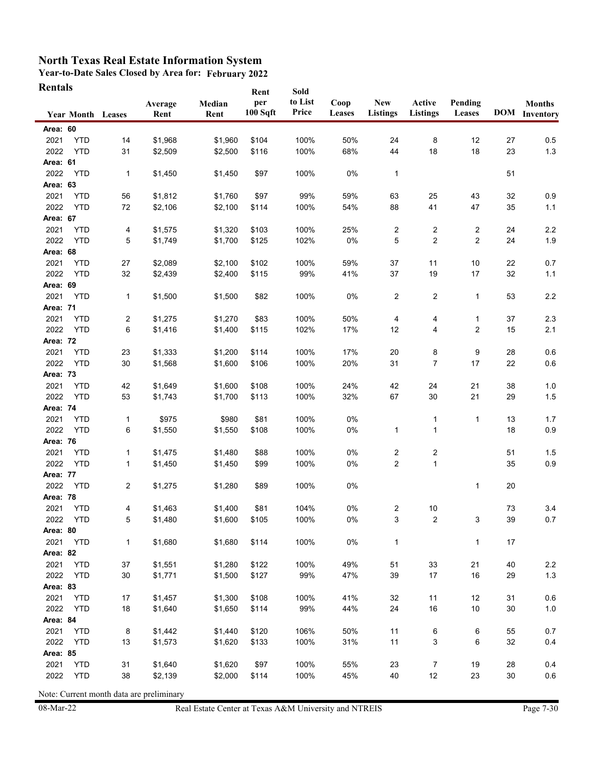**Year-to-Date Sales Closed by Area for: February 2022 Rentals**

| Rentals          |                          |            |                 |                | Rent            | Sold             |                       |                               |                           |                   |    |                                       |
|------------------|--------------------------|------------|-----------------|----------------|-----------------|------------------|-----------------------|-------------------------------|---------------------------|-------------------|----|---------------------------------------|
|                  | <b>Year Month Leases</b> |            | Average<br>Rent | Median<br>Rent | per<br>100 Sqft | to List<br>Price | Coop<br><b>Leases</b> | <b>New</b><br><b>Listings</b> | Active<br><b>Listings</b> | Pending<br>Leases |    | <b>Months</b><br><b>DOM</b> Inventory |
| Area: 60         |                          |            |                 |                |                 |                  |                       |                               |                           |                   |    |                                       |
| 2021             | <b>YTD</b>               | 14         | \$1,968         | \$1,960        | \$104           | 100%             | 50%                   | 24                            | 8                         | 12                | 27 | 0.5                                   |
| 2022             | <b>YTD</b>               | 31         | \$2,509         | \$2,500        | \$116           | 100%             | 68%                   | 44                            | 18                        | 18                | 23 | $1.3$                                 |
| Area: 61         |                          |            |                 |                |                 |                  |                       |                               |                           |                   |    |                                       |
| 2022             | <b>YTD</b>               | 1          | \$1,450         | \$1,450        | \$97            | 100%             | 0%                    | $\mathbf{1}$                  |                           |                   | 51 |                                       |
| Area: 63         |                          |            |                 |                |                 |                  |                       |                               |                           |                   |    |                                       |
| 2021             | <b>YTD</b>               | 56         | \$1,812         | \$1,760        | \$97            | 99%              | 59%                   | 63                            | 25                        | 43                | 32 | 0.9                                   |
| 2022             | <b>YTD</b>               | 72         | \$2,106         | \$2,100        | \$114           | 100%             | 54%                   | 88                            | 41                        | 47                | 35 | $1.1$                                 |
| Area: 67         |                          |            |                 |                |                 |                  |                       |                               |                           |                   |    |                                       |
| 2021             | <b>YTD</b>               | 4          | \$1,575         | \$1,320        | \$103           | 100%             | 25%                   | $\overline{c}$                | 2                         | $\overline{c}$    | 24 | 2.2                                   |
| 2022             | <b>YTD</b>               | 5          | \$1,749         | \$1,700        | \$125           | 102%             | 0%                    | 5                             | $\overline{\mathbf{c}}$   | $\overline{2}$    | 24 | 1.9                                   |
| Area: 68         |                          |            |                 |                |                 |                  |                       |                               |                           |                   |    |                                       |
| 2021             | <b>YTD</b>               | 27         | \$2,089         | \$2,100        | \$102           | 100%             | 59%                   | 37                            | 11                        | 10                | 22 | 0.7                                   |
| 2022             | <b>YTD</b>               | 32         | \$2,439         | \$2,400        | \$115           | 99%              | 41%                   | 37                            | 19                        | 17                | 32 | $1.1$                                 |
| Area: 69         |                          |            |                 |                |                 |                  |                       |                               |                           |                   |    |                                       |
| 2021             | <b>YTD</b>               | 1          | \$1,500         | \$1,500        | \$82            | 100%             | 0%                    | $\overline{2}$                | $\overline{c}$            | 1                 | 53 | 2.2                                   |
| Area: 71         |                          |            |                 |                |                 |                  |                       |                               |                           |                   |    |                                       |
| 2021             | <b>YTD</b>               | 2          | \$1,275         | \$1,270        | \$83            | 100%             | 50%                   | 4                             | 4                         | 1                 | 37 | 2.3                                   |
| 2022             | <b>YTD</b>               | 6          | \$1,416         | \$1,400        | \$115           | 102%             | 17%                   | 12                            | 4                         | 2                 | 15 | 2.1                                   |
| Area: 72         |                          |            |                 |                |                 |                  |                       |                               |                           |                   |    |                                       |
| 2021             | <b>YTD</b>               | 23         | \$1,333         | \$1,200        | \$114           | 100%             | 17%                   | 20                            | 8                         | 9                 | 28 | 0.6                                   |
| 2022             | <b>YTD</b>               | 30         | \$1,568         | \$1,600        | \$106           | 100%             | 20%                   | 31                            | 7                         | 17                | 22 | 0.6                                   |
| Area: 73         |                          |            |                 |                |                 |                  |                       |                               |                           |                   |    |                                       |
| 2021             | <b>YTD</b>               | 42         | \$1,649         | \$1,600        | \$108           | 100%             | 24%                   | 42                            | 24                        | 21                | 38 | 1.0                                   |
| 2022             | <b>YTD</b>               | 53         | \$1,743         | \$1,700        | \$113           | 100%             | 32%                   | 67                            | 30                        | 21                | 29 | 1.5                                   |
| Area: 74         |                          |            |                 |                |                 |                  |                       |                               |                           |                   |    |                                       |
| 2021             | <b>YTD</b>               | 1          | \$975           | \$980          | \$81            | 100%             | $0\%$                 |                               | 1                         | 1                 | 13 | 1.7                                   |
| 2022             | <b>YTD</b>               | 6          | \$1,550         | \$1,550        | \$108           | 100%             | 0%                    | 1                             | 1                         |                   | 18 | 0.9                                   |
| Area: 76         |                          |            |                 |                |                 |                  |                       |                               |                           |                   |    |                                       |
| 2021             | <b>YTD</b>               | 1          | \$1,475         | \$1,480        | \$88            | 100%             | 0%                    | $\overline{c}$                | 2                         |                   | 51 | 1.5                                   |
| 2022<br>Area: 77 | <b>YTD</b>               | 1          | \$1,450         | \$1,450        | \$99            | 100%             | 0%                    | $\overline{2}$                | $\mathbf{1}$              |                   | 35 | $0.9\,$                               |
| 2022             | <b>YTD</b>               | 2          | \$1,275         | \$1,280        | \$89            | 100%             | 0%                    |                               |                           | 1                 | 20 |                                       |
| Area: 78         |                          |            |                 |                |                 |                  |                       |                               |                           |                   |    |                                       |
| 2021             | <b>YTD</b>               | 4          | \$1,463         | \$1,400        | \$81            | 104%             | 0%                    | 2                             | 10                        |                   | 73 | 3.4                                   |
| 2022             | YTD                      | $\sqrt{5}$ | \$1,480         | \$1,600        | \$105           | 100%             | $0\%$                 | 3                             | $\overline{2}$            | 3                 | 39 | 0.7                                   |
| Area: 80         |                          |            |                 |                |                 |                  |                       |                               |                           |                   |    |                                       |
| 2021             | <b>YTD</b>               | 1          | \$1,680         | \$1,680        | \$114           | 100%             | 0%                    | $\mathbf{1}$                  |                           | 1                 | 17 |                                       |
| Area: 82         |                          |            |                 |                |                 |                  |                       |                               |                           |                   |    |                                       |
| 2021             | <b>YTD</b>               | 37         | \$1,551         | \$1,280        | \$122           | 100%             | 49%                   | 51                            | 33                        | 21                | 40 | $2.2\,$                               |
| 2022             | <b>YTD</b>               | 30         | \$1,771         | \$1,500        | \$127           | 99%              | 47%                   | 39                            | 17                        | 16                | 29 | $1.3$                                 |
| Area: 83         |                          |            |                 |                |                 |                  |                       |                               |                           |                   |    |                                       |
| 2021             | <b>YTD</b>               | 17         | \$1,457         | \$1,300        | \$108           | 100%             | 41%                   | 32                            | 11                        | 12                | 31 | $0.6\,$                               |
| 2022             | <b>YTD</b>               | 18         | \$1,640         | \$1,650        | \$114           | 99%              | 44%                   | 24                            | 16                        | 10                | 30 | $1.0$                                 |
| Area: 84         |                          |            |                 |                |                 |                  |                       |                               |                           |                   |    |                                       |
| 2021             | <b>YTD</b>               | 8          | \$1,442         | \$1,440        | \$120           | 106%             | 50%                   | 11                            | 6                         | 6                 | 55 | 0.7                                   |
| 2022             | <b>YTD</b>               | 13         | \$1,573         | \$1,620        | \$133           | 100%             | 31%                   | 11                            | 3                         | 6                 | 32 | 0.4                                   |
| Area: 85         |                          |            |                 |                |                 |                  |                       |                               |                           |                   |    |                                       |
| 2021             | <b>YTD</b>               | 31         | \$1,640         | \$1,620        | \$97            | 100%             | 55%                   | 23                            | $\overline{7}$            | 19                | 28 | 0.4                                   |
| 2022             | <b>YTD</b>               | 38         | \$2,139         | \$2,000        | \$114           | 100%             | 45%                   | 40                            | 12                        | 23                | 30 | 0.6                                   |
|                  |                          |            |                 |                |                 |                  |                       |                               |                           |                   |    |                                       |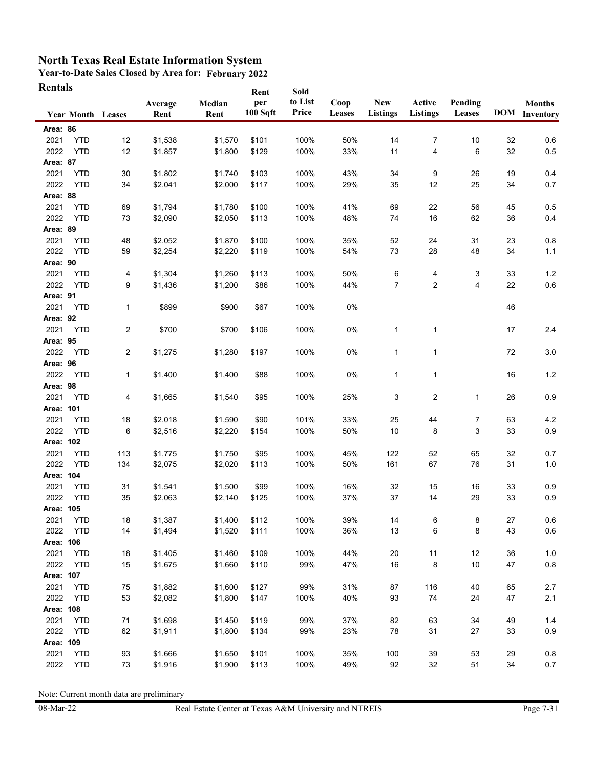**Year-to-Date Sales Closed by Area for: February 2022 Rentals**

| <b>Rentals</b>   |                          |     |                 |                | Rent            | Sold             |                |                        |                           |                   |    |                                       |
|------------------|--------------------------|-----|-----------------|----------------|-----------------|------------------|----------------|------------------------|---------------------------|-------------------|----|---------------------------------------|
|                  | <b>Year Month Leases</b> |     | Average<br>Rent | Median<br>Rent | per<br>100 Sqft | to List<br>Price | Coop<br>Leases | <b>New</b><br>Listings | Active<br><b>Listings</b> | Pending<br>Leases |    | <b>Months</b><br><b>DOM</b> Inventory |
| Area: 86         |                          |     |                 |                |                 |                  |                |                        |                           |                   |    |                                       |
| 2021             | <b>YTD</b>               | 12  | \$1,538         | \$1,570        | \$101           | 100%             | 50%            | 14                     | 7                         | 10                | 32 | 0.6                                   |
| 2022             | <b>YTD</b>               | 12  | \$1,857         | \$1,800        | \$129           | 100%             | 33%            | 11                     | 4                         | 6                 | 32 | 0.5                                   |
| Area: 87         |                          |     |                 |                |                 |                  |                |                        |                           |                   |    |                                       |
| 2021             | <b>YTD</b>               | 30  | \$1,802         | \$1,740        | \$103           | 100%             | 43%            | 34                     | 9                         | 26                | 19 | 0.4                                   |
| 2022             | <b>YTD</b>               | 34  | \$2,041         | \$2,000        | \$117           | 100%             | 29%            | 35                     | 12                        | 25                | 34 | 0.7                                   |
| Area: 88         |                          |     |                 |                |                 |                  |                |                        |                           |                   |    |                                       |
| 2021             | <b>YTD</b>               | 69  | \$1,794         | \$1,780        | \$100           | 100%             | 41%            | 69                     | 22                        | 56                | 45 | 0.5                                   |
| 2022             | <b>YTD</b>               | 73  | \$2,090         | \$2,050        | \$113           | 100%             | 48%            | 74                     | 16                        | 62                | 36 | 0.4                                   |
| Area: 89         |                          |     |                 |                |                 |                  |                |                        |                           |                   |    |                                       |
| 2021             | <b>YTD</b>               | 48  | \$2,052         | \$1,870        | \$100           | 100%             | 35%            | 52                     | 24                        | 31                | 23 | 0.8                                   |
| 2022             | <b>YTD</b>               | 59  | \$2,254         | \$2,220        | \$119           | 100%             | 54%            | 73                     | 28                        | 48                | 34 | 1.1                                   |
| Area: 90         |                          |     |                 |                |                 |                  |                |                        |                           |                   |    |                                       |
| 2021             | <b>YTD</b>               | 4   | \$1,304         | \$1,260        | \$113           | 100%             | 50%            | 6                      | 4                         | 3                 | 33 | $1.2$                                 |
| 2022             | <b>YTD</b>               | 9   | \$1,436         | \$1,200        | \$86            | 100%             | 44%            | 7                      | 2                         | 4                 | 22 | 0.6                                   |
| Area: 91         |                          |     |                 |                |                 |                  |                |                        |                           |                   |    |                                       |
| 2021             | <b>YTD</b>               | 1   | \$899           | \$900          | \$67            | 100%             | 0%             |                        |                           |                   | 46 |                                       |
| Area: 92         |                          |     |                 |                |                 |                  |                |                        |                           |                   |    |                                       |
| 2021             | <b>YTD</b>               | 2   | \$700           | \$700          | \$106           | 100%             | 0%             | 1                      | 1                         |                   | 17 | 2.4                                   |
| Area: 95         |                          |     |                 |                |                 |                  |                |                        |                           |                   |    |                                       |
| 2022             | YTD                      | 2   | \$1,275         | \$1,280        | \$197           | 100%             | 0%             | 1                      | 1                         |                   | 72 | 3.0                                   |
| Area: 96<br>2022 | <b>YTD</b>               |     |                 |                | \$88            | 100%             | 0%             |                        |                           |                   | 16 | $1.2$                                 |
| Area: 98         |                          | 1   | \$1,400         | \$1,400        |                 |                  |                | 1                      | 1                         |                   |    |                                       |
| 2021             | <b>YTD</b>               | 4   | \$1,665         | \$1,540        | \$95            | 100%             | 25%            | 3                      | $\overline{c}$            | $\mathbf{1}$      | 26 | 0.9                                   |
| Area: 101        |                          |     |                 |                |                 |                  |                |                        |                           |                   |    |                                       |
| 2021             | <b>YTD</b>               | 18  | \$2,018         | \$1,590        | \$90            | 101%             | 33%            | 25                     | 44                        | 7                 | 63 | 4.2                                   |
| 2022             | <b>YTD</b>               | 6   | \$2,516         | \$2,220        | \$154           | 100%             | 50%            | 10                     | 8                         | 3                 | 33 | 0.9                                   |
| Area: 102        |                          |     |                 |                |                 |                  |                |                        |                           |                   |    |                                       |
| 2021             | <b>YTD</b>               | 113 | \$1,775         | \$1,750        | \$95            | 100%             | 45%            | 122                    | 52                        | 65                | 32 | 0.7                                   |
| 2022             | <b>YTD</b>               | 134 | \$2,075         | \$2,020        | \$113           | 100%             | 50%            | 161                    | 67                        | 76                | 31 | 1.0                                   |
| Area: 104        |                          |     |                 |                |                 |                  |                |                        |                           |                   |    |                                       |
| 2021             | <b>YTD</b>               | 31  | \$1,541         | \$1,500        | \$99            | 100%             | 16%            | 32                     | 15                        | 16                | 33 | 0.9                                   |
| 2022             | <b>YTD</b>               | 35  | \$2,063         | \$2,140        | \$125           | 100%             | 37%            | 37                     | 14                        | 29                | 33 | 0.9                                   |
| Area: 105        |                          |     |                 |                |                 |                  |                |                        |                           |                   |    |                                       |
| 2021             | YTD                      | 18  | \$1,387         | \$1,400        | \$112           | 100%             | 39%            | 14                     | 6                         | 8                 | 27 | 0.6                                   |
| 2022             | <b>YTD</b>               | 14  | \$1,494         | \$1,520        | \$111           | 100%             | 36%            | 13                     | 6                         | 8                 | 43 | 0.6                                   |
| Area: 106        |                          |     |                 |                |                 |                  |                |                        |                           |                   |    |                                       |
| 2021             | <b>YTD</b>               | 18  | \$1,405         | \$1,460        | \$109           | 100%             | 44%            | 20                     | 11                        | 12                | 36 | 1.0                                   |
| 2022             | <b>YTD</b>               | 15  | \$1,675         | \$1,660        | \$110           | 99%              | 47%            | 16                     | 8                         | 10                | 47 | $0.8\,$                               |
| Area: 107        |                          |     |                 |                |                 |                  |                |                        |                           |                   |    |                                       |
| 2021             | <b>YTD</b>               | 75  | \$1,882         | \$1,600        | \$127           | 99%              | 31%            | 87                     | 116                       | 40                | 65 | 2.7                                   |
| 2022             | <b>YTD</b>               | 53  | \$2,082         | \$1,800        | \$147           | 100%             | 40%            | 93                     | 74                        | 24                | 47 | 2.1                                   |
| Area: 108        |                          |     |                 |                |                 |                  |                |                        |                           |                   |    |                                       |
| 2021             | <b>YTD</b>               | 71  | \$1,698         | \$1,450        | \$119           | 99%              | 37%            | 82                     | 63                        | 34                | 49 | 1.4                                   |
| 2022             | <b>YTD</b>               | 62  | \$1,911         | \$1,800        | \$134           | 99%              | 23%            | 78                     | 31                        | 27                | 33 | 0.9                                   |
| Area: 109        |                          |     |                 |                |                 |                  |                |                        |                           |                   |    |                                       |
| 2021             | <b>YTD</b>               | 93  | \$1,666         | \$1,650        | \$101           | 100%             | 35%            | 100                    | 39                        | 53                | 29 | 0.8                                   |
| 2022             | <b>YTD</b>               | 73  | \$1,916         | \$1,900        | \$113           | 100%             | 49%            | 92                     | 32                        | 51                | 34 | 0.7                                   |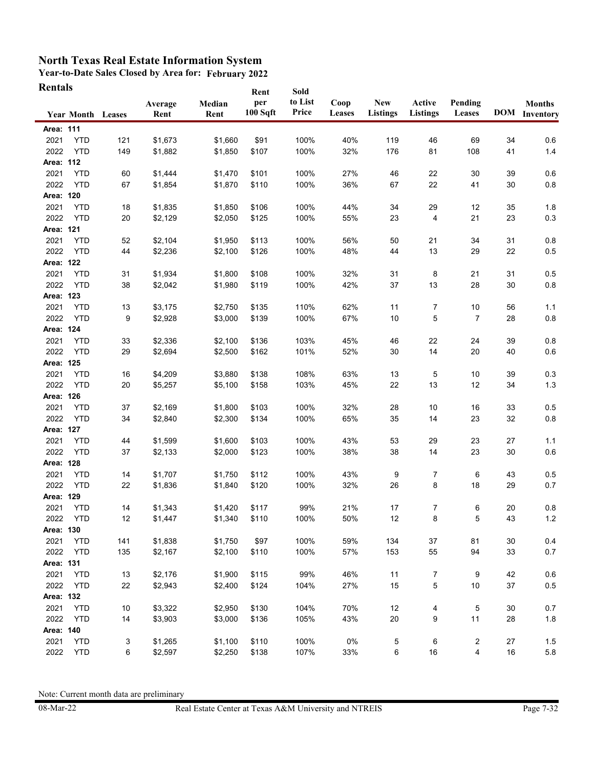**Year-to-Date Sales Closed by Area for: February 2022 Rentals**

| Rentals   |                          |     |                 |                | Rent            | Sold             |                       |                               |                    |                   |    |                                       |
|-----------|--------------------------|-----|-----------------|----------------|-----------------|------------------|-----------------------|-------------------------------|--------------------|-------------------|----|---------------------------------------|
|           | <b>Year Month Leases</b> |     | Average<br>Rent | Median<br>Rent | per<br>100 Sqft | to List<br>Price | Coop<br><b>Leases</b> | <b>New</b><br><b>Listings</b> | Active<br>Listings | Pending<br>Leases |    | <b>Months</b><br><b>DOM</b> Inventory |
| Area: 111 |                          |     |                 |                |                 |                  |                       |                               |                    |                   |    |                                       |
| 2021      | <b>YTD</b>               | 121 | \$1,673         | \$1,660        | \$91            | 100%             | 40%                   | 119                           | 46                 | 69                | 34 | 0.6                                   |
| 2022      | <b>YTD</b>               | 149 | \$1,882         | \$1,850        | \$107           | 100%             | 32%                   | 176                           | 81                 | 108               | 41 | $1.4$                                 |
| Area: 112 |                          |     |                 |                |                 |                  |                       |                               |                    |                   |    |                                       |
| 2021      | <b>YTD</b>               | 60  | \$1,444         | \$1,470        | \$101           | 100%             | 27%                   | 46                            | 22                 | 30                | 39 | 0.6                                   |
| 2022      | <b>YTD</b>               | 67  | \$1,854         | \$1,870        | \$110           | 100%             | 36%                   | 67                            | 22                 | 41                | 30 | $0.8\,$                               |
| Area: 120 |                          |     |                 |                |                 |                  |                       |                               |                    |                   |    |                                       |
| 2021      | <b>YTD</b>               | 18  | \$1,835         | \$1,850        | \$106           | 100%             | 44%                   | 34                            | 29                 | 12                | 35 | 1.8                                   |
| 2022      | <b>YTD</b>               | 20  | \$2,129         | \$2,050        | \$125           | 100%             | 55%                   | 23                            | 4                  | 21                | 23 | 0.3                                   |
| Area: 121 |                          |     |                 |                |                 |                  |                       |                               |                    |                   |    |                                       |
| 2021      | <b>YTD</b>               | 52  | \$2,104         | \$1,950        | \$113           | 100%             | 56%                   | 50                            | 21                 | 34                | 31 | 0.8                                   |
| 2022      | <b>YTD</b>               | 44  | \$2,236         | \$2,100        | \$126           | 100%             | 48%                   | 44                            | 13                 | 29                | 22 | 0.5                                   |
| Area: 122 |                          |     |                 |                |                 |                  |                       |                               |                    |                   |    |                                       |
| 2021      | <b>YTD</b>               | 31  | \$1,934         | \$1,800        | \$108           | 100%             | 32%                   | 31                            | 8                  | 21                | 31 | 0.5                                   |
| 2022      | <b>YTD</b>               | 38  | \$2,042         | \$1,980        | \$119           | 100%             | 42%                   | 37                            | 13                 | 28                | 30 | 0.8                                   |
| Area: 123 |                          |     |                 |                |                 |                  |                       |                               |                    |                   |    |                                       |
| 2021      | <b>YTD</b>               | 13  | \$3,175         | \$2,750        | \$135           | 110%             | 62%                   | 11                            | 7                  | 10                | 56 | 1.1                                   |
| 2022      | <b>YTD</b>               | 9   | \$2,928         | \$3,000        | \$139           | 100%             | 67%                   | 10                            | 5                  | 7                 | 28 | 0.8                                   |
| Area: 124 |                          |     |                 |                |                 |                  |                       |                               |                    |                   |    |                                       |
| 2021      | <b>YTD</b>               | 33  | \$2,336         | \$2,100        | \$136           | 103%             | 45%                   | 46                            | 22                 | 24                | 39 | 0.8                                   |
| 2022      | <b>YTD</b>               | 29  | \$2,694         | \$2,500        | \$162           | 101%             | 52%                   | 30                            | 14                 | 20                | 40 | 0.6                                   |
| Area: 125 |                          |     |                 |                |                 |                  |                       |                               |                    |                   |    |                                       |
| 2021      | <b>YTD</b>               | 16  | \$4,209         | \$3,880        | \$138           | 108%             | 63%                   | 13                            | 5                  | 10                | 39 | 0.3                                   |
| 2022      | <b>YTD</b>               | 20  | \$5,257         | \$5,100        | \$158           | 103%             | 45%                   | 22                            | 13                 | 12                | 34 | $1.3$                                 |
| Area: 126 |                          |     |                 |                |                 |                  |                       |                               |                    |                   |    |                                       |
| 2021      | <b>YTD</b>               | 37  | \$2,169         | \$1,800        | \$103           | 100%             | 32%                   | 28                            | 10                 | 16                | 33 | 0.5                                   |
| 2022      | <b>YTD</b>               | 34  | \$2,840         | \$2,300        | \$134           | 100%             | 65%                   | 35                            | 14                 | 23                | 32 | $0.8\,$                               |
| Area: 127 |                          |     |                 |                |                 |                  |                       |                               |                    |                   |    |                                       |
| 2021      | <b>YTD</b>               | 44  | \$1,599         | \$1,600        | \$103           | 100%             | 43%                   | 53                            | 29                 | 23                | 27 | 1.1                                   |
| 2022      | <b>YTD</b>               | 37  | \$2,133         | \$2,000        | \$123           | 100%             | 38%                   | 38                            | 14                 | 23                | 30 | $0.6\,$                               |
| Area: 128 |                          |     |                 |                |                 |                  |                       |                               |                    |                   |    |                                       |
| 2021      | <b>YTD</b>               | 14  | \$1,707         | \$1,750        | \$112           | 100%             | 43%                   | 9                             | 7                  | 6                 | 43 | 0.5                                   |
| 2022      | <b>YTD</b>               | 22  | \$1,836         | \$1,840        | \$120           | 100%             | 32%                   | 26                            | 8                  | 18                | 29 | 0.7                                   |
| Area: 129 |                          |     |                 |                |                 |                  |                       |                               |                    |                   |    |                                       |
| 2021      | <b>YTD</b>               | 14  | \$1,343         | \$1,420        | \$117           | 99%              | 21%                   | 17                            | $\overline{7}$     | 6                 | 20 | 0.8                                   |
| 2022      | <b>YTD</b>               | 12  | \$1,447         | \$1,340        | \$110           | 100%             | 50%                   | 12                            | 8                  | 5                 | 43 | $1.2\,$                               |
| Area: 130 |                          |     |                 |                |                 |                  |                       |                               |                    |                   |    |                                       |
| 2021      | <b>YTD</b>               | 141 | \$1,838         | \$1,750        | \$97            | 100%             | 59%                   | 134                           | 37                 | 81                | 30 | 0.4                                   |
| 2022      | <b>YTD</b>               | 135 | \$2,167         | \$2,100        | \$110           | 100%             | 57%                   | 153                           | 55                 | 94                | 33 | 0.7                                   |
| Area: 131 |                          |     |                 |                |                 |                  |                       |                               |                    |                   |    |                                       |
| 2021      | <b>YTD</b>               | 13  | \$2,176         | \$1,900        | \$115           | 99%              | 46%                   | 11                            | 7                  | 9                 | 42 | 0.6                                   |
| 2022      | <b>YTD</b>               | 22  | \$2,943         | \$2,400        | \$124           | 104%             | 27%                   | 15                            | 5                  | 10                | 37 | $0.5\,$                               |
| Area: 132 |                          |     |                 |                |                 |                  |                       |                               |                    |                   |    |                                       |
| 2021      | <b>YTD</b>               | 10  | \$3,322         | \$2,950        | \$130           | 104%             | 70%                   | 12                            | 4                  | 5                 | 30 | 0.7                                   |
| 2022      | <b>YTD</b>               | 14  | \$3,903         | \$3,000        | \$136           | 105%             | 43%                   | 20                            | 9                  | 11                | 28 | $1.8$                                 |
| Area: 140 |                          |     |                 |                |                 |                  |                       |                               |                    |                   |    |                                       |
| 2021      | <b>YTD</b>               | 3   | \$1,265         | \$1,100        | \$110           | 100%             | 0%                    | 5                             | 6                  | 2                 | 27 | 1.5                                   |
| 2022      | <b>YTD</b>               | 6   | \$2,597         | \$2,250        | \$138           | 107%             | 33%                   | 6                             | 16                 | 4                 | 16 | 5.8                                   |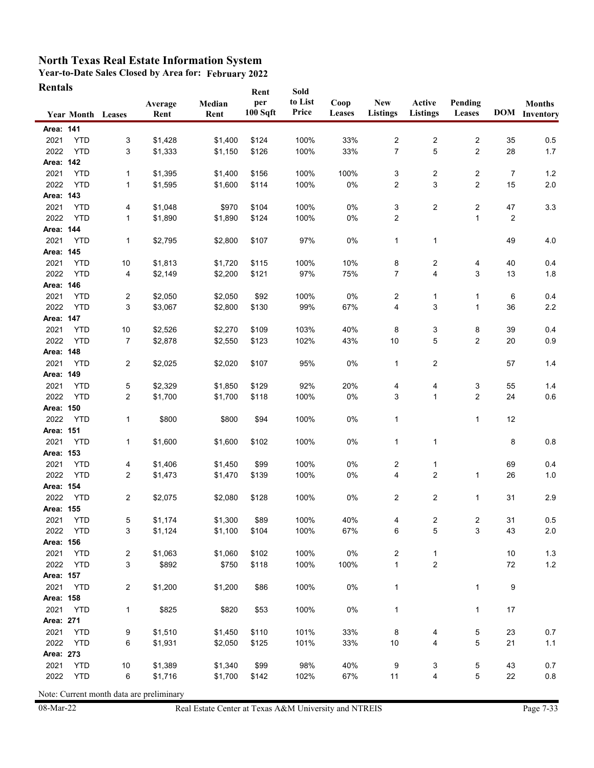**Year-to-Date Sales Closed by Area for: February 2022 Rentals**

| Rentals           |                          |                         |                  |                | Rent            | Sold             |                |                        |                           |                         |                |                                       |
|-------------------|--------------------------|-------------------------|------------------|----------------|-----------------|------------------|----------------|------------------------|---------------------------|-------------------------|----------------|---------------------------------------|
|                   | <b>Year Month Leases</b> |                         | Average<br>Rent  | Median<br>Rent | per<br>100 Sqft | to List<br>Price | Coop<br>Leases | New<br><b>Listings</b> | Active<br><b>Listings</b> | Pending<br>Leases       |                | <b>Months</b><br><b>DOM</b> Inventory |
| Area: 141         |                          |                         |                  |                |                 |                  |                |                        |                           |                         |                |                                       |
| 2021              | <b>YTD</b>               | 3                       | \$1,428          | \$1,400        | \$124           | 100%             | 33%            | 2                      | 2                         | 2                       | 35             | 0.5                                   |
| 2022              | <b>YTD</b>               | 3                       | \$1,333          | \$1,150        | \$126           | 100%             | 33%            | 7                      | 5                         | $\overline{2}$          | 28             | $1.7$                                 |
| Area: 142         |                          |                         |                  |                |                 |                  |                |                        |                           |                         |                |                                       |
| 2021              | <b>YTD</b>               | 1                       | \$1,395          | \$1,400        | \$156           | 100%             | 100%           | 3                      | 2                         | 2                       | 7              | 1.2                                   |
| 2022              | <b>YTD</b>               | 1                       | \$1,595          | \$1,600        | \$114           | 100%             | $0\%$          | 2                      | 3                         | $\overline{2}$          | 15             | $2.0\,$                               |
| Area: 143         |                          |                         |                  |                |                 |                  |                |                        |                           |                         |                |                                       |
| 2021              | <b>YTD</b>               | 4                       | \$1,048          | \$970          | \$104           | 100%             | 0%             | 3                      | 2                         | $\overline{\mathbf{c}}$ | 47             | 3.3                                   |
| 2022              | <b>YTD</b>               | 1                       | \$1,890          | \$1,890        | \$124           | 100%             | 0%             | 2                      |                           | 1                       | $\overline{c}$ |                                       |
| Area: 144         |                          |                         |                  |                |                 |                  |                |                        |                           |                         |                |                                       |
| 2021              | <b>YTD</b>               | 1                       | \$2,795          | \$2,800        | \$107           | 97%              | 0%             | $\mathbf{1}$           | 1                         |                         | 49             | 4.0                                   |
| Area: 145         |                          |                         |                  |                |                 |                  |                |                        |                           |                         |                |                                       |
| 2021              | <b>YTD</b>               | 10                      | \$1,813          | \$1,720        | \$115           | 100%             | 10%            | 8                      | 2                         | 4                       | 40             | 0.4                                   |
| 2022              | <b>YTD</b>               | 4                       | \$2,149          | \$2,200        | \$121           | 97%              | 75%            | 7                      | 4                         | 3                       | 13             | 1.8                                   |
| Area: 146         |                          |                         |                  |                |                 |                  |                |                        |                           |                         |                |                                       |
| 2021              | <b>YTD</b>               | 2                       | \$2,050          | \$2,050        | \$92            | 100%             | 0%             | $\overline{2}$         | 1                         | 1                       | 6              | 0.4                                   |
| 2022              | <b>YTD</b>               | 3                       | \$3,067          | \$2,800        | \$130           | 99%              | 67%            | 4                      | 3                         | 1                       | 36             | $2.2\,$                               |
| Area: 147         |                          |                         |                  |                |                 |                  |                |                        |                           |                         |                |                                       |
| 2021              | <b>YTD</b>               | $10$                    | \$2,526          | \$2,270        | \$109           | 103%             | 40%            | 8                      | 3                         | 8                       | 39             | 0.4                                   |
| 2022              | <b>YTD</b>               | 7                       | \$2,878          | \$2,550        | \$123           | 102%             | 43%            | 10                     | 5                         | 2                       | 20             | 0.9                                   |
| Area: 148         |                          |                         |                  |                |                 |                  |                |                        |                           |                         |                |                                       |
| 2021              | <b>YTD</b>               | 2                       | \$2,025          | \$2,020        | \$107           | 95%              | 0%             | 1                      | $\overline{c}$            |                         | 57             | 1.4                                   |
| Area: 149         |                          |                         |                  |                |                 |                  |                |                        |                           |                         |                |                                       |
| 2021              | <b>YTD</b>               | 5                       | \$2,329          | \$1,850        | \$129           | 92%              | 20%            | 4                      | 4                         | 3                       | 55             | 1.4                                   |
| 2022              | <b>YTD</b>               | 2                       | \$1,700          | \$1,700        | \$118           | 100%             | 0%             | 3                      | 1                         | $\overline{2}$          | 24             | $0.6\,$                               |
| Area: 150         |                          |                         |                  |                |                 |                  |                |                        |                           |                         |                |                                       |
| 2022              | <b>YTD</b>               | 1                       | \$800            | \$800          | \$94            | 100%             | 0%             | $\mathbf{1}$           |                           | 1                       | 12             |                                       |
| Area: 151         |                          |                         |                  |                |                 |                  |                |                        |                           |                         |                |                                       |
| 2021              | <b>YTD</b>               | 1                       | \$1,600          | \$1,600        | \$102           | 100%             | 0%             | $\mathbf{1}$           | 1                         |                         | 8              | 0.8                                   |
| Area: 153         |                          |                         |                  |                |                 |                  |                |                        |                           |                         |                |                                       |
| 2021              | <b>YTD</b>               | 4                       | \$1,406          | \$1,450        | \$99            | 100%             | 0%             | 2                      | 1                         |                         | 69             | 0.4                                   |
| 2022              | <b>YTD</b>               | $\overline{\mathbf{c}}$ | \$1,473          | \$1,470        | \$139           | 100%             | 0%             | 4                      | $\overline{2}$            | 1                       | 26             | 1.0                                   |
| Area: 154         |                          |                         |                  |                |                 |                  |                |                        |                           |                         |                |                                       |
| 2022              | <b>YTD</b>               | $\overline{\mathbf{c}}$ | \$2,075          | \$2,080        | \$128           | 100%             | 0%             | 2                      | $\overline{c}$            | 1                       | 31             | 2.9                                   |
| Area: 155         |                          |                         |                  |                |                 |                  |                |                        |                           |                         |                |                                       |
| 2021              | YTD                      | 5                       | \$1,174          | \$1,300        | \$89            | 100%             | 40%            | 4                      | 2<br>5                    | 2<br>3                  | 31             | 0.5                                   |
| 2022              | YTD                      | 3                       | \$1,124          | \$1,100        | \$104           | 100%             | 67%            | 6                      |                           |                         | 43             | 2.0                                   |
| Area: 156<br>2021 | <b>YTD</b>               |                         |                  | \$1,060        | \$102           | 100%             | 0%             | 2                      |                           |                         | 10             | $1.3$                                 |
| 2022              | <b>YTD</b>               | 2<br>3                  | \$1,063<br>\$892 | \$750          | \$118           | 100%             | 100%           | $\mathbf{1}$           | 1<br>$\overline{2}$       |                         | 72             | $1.2\,$                               |
| Area: 157         |                          |                         |                  |                |                 |                  |                |                        |                           |                         |                |                                       |
| 2021              | <b>YTD</b>               | 2                       | \$1,200          | \$1,200        | \$86            | 100%             | 0%             | $\mathbf{1}$           |                           | $\mathbf{1}$            | 9              |                                       |
| Area: 158         |                          |                         |                  |                |                 |                  |                |                        |                           |                         |                |                                       |
| 2021              | YTD                      | 1                       | \$825            | \$820          | \$53            | 100%             | 0%             | $\mathbf{1}$           |                           |                         | 17             |                                       |
| Area: 271         |                          |                         |                  |                |                 |                  |                |                        |                           | 1                       |                |                                       |
| 2021              | <b>YTD</b>               | 9                       | \$1,510          | \$1,450        | \$110           | 101%             | 33%            | 8                      | 4                         | 5                       | 23             | 0.7                                   |
| 2022              | <b>YTD</b>               | 6                       | \$1,931          | \$2,050        | \$125           | 101%             | 33%            | 10                     | 4                         | 5                       | 21             | $1.1$                                 |
| Area: 273         |                          |                         |                  |                |                 |                  |                |                        |                           |                         |                |                                       |
| 2021              | <b>YTD</b>               | 10                      | \$1,389          | \$1,340        | \$99            | 98%              | 40%            | 9                      | 3                         | 5                       | 43             | 0.7                                   |
| 2022              | <b>YTD</b>               | 6                       | \$1,716          | \$1,700        | \$142           | 102%             | 67%            | 11                     | 4                         | 5                       | 22             | $0.8\,$                               |
|                   |                          |                         |                  |                |                 |                  |                |                        |                           |                         |                |                                       |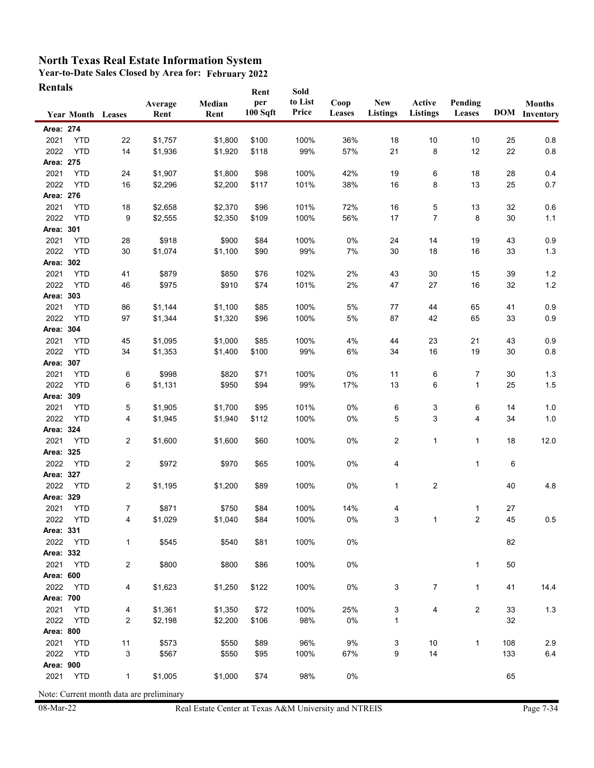**Year-to-Date Sales Closed by Area for: February 2022 Rentals**

| Rentals   | <b>Year Month Leases</b> |                         | Average<br>Rent                                     | Median<br>Rent | Rent<br>per<br>100 Sqft | Sold<br>to List<br>Price | Coop<br>Leases | New<br><b>Listings</b> | Active<br><b>Listings</b> | Pending<br>Leases |     | <b>Months</b><br><b>DOM</b> Inventory |
|-----------|--------------------------|-------------------------|-----------------------------------------------------|----------------|-------------------------|--------------------------|----------------|------------------------|---------------------------|-------------------|-----|---------------------------------------|
| Area: 274 |                          |                         |                                                     |                |                         |                          |                |                        |                           |                   |     |                                       |
| 2021      | <b>YTD</b>               | 22                      | \$1,757                                             | \$1,800        | \$100                   | 100%                     | 36%            | 18                     | 10                        | 10                | 25  | 0.8                                   |
| 2022      | <b>YTD</b>               | 14                      | \$1,936                                             | \$1,920        | \$118                   | 99%                      | 57%            | 21                     | 8                         | 12                | 22  | $0.8\,$                               |
| Area: 275 |                          |                         |                                                     |                |                         |                          |                |                        |                           |                   |     |                                       |
| 2021      | <b>YTD</b>               | 24                      | \$1,907                                             | \$1,800        | \$98                    | 100%                     | 42%            | 19                     | 6                         | 18                | 28  | 0.4                                   |
| 2022      | <b>YTD</b>               | 16                      | \$2,296                                             | \$2,200        | \$117                   | 101%                     | 38%            | 16                     | 8                         | 13                | 25  | 0.7                                   |
| Area: 276 |                          |                         |                                                     |                |                         |                          |                |                        |                           |                   |     |                                       |
| 2021      | <b>YTD</b>               | 18                      | \$2,658                                             | \$2,370        | \$96                    | 101%                     | 72%            | 16                     | 5                         | 13                | 32  | 0.6                                   |
| 2022      | <b>YTD</b>               | 9                       | \$2,555                                             | \$2,350        | \$109                   | 100%                     | 56%            | 17                     | 7                         | 8                 | 30  | $1.1$                                 |
| Area: 301 |                          |                         |                                                     |                |                         |                          |                |                        |                           |                   |     |                                       |
| 2021      | <b>YTD</b>               | 28                      | \$918                                               | \$900          | \$84                    | 100%                     | 0%             | 24                     | 14                        | 19                | 43  | 0.9                                   |
| 2022      | <b>YTD</b>               | 30                      | \$1,074                                             | \$1,100        | \$90                    | 99%                      | 7%             | 30                     | 18                        | 16                | 33  | $1.3$                                 |
| Area: 302 |                          |                         |                                                     |                |                         |                          |                |                        |                           |                   |     |                                       |
| 2021      | <b>YTD</b>               | 41                      | \$879                                               | \$850          | \$76                    | 102%                     | 2%             | 43                     | 30                        | 15                | 39  | 1.2                                   |
| 2022      | <b>YTD</b>               | 46                      | \$975                                               | \$910          | \$74                    | 101%                     | 2%             | 47                     | 27                        | 16                | 32  | $1.2\,$                               |
| Area: 303 |                          |                         |                                                     |                |                         |                          |                |                        |                           |                   |     |                                       |
| 2021      | <b>YTD</b>               | 86                      | \$1,144                                             | \$1,100        | \$85                    | 100%                     | 5%             | 77                     | 44                        | 65                | 41  | 0.9                                   |
| 2022      | <b>YTD</b>               | 97                      | \$1,344                                             | \$1,320        | \$96                    | 100%                     | 5%             | 87                     | 42                        | 65                | 33  | 0.9                                   |
| Area: 304 |                          |                         |                                                     |                |                         |                          |                |                        |                           |                   |     |                                       |
| 2021      | <b>YTD</b>               | 45                      | \$1,095                                             | \$1,000        | \$85                    | 100%                     | 4%             | 44                     | 23                        | 21                | 43  | 0.9                                   |
| 2022      | <b>YTD</b>               | 34                      | \$1,353                                             | \$1,400        | \$100                   | 99%                      | 6%             | 34                     | 16                        | 19                | 30  | 0.8                                   |
| Area: 307 |                          |                         |                                                     |                |                         |                          |                |                        |                           |                   |     |                                       |
| 2021      | <b>YTD</b>               | 6                       | \$998                                               | \$820          | \$71                    | 100%                     | 0%             | 11                     | 6                         | 7                 | 30  | 1.3                                   |
| 2022      | <b>YTD</b>               | 6                       | \$1,131                                             | \$950          | \$94                    | 99%                      | 17%            | 13                     | 6                         | 1                 | 25  | 1.5                                   |
| Area: 309 |                          |                         |                                                     |                |                         |                          |                |                        |                           |                   |     |                                       |
| 2021      | <b>YTD</b>               | 5                       | \$1,905                                             | \$1,700        | \$95                    | 101%                     | $0\%$          | 6                      | 3                         | 6                 | 14  | 1.0                                   |
| 2022      | <b>YTD</b>               | 4                       | \$1,945                                             | \$1,940        | \$112                   | 100%                     | 0%             | 5                      | 3                         | 4                 | 34  | 1.0                                   |
| Area: 324 |                          |                         |                                                     |                |                         |                          |                |                        |                           |                   |     |                                       |
| 2021      | <b>YTD</b>               | $\overline{\mathbf{c}}$ | \$1,600                                             | \$1,600        | \$60                    | 100%                     | 0%             | 2                      | 1                         | 1                 | 18  | 12.0                                  |
| Area: 325 |                          |                         |                                                     |                |                         |                          |                |                        |                           |                   |     |                                       |
| 2022      | <b>YTD</b>               | $\overline{\mathbf{c}}$ | \$972                                               | \$970          | \$65                    | 100%                     | 0%             | 4                      |                           | 1                 | 6   |                                       |
| Area: 327 |                          |                         |                                                     |                |                         |                          |                |                        |                           |                   |     |                                       |
| 2022      | <b>YTD</b>               | 2                       | \$1,195                                             | \$1,200        | \$89                    | 100%                     | 0%             | 1                      | $\overline{c}$            |                   | 40  | 4.8                                   |
| Area: 329 |                          |                         |                                                     |                |                         |                          |                |                        |                           |                   |     |                                       |
| 2021      | <b>YTD</b>               | 7                       | \$871                                               | \$750          | \$84                    | 100%                     | 14%            | 4                      |                           | 1                 | 27  |                                       |
| 2022      | YTD                      | 4                       | \$1,029                                             | \$1,040        | \$84                    | 100%                     | 0%             | 3                      |                           | 2                 | 45  | 0.5                                   |
| Area: 331 |                          |                         |                                                     |                |                         |                          |                |                        |                           |                   |     |                                       |
| 2022      | YTD                      | 1                       | \$545                                               | \$540          | \$81                    | 100%                     | 0%             |                        |                           |                   | 82  |                                       |
| Area: 332 |                          |                         |                                                     |                |                         |                          |                |                        |                           |                   |     |                                       |
| 2021      | <b>YTD</b>               | $\overline{\mathbf{c}}$ | \$800                                               | \$800          | \$86                    | 100%                     | $0\%$          |                        |                           | 1                 | 50  |                                       |
| Area: 600 |                          |                         |                                                     |                |                         |                          |                |                        |                           |                   |     |                                       |
| 2022      | <b>YTD</b>               | 4                       | \$1,623                                             | \$1,250        | \$122                   | 100%                     | 0%             | 3                      | $\overline{7}$            | $\mathbf{1}$      | 41  | 14.4                                  |
| Area: 700 |                          |                         |                                                     |                |                         |                          |                |                        |                           |                   |     |                                       |
| 2021      | <b>YTD</b>               | 4                       | \$1,361                                             | \$1,350        | \$72                    | 100%                     | 25%            | 3                      | 4                         | $\overline{c}$    | 33  | $1.3$                                 |
| 2022      | <b>YTD</b>               | 2                       | \$2,198                                             | \$2,200        | \$106                   | 98%                      | $0\%$          | 1                      |                           |                   | 32  |                                       |
| Area: 800 |                          |                         |                                                     |                |                         |                          |                |                        |                           |                   |     |                                       |
| 2021      | <b>YTD</b>               | 11                      | \$573                                               | \$550          | \$89                    | 96%                      | 9%             | 3                      | 10                        | $\mathbf 1$       | 108 | 2.9                                   |
| 2022      | <b>YTD</b>               | 3                       | \$567                                               | \$550          | \$95                    | 100%                     | 67%            | 9                      | 14                        |                   | 133 | 6.4                                   |
| Area: 900 |                          |                         |                                                     |                |                         |                          |                |                        |                           |                   |     |                                       |
| 2021      | <b>YTD</b>               | $\mathbf{1}$            | \$1,005<br>Note: Current month data are preliminary | \$1,000        | \$74                    | 98%                      | $0\%$          |                        |                           |                   | 65  |                                       |